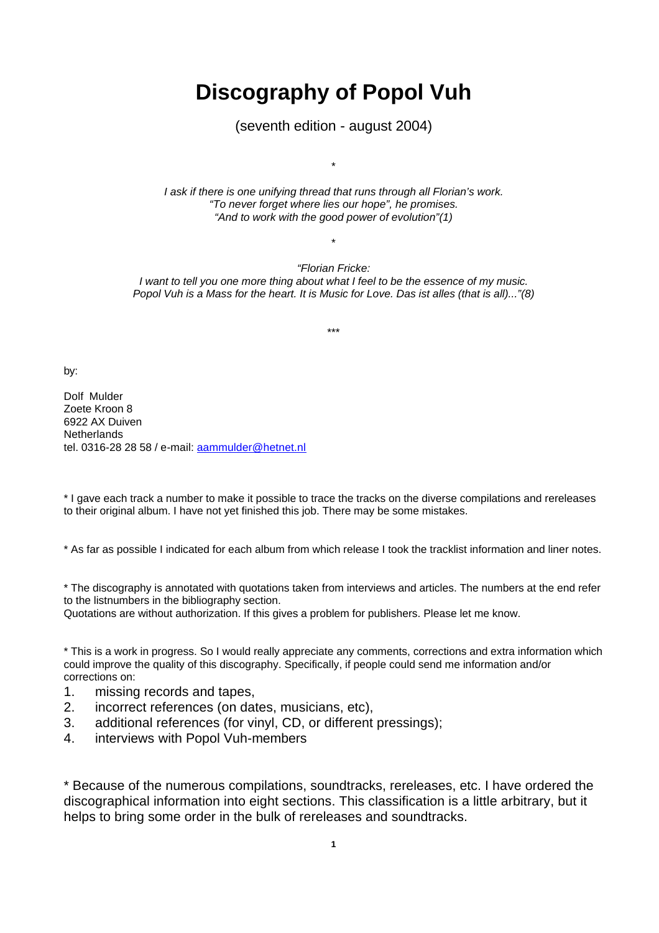# **Discography of Popol Vuh**

(seventh edition - august 2004)

*I ask if there is one unifying thread that runs through all Florian's work. "To never forget where lies our hope", he promises. "And to work with the good power of evolution"(1)*

\*

\*

*"Florian Fricke: I want to tell you one more thing about what I feel to be the essence of my music. Popol Vuh is a Mass for the heart. It is Music for Love. Das ist alles (that is all)..."(8)*

\*\*\*

by:

Dolf Mulder Zoete Kroon 8 6922 AX Duiven **Netherlands** tel. 0316-28 28 58 / e-mail: aammulder@hetnet.nl

\* I gave each track a number to make it possible to trace the tracks on the diverse compilations and rereleases to their original album. I have not yet finished this job. There may be some mistakes.

\* As far as possible I indicated for each album from which release I took the tracklist information and liner notes.

\* The discography is annotated with quotations taken from interviews and articles. The numbers at the end refer to the listnumbers in the bibliography section.

Quotations are without authorization. If this gives a problem for publishers. Please let me know.

\* This is a work in progress. So I would really appreciate any comments, corrections and extra information which could improve the quality of this discography. Specifically, if people could send me information and/or corrections on:

- 1. missing records and tapes,
- 2. incorrect references (on dates, musicians, etc),
- 3. additional references (for vinyl, CD, or different pressings);
- 4. interviews with Popol Vuh-members

\* Because of the numerous compilations, soundtracks, rereleases, etc. I have ordered the discographical information into eight sections. This classification is a little arbitrary, but it helps to bring some order in the bulk of rereleases and soundtracks.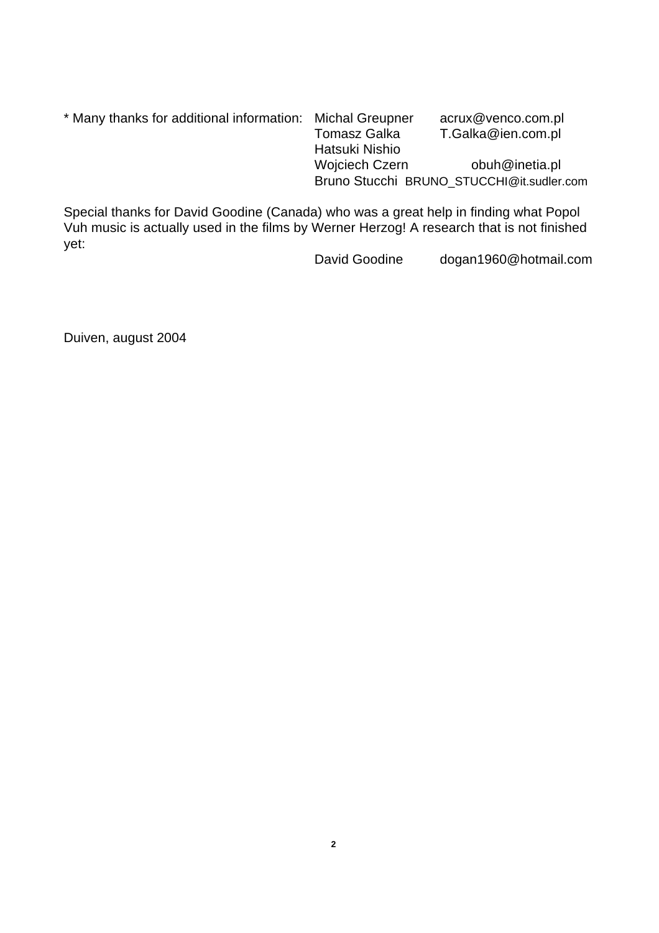| * Many thanks for additional information: Michal Greupner |                       | acrux@venco.com.pl                        |
|-----------------------------------------------------------|-----------------------|-------------------------------------------|
|                                                           | Tomasz Galka          | T.Galka@ien.com.pl                        |
|                                                           | Hatsuki Nishio        |                                           |
|                                                           | <b>Wojciech Czern</b> | obuh@inetia.pl                            |
|                                                           |                       | Bruno Stucchi BRUNO STUCCHI@it.sudler.com |

Special thanks for David Goodine (Canada) who was a great help in finding what Popol Vuh music is actually used in the films by Werner Herzog! A research that is not finished yet:

David Goodine dogan1960@hotmail.com

Duiven, august 2004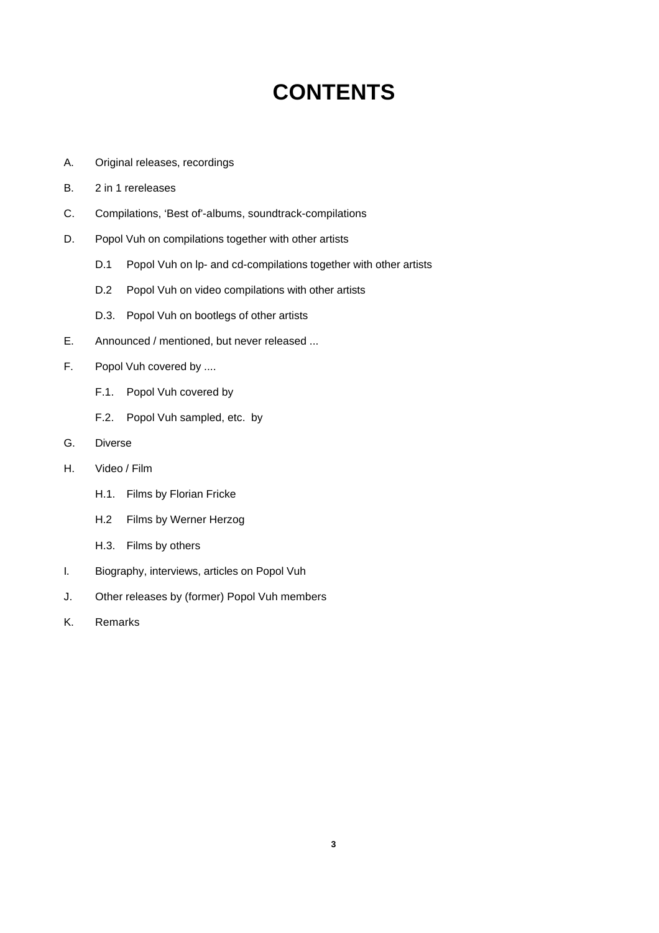# **CONTENTS**

- A. Original releases, recordings
- B. 2 in 1 rereleases
- C. Compilations, 'Best of'-albums, soundtrack-compilations
- D. Popol Vuh on compilations together with other artists
	- D.1 Popol Vuh on lp- and cd-compilations together with other artists
	- D.2 Popol Vuh on video compilations with other artists
	- D.3. Popol Vuh on bootlegs of other artists
- E. Announced / mentioned, but never released ...
- F. Popol Vuh covered by ....
	- F.1. Popol Vuh covered by
	- F.2. Popol Vuh sampled, etc. by
- G. Diverse
- H. Video / Film
	- H.1. Films by Florian Fricke
	- H.2 Films by Werner Herzog
	- H.3. Films by others
- I. Biography, interviews, articles on Popol Vuh
- J. Other releases by (former) Popol Vuh members
- K. Remarks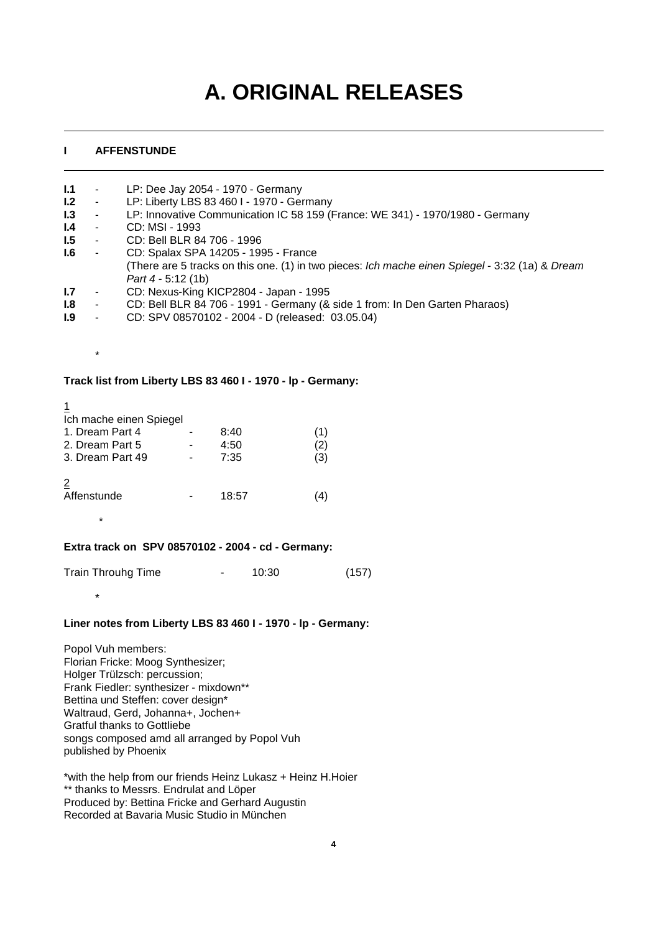# **A. ORIGINAL RELEASES**

# **I AFFENSTUNDE**

| 1.1           | $\sim$ | LP: Dee Jay 2054 - 1970 - Germany                                                               |
|---------------|--------|-------------------------------------------------------------------------------------------------|
| 1.2           | $\sim$ | LP: Liberty LBS 83 460 I - 1970 - Germany                                                       |
| 1.3           | $\sim$ | LP: Innovative Communication IC 58 159 (France: WE 341) - 1970/1980 - Germany                   |
| $\mathsf{I}4$ | $\sim$ | CD: MSI - 1993                                                                                  |
| 1.5           | $\sim$ | CD: Bell BLR 84 706 - 1996                                                                      |
| 1.6           | $\sim$ | CD: Spalax SPA 14205 - 1995 - France                                                            |
|               |        | (There are 5 tracks on this one. (1) in two pieces: Ich mache einen Spiegel - 3:32 (1a) & Dream |
|               |        | Part $4 - 5:12(1b)$                                                                             |
| 1.7           | $\sim$ | CD: Nexus-King KICP2804 - Japan - 1995                                                          |
| 1.8           | ۰      | CD: Bell BLR 84 706 - 1991 - Germany (& side 1 from: In Den Garten Pharaos)                     |

**I.9** - CD: SPV 08570102 - 2004 - D (released: 03.05.04)

**Track list from Liberty LBS 83 460 I - 1970 - lp - Germany:**

1

\*

\*

|  | Ich mache einen Spiegel |
|--|-------------------------|
|  |                         |

| 1. Dream Part 4<br>2. Dream Part 5<br>3. Dream Part 49 |  | 8:40<br>4:50<br>7:35 | 2)<br>(3) |
|--------------------------------------------------------|--|----------------------|-----------|
| 2<br>Affenstunde                                       |  | 18:57                |           |
| $\ast$                                                 |  |                      |           |

# **Extra track on SPV 08570102 - 2004 - cd - Germany:**

Train Throuhg Time  $10:30$  (157)

## **Liner notes from Liberty LBS 83 460 I - 1970 - lp - Germany:**

Popol Vuh members: Florian Fricke: Moog Synthesizer; Holger Trülzsch: percussion; Frank Fiedler: synthesizer - mixdown\*\* Bettina und Steffen: cover design\* Waltraud, Gerd, Johanna+, Jochen+ Gratful thanks to Gottliebe songs composed amd all arranged by Popol Vuh published by Phoenix

\*with the help from our friends Heinz Lukasz + Heinz H.Hoier \*\* thanks to Messrs. Endrulat and Löper Produced by: Bettina Fricke and Gerhard Augustin Recorded at Bavaria Music Studio in München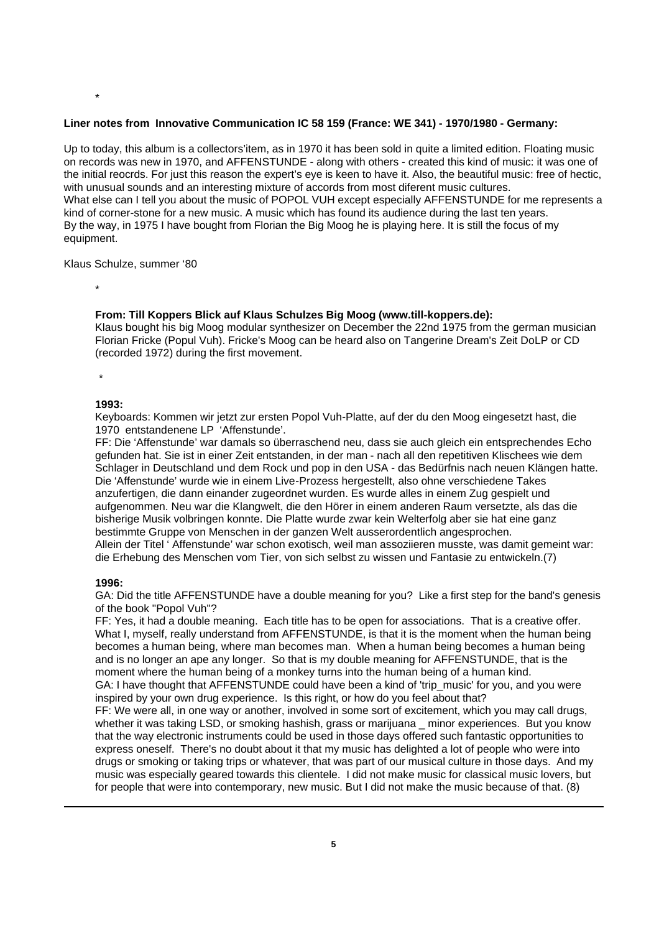## **Liner notes from Innovative Communication IC 58 159 (France: WE 341) - 1970/1980 - Germany:**

Up to today, this album is a collectors'item, as in 1970 it has been sold in quite a limited edition. Floating music on records was new in 1970, and AFFENSTUNDE - along with others - created this kind of music: it was one of the initial reocrds. For just this reason the expert's eye is keen to have it. Also, the beautiful music: free of hectic, with unusual sounds and an interesting mixture of accords from most diferent music cultures. What else can I tell you about the music of POPOL VUH except especially AFFENSTUNDE for me represents a kind of corner-stone for a new music. A music which has found its audience during the last ten years. By the way, in 1975 I have bought from Florian the Big Moog he is playing here. It is still the focus of my equipment.

#### Klaus Schulze, summer '80

\*

\*

#### **From: Till Koppers Blick auf Klaus Schulzes Big Moog (www.till-koppers.de):**

Klaus bought his big Moog modular synthesizer on December the 22nd 1975 from the german musician Florian Fricke (Popul Vuh). Fricke's Moog can be heard also on Tangerine Dream's Zeit DoLP or CD (recorded 1972) during the first movement.

\*

#### **1993:**

Keyboards: Kommen wir jetzt zur ersten Popol Vuh-Platte, auf der du den Moog eingesetzt hast, die 1970 entstandenene LP 'Affenstunde'.

FF: Die 'Affenstunde' war damals so überraschend neu, dass sie auch gleich ein entsprechendes Echo gefunden hat. Sie ist in einer Zeit entstanden, in der man - nach all den repetitiven Klischees wie dem Schlager in Deutschland und dem Rock und pop in den USA - das Bedürfnis nach neuen Klängen hatte. Die 'Affenstunde' wurde wie in einem Live-Prozess hergestellt, also ohne verschiedene Takes anzufertigen, die dann einander zugeordnet wurden. Es wurde alles in einem Zug gespielt und aufgenommen. Neu war die Klangwelt, die den Hörer in einem anderen Raum versetzte, als das die bisherige Musik volbringen konnte. Die Platte wurde zwar kein Welterfolg aber sie hat eine ganz bestimmte Gruppe von Menschen in der ganzen Welt ausserordentlich angesprochen. Allein der Titel ' Affenstunde' war schon exotisch, weil man assoziieren musste, was damit gemeint war: die Erhebung des Menschen vom Tier, von sich selbst zu wissen und Fantasie zu entwickeln.(7)

#### **1996:**

GA: Did the title AFFENSTUNDE have a double meaning for you? Like a first step for the band's genesis of the book "Popol Vuh"?

FF: Yes, it had a double meaning. Each title has to be open for associations. That is a creative offer. What I, myself, really understand from AFFENSTUNDE, is that it is the moment when the human being becomes a human being, where man becomes man. When a human being becomes a human being and is no longer an ape any longer. So that is my double meaning for AFFENSTUNDE, that is the moment where the human being of a monkey turns into the human being of a human kind. GA: I have thought that AFFENSTUNDE could have been a kind of 'trip\_music' for you, and you were

inspired by your own drug experience. Is this right, or how do you feel about that? FF: We were all, in one way or another, involved in some sort of excitement, which you may call drugs, whether it was taking LSD, or smoking hashish, grass or marijuana \_ minor experiences. But you know

that the way electronic instruments could be used in those days offered such fantastic opportunities to express oneself. There's no doubt about it that my music has delighted a lot of people who were into drugs or smoking or taking trips or whatever, that was part of our musical culture in those days. And my music was especially geared towards this clientele. I did not make music for classical music lovers, but for people that were into contemporary, new music. But I did not make the music because of that. (8)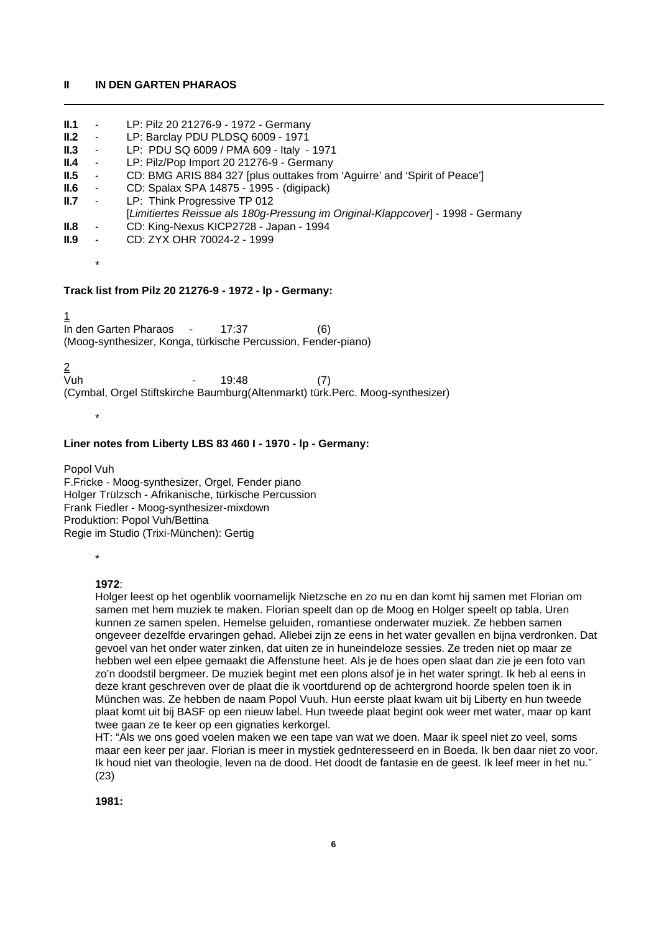#### **II IN DEN GARTEN PHARAOS**

**II.1** - LP: Pilz 20 21276-9 - 1972 - Germany

| II.2 | $\sim$                                                                      | LP: Barclay PDU PLDSQ 6009 - 1971                                               |
|------|-----------------------------------------------------------------------------|---------------------------------------------------------------------------------|
| II.3 |                                                                             | - LP: PDU SQ 6009 / PMA 609 - Italy - 1971                                      |
|      |                                                                             |                                                                                 |
| II.4 | $\sim 100$                                                                  | LP: Pilz/Pop Import 20 21276-9 - Germany                                        |
| II.5 | $\sim$                                                                      | CD: BMG ARIS 884 327 [plus outtakes from 'Aguirre' and 'Spirit of Peace']       |
| II.6 | $\mathcal{L}=\mathcal{L}^{\mathcal{L}}$ , where $\mathcal{L}^{\mathcal{L}}$ | CD: Spalax SPA 14875 - 1995 - (digipack)                                        |
| II.7 | $\sim$ $-$                                                                  | LP: Think Progressive TP 012                                                    |
|      |                                                                             | [Limitiertes Reissue als 180g-Pressung im Original-Klappcover] - 1998 - Germany |
| II.8 | <b>Harry Corp.</b>                                                          | CD: King-Nexus KICP2728 - Japan - 1994                                          |
| II.9 |                                                                             | CD: ZYX OHR 70024-2 - 1999                                                      |
|      | $\ast$                                                                      |                                                                                 |
|      |                                                                             |                                                                                 |
|      |                                                                             | Track list from Pilz 20 21276-9 - 1972 - Ip - Germany:                          |
|      |                                                                             |                                                                                 |
|      |                                                                             | In den Garten Pharaos - 17:37<br>(6)                                            |
|      |                                                                             | (Moog-synthesizer, Konga, türkische Percussion, Fender-piano)                   |

<u>2</u><br>Vuh 19:48 (7) (Cymbal, Orgel Stiftskirche Baumburg(Altenmarkt) türk.Perc. Moog-synthesizer)

## **Liner notes from Liberty LBS 83 460 I - 1970 - lp - Germany:**

Popol Vuh F.Fricke - Moog-synthesizer, Orgel, Fender piano Holger Trülzsch - Afrikanische, türkische Percussion Frank Fiedler - Moog-synthesizer-mixdown Produktion: Popol Vuh/Bettina Regie im Studio (Trixi-München): Gertig

\*

\*

## **1972**:

Holger leest op het ogenblik voornamelijk Nietzsche en zo nu en dan komt hij samen met Florian om samen met hem muziek te maken. Florian speelt dan op de Moog en Holger speelt op tabla. Uren kunnen ze samen spelen. Hemelse geluiden, romantiese onderwater muziek. Ze hebben samen ongeveer dezelfde ervaringen gehad. Allebei zijn ze eens in het water gevallen en bijna verdronken. Dat gevoel van het onder water zinken, dat uiten ze in huneindeloze sessies. Ze treden niet op maar ze hebben wel een elpee gemaakt die Affenstune heet. Als je de hoes open slaat dan zie je een foto van zo'n doodstil bergmeer. De muziek begint met een plons alsof je in het water springt. Ik heb al eens in deze krant geschreven over de plaat die ik voortdurend op de achtergrond hoorde spelen toen ik in München was. Ze hebben de naam Popol Vuuh. Hun eerste plaat kwam uit bij Liberty en hun tweede plaat komt uit bij BASF op een nieuw label. Hun tweede plaat begint ook weer met water, maar op kant twee gaan ze te keer op een gignaties kerkorgel.

HT: "Als we ons goed voelen maken we een tape van wat we doen. Maar ik speel niet zo veel, soms maar een keer per jaar. Florian is meer in mystiek gednteresseerd en in Boeda. Ik ben daar niet zo voor. Ik houd niet van theologie, leven na de dood. Het doodt de fantasie en de geest. Ik leef meer in het nu." (23)

**1981:**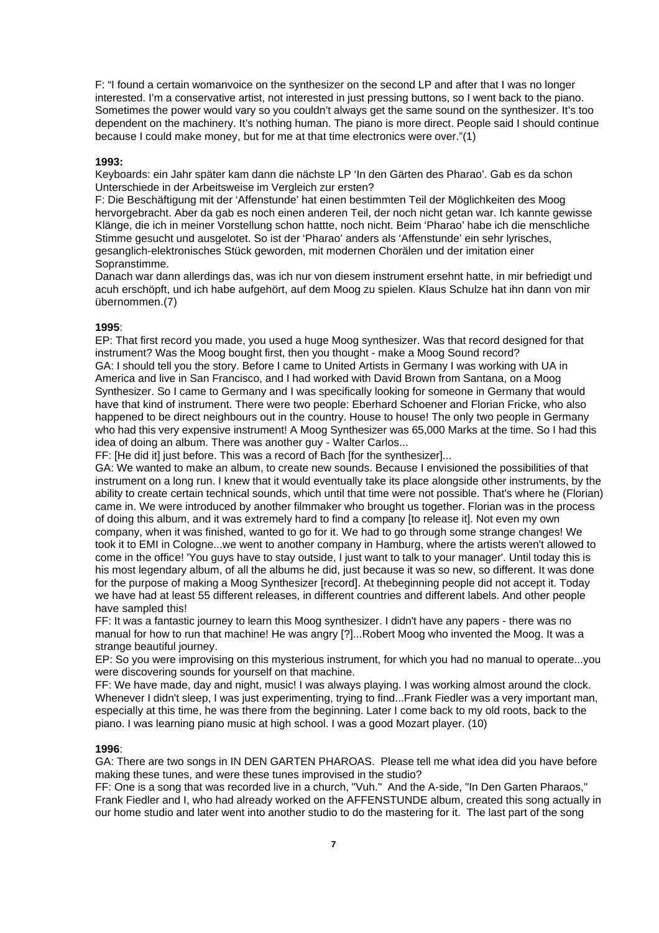F: "I found a certain womanvoice on the synthesizer on the second LP and after that I was no longer interested. I'm a conservative artist, not interested in just pressing buttons, so I went back to the piano. Sometimes the power would vary so you couldn't always get the same sound on the synthesizer. It's too dependent on the machinery. It's nothing human. The piano is more direct. People said I should continue because I could make money, but for me at that time electronics were over."(1)

#### **1993:**

Keyboards: ein Jahr später kam dann die nächste LP 'In den Gärten des Pharao'. Gab es da schon Unterschiede in der Arbeitsweise im Vergleich zur ersten?

F: Die Beschäftigung mit der 'Affenstunde' hat einen bestimmten Teil der Möglichkeiten des Moog hervorgebracht. Aber da gab es noch einen anderen Teil, der noch nicht getan war. Ich kannte gewisse Klänge, die ich in meiner Vorstellung schon hattte, noch nicht. Beim 'Pharao' habe ich die menschliche Stimme gesucht und ausgelotet. So ist der 'Pharao' anders als 'Affenstunde' ein sehr lyrisches, gesanglich-elektronisches Stück geworden, mit modernen Chorälen und der imitation einer Sopranstimme.

Danach war dann allerdings das, was ich nur von diesem instrument ersehnt hatte, in mir befriedigt und acuh erschöpft, und ich habe aufgehört, auf dem Moog zu spielen. Klaus Schulze hat ihn dann von mir übernommen.(7)

#### **1995**:

EP: That first record you made, you used a huge Moog synthesizer. Was that record designed for that instrument? Was the Moog bought first, then you thought - make a Moog Sound record? GA: I should tell you the story. Before I came to United Artists in Germany I was working with UA in America and live in San Francisco, and I had worked with David Brown from Santana, on a Moog Synthesizer. So I came to Germany and I was specifically looking for someone in Germany that would have that kind of instrument. There were two people: Eberhard Schoener and Florian Fricke, who also happened to be direct neighbours out in the country. House to house! The only two people in Germany who had this very expensive instrument! A Moog Synthesizer was 65,000 Marks at the time. So I had this idea of doing an album. There was another guy - Walter Carlos...

FF: [He did it] just before. This was a record of Bach [for the synthesizer]...

GA: We wanted to make an album, to create new sounds. Because I envisioned the possibilities of that instrument on a long run. I knew that it would eventually take its place alongside other instruments, by the ability to create certain technical sounds, which until that time were not possible. That's where he (Florian) came in. We were introduced by another filmmaker who brought us together. Florian was in the process of doing this album, and it was extremely hard to find a company [to release it]. Not even my own company, when it was finished, wanted to go for it. We had to go through some strange changes! We took it to EMI in Cologne...we went to another company in Hamburg, where the artists weren't allowed to come in the office! 'You guys have to stay outside, I just want to talk to your manager'. Until today this is his most legendary album, of all the albums he did, just because it was so new, so different. It was done for the purpose of making a Moog Synthesizer [record]. At thebeginning people did not accept it. Today we have had at least 55 different releases, in different countries and different labels. And other people have sampled this!

FF: It was a fantastic journey to learn this Moog synthesizer. I didn't have any papers - there was no manual for how to run that machine! He was angry [?]...Robert Moog who invented the Moog. It was a strange beautiful journey.

EP: So you were improvising on this mysterious instrument, for which you had no manual to operate...you were discovering sounds for yourself on that machine.

FF: We have made, day and night, music! I was always playing. I was working almost around the clock. Whenever I didn't sleep, I was just experimenting, trying to find...Frank Fiedler was a very important man, especially at this time, he was there from the beginning. Later I come back to my old roots, back to the piano. I was learning piano music at high school. I was a good Mozart player. (10)

#### **1996**:

GA: There are two songs in IN DEN GARTEN PHAROAS. Please tell me what idea did you have before making these tunes, and were these tunes improvised in the studio?

FF: One is a song that was recorded live in a church, "Vuh." And the A-side, "In Den Garten Pharaos," Frank Fiedler and I, who had already worked on the AFFENSTUNDE album, created this song actually in our home studio and later went into another studio to do the mastering for it. The last part of the song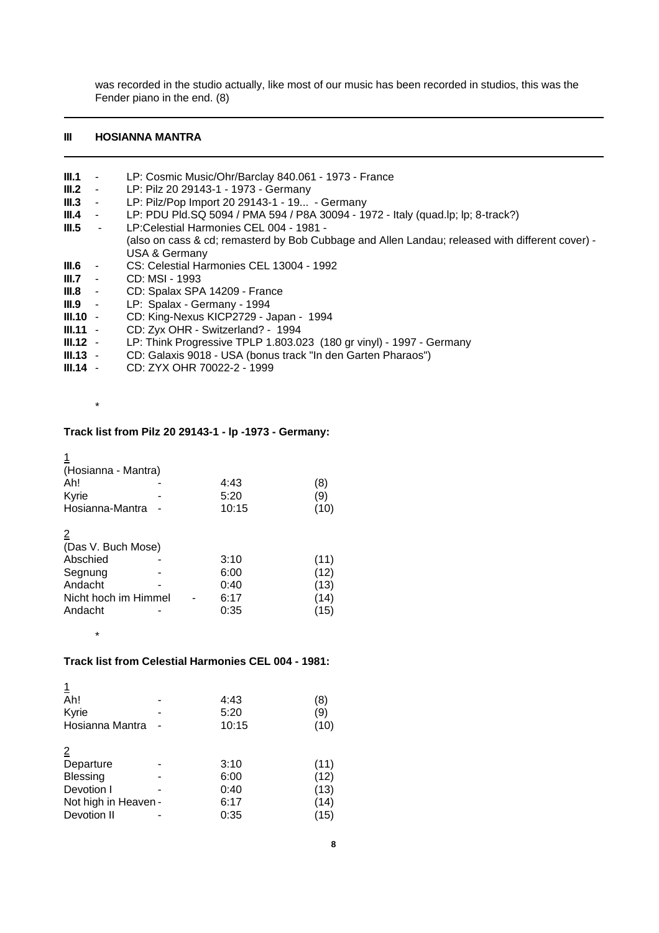was recorded in the studio actually, like most of our music has been recorded in studios, this was the Fender piano in the end. (8)

# **III HOSIANNA MANTRA**

| III.1      | $\sim 10^{-1}$  | LP: Cosmic Music/Ohr/Barclay 840.061 - 1973 - France                                            |
|------------|-----------------|-------------------------------------------------------------------------------------------------|
| III.2      | $\sim 100$      | LP: Pilz 20 29143-1 - 1973 - Germany                                                            |
| III.3      | $\sim 10^{-11}$ | LP: Pilz/Pop Import 20 29143-1 - 19 - Germany                                                   |
| III.4      | $\sim$ $ \sim$  | LP: PDU Pld.SQ 5094 / PMA 594 / P8A 30094 - 1972 - Italy (quad.lp; lp; 8-track?)                |
| III.5      | $\sim$ $-$      | LP:Celestial Harmonies CEL 004 - 1981 -                                                         |
|            |                 | (also on cass & cd; remasterd by Bob Cubbage and Allen Landau; released with different cover) - |
|            |                 | USA & Germany                                                                                   |
| $III.6 -$  |                 | CS: Celestial Harmonies CEL 13004 - 1992                                                        |
| $III.7 -$  |                 | CD: MSI - 1993                                                                                  |
| $III.8 -$  |                 | CD: Spalax SPA 14209 - France                                                                   |
| $III.9 -$  |                 | LP: Spalax - Germany - 1994                                                                     |
| $III.10 -$ |                 | CD: King-Nexus KICP2729 - Japan - 1994                                                          |
| $III.11 -$ |                 | CD: Zyx OHR - Switzerland? - 1994                                                               |
| $III.12 -$ |                 | LP: Think Progressive TPLP 1.803.023 (180 gr vinyl) - 1997 - Germany                            |
| $III.13 -$ |                 | CD: Galaxis 9018 - USA (bonus track "In den Garten Pharaos")                                    |
| .          |                 |                                                                                                 |

**III.14** - CD: ZYX OHR 70022-2 - 1999

\*

\*

# **Track list from Pilz 20 29143-1 - lp -1973 - Germany:**

| (Hosianna - Mantra)  |  |       |      |
|----------------------|--|-------|------|
| Ah!                  |  | 4:43  | (8)  |
| Kyrie                |  | 5:20  | (9)  |
| Hosianna-Mantra      |  | 10:15 | (10) |
| $\overline{2}$       |  |       |      |
| (Das V. Buch Mose)   |  |       |      |
| Abschied             |  | 3:10  | (11) |
| Segnung              |  | 6:00  | (12) |
| Andacht              |  | 0:40  | (13) |
| Nicht hoch im Himmel |  | 6:17  | (14) |
| Andacht              |  | 0:35  | 15)  |
|                      |  |       |      |

# **Track list from Celestial Harmonies CEL 004 - 1981:**

| Ah!                  | 4:43  | (8)  |
|----------------------|-------|------|
| Kyrie                | 5:20  | (9)  |
| Hosianna Mantra      | 10:15 | (10) |
| $\overline{2}$       |       |      |
| Departure            | 3:10  | (11) |
| <b>Blessing</b>      | 6:00  | (12) |
| Devotion I           | 0:40  | (13) |
| Not high in Heaven - | 6:17  | (14) |
| Devotion II          | 0:35  | (15) |
|                      |       |      |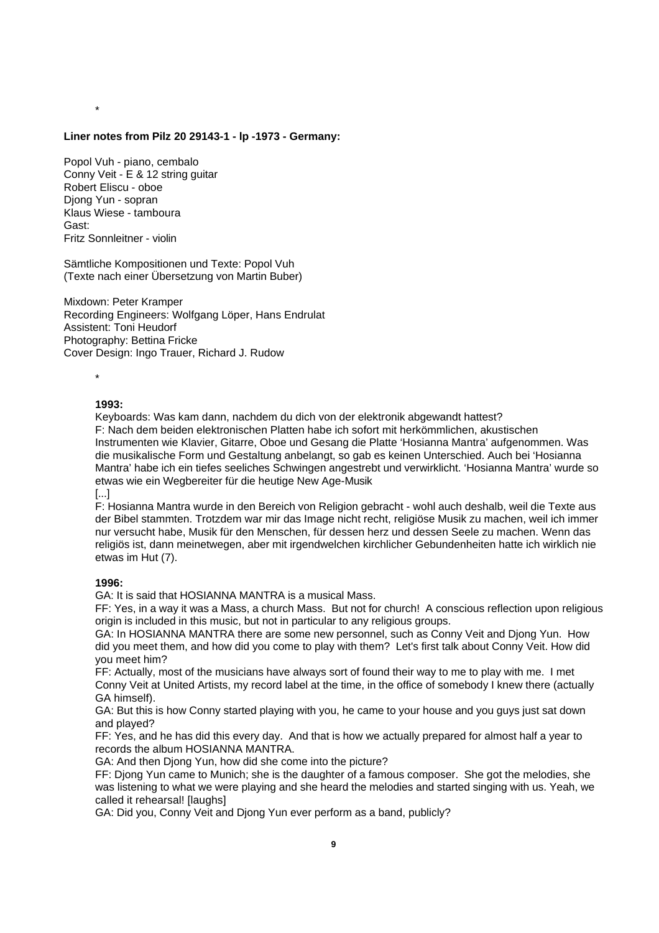#### **Liner notes from Pilz 20 29143-1 - lp -1973 - Germany:**

Popol Vuh - piano, cembalo Conny Veit - E & 12 string guitar Robert Eliscu - oboe Djong Yun - sopran Klaus Wiese - tamboura Gast: Fritz Sonnleitner - violin

Sämtliche Kompositionen und Texte: Popol Vuh (Texte nach einer Übersetzung von Martin Buber)

Mixdown: Peter Kramper Recording Engineers: Wolfgang Löper, Hans Endrulat Assistent: Toni Heudorf Photography: Bettina Fricke Cover Design: Ingo Trauer, Richard J. Rudow

\*

\*

#### **1993:**

Keyboards: Was kam dann, nachdem du dich von der elektronik abgewandt hattest? F: Nach dem beiden elektronischen Platten habe ich sofort mit herkömmlichen, akustischen Instrumenten wie Klavier, Gitarre, Oboe und Gesang die Platte 'Hosianna Mantra' aufgenommen. Was die musikalische Form und Gestaltung anbelangt, so gab es keinen Unterschied. Auch bei 'Hosianna Mantra' habe ich ein tiefes seeliches Schwingen angestrebt und verwirklicht. 'Hosianna Mantra' wurde so etwas wie ein Wegbereiter für die heutige New Age-Musik

[...]

F: Hosianna Mantra wurde in den Bereich von Religion gebracht - wohl auch deshalb, weil die Texte aus der Bibel stammten. Trotzdem war mir das Image nicht recht, religiöse Musik zu machen, weil ich immer nur versucht habe, Musik für den Menschen, für dessen herz und dessen Seele zu machen. Wenn das religiös ist, dann meinetwegen, aber mit irgendwelchen kirchlicher Gebundenheiten hatte ich wirklich nie etwas im Hut (7).

#### **1996:**

GA: It is said that HOSIANNA MANTRA is a musical Mass.

FF: Yes, in a way it was a Mass, a church Mass. But not for church! A conscious reflection upon religious origin is included in this music, but not in particular to any religious groups.

GA: In HOSIANNA MANTRA there are some new personnel, such as Conny Veit and Djong Yun. How did you meet them, and how did you come to play with them? Let's first talk about Conny Veit. How did you meet him?

FF: Actually, most of the musicians have always sort of found their way to me to play with me. I met Conny Veit at United Artists, my record label at the time, in the office of somebody I knew there (actually GA himself).

GA: But this is how Conny started playing with you, he came to your house and you guys just sat down and played?

FF: Yes, and he has did this every day. And that is how we actually prepared for almost half a year to records the album HOSIANNA MANTRA.

GA: And then Djong Yun, how did she come into the picture?

FF: Djong Yun came to Munich; she is the daughter of a famous composer. She got the melodies, she was listening to what we were playing and she heard the melodies and started singing with us. Yeah, we called it rehearsal! [laughs]

GA: Did you, Conny Veit and Djong Yun ever perform as a band, publicly?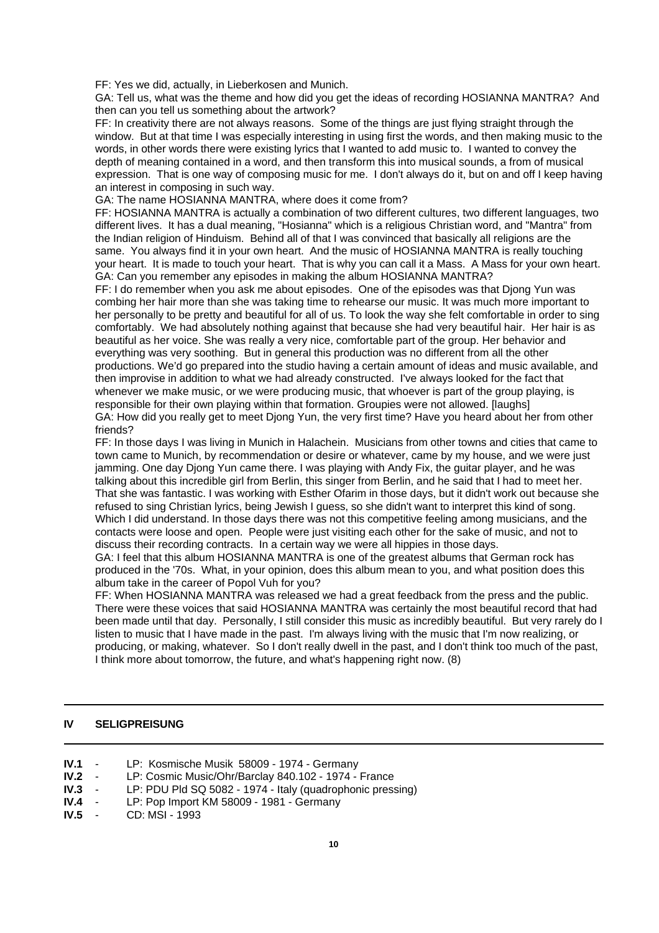FF: Yes we did, actually, in Lieberkosen and Munich.

GA: Tell us, what was the theme and how did you get the ideas of recording HOSIANNA MANTRA? And then can you tell us something about the artwork?

FF: In creativity there are not always reasons. Some of the things are just flying straight through the window. But at that time I was especially interesting in using first the words, and then making music to the words, in other words there were existing lyrics that I wanted to add music to. I wanted to convey the depth of meaning contained in a word, and then transform this into musical sounds, a from of musical expression. That is one way of composing music for me. I don't always do it, but on and off I keep having an interest in composing in such way.

# GA: The name HOSIANNA MANTRA, where does it come from?

FF: HOSIANNA MANTRA is actually a combination of two different cultures, two different languages, two different lives. It has a dual meaning, "Hosianna" which is a religious Christian word, and "Mantra" from the Indian religion of Hinduism. Behind all of that I was convinced that basically all religions are the same. You always find it in your own heart. And the music of HOSIANNA MANTRA is really touching your heart. It is made to touch your heart. That is why you can call it a Mass. A Mass for your own heart. GA: Can you remember any episodes in making the album HOSIANNA MANTRA?

FF: I do remember when you ask me about episodes. One of the episodes was that Djong Yun was combing her hair more than she was taking time to rehearse our music. It was much more important to her personally to be pretty and beautiful for all of us. To look the way she felt comfortable in order to sing comfortably. We had absolutely nothing against that because she had very beautiful hair. Her hair is as beautiful as her voice. She was really a very nice, comfortable part of the group. Her behavior and everything was very soothing. But in general this production was no different from all the other productions. We'd go prepared into the studio having a certain amount of ideas and music available, and then improvise in addition to what we had already constructed. I've always looked for the fact that whenever we make music, or we were producing music, that whoever is part of the group playing, is responsible for their own playing within that formation. Groupies were not allowed. [laughs] GA: How did you really get to meet Djong Yun, the very first time? Have you heard about her from other friends?

FF: In those days I was living in Munich in Halachein. Musicians from other towns and cities that came to town came to Munich, by recommendation or desire or whatever, came by my house, and we were just jamming. One day Djong Yun came there. I was playing with Andy Fix, the guitar player, and he was talking about this incredible girl from Berlin, this singer from Berlin, and he said that I had to meet her. That she was fantastic. I was working with Esther Ofarim in those days, but it didn't work out because she refused to sing Christian lyrics, being Jewish I guess, so she didn't want to interpret this kind of song. Which I did understand. In those days there was not this competitive feeling among musicians, and the contacts were loose and open. People were just visiting each other for the sake of music, and not to discuss their recording contracts. In a certain way we were all hippies in those days.

GA: I feel that this album HOSIANNA MANTRA is one of the greatest albums that German rock has produced in the '70s. What, in your opinion, does this album mean to you, and what position does this album take in the career of Popol Vuh for you?

FF: When HOSIANNA MANTRA was released we had a great feedback from the press and the public. There were these voices that said HOSIANNA MANTRA was certainly the most beautiful record that had been made until that day. Personally, I still consider this music as incredibly beautiful. But very rarely do I listen to music that I have made in the past. I'm always living with the music that I'm now realizing, or producing, or making, whatever. So I don't really dwell in the past, and I don't think too much of the past, I think more about tomorrow, the future, and what's happening right now. (8)

# **IV SELIGPREISUNG**

| IV.1 |  | LP: Kosmische Musik 58009 - 1974 - Germany |  |  |  |  |
|------|--|--------------------------------------------|--|--|--|--|
|------|--|--------------------------------------------|--|--|--|--|

- **IV.2** LP: Cosmic Music/Ohr/Barclay 840.102 1974 France
- **IV.3** LP: PDU Pld SQ 5082 1974 Italy (quadrophonic pressing)
- **IV.4** LP: Pop Import KM 58009 1981 Germany<br>**IV.5** CD: MSI 1993
- **IV.5** CD: MSI 1993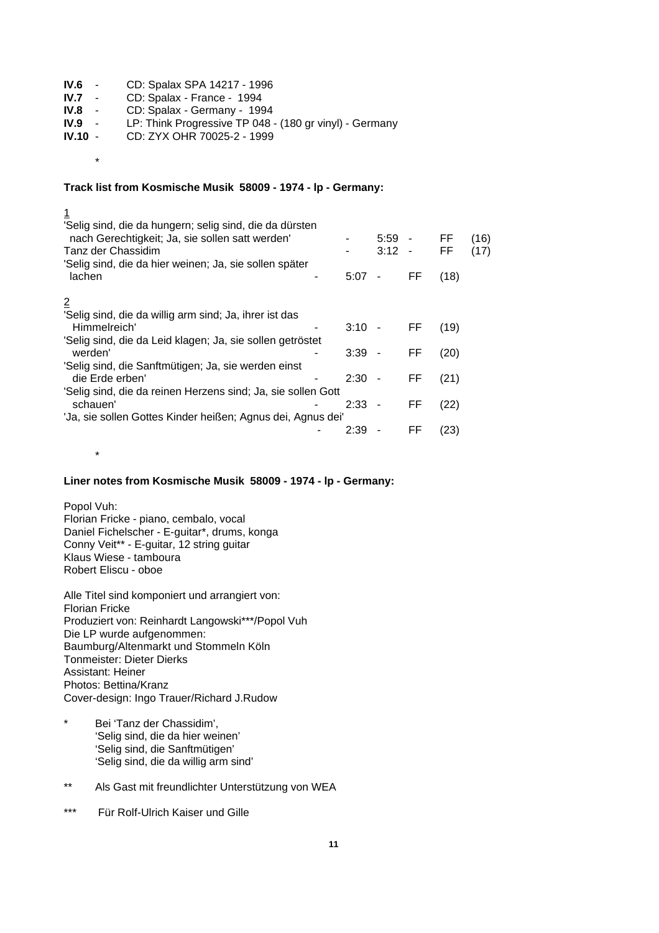| $\sim 100$        | CD: Spalax SPA 14217 - 1996                             |
|-------------------|---------------------------------------------------------|
| <b>Contractor</b> | CD: Spalax - France - 1994                              |
| $\sim 100$        | CD: Spalax - Germany - 1994                             |
| $\sim$ $-$        | LP: Think Progressive TP 048 - (180 gr vinyl) - Germany |
| $IV.10 -$         | CD: ZYX OHR 70025-2 - 1999                              |
|                   |                                                         |

# **Track list from Kosmische Musik 58009 - 1974 - lp - Germany:**

| <u>1</u>                                                     |          |                          |        |           |      |
|--------------------------------------------------------------|----------|--------------------------|--------|-----------|------|
| 'Selig sind, die da hungern; selig sind, die da dürsten      |          |                          |        |           |      |
| nach Gerechtigkeit; Ja, sie sollen satt werden'              |          | $5:59 -$                 |        | FF        | (16) |
| Tanz der Chassidim                                           |          | 3:12                     | $\sim$ | <b>FF</b> | (17) |
| 'Selig sind, die da hier weinen; Ja, sie sollen später       |          |                          |        |           |      |
| lachen                                                       | 5:07     | $\overline{\phantom{a}}$ | FF     | (18)      |      |
|                                                              |          |                          |        |           |      |
| $\overline{2}$                                               |          |                          |        |           |      |
| 'Selig sind, die da willig arm sind; Ja, ihrer ist das       |          |                          |        |           |      |
| Himmelreich'                                                 | $3:10 -$ |                          | FF     | (19)      |      |
| 'Selig sind, die da Leid klagen; Ja, sie sollen getröstet    |          |                          |        |           |      |
| werden'                                                      | $3:39 -$ |                          | FF     | (20)      |      |
| 'Selig sind, die Sanftmütigen; Ja, sie werden einst          |          |                          |        |           |      |
| die Erde erben'                                              | 2:30     |                          | FF     | (21)      |      |
| 'Selig sind, die da reinen Herzens sind; Ja, sie sollen Gott |          |                          |        |           |      |
| schauen'                                                     | 2:33     | $\sim$                   | FF     | (22)      |      |
| 'Ja, sie sollen Gottes Kinder heißen; Agnus dei, Agnus dei'  |          |                          |        |           |      |
|                                                              | 2:39     |                          | FF     | (23)      |      |
|                                                              |          |                          |        |           |      |

# **Liner notes from Kosmische Musik 58009 - 1974 - lp - Germany:**

Popol Vuh:

\*

\*

Florian Fricke - piano, cembalo, vocal Daniel Fichelscher - E-guitar\*, drums, konga Conny Veit\*\* - E-guitar, 12 string guitar Klaus Wiese - tamboura Robert Eliscu - oboe

Alle Titel sind komponiert und arrangiert von: Florian Fricke Produziert von: Reinhardt Langowski\*\*\*/Popol Vuh Die LP wurde aufgenommen: Baumburg/Altenmarkt und Stommeln Köln Tonmeister: Dieter Dierks Assistant: Heiner Photos: Bettina/Kranz Cover-design: Ingo Trauer/Richard J.Rudow

- \* Bei 'Tanz der Chassidim', 'Selig sind, die da hier weinen' 'Selig sind, die Sanftmütigen' 'Selig sind, die da willig arm sind'
- \*\* Als Gast mit freundlichter Unterstützung von WEA
- \*\*\* Für Rolf-Ulrich Kaiser und Gille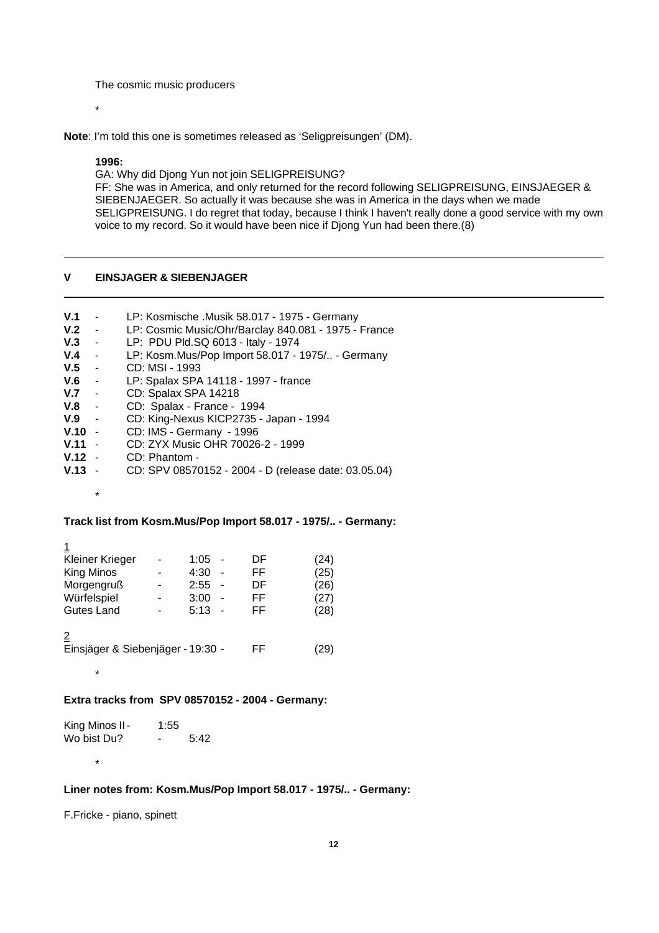The cosmic music producers

\*

**Note**: I'm told this one is sometimes released as 'Seligpreisungen' (DM).

#### **1996:**

\*

\*

\*

GA: Why did Djong Yun not join SELIGPREISUNG? FF: She was in America, and only returned for the record following SELIGPREISUNG, EINSJAEGER & SIEBENJAEGER. So actually it was because she was in America in the days when we made SELIGPREISUNG. I do regret that today, because I think I haven't really done a good service with my own voice to my record. So it would have been nice if Djong Yun had been there.(8)

# **V EINSJAGER & SIEBENJAGER**

| V.1      | $\sim$          | LP: Kosmische .Musik 58.017 - 1975 - Germany         |
|----------|-----------------|------------------------------------------------------|
| $V.2 -$  |                 | LP: Cosmic Music/Ohr/Barclay 840.081 - 1975 - France |
| V.3      | $\sim 100$      | LP: PDU Pld.SQ 6013 - Italy - 1974                   |
| V.4      | $\sim$ $-$      | LP: Kosm.Mus/Pop Import 58.017 - 1975/ - Germany     |
| V.5      | $\sim$ $\sim$   | CD: MSI - 1993                                       |
| V.6      | $\sim 10$       | LP: Spalax SPA 14118 - 1997 - france                 |
| V.7      | $\sim$ 10 $\pm$ | CD: Spalax SPA 14218                                 |
| V.8      | $\sim 100$      | CD: Spalax - France - 1994                           |
| V.9      | $\sim$ $-$      | CD: King-Nexus KICP2735 - Japan - 1994               |
| $V.10 -$ |                 | CD: IMS - Germany - 1996                             |
| V.11     | $\sim$          | CD: ZYX Music OHR 70026-2 - 1999                     |
| $V.12 -$ |                 | CD: Phantom -                                        |
| V.13     |                 | CD: SPV 08570152 - 2004 - D (release date: 03.05.04) |
|          |                 |                                                      |

# **Track list from Kosm.Mus/Pop Import 58.017 - 1975/.. - Germany:**

| Kleiner Krieger                   | 1:05      | DF | (24) |
|-----------------------------------|-----------|----|------|
| King Minos                        | 4:30<br>۰ | FF | (25) |
| Morgengruß                        | 2:55      | DF | (26) |
| Würfelspiel                       | 3:00<br>۰ | FF | (27) |
| <b>Gutes Land</b>                 | 5:13      | FF | (28) |
| Einsjäger & Siebenjäger - 19:30 - |           | FF | 29   |
|                                   |           |    |      |

## **Extra tracks from SPV 08570152 - 2004 - Germany:**

King Minos II - 1:55<br>Wo bist Du? - $-5:42$ 

**Liner notes from: Kosm.Mus/Pop Import 58.017 - 1975/.. - Germany:**

F.Fricke - piano, spinett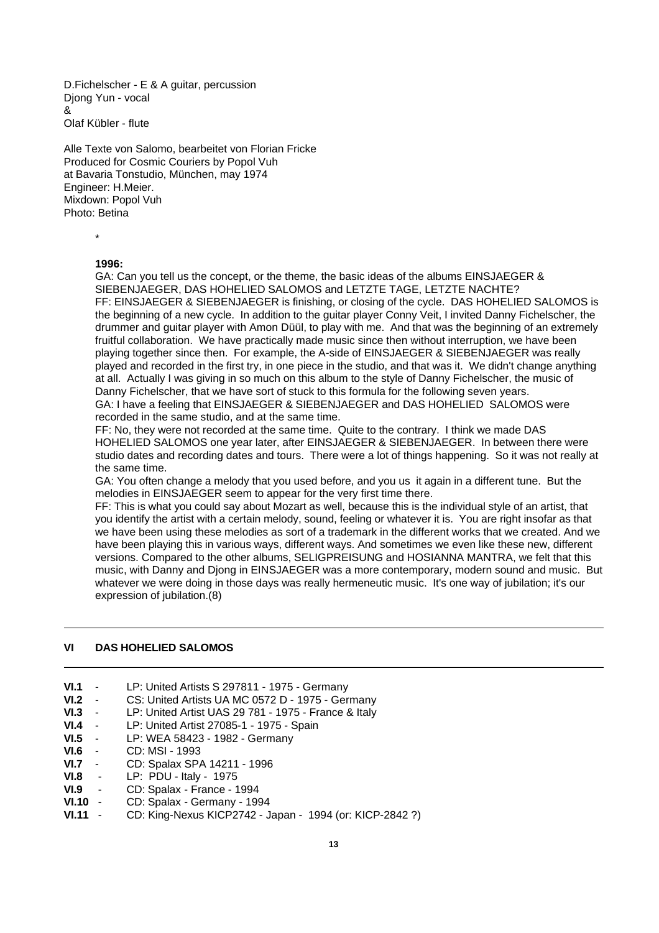D.Fichelscher - E & A guitar, percussion Djong Yun - vocal & Olaf Kübler - flute

Alle Texte von Salomo, bearbeitet von Florian Fricke Produced for Cosmic Couriers by Popol Vuh at Bavaria Tonstudio, München, may 1974 Engineer: H.Meier. Mixdown: Popol Vuh Photo: Betina

\*

# **1996:**

GA: Can you tell us the concept, or the theme, the basic ideas of the albums EINSJAEGER & SIEBENJAEGER, DAS HOHELIED SALOMOS and LETZTE TAGE, LETZTE NACHTE? FF: EINSJAEGER & SIEBENJAEGER is finishing, or closing of the cycle. DAS HOHELIED SALOMOS is the beginning of a new cycle. In addition to the guitar player Conny Veit, I invited Danny Fichelscher, the drummer and guitar player with Amon Düül, to play with me. And that was the beginning of an extremely fruitful collaboration. We have practically made music since then without interruption, we have been playing together since then. For example, the A-side of EINSJAEGER & SIEBENJAEGER was really played and recorded in the first try, in one piece in the studio, and that was it. We didn't change anything at all. Actually I was giving in so much on this album to the style of Danny Fichelscher, the music of Danny Fichelscher, that we have sort of stuck to this formula for the following seven years. GA: I have a feeling that EINSJAEGER & SIEBENJAEGER and DAS HOHELIED SALOMOS were recorded in the same studio, and at the same time.

FF: No, they were not recorded at the same time. Quite to the contrary. I think we made DAS HOHELIED SALOMOS one year later, after EINSJAEGER & SIEBENJAEGER. In between there were studio dates and recording dates and tours. There were a lot of things happening. So it was not really at the same time.

GA: You often change a melody that you used before, and you us it again in a different tune. But the melodies in EINSJAEGER seem to appear for the very first time there.

FF: This is what you could say about Mozart as well, because this is the individual style of an artist, that you identify the artist with a certain melody, sound, feeling or whatever it is. You are right insofar as that we have been using these melodies as sort of a trademark in the different works that we created. And we have been playing this in various ways, different ways. And sometimes we even like these new, different versions. Compared to the other albums, SELIGPREISUNG and HOSIANNA MANTRA, we felt that this music, with Danny and Djong in EINSJAEGER was a more contemporary, modern sound and music. But whatever we were doing in those days was really hermeneutic music. It's one way of jubilation; it's our expression of jubilation.(8)

# **VI DAS HOHELIED SALOMOS**

| VI.1         |                 | LP: United Artists S 297811 - 1975 - Germany         |
|--------------|-----------------|------------------------------------------------------|
| VI.2         | $\sim$ $-$      | CS: United Artists UA MC 0572 D - 1975 - Germany     |
| VI.3         | $\sim$          | LP: United Artist UAS 29 781 - 1975 - France & Italy |
| VI.4         | $\sim 100$      | LP: United Artist 27085-1 - 1975 - Spain             |
| VI.5         | $\sim 10^{-10}$ | LP: WEA 58423 - 1982 - Germany                       |
| VI.6         | $\sim 10^{-11}$ | CD: MSI - 1993                                       |
| VI.7         | $\sim$          | CD: Spalax SPA 14211 - 1996                          |
| VI.8         | $\sim 100$      | LP: PDU - Italy - 1975                               |
| VI.9         | $\sim 10^{-11}$ | CD: Spalax - France - 1994                           |
| <b>VI.10</b> | $\blacksquare$  | CD: Spalax - Germany - 1994                          |

**VI.11** - CD: King-Nexus KICP2742 - Japan - 1994 (or: KICP-2842 ?)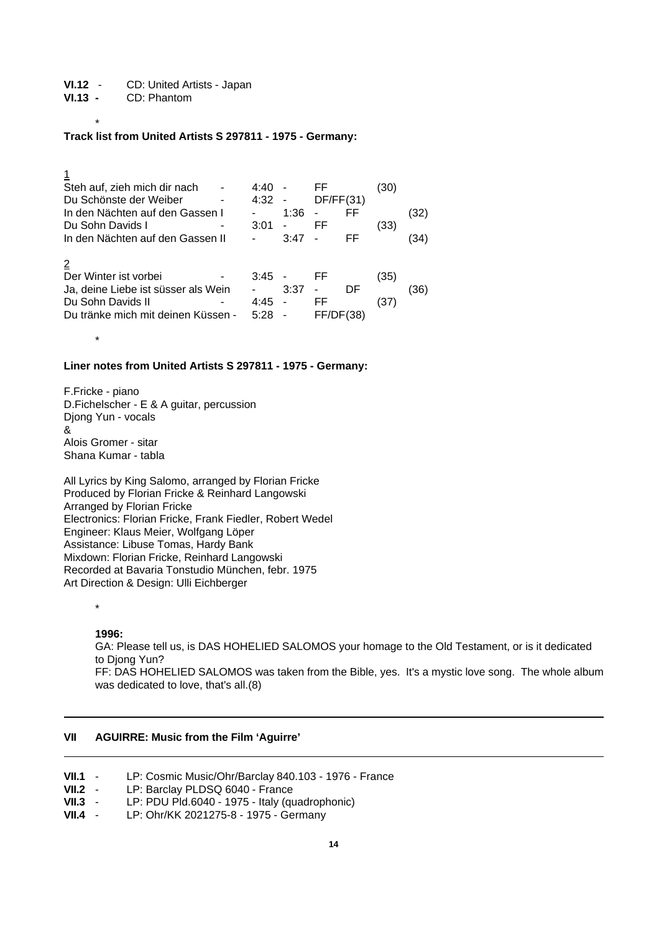**VI.12** - CD: United Artists - Japan

**VI.13 -** CD: Phantom

#### \* **Track list from United Artists S 297811 - 1975 - Germany:**

| Steh auf, zieh mich dir nach<br>Du Schönste der Weiber<br>In den Nächten auf den Gassen I<br>Du Sohn Davids I<br>In den Nächten auf den Gassen II | 4:40<br>4:32<br>3:01 | $\blacksquare$<br>1:36<br>$\qquad \qquad \blacksquare$<br>3:47 | FF<br>DF/FF(31)<br>FF | FF<br>FF | (30)<br>(33) | (32)<br>34) |
|---------------------------------------------------------------------------------------------------------------------------------------------------|----------------------|----------------------------------------------------------------|-----------------------|----------|--------------|-------------|
| Der Winter ist vorbei<br>Ja, deine Liebe ist süsser als Wein<br>Du Sohn Davids II<br>Du tränke mich mit deinen Küssen -                           | 3:45<br>4:45<br>5:28 | 3:37                                                           | FF<br>FF<br>FF/D      | DF       | (35)<br>(37) | (36)        |

## **Liner notes from United Artists S 297811 - 1975 - Germany:**

F.Fricke - piano D.Fichelscher - E & A guitar, percussion Djong Yun - vocals & Alois Gromer - sitar Shana Kumar - tabla

All Lyrics by King Salomo, arranged by Florian Fricke Produced by Florian Fricke & Reinhard Langowski Arranged by Florian Fricke Electronics: Florian Fricke, Frank Fiedler, Robert Wedel Engineer: Klaus Meier, Wolfgang Löper Assistance: Libuse Tomas, Hardy Bank Mixdown: Florian Fricke, Reinhard Langowski Recorded at Bavaria Tonstudio München, febr. 1975 Art Direction & Design: Ulli Eichberger

\*

\*

**1996:**

GA: Please tell us, is DAS HOHELIED SALOMOS your homage to the Old Testament, or is it dedicated to Djong Yun? FF: DAS HOHELIED SALOMOS was taken from the Bible, yes. It's a mystic love song. The whole album was dedicated to love, that's all.(8)

## **VII AGUIRRE: Music from the Film 'Aguirre'**

- **VII.1** LP: Cosmic Music/Ohr/Barclay 840.103 1976 France
- **VII.2** LP: Barclay PLDSQ 6040 France
- **VII.3** LP: PDU Pld.6040 1975 Italy (quadrophonic)<br>**VII.4** LP: Ohr/KK 2021275-8 1975 Germany
- **VII.4** LP: Ohr/KK 2021275-8 1975 Germany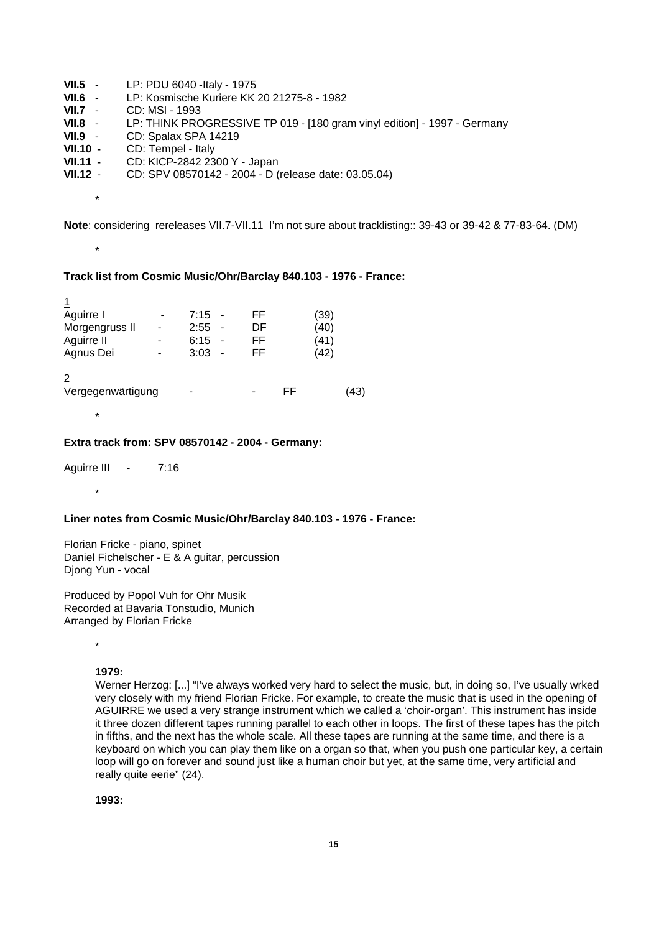| $VII.5 -$  | LP: PDU 6040 - Italy - 1975                                              |
|------------|--------------------------------------------------------------------------|
| $VII.6 -$  | LP: Kosmische Kuriere KK 20 21275-8 - 1982                               |
| $VII.7 -$  | CD: MSI - 1993                                                           |
| $VII.8 -$  | LP: THINK PROGRESSIVE TP 019 - [180 gram vinyl edition] - 1997 - Germany |
| $VII.9 -$  | CD: Spalax SPA 14219                                                     |
| VII.10 -   | CD: Tempel - Italy                                                       |
| $VII.11 -$ | CD: KICP-2842 2300 Y - Japan                                             |
| $VII.12 -$ | CD: SPV 08570142 - 2004 - D (release date: 03.05.04)                     |
|            |                                                                          |

\*

\*

\*

\*

**Note**: considering rereleases VII.7-VII.11 I'm not sure about tracklisting:: 39-43 or 39-42 & 77-83-64. (DM)

# **Track list from Cosmic Music/Ohr/Barclay 840.103 - 1976 - France:**

| Aguirre I              |   | 7:15 |   | FF |    | (39) |    |
|------------------------|---|------|---|----|----|------|----|
| Morgengruss II         |   | 2:55 | ۰ | DF |    | (40) |    |
| Aguirre II             |   | 6:15 | ÷ | FF |    | (41) |    |
| Agnus Dei              | - | 3:03 | ÷ | FF |    | (42) |    |
| 2<br>Vergegenwärtigung |   |      |   |    | FF |      | 43 |

## **Extra track from: SPV 08570142 - 2004 - Germany:**

Aguirre III - 7:16

# **Liner notes from Cosmic Music/Ohr/Barclay 840.103 - 1976 - France:**

Florian Fricke - piano, spinet Daniel Fichelscher - E & A guitar, percussion Djong Yun - vocal

Produced by Popol Vuh for Ohr Musik Recorded at Bavaria Tonstudio, Munich Arranged by Florian Fricke

\*

## **1979:**

Werner Herzog: [...] "I've always worked very hard to select the music, but, in doing so, I've usually wrked very closely with my friend Florian Fricke. For example, to create the music that is used in the opening of AGUIRRE we used a very strange instrument which we called a 'choir-organ'. This instrument has inside it three dozen different tapes running parallel to each other in loops. The first of these tapes has the pitch in fifths, and the next has the whole scale. All these tapes are running at the same time, and there is a keyboard on which you can play them like on a organ so that, when you push one particular key, a certain loop will go on forever and sound just like a human choir but yet, at the same time, very artificial and really quite eerie" (24).

**1993:**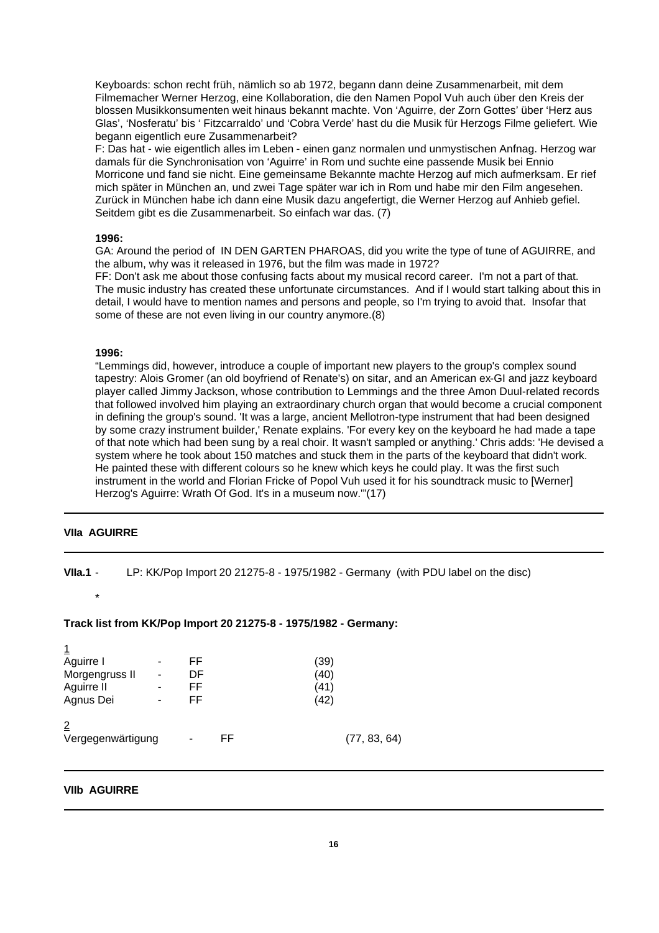Keyboards: schon recht früh, nämlich so ab 1972, begann dann deine Zusammenarbeit, mit dem Filmemacher Werner Herzog, eine Kollaboration, die den Namen Popol Vuh auch über den Kreis der blossen Musikkonsumenten weit hinaus bekannt machte. Von 'Aguirre, der Zorn Gottes' über 'Herz aus Glas', 'Nosferatu' bis ' Fitzcarraldo' und 'Cobra Verde' hast du die Musik für Herzogs Filme geliefert. Wie begann eigentlich eure Zusammenarbeit?

F: Das hat - wie eigentlich alles im Leben - einen ganz normalen und unmystischen Anfnag. Herzog war damals für die Synchronisation von 'Aguirre' in Rom und suchte eine passende Musik bei Ennio Morricone und fand sie nicht. Eine gemeinsame Bekannte machte Herzog auf mich aufmerksam. Er rief mich später in München an, und zwei Tage später war ich in Rom und habe mir den Film angesehen. Zurück in München habe ich dann eine Musik dazu angefertigt, die Werner Herzog auf Anhieb gefiel. Seitdem gibt es die Zusammenarbeit. So einfach war das. (7)

## **1996:**

GA: Around the period of IN DEN GARTEN PHAROAS, did you write the type of tune of AGUIRRE, and the album, why was it released in 1976, but the film was made in 1972?

FF: Don't ask me about those confusing facts about my musical record career. I'm not a part of that. The music industry has created these unfortunate circumstances. And if I would start talking about this in detail, I would have to mention names and persons and people, so I'm trying to avoid that. Insofar that some of these are not even living in our country anymore.(8)

### **1996:**

"Lemmings did, however, introduce a couple of important new players to the group's complex sound tapestry: Alois Gromer (an old boyfriend of Renate's) on sitar, and an American ex-GI and jazz keyboard player called Jimmy Jackson, whose contribution to Lemmings and the three Amon Duul-related records that followed involved him playing an extraordinary church organ that would become a crucial component in defining the group's sound. 'It was a large, ancient Mellotron-type instrument that had been designed by some crazy instrument builder,' Renate explains. 'For every key on the keyboard he had made a tape of that note which had been sung by a real choir. It wasn't sampled or anything.' Chris adds: 'He devised a system where he took about 150 matches and stuck them in the parts of the keyboard that didn't work. He painted these with different colours so he knew which keys he could play. It was the first such instrument in the world and Florian Fricke of Popol Vuh used it for his soundtrack music to [Werner] Herzog's Aguirre: Wrath Of God. It's in a museum now.'"(17)

# **VIIa AGUIRRE**

**VIIa.1** - LP: KK/Pop Import 20 21275-8 - 1975/1982 - Germany (with PDU label on the disc) \*

# **Track list from KK/Pop Import 20 21275-8 - 1975/1982 - Germany:**

| <u>1</u>          |   |    |    |              |  |
|-------------------|---|----|----|--------------|--|
| Aguirre I         | ۰ | FF |    | (39)         |  |
| Morgengruss II    |   | DF |    | (40)         |  |
| Aguirre II        | - | FF |    | (41)         |  |
| Agnus Dei         | - | FF |    | (42)         |  |
| $\overline{2}$    |   |    |    |              |  |
| Vergegenwärtigung |   | -  | FF | (77, 83, 64) |  |

## **VIIb AGUIRRE**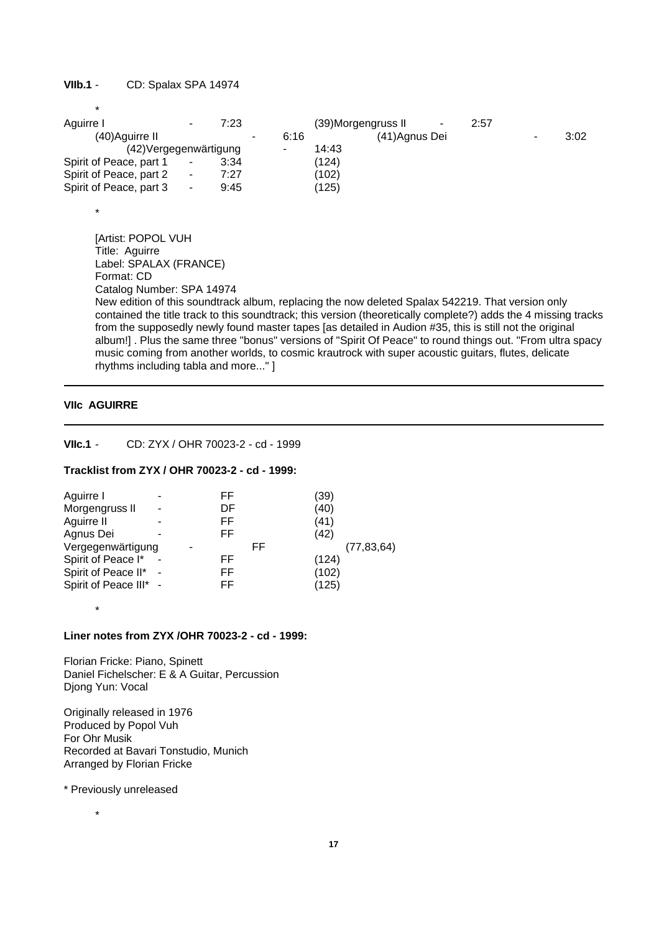# **VIIb.1** - CD: Spalax SPA 14974

\*

\*

| Aguirre I               |    | 7:23 |      |       | (39) Morgengruss II | 2:57 |      |
|-------------------------|----|------|------|-------|---------------------|------|------|
| (40) Aguirre II         |    |      | 6:16 |       | (41) Agnus Dei      |      | 3:02 |
| (42) Vergegen wärtigung |    |      | -    | 14:43 |                     |      |      |
| Spirit of Peace, part 1 |    | 3:34 |      | (124) |                     |      |      |
| Spirit of Peace, part 2 | ۰. | 7:27 |      | (102) |                     |      |      |
| Spirit of Peace, part 3 |    | 9:45 |      | (125) |                     |      |      |
|                         |    |      |      |       |                     |      |      |

[Artist: POPOL VUH Title: Aguirre Label: SPALAX (FRANCE) Format: CD Catalog Number: SPA 14974 New edition of this soundtrack album, replacing the now deleted Spalax 542219. That version only contained the title track to this soundtrack; this version (theoretically complete?) adds the 4 missing tracks from the supposedly newly found master tapes [as detailed in Audion #35, this is still not the original album!] . Plus the same three "bonus" versions of "Spirit Of Peace" to round things out. "From ultra spacy music coming from another worlds, to cosmic krautrock with super acoustic guitars, flutes, delicate rhythms including tabla and more..." ]

# **VIIc AGUIRRE**

**VIIc.1** - CD: ZYX / OHR 70023-2 - cd - 1999

## **Tracklist from ZYX / OHR 70023-2 - cd - 1999:**

| Aguirre I              | FF  | (39)         |
|------------------------|-----|--------------|
| Morgengruss II         | DF  | (40)         |
| Aguirre II             | FF  | (41)         |
| Agnus Dei              | FF. | (42)         |
| Vergegenwärtigung      | FF  | (77, 83, 64) |
| Spirit of Peace I*     | FF  | (124)        |
| Spirit of Peace II*    | FF  | (102)        |
| Spirit of Peace III* - | FF. | (125)        |
|                        |     |              |

\*

# **Liner notes from ZYX /OHR 70023-2 - cd - 1999:**

Florian Fricke: Piano, Spinett Daniel Fichelscher: E & A Guitar, Percussion Djong Yun: Vocal

Originally released in 1976 Produced by Popol Vuh For Ohr Musik Recorded at Bavari Tonstudio, Munich Arranged by Florian Fricke

\* Previously unreleased

\*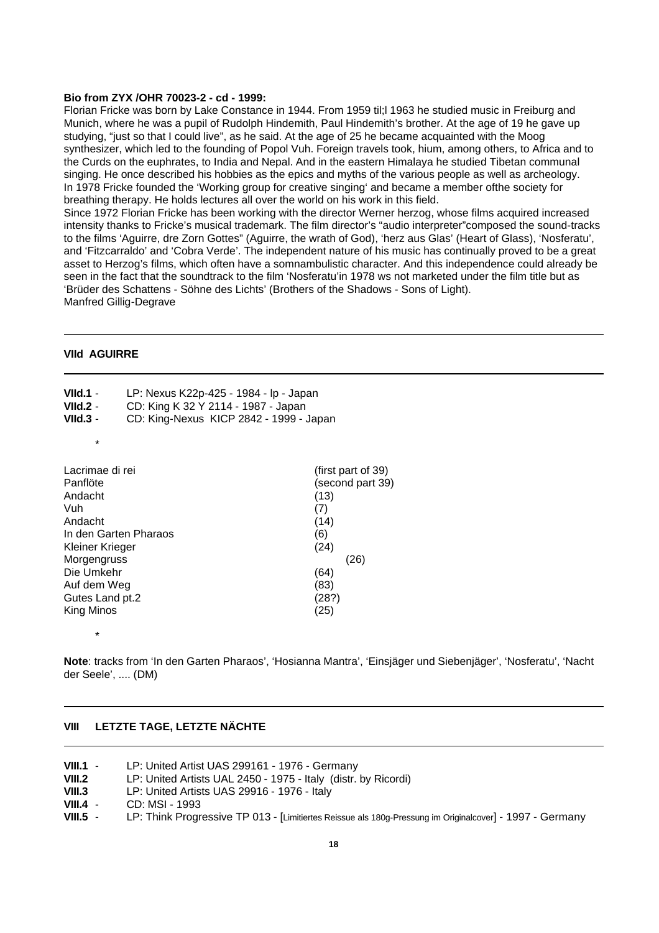#### **Bio from ZYX /OHR 70023-2 - cd - 1999:**

Florian Fricke was born by Lake Constance in 1944. From 1959 til;l 1963 he studied music in Freiburg and Munich, where he was a pupil of Rudolph Hindemith, Paul Hindemith's brother. At the age of 19 he gave up studying, "just so that I could live", as he said. At the age of 25 he became acquainted with the Moog synthesizer, which led to the founding of Popol Vuh. Foreign travels took, hium, among others, to Africa and to the Curds on the euphrates, to India and Nepal. And in the eastern Himalaya he studied Tibetan communal singing. He once described his hobbies as the epics and myths of the various people as well as archeology. In 1978 Fricke founded the 'Working group for creative singing' and became a member ofthe society for breathing therapy. He holds lectures all over the world on his work in this field.

Since 1972 Florian Fricke has been working with the director Werner herzog, whose films acquired increased intensity thanks to Fricke's musical trademark. The film director's "audio interpreter"composed the sound-tracks to the films 'Aguirre, dre Zorn Gottes" (Aguirre, the wrath of God), 'herz aus Glas' (Heart of Glass), 'Nosferatu', and 'Fitzcarraldo' and 'Cobra Verde'. The independent nature of his music has continually proved to be a great asset to Herzog's films, which often have a somnambulistic character. And this independence could already be seen in the fact that the soundtrack to the film 'Nosferatu'in 1978 ws not marketed under the film title but as 'Brüder des Schattens - Söhne des Lichts' (Brothers of the Shadows - Sons of Light). Manfred Gillig-Degrave

## **VIId AGUIRRE**

| VIId.1 -<br>VIId.2 -<br>$V$ lld.3 -                                                                                                                                                      | LP: Nexus K22p-425 - 1984 - lp - Japan<br>CD: King K 32 Y 2114 - 1987 - Japan<br>CD: King-Nexus KICP 2842 - 1999 - Japan |                                                                                                                       |
|------------------------------------------------------------------------------------------------------------------------------------------------------------------------------------------|--------------------------------------------------------------------------------------------------------------------------|-----------------------------------------------------------------------------------------------------------------------|
| *                                                                                                                                                                                        |                                                                                                                          |                                                                                                                       |
| Lacrimae di rei<br>Panflöte<br>Andacht<br>Vuh<br>Andacht<br>In den Garten Pharaos<br>Kleiner Krieger<br>Morgengruss<br>Die Umkehr<br>Auf dem Weg<br>Gutes Land pt.2<br><b>King Minos</b> |                                                                                                                          | (first part of 39)<br>(second part 39)<br>(13)<br>(7)<br>(14)<br>(6)<br>(24)<br>(26)<br>(64)<br>(83)<br>(28?)<br>(25) |
| *                                                                                                                                                                                        |                                                                                                                          |                                                                                                                       |

**Note**: tracks from 'In den Garten Pharaos', 'Hosianna Mantra', 'Einsjäger und Siebenjäger', 'Nosferatu', 'Nacht der Seele', .... (DM)

## **VIII LETZTE TAGE, LETZTE NÄCHTE**

| VIII.1 - | LP: United Artist UAS 299161 - 1976 - Germany                  |
|----------|----------------------------------------------------------------|
| VIII.2   | LP: United Artists UAL 2450 - 1975 - Italy (distr. by Ricordi) |
| - ---- - |                                                                |

- **VIII.3** LP: United Artists UAS 29916 1976 Italy
- **VIII.4** CD: MSI 1993
- **VIII.5** LP: Think Progressive TP 013 [Limitiertes Reissue als 180g-Pressung im Originalcover] 1997 Germany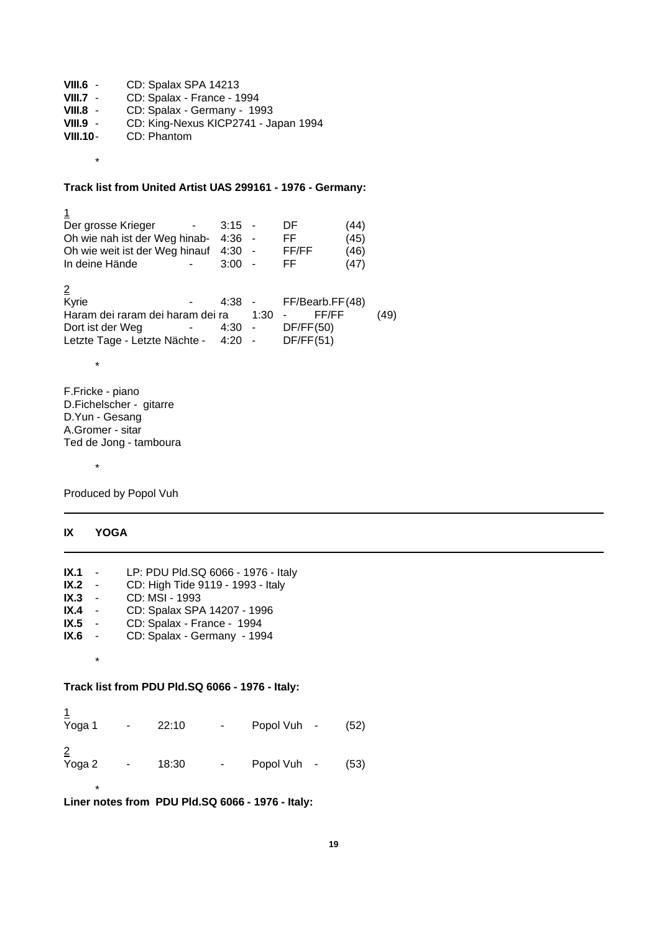| $VIII.6 -$      | CD: Spalax SPA 14213                 |
|-----------------|--------------------------------------|
| $VIII.7 -$      | CD: Spalax - France - 1994           |
| $VIII.8 -$      | CD: Spalax - Germany - 1993          |
| $VIII.9 -$      | CD: King-Nexus KICP2741 - Japan 1994 |
| <b>VIII.10-</b> | CD: Phantom                          |
|                 |                                      |

# **Track list from United Artist UAS 299161 - 1976 - Germany:**

1 Der grosse Krieger - 3:15 - DF (44)<br>Oh wie nah ist der Weg hinab- 4:36 - FF (45) Oh wie nah ist der Weg hinab- 4:36 - FF<br>Oh wie weit ist der Weg hinauf 4:30 - FF/FF Oh wie weit ist der Weg hinauf 4:30 - FF/FF (46)<br>In deine Hände - 3:00 - FF (47) In deine Hände  $\overline{ }$  - 3:00 - FF  $(47)$  $\frac{2}{\text{Kyrie}}$  $-$  4:38 - FF/Bearb.FF(48) Haram dei raram dei haram dei ra 1:30 - FF/FF (49)<br>Dort ist der Weg - 4:30 - DF/FF(50) - 4:30 - DF/FF(50)<br>e Nächte - 4:20 - DF/FF(51) Letzte Tage - Letzte Nächte - 4:20 -\*

F.Fricke - piano D.Fichelscher - gitarre D.Yun - Gesang A.Gromer - sitar Ted de Jong - tamboura

\*

\*

Produced by Popol Vuh

# **IX YOGA**

\*

| IX.1 -         |         | LP: PDU Pld.SQ 6066 - 1976 - Italy              |
|----------------|---------|-------------------------------------------------|
| IX.2 -         |         | CD: High Tide 9119 - 1993 - Italy               |
| $IX.3 -$       |         | CD: MSI - 1993                                  |
| IX.4 -         |         | CD: Spalax SPA 14207 - 1996                     |
| IX.5 -         |         | CD: Spalax - France - 1994                      |
| IX.6 -         |         | CD: Spalax - Germany - 1994                     |
|                | $\star$ |                                                 |
|                |         | Track list from PDU Pld.SQ 6066 - 1976 - Italy: |
|                |         |                                                 |
| $\overline{A}$ |         |                                                 |

| Yoga 1                   | ۰. | 22:10 | ٠. | Popol Vuh - | (52) |
|--------------------------|----|-------|----|-------------|------|
| $\overline{2}$<br>Yoga 2 |    | 18:30 | ۰. | Popol Vuh - | (53) |

**Liner notes from PDU Pld.SQ 6066 - 1976 - Italy:**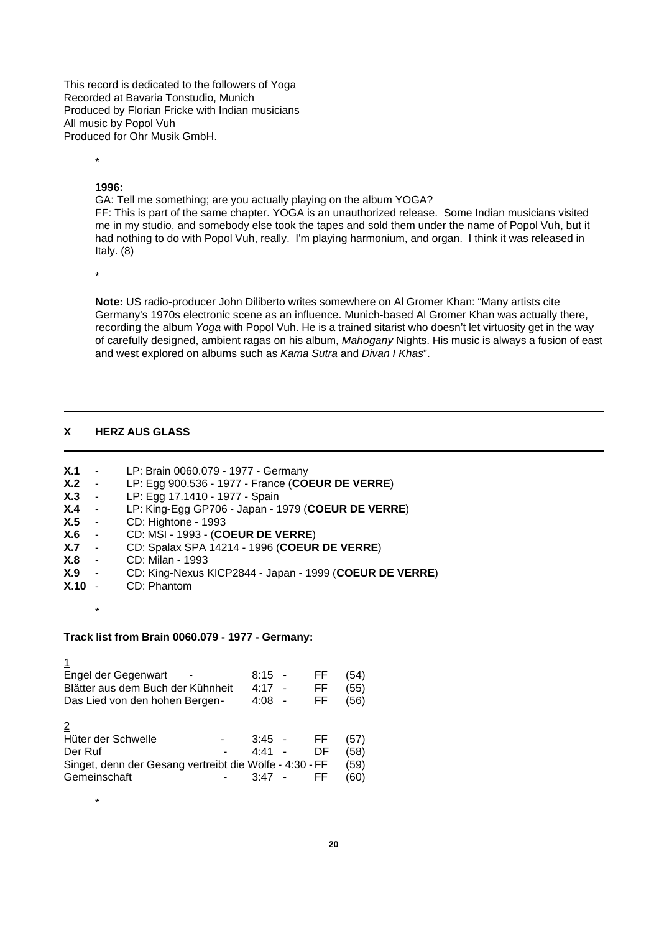This record is dedicated to the followers of Yoga Recorded at Bavaria Tonstudio, Munich Produced by Florian Fricke with Indian musicians All music by Popol Vuh Produced for Ohr Musik GmbH.

#### **1996:**

\*

GA: Tell me something; are you actually playing on the album YOGA? FF: This is part of the same chapter. YOGA is an unauthorized release. Some Indian musicians visited me in my studio, and somebody else took the tapes and sold them under the name of Popol Vuh, but it had nothing to do with Popol Vuh, really. I'm playing harmonium, and organ. I think it was released in Italy. (8)

\*

**Note:** US radio-producer John Diliberto writes somewhere on Al Gromer Khan: "Many artists cite Germany's 1970s electronic scene as an influence. Munich-based Al Gromer Khan was actually there, recording the album *Yoga* with Popol Vuh. He is a trained sitarist who doesn't let virtuosity get in the way of carefully designed, ambient ragas on his album, *Mahogany* Nights. His music is always a fusion of east and west explored on albums such as *Kama Sutra* and *Divan I Khas*".

# **X HERZ AUS GLASS**

- **X.1** LP: Brain 0060.079 1977 Germany
- **X.2** LP: Egg 900.536 1977 France (**COEUR DE VERRE**)
- **X.3** LP: Egg 17.1410 1977 Spain
- **X.4** LP: King-Egg GP706 Japan 1979 (**COEUR DE VERRE**)
- **X.5** CD: Hightone 1993
- **X.6** CD: MSI 1993 (**COEUR DE VERRE**)
- **X.7** CD: Spalax SPA 14214 1996 (**COEUR DE VERRE**)
- **X.8** CD: Milan 1993
- **X.9** CD: King-Nexus KICP2844 Japan 1999 (**COEUR DE VERRE**)
- **X.10** CD: Phantom
	- \*

\*

## **Track list from Brain 0060.079 - 1977 - Germany:**

| Engel der Gegenwart<br>Blätter aus dem Buch der Kühnheit<br>Das Lied von den hohen Bergen-               | 8:15<br>4:17<br>4:08 | FF<br>FF<br>FF   | (54)<br>(55)<br>(56)         |
|----------------------------------------------------------------------------------------------------------|----------------------|------------------|------------------------------|
| Hüter der Schwelle<br>Der Ruf<br>Singet, denn der Gesang vertreibt die Wölfe - 4:30 - FF<br>Gemeinschaft | 3:45<br>4:41<br>3:47 | FF.<br>DF<br>FF. | (57)<br>(58)<br>(59)<br>(60) |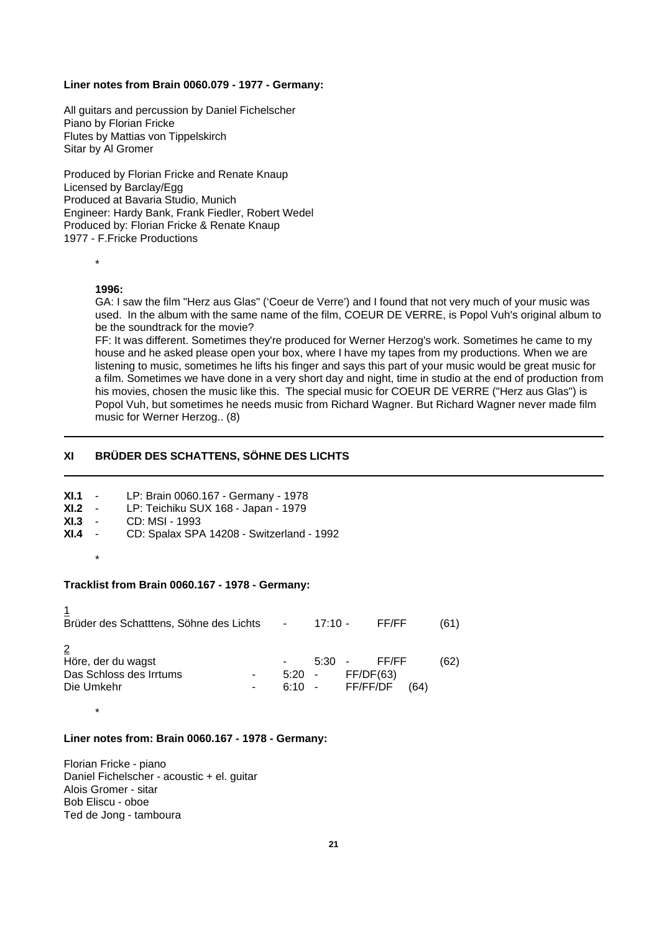#### **Liner notes from Brain 0060.079 - 1977 - Germany:**

All guitars and percussion by Daniel Fichelscher Piano by Florian Fricke Flutes by Mattias von Tippelskirch Sitar by Al Gromer

Produced by Florian Fricke and Renate Knaup Licensed by Barclay/Egg Produced at Bavaria Studio, Munich Engineer: Hardy Bank, Frank Fiedler, Robert Wedel Produced by: Florian Fricke & Renate Knaup 1977 - F.Fricke Productions

\*

## **1996:**

GA: I saw the film "Herz aus Glas" ('Coeur de Verre') and I found that not very much of your music was used. In the album with the same name of the film, COEUR DE VERRE, is Popol Vuh's original album to be the soundtrack for the movie?

FF: It was different. Sometimes they're produced for Werner Herzog's work. Sometimes he came to my house and he asked please open your box, where I have my tapes from my productions. When we are listening to music, sometimes he lifts his finger and says this part of your music would be great music for a film. Sometimes we have done in a very short day and night, time in studio at the end of production from his movies, chosen the music like this. The special music for COEUR DE VERRE ("Herz aus Glas") is Popol Vuh, but sometimes he needs music from Richard Wagner. But Richard Wagner never made film music for Werner Herzog.. (8)

# **XI BRÜDER DES SCHATTENS, SÖHNE DES LICHTS**

|         | <b>XI.1</b> - LP: Brain 0060.167 - Germany - 1978  |
|---------|----------------------------------------------------|
|         | XI.2 - LP: Teichiku SUX 168 - Japan - 1979         |
|         | <b>XI.3</b> - CD: MSI - 1993                       |
|         | $XI.4$ - CD: Spalax SPA 14208 - Switzerland - 1992 |
| $\star$ |                                                    |
|         |                                                    |

## **Tracklist from Brain 0060.167 - 1978 - Germany:**

| Brüder des Schatttens, Söhne des Lichts                     | $\sim$       | 17:10 -                              |           | FF/FF |      | (61) |
|-------------------------------------------------------------|--------------|--------------------------------------|-----------|-------|------|------|
| Höre, der du wagst<br>Das Schloss des Irrtums<br>Die Umkehr | 5:20<br>6:10 | $5:30 -$<br>$\sim$ $-$<br>- FF/FF/DF | FF/DF(63) | FF/FF | (64) | (62) |

# **Liner notes from: Brain 0060.167 - 1978 - Germany:**

Florian Fricke - piano Daniel Fichelscher - acoustic + el. guitar Alois Gromer - sitar Bob Eliscu - oboe Ted de Jong - tamboura

\*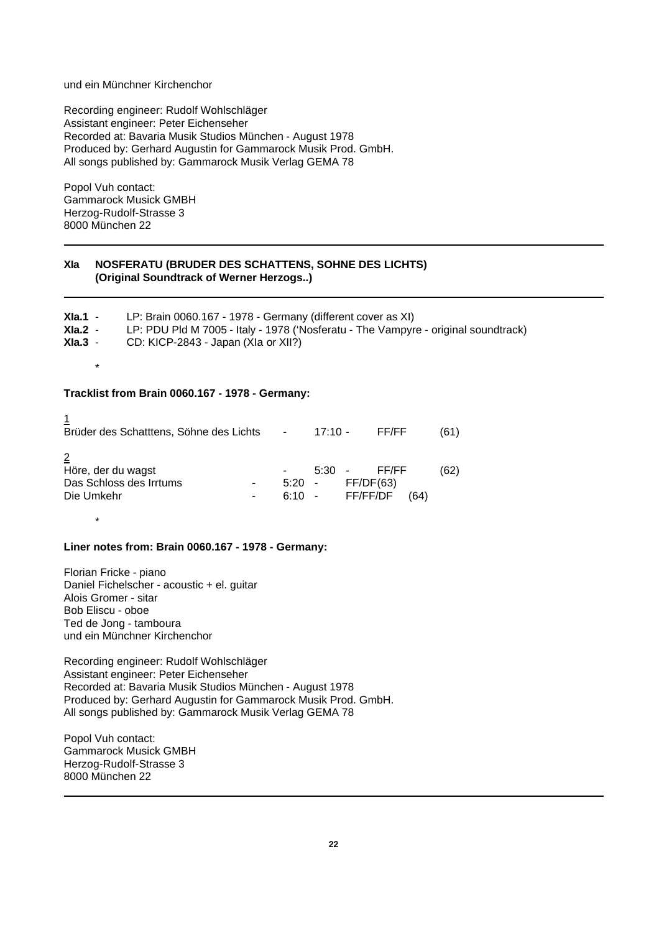## und ein Münchner Kirchenchor

Recording engineer: Rudolf Wohlschläger Assistant engineer: Peter Eichenseher Recorded at: Bavaria Musik Studios München - August 1978 Produced by: Gerhard Augustin for Gammarock Musik Prod. GmbH. All songs published by: Gammarock Musik Verlag GEMA 78

Popol Vuh contact: Gammarock Musick GMBH Herzog-Rudolf-Strasse 3 8000 München 22

# **XIa NOSFERATU (BRUDER DES SCHATTENS, SOHNE DES LICHTS) (Original Soundtrack of Werner Herzogs..)**

| $X$ la.1 -    | LP: Brain 0060.167 - 1978 - Germany (different cover as XI)                        |
|---------------|------------------------------------------------------------------------------------|
| XIa.2 -       | LP: PDU Pld M 7005 - Italy - 1978 ('Nosferatu - The Vampyre - original soundtrack) |
| $X$ la. $3 -$ | CD: KICP-2843 - Japan (XIa or XII?)                                                |
| $\star$       |                                                                                    |
|               |                                                                                    |

# **Tracklist from Brain 0060.167 - 1978 - Germany:**

| Brüder des Schatttens, Söhne des Lichts -                   |          | $17:10 -$                   |           | FF/FF |      | (61) |
|-------------------------------------------------------------|----------|-----------------------------|-----------|-------|------|------|
| Höre, der du wagst<br>Das Schloss des Irrtums<br>Die Umkehr | $5:20 -$ | $5:30 -$<br>6:10 - FF/FF/DF | FF/DF(63) | FF/FF | (64) | (62) |

#### **Liner notes from: Brain 0060.167 - 1978 - Germany:**

Florian Fricke - piano Daniel Fichelscher - acoustic + el. guitar Alois Gromer - sitar Bob Eliscu - oboe Ted de Jong - tamboura und ein Münchner Kirchenchor

\*

Recording engineer: Rudolf Wohlschläger Assistant engineer: Peter Eichenseher Recorded at: Bavaria Musik Studios München - August 1978 Produced by: Gerhard Augustin for Gammarock Musik Prod. GmbH. All songs published by: Gammarock Musik Verlag GEMA 78

Popol Vuh contact: Gammarock Musick GMBH Herzog-Rudolf-Strasse 3 8000 München 22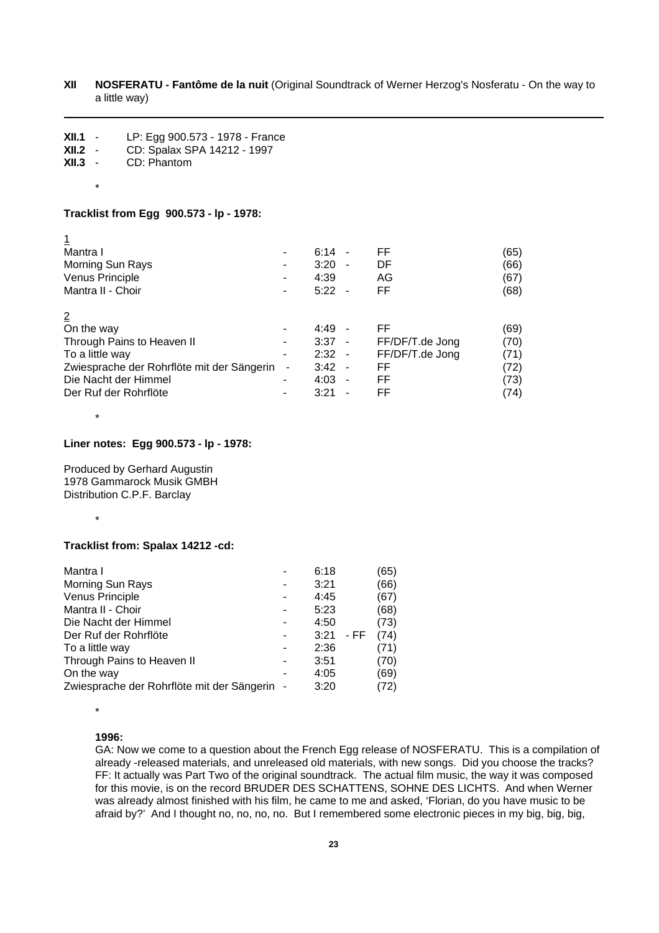| XII | <b>NOSFERATU - Fantôme de la nuit (Original Soundtrack of Werner Herzog's Nosferatu - On the way to</b> |
|-----|---------------------------------------------------------------------------------------------------------|
|     | a little way)                                                                                           |

| XII.1<br>$\sim$ | LP: Egg 900.573 - 1978 - France |
|-----------------|---------------------------------|
| XII.2           | CD: Spalax SPA 14212 - 1997     |
| XII.3<br>$\sim$ | CD: Phantom                     |

\*

## **Tracklist from Egg 900.573 - lp - 1978:**

| Mantra I                                   |                | 6:14<br>$\sim$ |                | FF              | (65) |
|--------------------------------------------|----------------|----------------|----------------|-----------------|------|
| Morning Sun Rays                           |                | 3:20           | $\blacksquare$ | DF              | (66) |
| Venus Principle                            |                | 4:39           |                | AG              | (67) |
| Mantra II - Choir                          |                | $5:22 -$       |                | FF              | (68) |
|                                            |                |                |                |                 |      |
| $\overline{2}$                             |                |                |                |                 |      |
| On the way                                 |                | 4:49           |                | FF              | (69) |
| Through Pains to Heaven II                 |                | $3:37 -$       |                | FF/DF/T.de Jong | (70) |
| To a little way                            |                | $2:32 -$       |                | FF/DF/T.de Jong | (71) |
| Zwiesprache der Rohrflöte mit der Sängerin | $\blacksquare$ | $3:42 -$       |                | FF              | (72) |
| Die Nacht der Himmel                       |                | $4:03 -$       |                | FF              | (73) |
| Der Ruf der Rohrflöte                      |                | 3:21           |                | FF              | (74) |

\*

# **Liner notes: Egg 900.573 - lp - 1978:**

Produced by Gerhard Augustin 1978 Gammarock Musik GMBH Distribution C.P.F. Barclay

\*

# **Tracklist from: Spalax 14212 -cd:**

|                                              | 6:18 |      | (65) |
|----------------------------------------------|------|------|------|
|                                              | 3:21 |      | (66) |
|                                              | 4:45 |      | (67) |
|                                              | 5:23 |      | (68) |
|                                              | 4:50 |      | (73) |
|                                              | 3:21 | - FF | (74) |
|                                              | 2:36 |      | 71)  |
|                                              | 3:51 |      | (70) |
|                                              | 4:05 |      | (69) |
| Zwiesprache der Rohrflöte mit der Sängerin - | 3:20 |      | (72) |
|                                              |      |      |      |

\*

#### **1996:**

GA: Now we come to a question about the French Egg release of NOSFERATU. This is a compilation of already -released materials, and unreleased old materials, with new songs. Did you choose the tracks? FF: It actually was Part Two of the original soundtrack. The actual film music, the way it was composed for this movie, is on the record BRUDER DES SCHATTENS, SOHNE DES LICHTS. And when Werner was already almost finished with his film, he came to me and asked, 'Florian, do you have music to be afraid by?' And I thought no, no, no, no. But I remembered some electronic pieces in my big, big, big,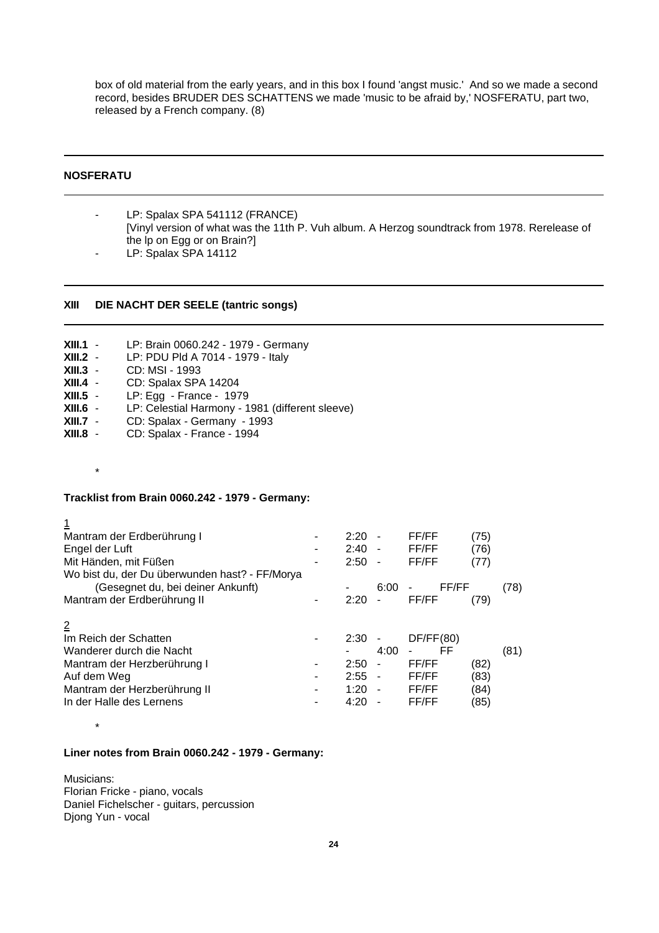box of old material from the early years, and in this box I found 'angst music.' And so we made a second record, besides BRUDER DES SCHATTENS we made 'music to be afraid by,' NOSFERATU, part two, released by a French company. (8)

# **NOSFERATU**

- LP: Spalax SPA 541112 (FRANCE) [Vinyl version of what was the 11th P. Vuh album. A Herzog soundtrack from 1978. Rerelease of the lp on Egg or on Brain?]
- LP: Spalax SPA 14112

## **XIII DIE NACHT DER SEELE (tantric songs)**

- **XIII.1** LP: Brain 0060.242 1979 Germany **XIII.2** - LP: PDU Pld A 7014 - 1979 - Italy **XIII.3** - CD: MSI - 1993 **XIII.4** - CD: Spalax SPA 14204<br>**XIII.5** - LP: Egg - France - 197 LP: Egg - France - 1979
- **XIII.6** LP: Celestial Harmony 1981 (different sleeve)
- **XIII.7** CD: Spalax Germany 1993<sup>'</sup><br>**XIII.8** CD: Spalax France 1994
- **XIII.8** CD: Spalax France 1994

#### \*

\*

#### **Tracklist from Brain 0060.242 - 1979 - Germany:**

| <u>1</u>                                       |      |                          |           |      |      |
|------------------------------------------------|------|--------------------------|-----------|------|------|
| Mantram der Erdberührung I                     | 2:20 |                          | FF/FF     | (75) |      |
| Engel der Luft                                 | 2:40 | $\blacksquare$           | FF/FF     | (76) |      |
| Mit Händen, mit Füßen                          | 2:50 | $\blacksquare$           | FF/FF     | (77) |      |
| Wo bist du, der Du überwunden hast? - FF/Morya |      |                          |           |      |      |
| (Gesegnet du, bei deiner Ankunft)              |      | 6:00                     | FF/FF     |      | (78) |
| Mantram der Erdberührung II                    | 2:20 | $\overline{\phantom{0}}$ | FF/FF     | (79) |      |
|                                                |      |                          |           |      |      |
| $\overline{2}$                                 |      |                          |           |      |      |
| Im Reich der Schatten                          | 2:30 |                          | DF/FF(80) |      |      |
| Wanderer durch die Nacht                       |      | 4:00                     | FF        |      | (81) |
| Mantram der Herzberührung I                    | 2:50 | $\blacksquare$           | FF/FF     | (82) |      |
| Auf dem Weg                                    | 2:55 | $\blacksquare$           | FF/FF     | (83) |      |
| Mantram der Herzberührung II                   | 1:20 | $\blacksquare$           | FF/FF     | (84) |      |
| In der Halle des Lernens                       | 4:20 |                          | FF/FF     | (85) |      |
|                                                |      |                          |           |      |      |

#### **Liner notes from Brain 0060.242 - 1979 - Germany:**

Musicians: Florian Fricke - piano, vocals Daniel Fichelscher - guitars, percussion Djong Yun - vocal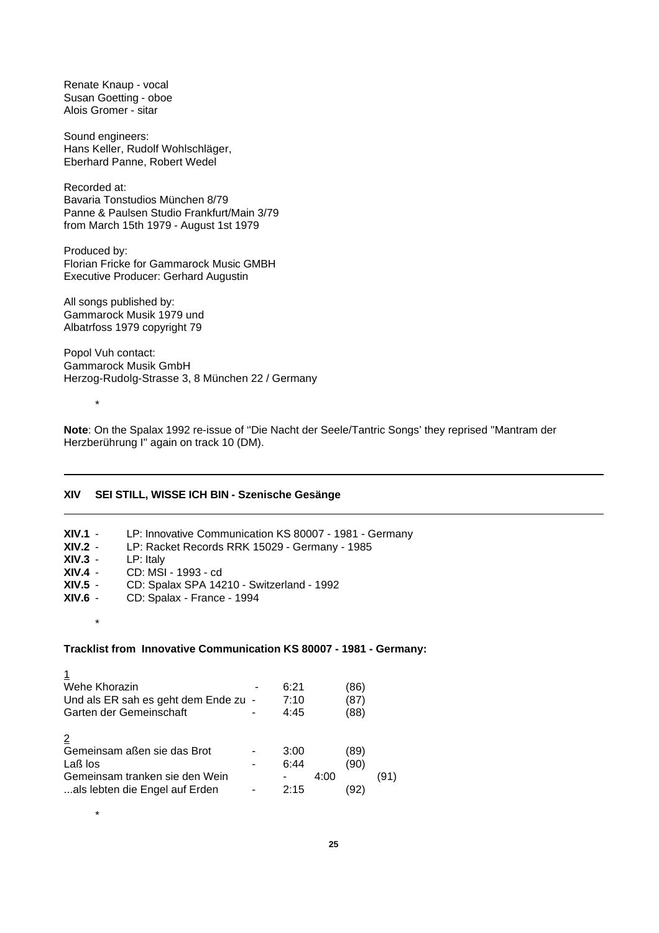Renate Knaup - vocal Susan Goetting - oboe Alois Gromer - sitar

Sound engineers: Hans Keller, Rudolf Wohlschläger, Eberhard Panne, Robert Wedel

Recorded at: Bavaria Tonstudios München 8/79 Panne & Paulsen Studio Frankfurt/Main 3/79 from March 15th 1979 - August 1st 1979

Produced by: Florian Fricke for Gammarock Music GMBH Executive Producer: Gerhard Augustin

All songs published by: Gammarock Musik 1979 und Albatrfoss 1979 copyright 79

Popol Vuh contact: Gammarock Musik GmbH Herzog-Rudolg-Strasse 3, 8 München 22 / Germany

\*

\*

\*

**Note**: On the Spalax 1992 re-issue of ''Die Nacht der Seele/Tantric Songs' they reprised ''Mantram der Herzberührung I'' again on track 10 (DM).

## **XIV SEI STILL, WISSE ICH BIN - Szenische Gesänge**

| $XIV.1 -$ | LP: Innovative Communication KS 80007 - 1981 - Germany |
|-----------|--------------------------------------------------------|
| $XIV.2 -$ | LP: Racket Records RRK 15029 - Germany - 1985          |
| $XIV.3 -$ | $LP:$ Italy                                            |
| $XIV.4 -$ | CD: MSI - 1993 - cd                                    |
| $XIV.5 -$ | CD: Spalax SPA 14210 - Switzerland - 1992              |
| - XIV.6   | CD: Spalax - France - 1994                             |
|           |                                                        |

# **Tracklist from Innovative Communication KS 80007 - 1981 - Germany:**

| Wehe Khorazin                        | 6:21 |      | 86)  |      |
|--------------------------------------|------|------|------|------|
| Und als ER sah es geht dem Ende zu - | 7:10 |      | 87   |      |
| Garten der Gemeinschaft              | 4:45 |      | (88) |      |
| $\overline{2}$                       |      |      |      |      |
| Gemeinsam aßen sie das Brot          | 3:00 |      | '89) |      |
| Laß los                              | 6:44 |      | (90) |      |
| Gemeinsam tranken sie den Wein       |      | 4:00 |      | (91) |
| als lebten die Engel auf Erden       | 2.15 |      |      |      |

**25**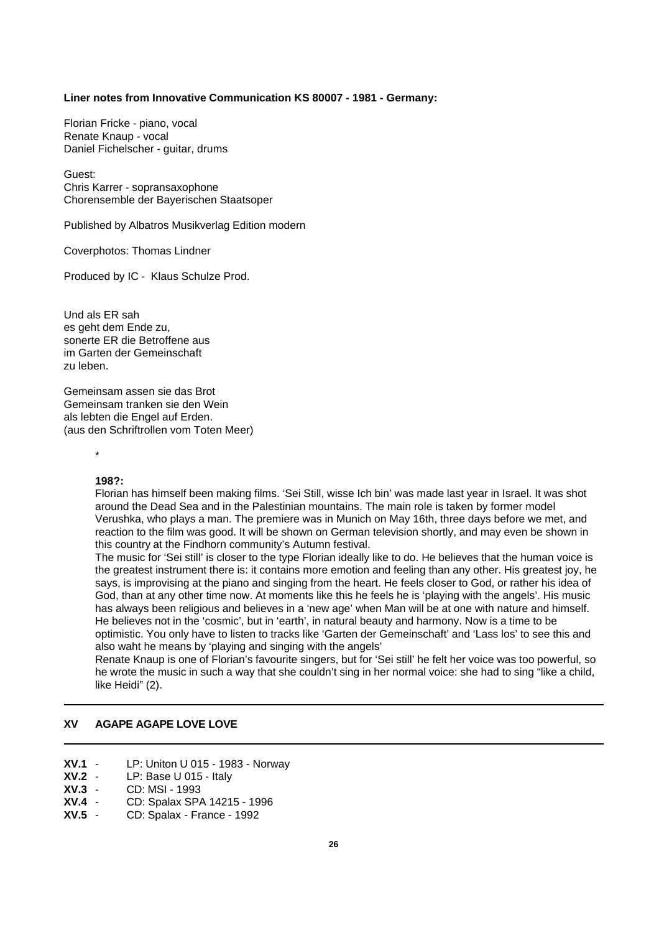#### **Liner notes from Innovative Communication KS 80007 - 1981 - Germany:**

Florian Fricke - piano, vocal Renate Knaup - vocal Daniel Fichelscher - guitar, drums

Guest: Chris Karrer - sopransaxophone Chorensemble der Bayerischen Staatsoper

Published by Albatros Musikverlag Edition modern

Coverphotos: Thomas Lindner

Produced by IC - Klaus Schulze Prod.

Und als ER sah es geht dem Ende zu, sonerte ER die Betroffene aus im Garten der Gemeinschaft zu leben.

Gemeinsam assen sie das Brot Gemeinsam tranken sie den Wein als lebten die Engel auf Erden. (aus den Schriftrollen vom Toten Meer)

\*

## **198?:**

Florian has himself been making films. 'Sei Still, wisse Ich bin' was made last year in Israel. It was shot around the Dead Sea and in the Palestinian mountains. The main role is taken by former model Verushka, who plays a man. The premiere was in Munich on May 16th, three days before we met, and reaction to the film was good. It will be shown on German television shortly, and may even be shown in this country at the Findhorn community's Autumn festival.

The music for 'Sei still' is closer to the type Florian ideally like to do. He believes that the human voice is the greatest instrument there is: it contains more emotion and feeling than any other. His greatest joy, he says, is improvising at the piano and singing from the heart. He feels closer to God, or rather his idea of God, than at any other time now. At moments like this he feels he is 'playing with the angels'. His music has always been religious and believes in a 'new age' when Man will be at one with nature and himself. He believes not in the 'cosmic', but in 'earth', in natural beauty and harmony. Now is a time to be optimistic. You only have to listen to tracks like 'Garten der Gemeinschaft' and 'Lass los' to see this and also waht he means by 'playing and singing with the angels'

Renate Knaup is one of Florian's favourite singers, but for 'Sei still' he felt her voice was too powerful, so he wrote the music in such a way that she couldn't sing in her normal voice: she had to sing "like a child, like Heidi" (2).

# **XV AGAPE AGAPE LOVE LOVE**

- **XV.1** LP: Uniton U 015 1983 Norway
- **XV.2** LP: Base U 015 Italy
- **XV.3** CD: MSI 1993
- **XV.4** CD: Spalax SPA 14215 1996
- **XV.5** CD: Spalax France 1992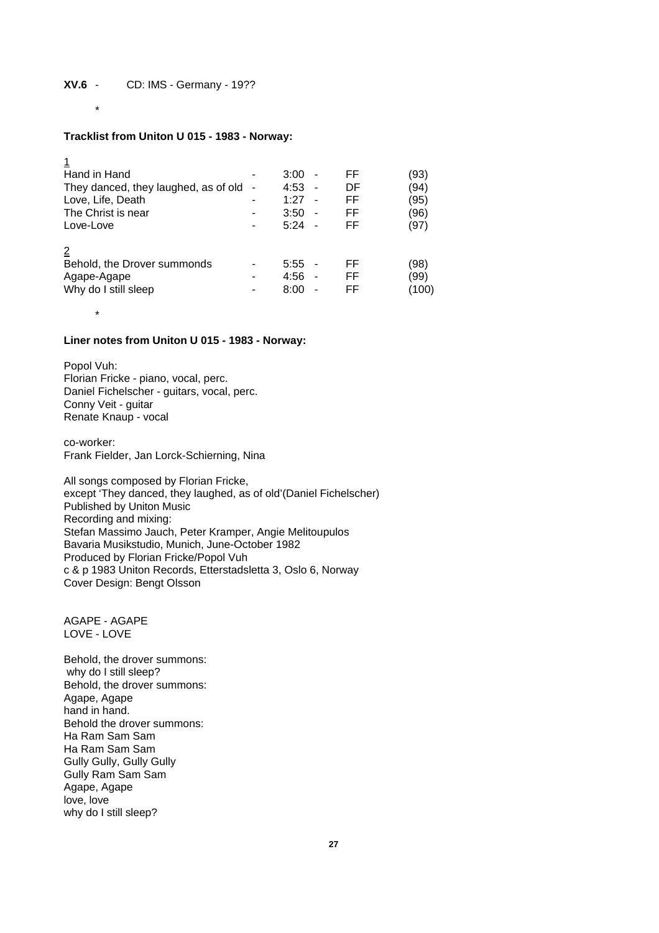\*

\*

 $\overline{a}$ 

# **Tracklist from Uniton U 015 - 1983 - Norway:**

| Hand in Hand                         |                              | 3:00 |                          | FF | (93)  |
|--------------------------------------|------------------------------|------|--------------------------|----|-------|
| They danced, they laughed, as of old | $\overline{\phantom{a}}$     | 4:53 | ۰                        | DF | (94)  |
| Love, Life, Death                    |                              | 1:27 | ۰                        | FF | (95)  |
| The Christ is near                   | -                            | 3:50 | $\overline{\phantom{0}}$ | FF | (96   |
| Love-Love                            | $\qquad \qquad \blacksquare$ | 5:24 |                          | FF | (97)  |
|                                      |                              |      |                          |    |       |
| Behold, the Drover summonds          |                              | 5:55 |                          | FF | '98)  |
| Agape-Agape                          |                              | 4:56 | ۰                        | FF | (99   |
| Why do I still sleep                 | -                            | 8:00 |                          | FF | (100) |
|                                      |                              |      |                          |    |       |

## **Liner notes from Uniton U 015 - 1983 - Norway:**

Popol Vuh: Florian Fricke - piano, vocal, perc. Daniel Fichelscher - guitars, vocal, perc. Conny Veit - guitar Renate Knaup - vocal

co-worker: Frank Fielder, Jan Lorck-Schierning, Nina

All songs composed by Florian Fricke, except 'They danced, they laughed, as of old'(Daniel Fichelscher) Published by Uniton Music Recording and mixing: Stefan Massimo Jauch, Peter Kramper, Angie Melitoupulos Bavaria Musikstudio, Munich, June-October 1982 Produced by Florian Fricke/Popol Vuh c & p 1983 Uniton Records, Etterstadsletta 3, Oslo 6, Norway Cover Design: Bengt Olsson

AGAPE - AGAPE LOVE - LOVE

Behold, the drover summons: why do I still sleep? Behold, the drover summons: Agape, Agape hand in hand. Behold the drover summons: Ha Ram Sam Sam Ha Ram Sam Sam Gully Gully, Gully Gully Gully Ram Sam Sam Agape, Agape love, love why do I still sleep?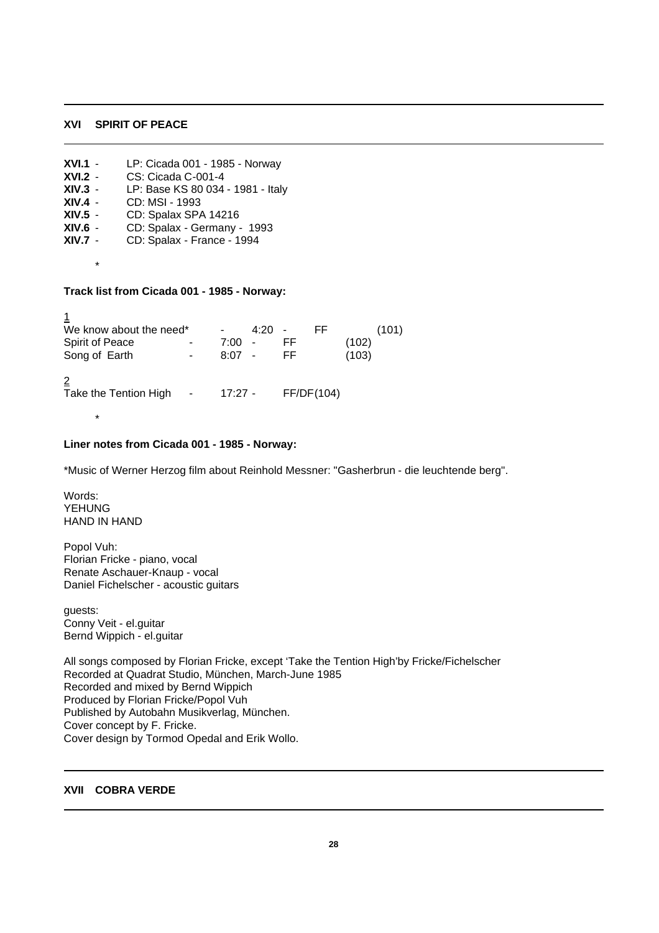#### **XVI SPIRIT OF PEACE**

| $XVI.1 -$      | LP: Cicada 001 - 1985 - Norway    |
|----------------|-----------------------------------|
| $XVI.2 -$      | CS: Cicada C-001-4                |
| $XIV.3 -$      | LP: Base KS 80 034 - 1981 - Italy |
| $XIV.4 -$      | CD: MSI - 1993                    |
| XIV.5 -        | CD: Spalax SPA 14216              |
| XIV.6 -        | CD: Spalax - Germany - 1993       |
| <b>XIV.7</b> - | CD: Spalax - France - 1994        |
|                |                                   |
| *              |                                   |

## **Track list from Cicada 001 - 1985 - Norway:**

| We know about the need*<br><b>Spirit of Peace</b><br>٠<br>Song of Earth<br>$\overline{\phantom{a}}$ | 4:20<br>7:00<br>$\overline{\phantom{a}}$<br>8:07<br>$\overline{a}$ | FF.<br>FF<br>FF. | (101)<br>(102)<br>(103) |
|-----------------------------------------------------------------------------------------------------|--------------------------------------------------------------------|------------------|-------------------------|
| 2<br>Take the Tention High<br>$\qquad \qquad \blacksquare$                                          | $17:27 -$                                                          | FF/DF(104)       |                         |

# **Liner notes from Cicada 001 - 1985 - Norway:**

\*Music of Werner Herzog film about Reinhold Messner: "Gasherbrun - die leuchtende berg".

Words: **YEHUNG** HAND IN HAND

\*

 $\overline{1}$ 

Popol Vuh: Florian Fricke - piano, vocal Renate Aschauer-Knaup - vocal Daniel Fichelscher - acoustic guitars

guests: Conny Veit - el.guitar Bernd Wippich - el.guitar

All songs composed by Florian Fricke, except 'Take the Tention High'by Fricke/Fichelscher Recorded at Quadrat Studio, München, March-June 1985 Recorded and mixed by Bernd Wippich Produced by Florian Fricke/Popol Vuh Published by Autobahn Musikverlag, München. Cover concept by F. Fricke. Cover design by Tormod Opedal and Erik Wollo.

## **XVII COBRA VERDE**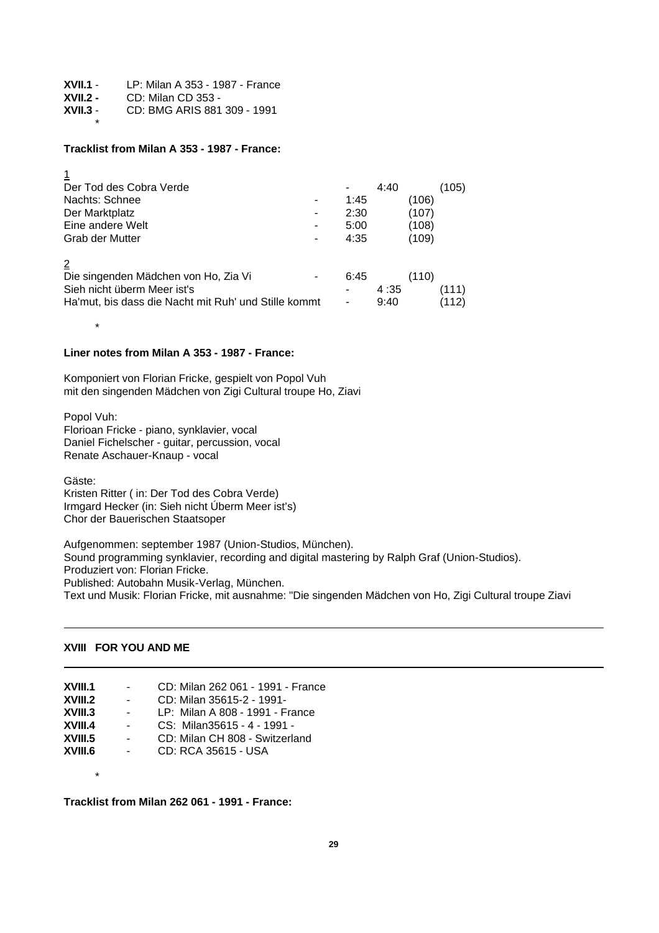| $XVII.1 -$ | LP: Milan A 353 - 1987 - France |
|------------|---------------------------------|
| $XVII.2 -$ | CD: Milan CD 353 -              |
| $XVII.3 -$ | CD: BMG ARIS 881 309 - 1991     |
|            |                                 |

#### **Tracklist from Milan A 353 - 1987 - France:**

| Der Tod des Cobra Verde                              | -              | 4:40 |       | (105) |
|------------------------------------------------------|----------------|------|-------|-------|
| Nachts: Schnee                                       | 1:45           |      | (106) |       |
| Der Marktplatz                                       | 2:30           |      | (107) |       |
| Eine andere Welt                                     | 5:00           |      | (108) |       |
| Grab der Mutter                                      | 4:35           |      | (109) |       |
|                                                      |                |      |       |       |
|                                                      |                |      |       |       |
| Die singenden Mädchen von Ho, Zia Vi                 | 6:45           |      | (110) |       |
| Sieh nicht überm Meer ist's                          | $\blacksquare$ | 4:35 |       | (111) |
| Ha'mut, bis dass die Nacht mit Ruh' und Stille kommt | $\overline{a}$ | 9:40 |       | (112) |
|                                                      |                |      |       |       |

### **Liner notes from Milan A 353 - 1987 - France:**

Komponiert von Florian Fricke, gespielt von Popol Vuh mit den singenden Mädchen von Zigi Cultural troupe Ho, Ziavi

Popol Vuh: Florioan Fricke - piano, synklavier, vocal Daniel Fichelscher - guitar, percussion, vocal Renate Aschauer-Knaup - vocal

Gäste:

\*

Kristen Ritter ( in: Der Tod des Cobra Verde) Irmgard Hecker (in: Sieh nicht Úberm Meer ist's) Chor der Bauerischen Staatsoper

Aufgenommen: september 1987 (Union-Studios, München). Sound programming synklavier, recording and digital mastering by Ralph Graf (Union-Studios). Produziert von: Florian Fricke. Published: Autobahn Musik-Verlag, München. Text und Musik: Florian Fricke, mit ausnahme: "Die singenden Mädchen von Ho, Zigi Cultural troupe Ziavi

# **XVIII FOR YOU AND ME**

\*

| XVIII.1<br>$\sim 100$<br>XVIII.2<br>$\sim$ 100 $\mu$<br>XVIII.3<br>$\sim$ 100 $\mu$<br>XVIII.4<br>$\sim 100$<br>XVIII.5<br>$\sim$<br>XVIII.6<br>$\sim 100$ | CD: Milan 262 061 - 1991 - France<br>CD: Milan 35615-2 - 1991-<br>LP: Milan A 808 - 1991 - France<br>CS: Milan35615 - 4 - 1991 -<br>CD: Milan CH 808 - Switzerland<br>CD: RCA 35615 - USA |
|------------------------------------------------------------------------------------------------------------------------------------------------------------|-------------------------------------------------------------------------------------------------------------------------------------------------------------------------------------------|
|------------------------------------------------------------------------------------------------------------------------------------------------------------|-------------------------------------------------------------------------------------------------------------------------------------------------------------------------------------------|

**Tracklist from Milan 262 061 - 1991 - France:**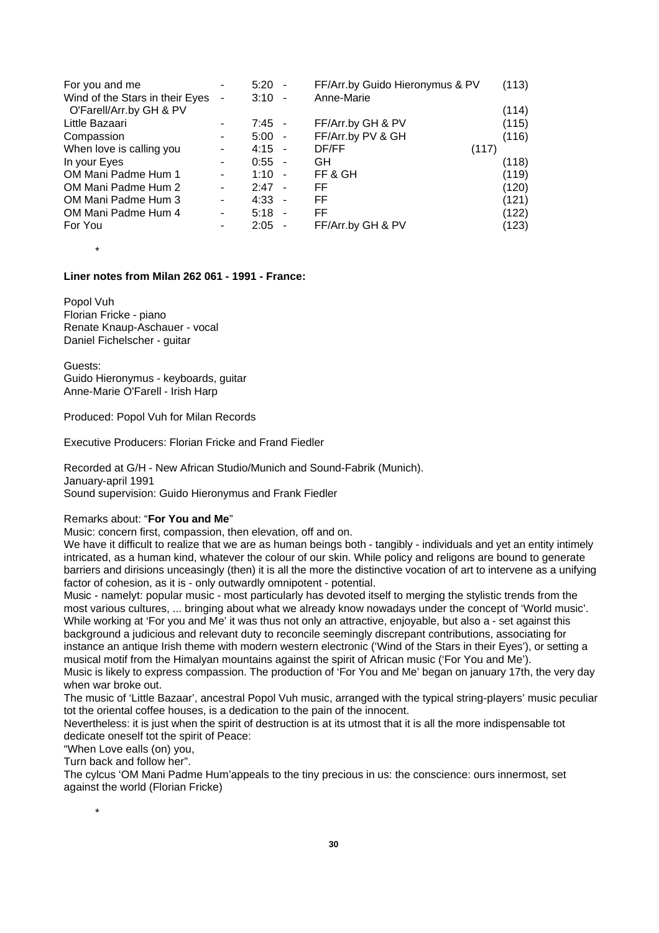| For you and me                  | ۰                        | $5:20 -$                         | FF/Arr.by Guido Hieronymus & PV | (113) |
|---------------------------------|--------------------------|----------------------------------|---------------------------------|-------|
| Wind of the Stars in their Eyes | -                        | 3:10<br>$\overline{\phantom{a}}$ | Anne-Marie                      |       |
| O'Farell/Arr.by GH & PV         |                          |                                  |                                 | (114) |
| Little Bazaari                  | ٠                        | $7:45 -$                         | FF/Arr.by GH & PV               | (115) |
| Compassion                      | ۰                        | $5:00 -$                         | FF/Arr.by PV & GH               | (116) |
| When love is calling you        | ٠                        | $4:15 -$                         | DF/FF                           | (117) |
| In your Eyes                    | ٠                        | $0:55 -$                         | GH                              | (118) |
| OM Mani Padme Hum 1             | ۰                        | $1:10 -$                         | FF & GH                         | (119) |
| OM Mani Padme Hum 2             | -                        | $2:47 -$                         | FF                              | (120) |
| OM Mani Padme Hum 3             | $\overline{\phantom{a}}$ | $4:33 -$                         | FF.                             | (121) |
| OM Mani Padme Hum 4             | ٠                        | $5:18 -$                         | FF.                             | (122) |
| For You                         | ۰                        | 2:05<br>$\blacksquare$           | FF/Arr.by GH & PV               | (123) |

\*

## **Liner notes from Milan 262 061 - 1991 - France:**

Popol Vuh Florian Fricke - piano Renate Knaup-Aschauer - vocal Daniel Fichelscher - guitar

Guests: Guido Hieronymus - keyboards, guitar Anne-Marie O'Farell - Irish Harp

Produced: Popol Vuh for Milan Records

Executive Producers: Florian Fricke and Frand Fiedler

Recorded at G/H - New African Studio/Munich and Sound-Fabrik (Munich). January-april 1991 Sound supervision: Guido Hieronymus and Frank Fiedler

#### Remarks about: "**For You and Me**"

Music: concern first, compassion, then elevation, off and on.

We have it difficult to realize that we are as human beings both - tangibly - individuals and yet an entity intimely intricated, as a human kind, whatever the colour of our skin. While policy and religons are bound to generate barriers and dirisions unceasingly (then) it is all the more the distinctive vocation of art to intervene as a unifying factor of cohesion, as it is - only outwardly omnipotent - potential.

Music - namelyt: popular music - most particularly has devoted itself to merging the stylistic trends from the most various cultures, ... bringing about what we already know nowadays under the concept of 'World music'. While working at 'For you and Me' it was thus not only an attractive, enjoyable, but also a - set against this background a judicious and relevant duty to reconcile seemingly discrepant contributions, associating for instance an antique Irish theme with modern western electronic ('Wind of the Stars in their Eyes'), or setting a musical motif from the Himalyan mountains against the spirit of African music ('For You and Me'). Music is likely to express compassion. The production of 'For You and Me' began on january 17th, the very day

when war broke out.

The music of 'Little Bazaar', ancestral Popol Vuh music, arranged with the typical string-players' music peculiar tot the oriental coffee houses, is a dedication to the pain of the innocent.

Nevertheless: it is just when the spirit of destruction is at its utmost that it is all the more indispensable tot dedicate oneself tot the spirit of Peace:

"When Love ealls (on) you,

Turn back and follow her".

\*

The cylcus 'OM Mani Padme Hum'appeals to the tiny precious in us: the conscience: ours innermost, set against the world (Florian Fricke)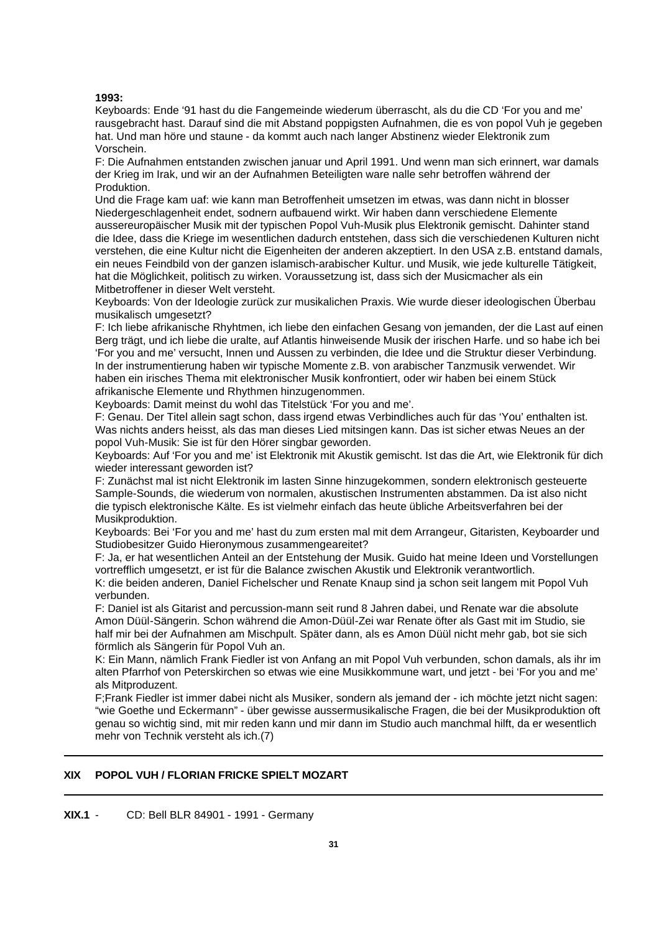## **1993:**

Keyboards: Ende '91 hast du die Fangemeinde wiederum überrascht, als du die CD 'For you and me' rausgebracht hast. Darauf sind die mit Abstand poppigsten Aufnahmen, die es von popol Vuh je gegeben hat. Und man höre und staune - da kommt auch nach langer Abstinenz wieder Elektronik zum Vorschein.

F: Die Aufnahmen entstanden zwischen januar und April 1991. Und wenn man sich erinnert, war damals der Krieg im Irak, und wir an der Aufnahmen Beteiligten ware nalle sehr betroffen während der Produktion.

Und die Frage kam uaf: wie kann man Betroffenheit umsetzen im etwas, was dann nicht in blosser Niedergeschlagenheit endet, sodnern aufbauend wirkt. Wir haben dann verschiedene Elemente aussereuropäischer Musik mit der typischen Popol Vuh-Musik plus Elektronik gemischt. Dahinter stand die Idee, dass die Kriege im wesentlichen dadurch entstehen, dass sich die verschiedenen Kulturen nicht verstehen, die eine Kultur nicht die Eigenheiten der anderen akzeptiert. In den USA z.B. entstand damals, ein neues Feindbild von der ganzen islamisch-arabischer Kultur. und Musik, wie jede kulturelle Tätigkeit, hat die Möglichkeit, politisch zu wirken. Voraussetzung ist, dass sich der Musicmacher als ein Mitbetroffener in dieser Welt versteht.

Keyboards: Von der Ideologie zurück zur musikalichen Praxis. Wie wurde dieser ideologischen Überbau musikalisch umgesetzt?

F: Ich liebe afrikanische Rhyhtmen, ich liebe den einfachen Gesang von jemanden, der die Last auf einen Berg trägt, und ich liebe die uralte, auf Atlantis hinweisende Musik der irischen Harfe. und so habe ich bei 'For you and me' versucht, Innen und Aussen zu verbinden, die Idee und die Struktur dieser Verbindung. In der instrumentierung haben wir typische Momente z.B. von arabischer Tanzmusik verwendet. Wir haben ein irisches Thema mit elektronischer Musik konfrontiert, oder wir haben bei einem Stück afrikanische Elemente und Rhythmen hinzugenommen.

Keyboards: Damit meinst du wohl das Titelstück 'For you and me'.

F: Genau. Der Titel allein sagt schon, dass irgend etwas Verbindliches auch für das 'You' enthalten ist. Was nichts anders heisst, als das man dieses Lied mitsingen kann. Das ist sicher etwas Neues an der popol Vuh-Musik: Sie ist für den Hörer singbar geworden.

Keyboards: Auf 'For you and me' ist Elektronik mit Akustik gemischt. Ist das die Art, wie Elektronik für dich wieder interessant geworden ist?

F: Zunächst mal ist nicht Elektronik im lasten Sinne hinzugekommen, sondern elektronisch gesteuerte Sample-Sounds, die wiederum von normalen, akustischen Instrumenten abstammen. Da ist also nicht die typisch elektronische Kälte. Es ist vielmehr einfach das heute übliche Arbeitsverfahren bei der Musikproduktion.

Keyboards: Bei 'For you and me' hast du zum ersten mal mit dem Arrangeur, Gitaristen, Keyboarder und Studiobesitzer Guido Hieronymous zusammengeareitet?

F: Ja, er hat wesentlichen Anteil an der Entstehung der Musik. Guido hat meine Ideen und Vorstellungen vortrefflich umgesetzt, er ist für die Balance zwischen Akustik und Elektronik verantwortlich.

K: die beiden anderen, Daniel Fichelscher und Renate Knaup sind ja schon seit langem mit Popol Vuh verbunden.

F: Daniel ist als Gitarist and percussion-mann seit rund 8 Jahren dabei, und Renate war die absolute Amon Düül-Sängerin. Schon während die Amon-Düül-Zei war Renate öfter als Gast mit im Studio, sie half mir bei der Aufnahmen am Mischpult. Später dann, als es Amon Düül nicht mehr gab, bot sie sich förmlich als Sängerin für Popol Vuh an.

K: Ein Mann, nämlich Frank Fiedler ist von Anfang an mit Popol Vuh verbunden, schon damals, als ihr im alten Pfarrhof von Peterskirchen so etwas wie eine Musikkommune wart, und jetzt - bei 'For you and me' als Mitproduzent.

F;Frank Fiedler ist immer dabei nicht als Musiker, sondern als jemand der - ich möchte jetzt nicht sagen: "wie Goethe und Eckermann" - über gewisse aussermusikalische Fragen, die bei der Musikproduktion oft genau so wichtig sind, mit mir reden kann und mir dann im Studio auch manchmal hilft, da er wesentlich mehr von Technik versteht als ich.(7)

# **XIX POPOL VUH / FLORIAN FRICKE SPIELT MOZART**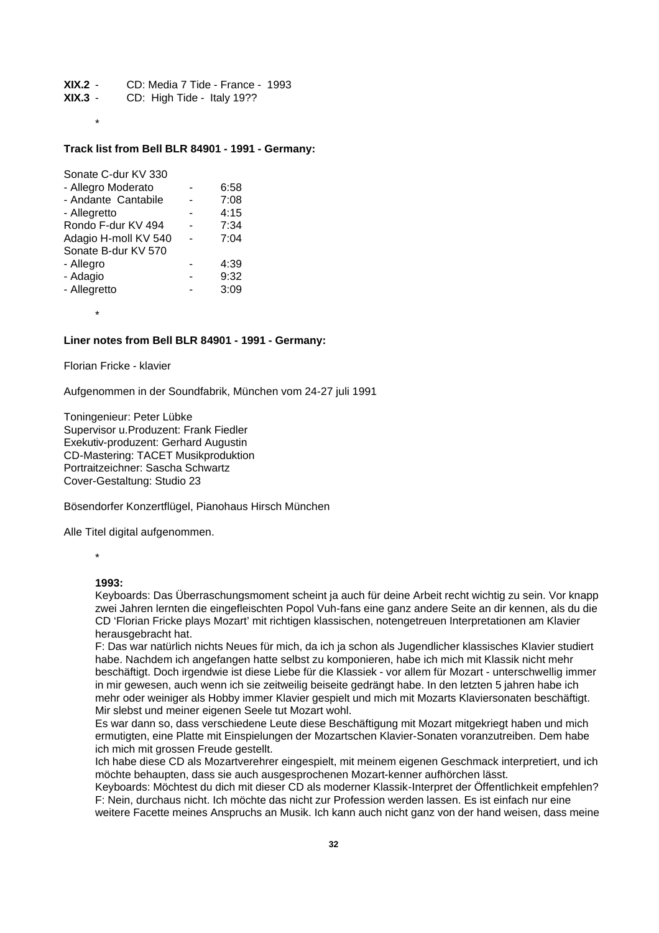**XIX.2** - CD: Media 7 Tide - France - 1993

- **XIX.3** CD: High Tide Italy 19??
	- \*

#### **Track list from Bell BLR 84901 - 1991 - Germany:**

| Sonate C-dur KV 330  |      |
|----------------------|------|
| - Allegro Moderato   | 6:58 |
| - Andante Cantabile  | 7:08 |
| - Allegretto         | 4:15 |
| Rondo F-dur KV 494   | 7:34 |
| Adagio H-moll KV 540 | 7:04 |
| Sonate B-dur KV 570  |      |
| - Allegro            | 4:39 |
| - Adagio             | 9:32 |
| - Allegretto         | 3:09 |
|                      |      |

#### **Liner notes from Bell BLR 84901 - 1991 - Germany:**

Florian Fricke - klavier

\*

Aufgenommen in der Soundfabrik, München vom 24-27 juli 1991

Toningenieur: Peter Lübke Supervisor u.Produzent: Frank Fiedler Exekutiv-produzent: Gerhard Augustin CD-Mastering: TACET Musikproduktion Portraitzeichner: Sascha Schwartz Cover-Gestaltung: Studio 23

Bösendorfer Konzertflügel, Pianohaus Hirsch München

Alle Titel digital aufgenommen.

\*

#### **1993:**

Keyboards: Das Überraschungsmoment scheint ja auch für deine Arbeit recht wichtig zu sein. Vor knapp zwei Jahren lernten die eingefleischten Popol Vuh-fans eine ganz andere Seite an dir kennen, als du die CD 'Florian Fricke plays Mozart' mit richtigen klassischen, notengetreuen Interpretationen am Klavier herausgebracht hat.

F: Das war natürlich nichts Neues für mich, da ich ja schon als Jugendlicher klassisches Klavier studiert habe. Nachdem ich angefangen hatte selbst zu komponieren, habe ich mich mit Klassik nicht mehr beschäftigt. Doch irgendwie ist diese Liebe für die Klassiek - vor allem für Mozart - unterschwellig immer in mir gewesen, auch wenn ich sie zeitweilig beiseite gedrängt habe. In den letzten 5 jahren habe ich mehr oder weiniger als Hobby immer Klavier gespielt und mich mit Mozarts Klaviersonaten beschäftigt. Mir slebst und meiner eigenen Seele tut Mozart wohl.

Es war dann so, dass verschiedene Leute diese Beschäftigung mit Mozart mitgekriegt haben und mich ermutigten, eine Platte mit Einspielungen der Mozartschen Klavier-Sonaten voranzutreiben. Dem habe ich mich mit grossen Freude gestellt.

Ich habe diese CD als Mozartverehrer eingespielt, mit meinem eigenen Geschmack interpretiert, und ich möchte behaupten, dass sie auch ausgesprochenen Mozart-kenner aufhörchen lässt.

Keyboards: Möchtest du dich mit dieser CD als moderner Klassik-Interpret der Öffentlichkeit empfehlen? F: Nein, durchaus nicht. Ich möchte das nicht zur Profession werden lassen. Es ist einfach nur eine weitere Facette meines Anspruchs an Musik. Ich kann auch nicht ganz von der hand weisen, dass meine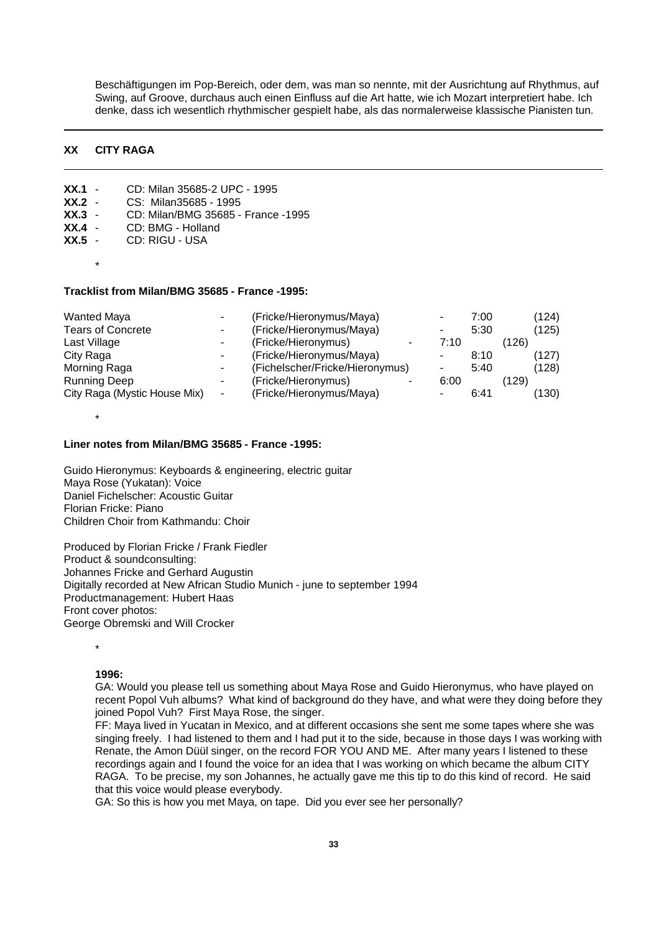Beschäftigungen im Pop-Bereich, oder dem, was man so nennte, mit der Ausrichtung auf Rhythmus, auf Swing, auf Groove, durchaus auch einen Einfluss auf die Art hatte, wie ich Mozart interpretiert habe. Ich denke, dass ich wesentlich rhythmischer gespielt habe, als das normalerweise klassische Pianisten tun.

# **XX CITY RAGA**

**XX.1** - CD: Milan 35685-2 UPC - 1995

**XX.3** - CD: Milan/BMG 35685 - France -1995

**XX.2** - CS: Milan35685 - 1995

| XX.4<br>CD: BMG - Holland<br>XX.5<br>CD: RIGU - USA |   |                                 |      |      |       |       |
|-----------------------------------------------------|---|---------------------------------|------|------|-------|-------|
| $\star$                                             |   |                                 |      |      |       |       |
| Tracklist from Milan/BMG 35685 - France -1995:      |   |                                 |      |      |       |       |
| <b>Wanted Maya</b>                                  |   | (Fricke/Hieronymus/Maya)        |      | 7:00 |       | (124) |
| <b>Tears of Concrete</b>                            |   | (Fricke/Hieronymus/Maya)        |      | 5:30 |       | (125) |
| Last Village                                        |   | (Fricke/Hieronymus)             | 7:10 |      | (126) |       |
| City Raga                                           |   | (Fricke/Hieronymus/Maya)        |      | 8:10 |       | (127) |
| Morning Raga                                        |   | (Fichelscher/Fricke/Hieronymus) |      | 5:40 |       | (128) |
| <b>Running Deep</b>                                 |   | (Fricke/Hieronymus)             | 6:00 |      | (129) |       |
| City Raga (Mystic House Mix)                        | ۰ | (Fricke/Hieronymus/Maya)        |      | 6:41 |       | (130) |

#### **Liner notes from Milan/BMG 35685 - France -1995:**

Guido Hieronymus: Keyboards & engineering, electric guitar Maya Rose (Yukatan): Voice Daniel Fichelscher: Acoustic Guitar Florian Fricke: Piano Children Choir from Kathmandu: Choir

Produced by Florian Fricke / Frank Fiedler Product & soundconsulting: Johannes Fricke and Gerhard Augustin Digitally recorded at New African Studio Munich - june to september 1994 Productmanagement: Hubert Haas Front cover photos: George Obremski and Will Crocker

\*

\*

## **1996:**

GA: Would you please tell us something about Maya Rose and Guido Hieronymus, who have played on recent Popol Vuh albums? What kind of background do they have, and what were they doing before they joined Popol Vuh? First Maya Rose, the singer.

FF: Maya lived in Yucatan in Mexico, and at different occasions she sent me some tapes where she was singing freely. I had listened to them and I had put it to the side, because in those days I was working with Renate, the Amon Düül singer, on the record FOR YOU AND ME. After many years I listened to these recordings again and I found the voice for an idea that I was working on which became the album CITY RAGA. To be precise, my son Johannes, he actually gave me this tip to do this kind of record. He said that this voice would please everybody.

GA: So this is how you met Maya, on tape. Did you ever see her personally?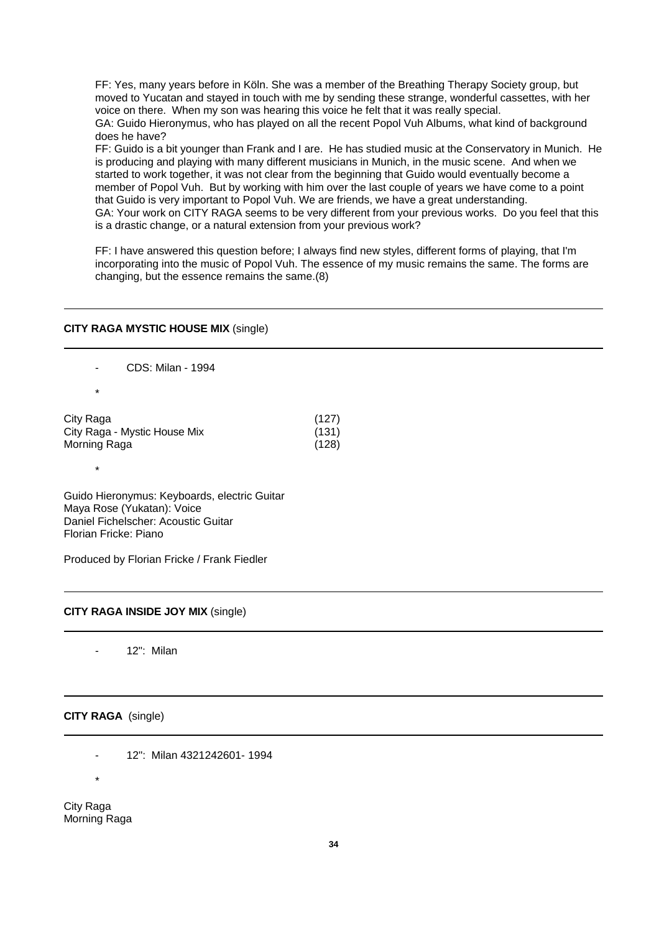FF: Yes, many years before in Köln. She was a member of the Breathing Therapy Society group, but moved to Yucatan and stayed in touch with me by sending these strange, wonderful cassettes, with her voice on there. When my son was hearing this voice he felt that it was really special. GA: Guido Hieronymus, who has played on all the recent Popol Vuh Albums, what kind of background does he have?

FF: Guido is a bit younger than Frank and I are. He has studied music at the Conservatory in Munich. He is producing and playing with many different musicians in Munich, in the music scene. And when we started to work together, it was not clear from the beginning that Guido would eventually become a member of Popol Vuh. But by working with him over the last couple of years we have come to a point that Guido is very important to Popol Vuh. We are friends, we have a great understanding. GA: Your work on CITY RAGA seems to be very different from your previous works. Do you feel that this is a drastic change, or a natural extension from your previous work?

FF: I have answered this question before; I always find new styles, different forms of playing, that I'm incorporating into the music of Popol Vuh. The essence of my music remains the same. The forms are changing, but the essence remains the same.(8)

#### **CITY RAGA MYSTIC HOUSE MIX** (single)

- CDS: Milan - 1994 \* City Raga (127) City Raga - Mystic House Mix (131) Morning Raga (128)

Guido Hieronymus: Keyboards, electric Guitar Maya Rose (Yukatan): Voice Daniel Fichelscher: Acoustic Guitar Florian Fricke: Piano

Produced by Florian Fricke / Frank Fiedler

#### **CITY RAGA INSIDE JOY MIX** (single)

12"<sup>\*</sup> Milan

#### **CITY RAGA** (single)

- 12": Milan 4321242601- 1994

\*

\*

City Raga Morning Raga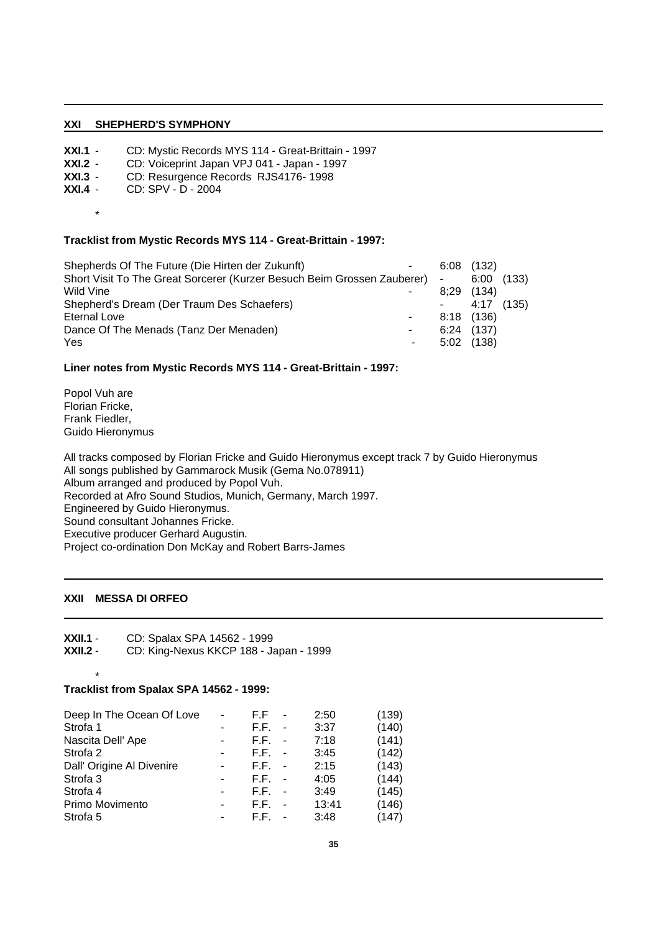## **XXI SHEPHERD'S SYMPHONY**

- **XXI.1** CD: Mystic Records MYS 114 Great-Brittain 1997<br>**XXI.2** CD: Voiceprint Japan VPJ 041 Japan 1997
- **XXI.2** CD: Voiceprint Japan VPJ 041 Japan 1997<br>**XXI.3** CD: Resurgence Records RJS4176-1998
- **XXI.3** CD: Resurgence Records RJS4176-1998<br>**XXI.4** CD: SPV D 2004
- **XXI.4** CD: SPV D 2004
	- \*

## **Tracklist from Mystic Records MYS 114 - Great-Brittain - 1997:**

| Shepherds Of The Future (Die Hirten der Zukunft)                          | $\sim$ | $6:08$ (132) |            |  |
|---------------------------------------------------------------------------|--------|--------------|------------|--|
| Short Visit To The Great Sorcerer (Kurzer Besuch Beim Grossen Zauberer) - |        |              | 6:00(133)  |  |
| Wild Vine                                                                 |        | $8:29$ (134) |            |  |
| Shepherd's Dream (Der Traum Des Schaefers)                                |        |              | 4:17 (135) |  |
| Eternal Love                                                              |        | 8:18 (136)   |            |  |
| Dance Of The Menads (Tanz Der Menaden)                                    | $\sim$ | 6:24(137)    |            |  |
| Yes                                                                       | $\sim$ | 5:02         | (138)      |  |

## **Liner notes from Mystic Records MYS 114 - Great-Brittain - 1997:**

Popol Vuh are Florian Fricke, Frank Fiedler, Guido Hieronymus

All tracks composed by Florian Fricke and Guido Hieronymus except track 7 by Guido Hieronymus All songs published by Gammarock Musik (Gema No.078911) Album arranged and produced by Popol Vuh. Recorded at Afro Sound Studios, Munich, Germany, March 1997. Engineered by Guido Hieronymus. Sound consultant Johannes Fricke. Executive producer Gerhard Augustin. Project co-ordination Don McKay and Robert Barrs-James

# **XXII MESSA DI ORFEO**

\*

**XXII.1** - CD: Spalax SPA 14562 - 1999<br>**XXII.2** - CD: King-Nexus KKCP 188 - Ja

**XXII.2** - CD: King-Nexus KKCP 188 - Japan - 1999

## **Tracklist from Spalax SPA 14562 - 1999:**

| Deep In The Ocean Of Love | ÷                        | F.F  | 2:50  | (139) |
|---------------------------|--------------------------|------|-------|-------|
| Strofa 1                  | ۰                        | F.F. | 3:37  | (140) |
| Nascita Dell' Ape         | ۰                        | F.F. | 7:18  | (141) |
| Strofa 2                  | $\overline{\phantom{0}}$ | F.F. | 3:45  | (142) |
| Dall' Origine Al Divenire | ٠                        | F.F. | 2:15  | (143) |
| Strofa <sub>3</sub>       | -                        | F.F. | 4:05  | (144) |
| Strofa 4                  | -                        | F.F. | 3:49  | (145) |
| Primo Movimento           | ۰                        | F.F. | 13:41 | (146) |
| Strofa 5                  | ۰                        | F.F. | 3:48  | (147) |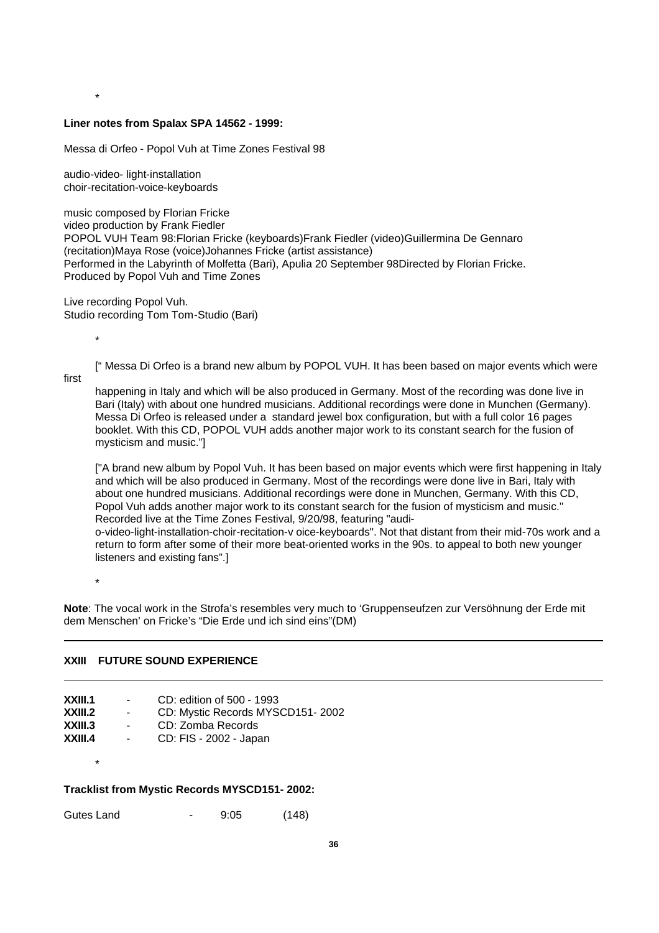#### **Liner notes from Spalax SPA 14562 - 1999:**

Messa di Orfeo - Popol Vuh at Time Zones Festival 98

audio-video- light-installation choir-recitation-voice-keyboards

\*

music composed by Florian Fricke video production by Frank Fiedler POPOL VUH Team 98:Florian Fricke (keyboards)Frank Fiedler (video)Guillermina De Gennaro (recitation)Maya Rose (voice)Johannes Fricke (artist assistance) Performed in the Labyrinth of Molfetta (Bari), Apulia 20 September 98Directed by Florian Fricke. Produced by Popol Vuh and Time Zones

Live recording Popol Vuh. Studio recording Tom Tom-Studio (Bari)

\*

[" Messa Di Orfeo is a brand new album by POPOL VUH. It has been based on major events which were

first

happening in Italy and which will be also produced in Germany. Most of the recording was done live in Bari (Italy) with about one hundred musicians. Additional recordings were done in Munchen (Germany). Messa Di Orfeo is released under a standard jewel box configuration, but with a full color 16 pages booklet. With this CD, POPOL VUH adds another major work to its constant search for the fusion of mysticism and music."]

["A brand new album by Popol Vuh. It has been based on major events which were first happening in Italy and which will be also produced in Germany. Most of the recordings were done live in Bari, Italy with about one hundred musicians. Additional recordings were done in Munchen, Germany. With this CD, Popol Vuh adds another major work to its constant search for the fusion of mysticism and music." Recorded live at the Time Zones Festival, 9/20/98, featuring "audio-video-light-installation-choir-recitation-v oice-keyboards". Not that distant from their mid-70s work and a

return to form after some of their more beat-oriented works in the 90s. to appeal to both new younger listeners and existing fans".]

\*

\*

**Note**: The vocal work in the Strofa's resembles very much to 'Gruppenseufzen zur Versöhnung der Erde mit dem Menschen' on Fricke's "Die Erde und ich sind eins"(DM)

## **XXIII FUTURE SOUND EXPERIENCE**

| XXIII.1 | $\sim$ | CD: edition of 500 - 1993        |
|---------|--------|----------------------------------|
| XXIII.2 | $\sim$ | CD: Mystic Records MYSCD151-2002 |
| XXIII.3 | $\sim$ | CD: Zomba Records                |
| XXIII.4 | $\sim$ | CD: FIS - 2002 - Japan           |

#### **Tracklist from Mystic Records MYSCD151- 2002:**

Gutes Land - 9:05 (148)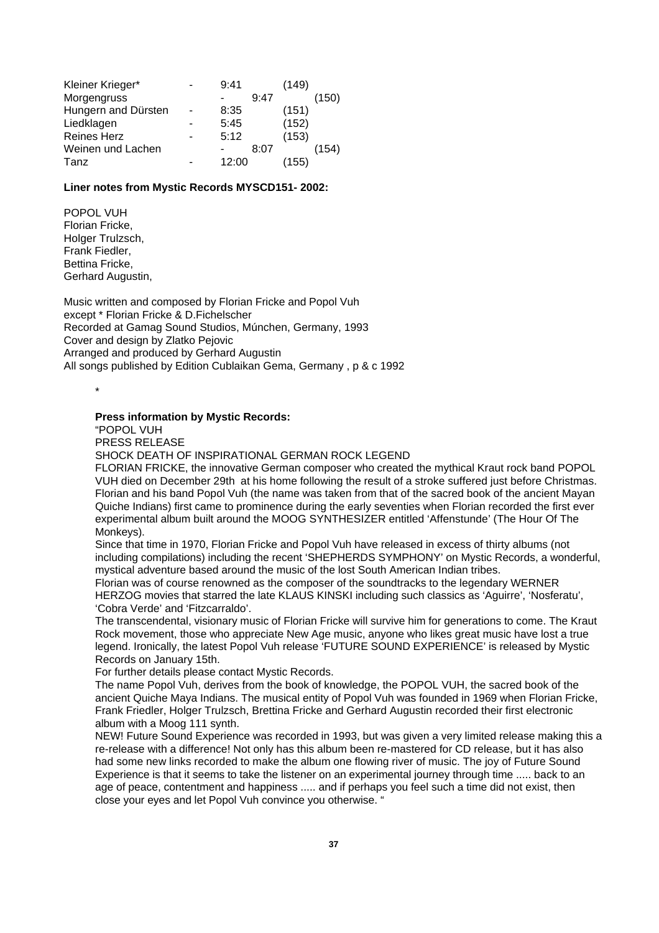| Kleiner Krieger*    | 9:41  |      | (149) |       |
|---------------------|-------|------|-------|-------|
| Morgengruss         |       | 9:47 |       | (150) |
| Hungern and Dürsten | 8:35  |      | (151) |       |
| Liedklagen          | 5:45  |      | (152) |       |
| <b>Reines Herz</b>  | 5:12  |      | (153) |       |
| Weinen und Lachen   |       | 8:07 |       | (154  |
| Tanz                | 12:00 |      | (155) |       |

# **Liner notes from Mystic Records MYSCD151- 2002:**

POPOL VUH Florian Fricke, Holger Trulzsch. Frank Fiedler, Bettina Fricke, Gerhard Augustin,

Music written and composed by Florian Fricke and Popol Vuh except \* Florian Fricke & D.Fichelscher Recorded at Gamag Sound Studios, Múnchen, Germany, 1993 Cover and design by Zlatko Pejovic Arranged and produced by Gerhard Augustin All songs published by Edition Cublaikan Gema, Germany , p & c 1992

\*

#### **Press information by Mystic Records:**

"POPOL VUH

PRESS RELEASE

SHOCK DEATH OF INSPIRATIONAL GERMAN ROCK LEGEND

FLORIAN FRICKE, the innovative German composer who created the mythical Kraut rock band POPOL VUH died on December 29th at his home following the result of a stroke suffered just before Christmas. Florian and his band Popol Vuh (the name was taken from that of the sacred book of the ancient Mayan Quiche Indians) first came to prominence during the early seventies when Florian recorded the first ever experimental album built around the MOOG SYNTHESIZER entitled 'Affenstunde' (The Hour Of The Monkeys).

Since that time in 1970, Florian Fricke and Popol Vuh have released in excess of thirty albums (not including compilations) including the recent 'SHEPHERDS SYMPHONY' on Mystic Records, a wonderful, mystical adventure based around the music of the lost South American Indian tribes.

Florian was of course renowned as the composer of the soundtracks to the legendary WERNER HERZOG movies that starred the late KLAUS KINSKI including such classics as 'Aguirre', 'Nosferatu', 'Cobra Verde' and 'Fitzcarraldo'.

The transcendental, visionary music of Florian Fricke will survive him for generations to come. The Kraut Rock movement, those who appreciate New Age music, anyone who likes great music have lost a true legend. Ironically, the latest Popol Vuh release 'FUTURE SOUND EXPERIENCE' is released by Mystic Records on January 15th.

For further details please contact Mystic Records.

The name Popol Vuh, derives from the book of knowledge, the POPOL VUH, the sacred book of the ancient Quiche Maya Indians. The musical entity of Popol Vuh was founded in 1969 when Florian Fricke, Frank Friedler, Holger Trulzsch, Brettina Fricke and Gerhard Augustin recorded their first electronic album with a Moog 111 synth.

NEW! Future Sound Experience was recorded in 1993, but was given a very limited release making this a re-release with a difference! Not only has this album been re-mastered for CD release, but it has also had some new links recorded to make the album one flowing river of music. The joy of Future Sound Experience is that it seems to take the listener on an experimental journey through time ..... back to an age of peace, contentment and happiness ..... and if perhaps you feel such a time did not exist, then close your eyes and let Popol Vuh convince you otherwise. "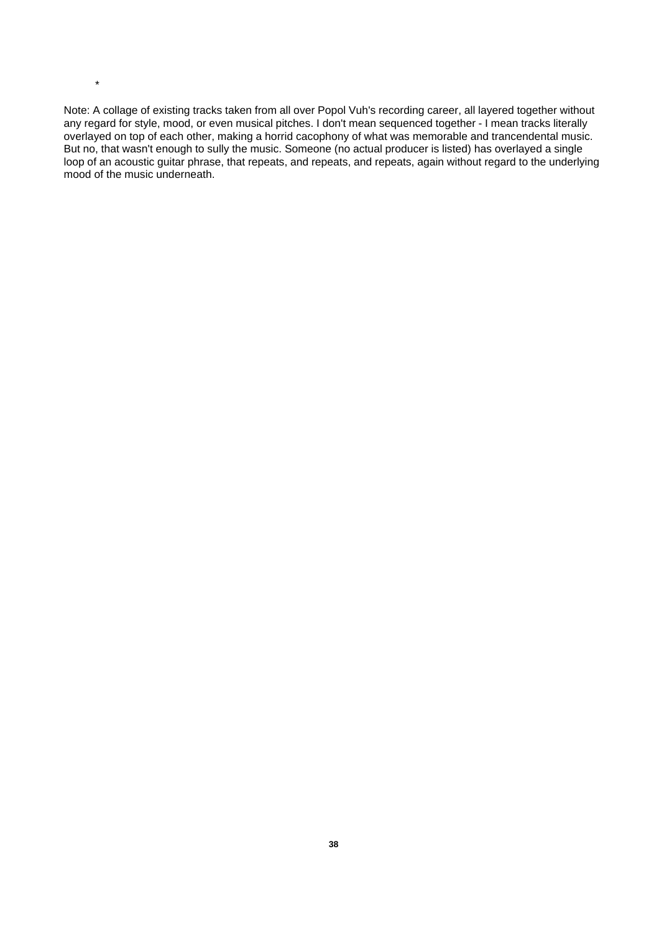Note: A collage of existing tracks taken from all over Popol Vuh's recording career, all layered together without any regard for style, mood, or even musical pitches. I don't mean sequenced together - I mean tracks literally overlayed on top of each other, making a horrid cacophony of what was memorable and trancendental music. But no, that wasn't enough to sully the music. Someone (no actual producer is listed) has overlayed a single loop of an acoustic guitar phrase, that repeats, and repeats, and repeats, again without regard to the underlying mood of the music underneath.

\*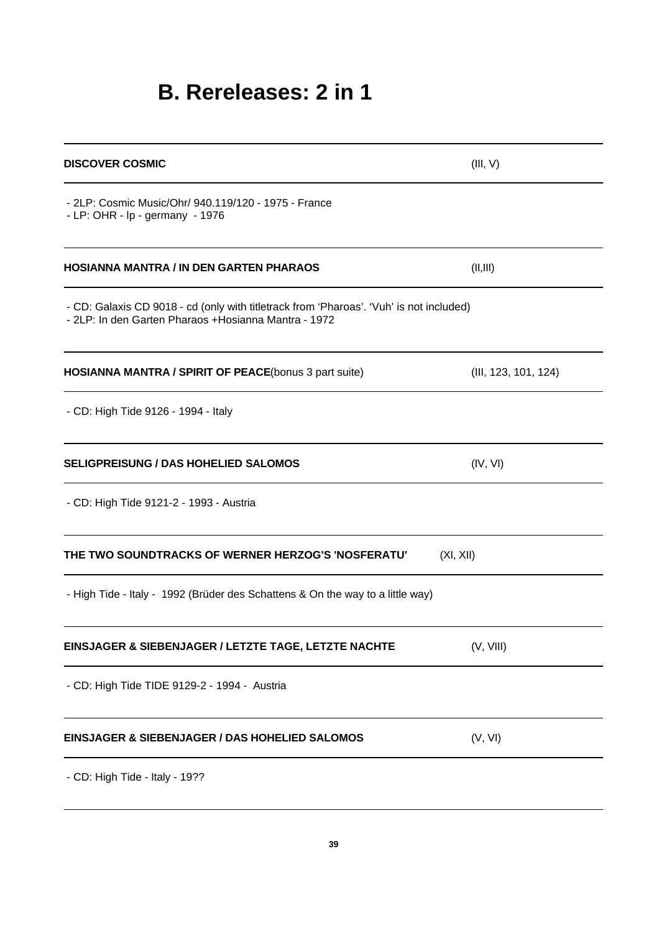# **B. Rereleases: 2 in 1**

| <b>DISCOVER COSMIC</b>                                                                                                                           | (III, V)             |
|--------------------------------------------------------------------------------------------------------------------------------------------------|----------------------|
| - 2LP: Cosmic Music/Ohr/ 940.119/120 - 1975 - France<br>- LP: OHR - lp - germany - 1976                                                          |                      |
| <b>HOSIANNA MANTRA / IN DEN GARTEN PHARAOS</b>                                                                                                   | (II, III)            |
| - CD: Galaxis CD 9018 - cd (only with titletrack from 'Pharoas'. 'Vuh' is not included)<br>- 2LP: In den Garten Pharaos + Hosianna Mantra - 1972 |                      |
| <b>HOSIANNA MANTRA / SPIRIT OF PEACE(bonus 3 part suite)</b>                                                                                     | (III, 123, 101, 124) |
| - CD: High Tide 9126 - 1994 - Italy                                                                                                              |                      |
| <b>SELIGPREISUNG / DAS HOHELIED SALOMOS</b>                                                                                                      | (IV, VI)             |
| - CD: High Tide 9121-2 - 1993 - Austria                                                                                                          |                      |
| THE TWO SOUNDTRACKS OF WERNER HERZOG'S 'NOSFERATU'                                                                                               | (XI, XII)            |
| - High Tide - Italy - 1992 (Brüder des Schattens & On the way to a little way)                                                                   |                      |
| EINSJAGER & SIEBENJAGER / LETZTE TAGE, LETZTE NACHTE                                                                                             | (V, VIII)            |
| - CD: High Tide TIDE 9129-2 - 1994 - Austria                                                                                                     |                      |
| <b>EINSJAGER &amp; SIEBENJAGER / DAS HOHELIED SALOMOS</b>                                                                                        | (V, VI)              |
| - CD: High Tide - Italy - 19??                                                                                                                   |                      |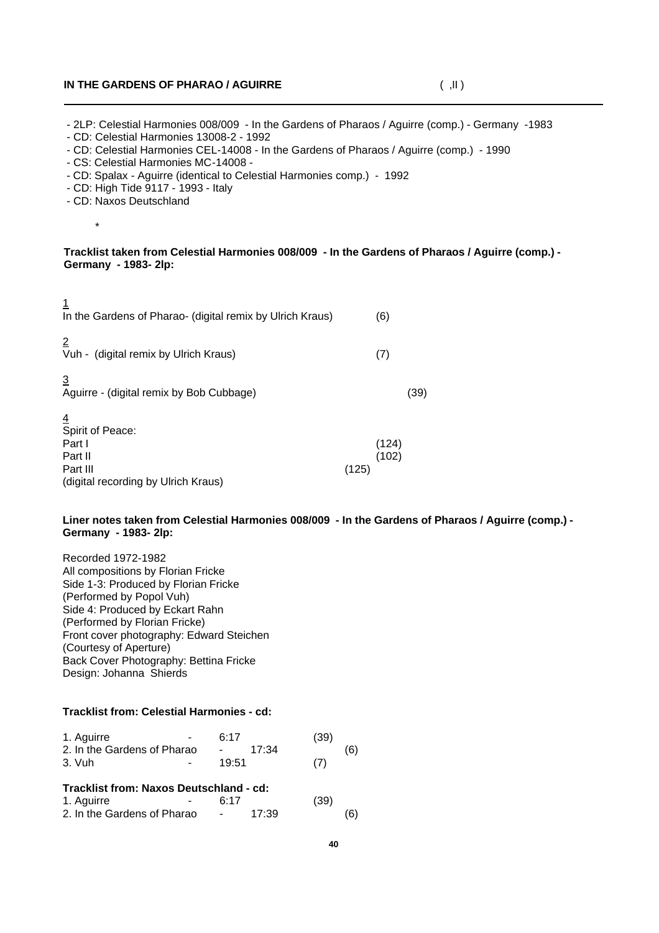# **IN THE GARDENS OF PHARAO / AGUIRRE** ( ,II )

- 2LP: Celestial Harmonies 008/009 - In the Gardens of Pharaos / Aguirre (comp.) - Germany -1983

- CD: Celestial Harmonies 13008-2 - 1992

- CD: Celestial Harmonies CEL-14008 - In the Gardens of Pharaos / Aguirre (comp.) - 1990

- CS: Celestial Harmonies MC-14008 -
- CD: Spalax Aguirre (identical to Celestial Harmonies comp.) 1992
- CD: High Tide 9117 1993 Italy
- CD: Naxos Deutschland

\*

 $\overline{1}$ 

# **Tracklist taken from Celestial Harmonies 008/009 - In the Gardens of Pharaos / Aguirre (comp.) - Germany - 1983- 2lp:**

| In the Gardens of Pharao- (digital remix by Ulrich Kraus)                                |       | (6)            |      |
|------------------------------------------------------------------------------------------|-------|----------------|------|
| $\overline{2}$<br>Vuh - (digital remix by Ulrich Kraus)                                  |       | (7)            |      |
| $\overline{3}$<br>Aguirre - (digital remix by Bob Cubbage)                               |       |                | (39) |
| Spirit of Peace:<br>Part I<br>Part II<br>Part III<br>(digital recording by Ulrich Kraus) | (125) | (124)<br>(102) |      |

#### **Liner notes taken from Celestial Harmonies 008/009 - In the Gardens of Pharaos / Aguirre (comp.) - Germany - 1983- 2lp:**

Recorded 1972-1982 All compositions by Florian Fricke Side 1-3: Produced by Florian Fricke (Performed by Popol Vuh) Side 4: Produced by Eckart Rahn (Performed by Florian Fricke) Front cover photography: Edward Steichen (Courtesy of Aperture) Back Cover Photography: Bettina Fricke Design: Johanna Shierds

# **Tracklist from: Celestial Harmonies - cd:**

| 1. Aguirre<br>2. In the Gardens of Pharao<br>3. Vuh                                  | 6:17<br>19:51 | 17:34 | (39)<br>(7) |  |
|--------------------------------------------------------------------------------------|---------------|-------|-------------|--|
| Tracklist from: Naxos Deutschland - cd:<br>1. Aguirre<br>2. In the Gardens of Pharao | 6:17          | 17:39 | (39)        |  |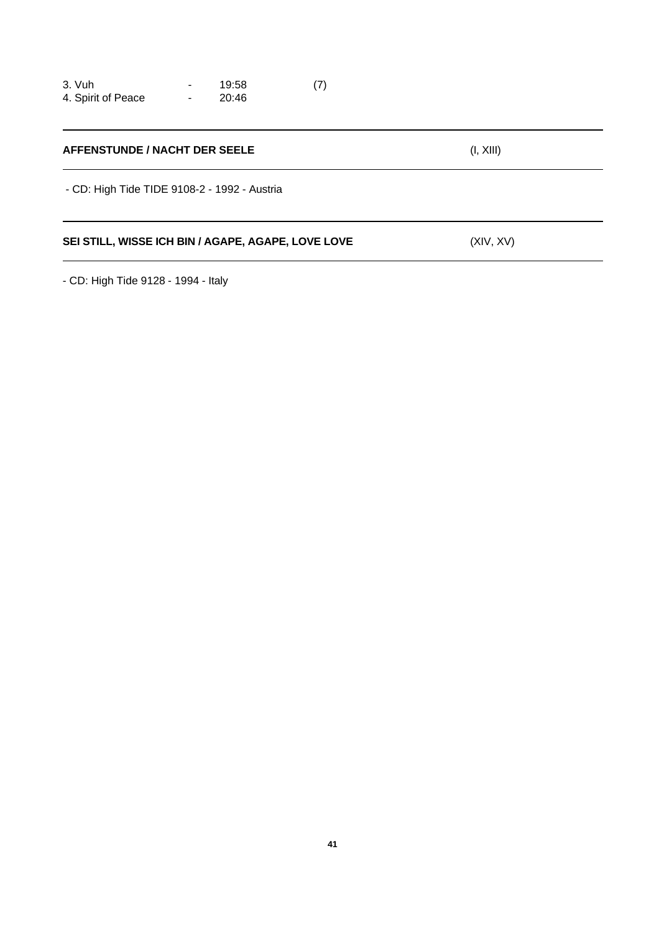| 3. Vuh             | 19:58 | (7) |
|--------------------|-------|-----|
| 4. Spirit of Peace | 20:46 |     |

| AFFENSTUNDE / NACHT DER SEELE                      | (I, XIII) |
|----------------------------------------------------|-----------|
| - CD: High Tide TIDE 9108-2 - 1992 - Austria       |           |
| SEI STILL, WISSE ICH BIN / AGAPE, AGAPE, LOVE LOVE | (XIV, XV) |

- CD: High Tide 9128 - 1994 - Italy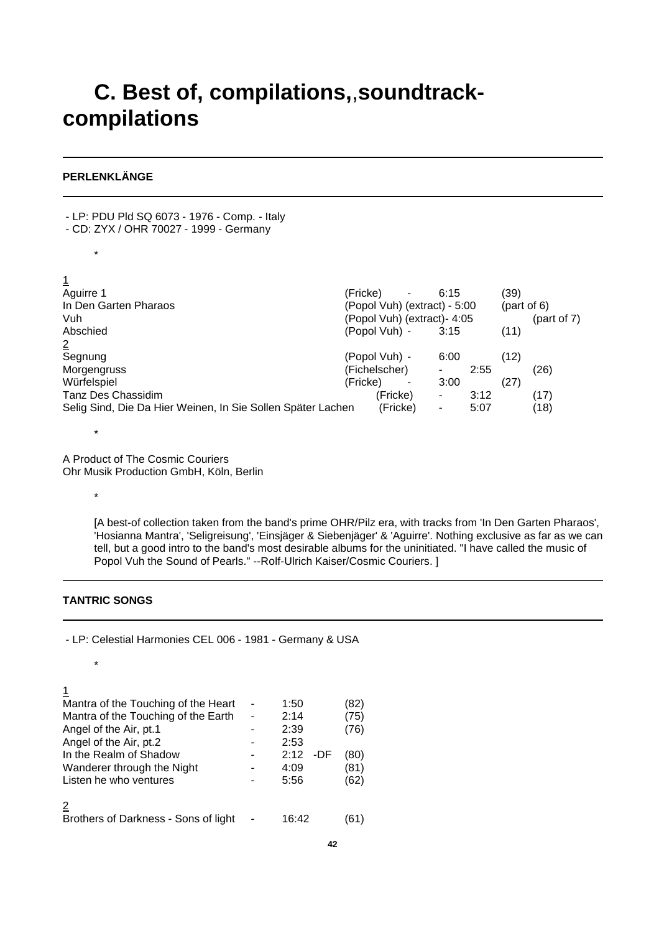# **C. Best of, compilations,**,**soundtrackcompilations**

# **PERLENKLÄNGE**

- LP: PDU Pld SQ 6073 - 1976 - Comp. - Italy

- CD: ZYX / OHR 70027 1999 Germany
	- \*

 $\overline{1}$ 

| Aguirre 1                                                   | (Fricke).                    | ۰        | 6:15 |      | (39)      |            |
|-------------------------------------------------------------|------------------------------|----------|------|------|-----------|------------|
| In Den Garten Pharaos                                       | (Popol Vuh) (extract) - 5:00 |          |      |      | part of 6 |            |
| Vuh                                                         | (Popol Vuh) (extract)- 4:05  |          |      |      |           | part of 7) |
| Abschied                                                    | (Popol Vuh) -                |          | 3:15 |      | (11)      |            |
| $\overline{2}$                                              |                              |          |      |      |           |            |
| Segnung                                                     | (Popol Vuh) -                |          | 6:00 |      | (12)      |            |
| Morgengruss                                                 | (Fichelscher)                |          |      | 2:55 |           | (26)       |
| Würfelspiel                                                 | (Fricke)                     | ۰        | 3:00 |      | (27)      |            |
| Tanz Des Chassidim                                          |                              | (Fricke) |      | 3:12 |           | (17)       |
| Selig Sind, Die Da Hier Weinen, In Sie Sollen Später Lachen |                              | (Fricke) | ۰    | 5:07 |           | (18)       |
|                                                             |                              |          |      |      |           |            |

\*

\*

A Product of The Cosmic Couriers Ohr Musik Production GmbH, Köln, Berlin

> [A best-of collection taken from the band's prime OHR/Pilz era, with tracks from 'In Den Garten Pharaos', 'Hosianna Mantra', 'Seligreisung', 'Einsjäger & Siebenjäger' & 'Aguirre'. Nothing exclusive as far as we can tell, but a good intro to the band's most desirable albums for the uninitiated. "I have called the music of Popol Vuh the Sound of Pearls." --Rolf-Ulrich Kaiser/Cosmic Couriers. ]

# **TANTRIC SONGS**

\*

- LP: Celestial Harmonies CEL 006 - 1981 - Germany & USA

#### 1

| Mantra of the Touching of the Heart<br>Mantra of the Touching of the Earth<br>Angel of the Air, pt.1<br>Angel of the Air, pt.2<br>In the Realm of Shadow<br>Wanderer through the Night<br>Listen he who ventures | - | 1:50<br>2:14<br>2:39<br>2:53<br>2:12<br>-DF<br>4:09<br>5:56 | (82<br>(75)<br>76)<br>(80<br>(81)<br>(62) |
|------------------------------------------------------------------------------------------------------------------------------------------------------------------------------------------------------------------|---|-------------------------------------------------------------|-------------------------------------------|
| Brothers of Darkness - Sons of light                                                                                                                                                                             |   | 16:42                                                       | '611                                      |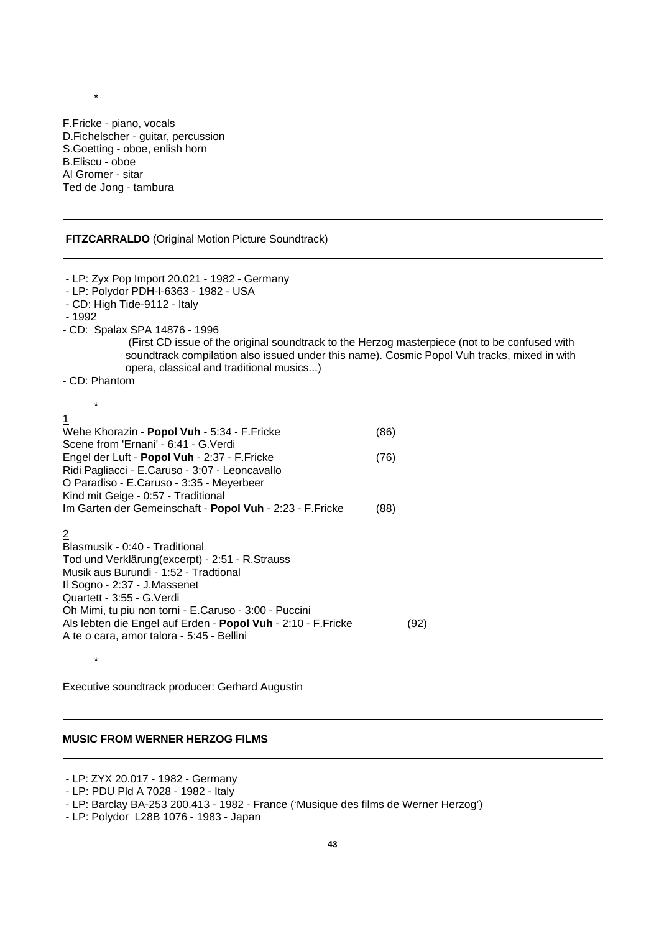F.Fricke - piano, vocals D.Fichelscher - guitar, percussion S.Goetting - oboe, enlish horn B.Eliscu - oboe Al Gromer - sitar Ted de Jong - tambura

# **FITZCARRALDO** (Original Motion Picture Soundtrack)

- LP: Zyx Pop Import 20.021 1982 Germany
- LP: Polydor PDH-I-6363 1982 USA
- CD: High Tide-9112 Italy
- 1992

\*

- CD: Spalax SPA 14876 1996
	- (First CD issue of the original soundtrack to the Herzog masterpiece (not to be confused with soundtrack compilation also issued under this name). Cosmic Popol Vuh tracks, mixed in with opera, classical and traditional musics...)

- CD: Phantom

\*

\*

# 1

| Wehe Khorazin - Popol Vuh - 5:34 - F.Fricke              | (86) |
|----------------------------------------------------------|------|
| Scene from 'Ernani' - 6:41 - G. Verdi                    |      |
| Engel der Luft - Popol Vuh - 2:37 - F.Fricke             | (76) |
| Ridi Pagliacci - E.Caruso - 3:07 - Leoncavallo           |      |
| O Paradiso - E.Caruso - 3:35 - Meyerbeer                 |      |
| Kind mit Geige - 0:57 - Traditional                      |      |
| Im Garten der Gemeinschaft - Popol Vuh - 2:23 - F.Fricke | (88) |
| 2                                                        |      |

| Blasmusik - 0:40 - Traditional                                |      |
|---------------------------------------------------------------|------|
| Tod und Verklärung(excerpt) - 2:51 - R.Strauss                |      |
| Musik aus Burundi - 1:52 - Tradtional                         |      |
| Il Sogno - 2:37 - J.Massenet                                  |      |
| Quartett - 3:55 - G.Verdi                                     |      |
| Oh Mimi, tu piu non torni - E.Caruso - 3:00 - Puccini         |      |
| Als lebten die Engel auf Erden - Popol Vuh - 2:10 - F. Fricke | (92) |
| A te o cara, amor talora - 5:45 - Bellini                     |      |
|                                                               |      |

Executive soundtrack producer: Gerhard Augustin

# **MUSIC FROM WERNER HERZOG FILMS**

# - LP: ZYX 20.017 - 1982 - Germany

<sup>-</sup> LP: PDU Pld A 7028 - 1982 - Italy

<sup>-</sup> LP: Barclay BA-253 200.413 - 1982 - France ('Musique des films de Werner Herzog')

<sup>-</sup> LP: Polydor L28B 1076 - 1983 - Japan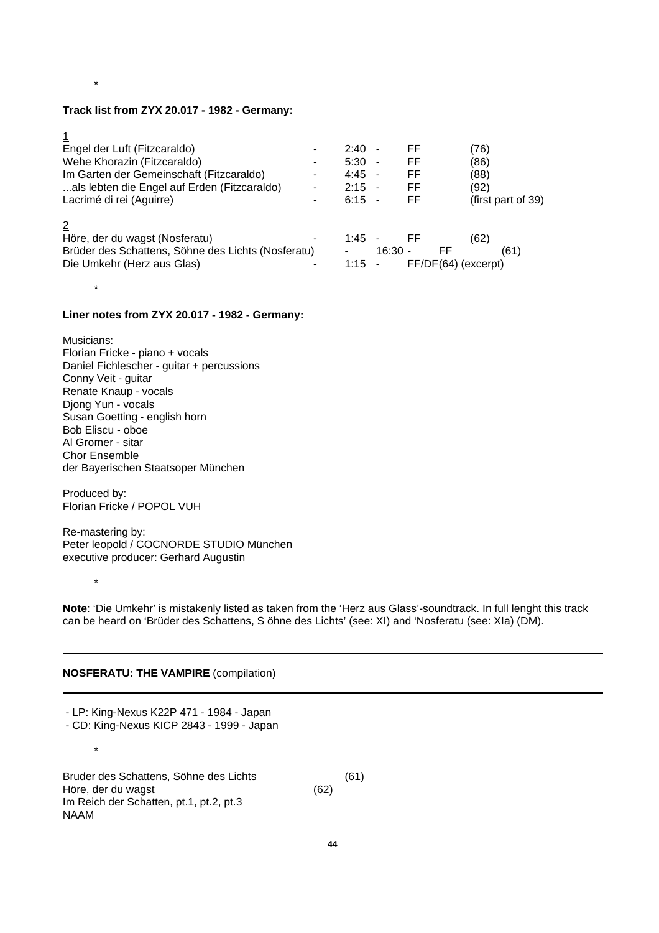#### **Track list from ZYX 20.017 - 1982 - Germany:**

| I  |  |
|----|--|
| ۰, |  |
|    |  |
|    |  |

\*

| Engel der Luft (Fitzcaraldo)                       |                | $2:40 -$ |           | FF                  | (76)               |
|----------------------------------------------------|----------------|----------|-----------|---------------------|--------------------|
| Wehe Khorazin (Fitzcaraldo)                        | -              | $5:30 -$ |           | FF                  | (86)               |
| Im Garten der Gemeinschaft (Fitzcaraldo)           |                | $4:45 -$ |           | FF                  | (88)               |
| als lebten die Engel auf Erden (Fitzcaraldo)       |                | $2:15 -$ |           | FF                  | (92)               |
| Lacrimé di rei (Aguirre)                           |                | $6:15 -$ |           | FF                  | (first part of 39) |
|                                                    |                |          |           |                     |                    |
| Höre, der du wagst (Nosferatu)                     |                | $1.45 -$ |           | - FF                | (62)               |
| Brüder des Schattens, Söhne des Lichts (Nosferatu) |                |          | $16:30 -$ | FF                  | (61)               |
| Die Umkehr (Herz aus Glas)                         | $\blacksquare$ | $1:15 -$ |           | FF/DF(64) (excerpt) |                    |

\*

# **Liner notes from ZYX 20.017 - 1982 - Germany:**

Musicians: Florian Fricke - piano + vocals Daniel Fichlescher - guitar + percussions Conny Veit - guitar Renate Knaup - vocals Djong Yun - vocals Susan Goetting - english horn Bob Eliscu - oboe Al Gromer - sitar Chor Ensemble der Bayerischen Staatsoper München

Produced by: Florian Fricke / POPOL VUH

\*

\*

Re-mastering by: Peter leopold / COCNORDE STUDIO München executive producer: Gerhard Augustin

**Note**: 'Die Umkehr' is mistakenly listed as taken from the 'Herz aus Glass'-soundtrack. In full lenght this track can be heard on 'Brüder des Schattens, S öhne des Lichts' (see: XI) and 'Nosferatu (see: XIa) (DM).

# **NOSFERATU: THE VAMPIRE** (compilation)

- LP: King-Nexus K22P 471 - 1984 - Japan

- CD: King-Nexus KICP 2843 - 1999 - Japan

Bruder des Schattens, Söhne des Lichts (61) Höre, der du wagst (62) Im Reich der Schatten, pt.1, pt.2, pt.3 NAAM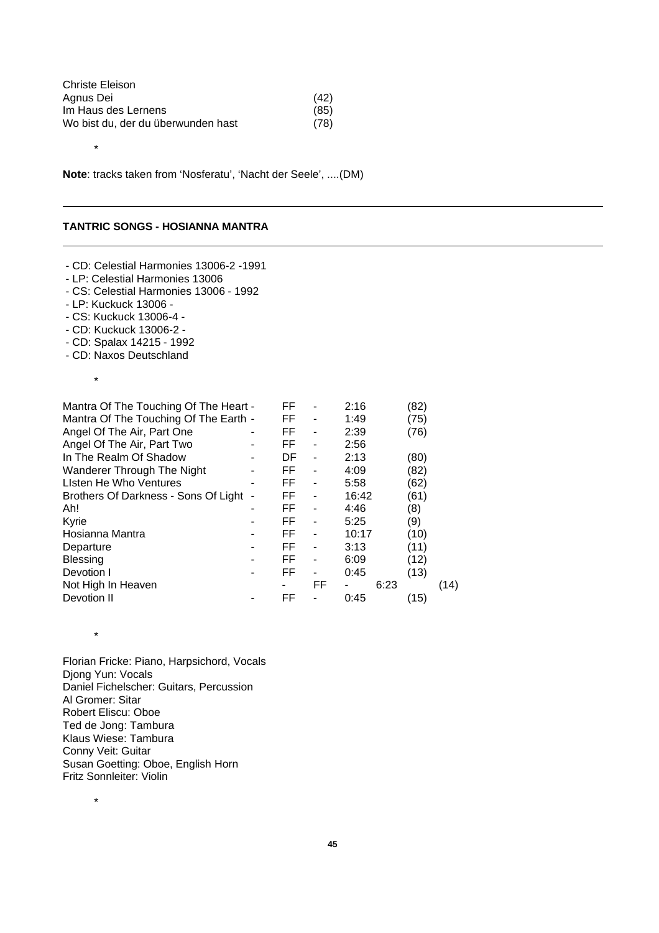| Christe Eleison                    |      |
|------------------------------------|------|
| Agnus Dei                          | (42) |
| Im Haus des Lernens                | (85) |
| Wo bist du, der du überwunden hast | (78) |

**Note**: tracks taken from 'Nosferatu', 'Nacht der Seele', ....(DM)

#### **TANTRIC SONGS - HOSIANNA MANTRA**

\*

- CD: Celestial Harmonies 13006-2 -1991 - LP: Celestial Harmonies 13006 - CS: Celestial Harmonies 13006 - 1992 - LP: Kuckuck 13006 - - CS: Kuckuck 13006-4 - - CD: Kuckuck 13006-2 - - CD: Spalax 14215 - 1992 - CD: Naxos Deutschland \* Mantra Of The Touching Of The Heart - FF - 2:16 (82)<br>Mantra Of The Touching Of The Earth - FF - 1:49 (75) Mantra Of The Touching Of The Earth - FF - 1:49 (75)<br>Angel Of The Air, Part One - FF - 2:39 (76) Angel Of The Air, Part One - FF - 2:39 (76) Angel Of The Air, Part Two **-** FF - 2:56 In The Realm Of Shadow - DF - 2:13 (80) Wanderer Through The Night - FF - 4:09 (82)<br>
I Isten He Who Ventures - FF - 5:58 (62) Listen He Who Ventures **-** FF - 5:58 (62) Brothers Of Darkness - Sons Of Light - FF - 16:42 (61) Ah! - FF - 4:46 (8) Kyrie - FF - 5:25 (9) Hosianna Mantra - FF - 10:17 (10) Departure - FF - 3:13 (11)<br>Blessing - FF - 6:09 (12) Blessing - FF - 6:09 (12) Devotion I - FF - 0:45 (13) Not High In Heaven **-** FF - 6:23 (14)<br>Devotion II - FF - 0:45 (15) Devotion II - FF - 0:45 (15)

Florian Fricke: Piano, Harpsichord, Vocals Diong Yun: Vocals Daniel Fichelscher: Guitars, Percussion Al Gromer: Sitar Robert Eliscu: Oboe Ted de Jong: Tambura Klaus Wiese: Tambura Conny Veit: Guitar Susan Goetting: Oboe, English Horn Fritz Sonnleiter: Violin

\*

\*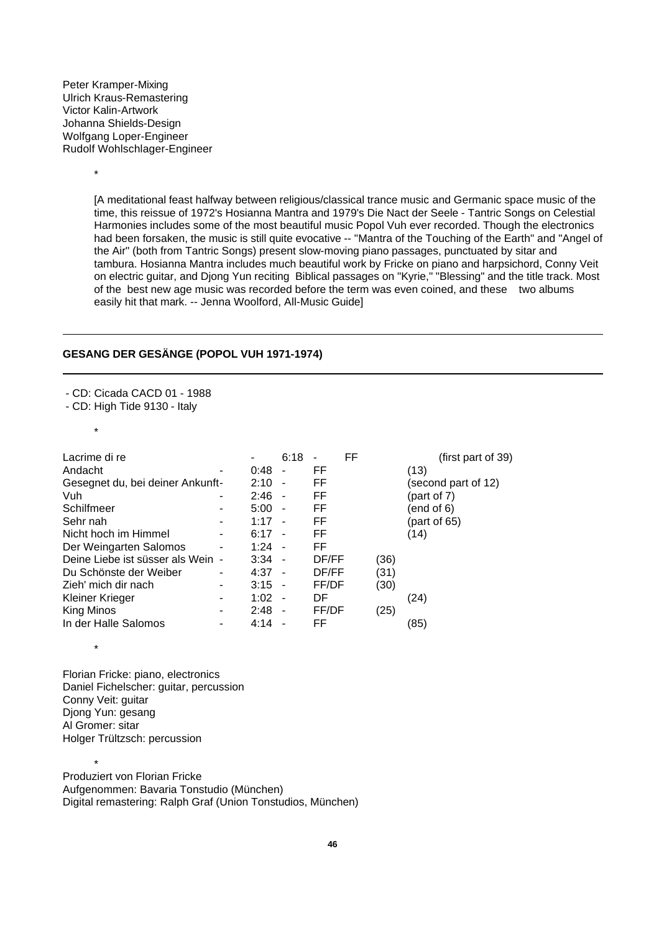Peter Kramper-Mixing Ulrich Kraus-Remastering Victor Kalin-Artwork Johanna Shields-Design Wolfgang Loper-Engineer Rudolf Wohlschlager-Engineer

\*

[A meditational feast halfway between religious/classical trance music and Germanic space music of the time, this reissue of 1972's Hosianna Mantra and 1979's Die Nact der Seele - Tantric Songs on Celestial Harmonies includes some of the most beautiful music Popol Vuh ever recorded. Though the electronics had been forsaken, the music is still quite evocative -- "Mantra of the Touching of the Earth" and "Angel of the Air" (both from Tantric Songs) present slow-moving piano passages, punctuated by sitar and tambura. Hosianna Mantra includes much beautiful work by Fricke on piano and harpsichord, Conny Veit on electric guitar, and Djong Yun reciting Biblical passages on "Kyrie," "Blessing" and the title track. Most of the best new age music was recorded before the term was even coined, and these two albums easily hit that mark. -- Jenna Woolford, All-Music Guide]

# **GESANG DER GESÄNGE (POPOL VUH 1971-1974)**

- CD: Cicada CACD 01 - 1988

- CD: High Tide 9130 - Italy

\*

\*

| Lacrime di re                    |                              | ۰        | 6:18           | $\blacksquare$ | FF |      | (first part of $39$ ) |
|----------------------------------|------------------------------|----------|----------------|----------------|----|------|-----------------------|
| Andacht                          | -                            | 0:48     | $\overline{a}$ | FF             |    |      | (13)                  |
| Gesegnet du, bei deiner Ankunft- |                              | 2:10     | $\blacksquare$ | FF             |    |      | (second part of 12)   |
| Vuh                              | ۰                            | 2:46     | $\sim$         | FF             |    |      | (part of 7)           |
| Schilfmeer                       | ۰                            | 5:00     | $\overline{a}$ | FF             |    |      | (end of 6)            |
| Sehr nah                         | $\overline{\phantom{a}}$     | 1:17     | $\blacksquare$ | FF             |    |      | (part of $65$ )       |
| Nicht hoch im Himmel             |                              | 6:17     | $\blacksquare$ | FF             |    |      | (14)                  |
| Der Weingarten Salomos           | $\overline{\phantom{a}}$     | 1:24     | $\sim$         | FF.            |    |      |                       |
| Deine Liebe ist süsser als Wein  | $\qquad \qquad \blacksquare$ | $3:34 -$ |                | DF/FF          |    | (36) |                       |
| Du Schönste der Weiber           | -                            | $4:37 -$ |                | DF/FF          |    | (31) |                       |
| Zieh' mich dir nach              | ۰                            | $3:15 -$ |                | FF/DF          |    | (30) |                       |
| Kleiner Krieger                  | -                            | 1:02     | $\sim$         | DF             |    |      | (24)                  |
| King Minos                       | $\blacksquare$               | 2:48     | $\sim$         | FF/DF          |    | (25) |                       |
| In der Halle Salomos             |                              | 4:14     |                | FF             |    |      | (85)                  |

Florian Fricke: piano, electronics Daniel Fichelscher: guitar, percussion Conny Veit: guitar Diong Yun: gesang Al Gromer: sitar Holger Trültzsch: percussion

\* Produziert von Florian Fricke Aufgenommen: Bavaria Tonstudio (München) Digital remastering: Ralph Graf (Union Tonstudios, München)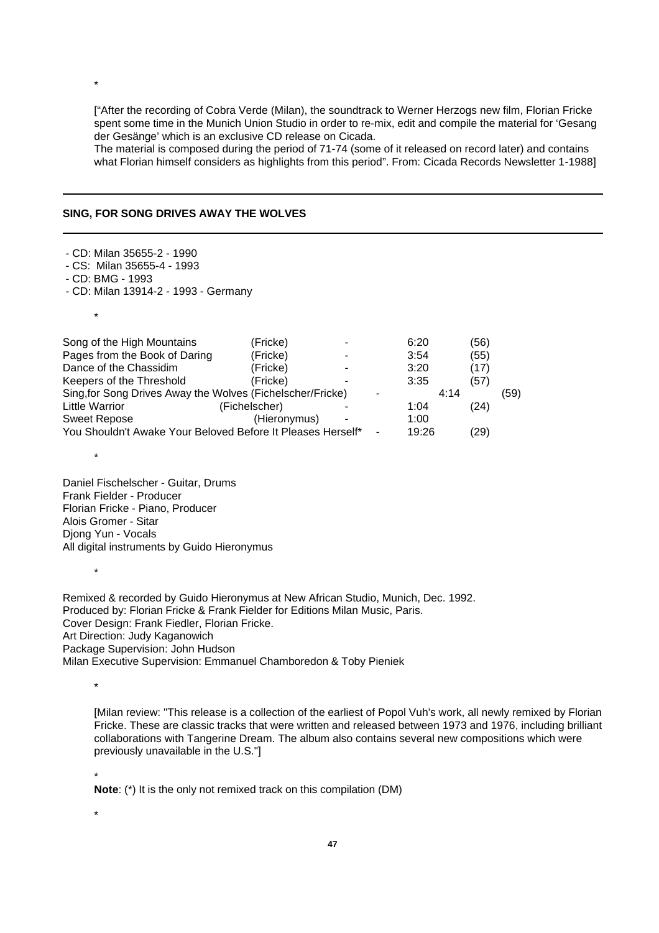["After the recording of Cobra Verde (Milan), the soundtrack to Werner Herzogs new film, Florian Fricke spent some time in the Munich Union Studio in order to re-mix, edit and compile the material for 'Gesang der Gesänge' which is an exclusive CD release on Cicada.

The material is composed during the period of 71-74 (some of it released on record later) and contains what Florian himself considers as highlights from this period". From: Cicada Records Newsletter 1-1988]

#### **SING, FOR SONG DRIVES AWAY THE WOLVES**

|  |  |  | - CD: Milan 35655-2 - 1990 |  |  |
|--|--|--|----------------------------|--|--|
|--|--|--|----------------------------|--|--|

- CS: Milan 35655-4 1993
- CD: BMG 1993

\*

\*

\*

\*

- CD: Milan 13914-2 - 1993 - Germany

Song of the High Mountains (Fricke) - 6:20 (56) Pages from the Book of Daring (Fricke) - 3:54 (55) Dance of the Chassidim (Fricke) - 3:20 (17) Keepers of the Threshold (Fricke) - 3:35 (57)<br>Sing for Song Drives Away the Wolves (Fichelscher/Fricke) - 4:14 Sing, for Song Drives Away the Wolves (Fichelscher/Fricke) - 4:14 (59) Little Warrior (Fichelscher) - 1:04 (24) Sweet Repose (Hieronymus) - 1:00 You Shouldn't Awake Your Beloved Before It Pleases Herself\* - 19:26 (29)

Daniel Fischelscher - Guitar, Drums Frank Fielder - Producer Florian Fricke - Piano, Producer Alois Gromer - Sitar Djong Yun - Vocals All digital instruments by Guido Hieronymus

Remixed & recorded by Guido Hieronymus at New African Studio, Munich, Dec. 1992. Produced by: Florian Fricke & Frank Fielder for Editions Milan Music, Paris. Cover Design: Frank Fiedler, Florian Fricke. Art Direction: Judy Kaganowich Package Supervision: John Hudson Milan Executive Supervision: Emmanuel Chamboredon & Toby Pieniek

\*

[Milan review: "This release is a collection of the earliest of Popol Vuh's work, all newly remixed by Florian Fricke. These are classic tracks that were written and released between 1973 and 1976, including brilliant collaborations with Tangerine Dream. The album also contains several new compositions which were previously unavailable in the U.S."]

\*

**Note**: (\*) It is the only not remixed track on this compilation (DM)

\*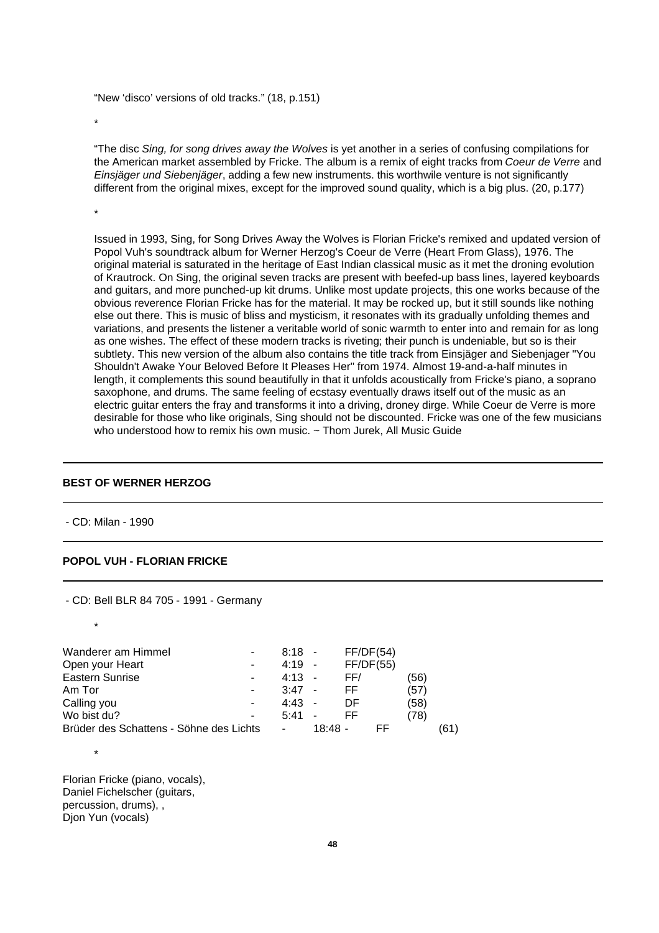"New 'disco' versions of old tracks." (18, p.151)

\*

"The disc *Sing, for song drives away the Wolves* is yet another in a series of confusing compilations for the American market assembled by Fricke. The album is a remix of eight tracks from *Coeur de Verre* and *Einsjäger und Siebenjäger*, adding a few new instruments. this worthwile venture is not significantly different from the original mixes, except for the improved sound quality, which is a big plus. (20, p.177)

\*

Issued in 1993, Sing, for Song Drives Away the Wolves is Florian Fricke's remixed and updated version of Popol Vuh's soundtrack album for Werner Herzog's Coeur de Verre (Heart From Glass), 1976. The original material is saturated in the heritage of East Indian classical music as it met the droning evolution of Krautrock. On Sing, the original seven tracks are present with beefed-up bass lines, layered keyboards and guitars, and more punched-up kit drums. Unlike most update projects, this one works because of the obvious reverence Florian Fricke has for the material. It may be rocked up, but it still sounds like nothing else out there. This is music of bliss and mysticism, it resonates with its gradually unfolding themes and variations, and presents the listener a veritable world of sonic warmth to enter into and remain for as long as one wishes. The effect of these modern tracks is riveting; their punch is undeniable, but so is their subtlety. This new version of the album also contains the title track from Einsjäger and Siebenjager "You Shouldn't Awake Your Beloved Before It Pleases Her" from 1974. Almost 19-and-a-half minutes in length, it complements this sound beautifully in that it unfolds acoustically from Fricke's piano, a soprano saxophone, and drums. The same feeling of ecstasy eventually draws itself out of the music as an electric guitar enters the fray and transforms it into a driving, droney dirge. While Coeur de Verre is more desirable for those who like originals, Sing should not be discounted. Fricke was one of the few musicians who understood how to remix his own music. ~ Thom Jurek, All Music Guide

## **BEST OF WERNER HERZOG**

- CD: Milan - 1990

## **POPOL VUH - FLORIAN FRICKE**

- CD: Bell BLR 84 705 - 1991 - Germany \* Wanderer am Himmel - 8:18 - FF/DF(54) Open your Heart Theorem 1990 Friday At 19 - FF/DF(55) Eastern Sunrise **- 4:13 - FF/** (56) Am Tor  $-3.47 - F$  (57) Calling you - 4:43 - DF (58) Wo bist du? 1990 - 1991 - 1991 - 1991 - 1992 - 1993 - 1994 - 1994 - 1999 - 1999 - 1999 - 1999 - 1999 - 1999 - 1 Brüder des Schattens - Söhne des Lichts - 18:48 - FF (61) \* Florian Fricke (piano, vocals), Daniel Fichelscher (guitars,

percussion, drums), , Djon Yun (vocals)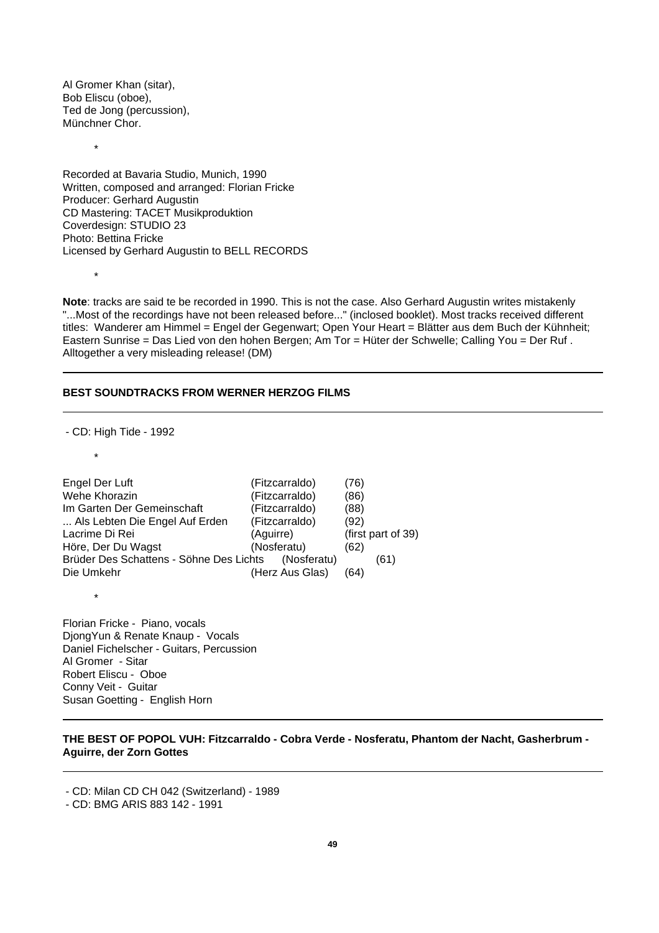Al Gromer Khan (sitar), Bob Eliscu (oboe), Ted de Jong (percussion), Münchner Chor.

\*

\*

Recorded at Bavaria Studio, Munich, 1990 Written, composed and arranged: Florian Fricke Producer: Gerhard Augustin CD Mastering: TACET Musikproduktion Coverdesign: STUDIO 23 Photo: Bettina Fricke Licensed by Gerhard Augustin to BELL RECORDS

**Note**: tracks are said te be recorded in 1990. This is not the case. Also Gerhard Augustin writes mistakenly "...Most of the recordings have not been released before..." (inclosed booklet). Most tracks received different titles: Wanderer am Himmel = Engel der Gegenwart; Open Your Heart = Blätter aus dem Buch der Kühnheit; Eastern Sunrise = Das Lied von den hohen Bergen; Am Tor = Hüter der Schwelle; Calling You = Der Ruf . Alltogether a very misleading release! (DM)

#### **BEST SOUNDTRACKS FROM WERNER HERZOG FILMS**

- CD: High Tide - 1992

\*

\*

| Engel Der Luft                          | (Fitzcarraldo)  | (76)               |
|-----------------------------------------|-----------------|--------------------|
| Wehe Khorazin                           | (Fitzcarraldo)  | (86)               |
| Im Garten Der Gemeinschaft              | (Fitzcarraldo)  | (88)               |
| Als Lebten Die Engel Auf Erden          | (Fitzcarraldo)  | (92)               |
| Lacrime Di Rei                          | (Aguirre)       | (first part of 39) |
| Höre, Der Du Wagst                      | (Nosferatu)     | (62)               |
| Brüder Des Schattens - Söhne Des Lichts | (Nosferatu)     | (61)               |
| Die Umkehr                              | (Herz Aus Glas) | (64)               |
|                                         |                 |                    |

Florian Fricke - Piano, vocals DjongYun & Renate Knaup - Vocals Daniel Fichelscher - Guitars, Percussion Al Gromer - Sitar Robert Eliscu - Oboe Conny Veit - Guitar Susan Goetting - English Horn

# **THE BEST OF POPOL VUH: Fitzcarraldo - Cobra Verde - Nosferatu, Phantom der Nacht, Gasherbrum - Aguirre, der Zorn Gottes**

<sup>-</sup> CD: Milan CD CH 042 (Switzerland) - 1989

<sup>-</sup> CD: BMG ARIS 883 142 - 1991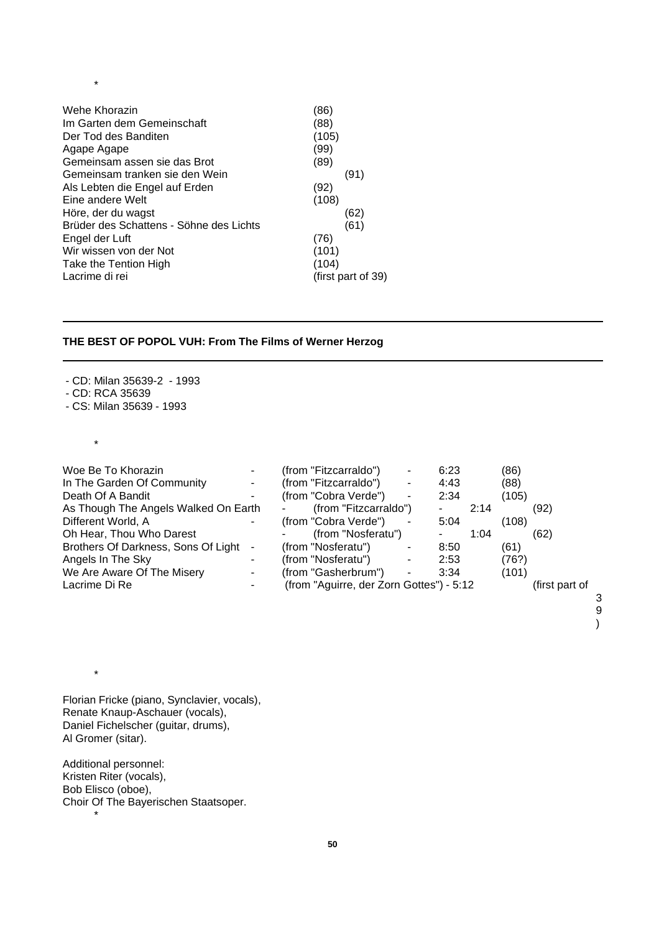| Wehe Khorazin                           | (86)               |
|-----------------------------------------|--------------------|
| Im Garten dem Gemeinschaft              | (88)               |
| Der Tod des Banditen                    | (105)              |
| Agape Agape                             | (99)               |
| Gemeinsam assen sie das Brot            | (89)               |
| Gemeinsam tranken sie den Wein          | (91)               |
| Als Lebten die Engel auf Erden          | (92)               |
| Eine andere Welt                        | (108)              |
| Höre, der du wagst                      | (62)               |
| Brüder des Schattens - Söhne des Lichts | (61)               |
| Engel der Luft                          | (76)               |
| Wir wissen von der Not                  | (101)              |
| Take the Tention High                   | (104)              |
| Lacrime di rei                          | (first part of 39) |

# **THE BEST OF POPOL VUH: From The Films of Werner Herzog**

- CD: Milan 35639-2 - 1993

- CD: RCA 35639

- CS: Milan 35639 - 1993

\*

\*

\*

| Woe Be To Khorazin                   |                          | (from "Fitzcarraldo")                    |    | 6:23 |      | (86)  |                |  |
|--------------------------------------|--------------------------|------------------------------------------|----|------|------|-------|----------------|--|
| In The Garden Of Community           |                          | (from "Fitzcarraldo")                    |    | 4:43 |      | (88)  |                |  |
| Death Of A Bandit                    |                          | (from "Cobra Verde")                     | ۰  | 2:34 |      | (105) |                |  |
| As Though The Angels Walked On Earth |                          | (from "Fitzcarraldo")                    |    |      | 2:14 |       | (92)           |  |
| Different World, A                   |                          | (from "Cobra Verde")                     | ۰. | 5:04 |      | (108) |                |  |
| Oh Hear, Thou Who Darest             |                          | (from "Nosferatu")                       |    |      | 1:04 |       | (62)           |  |
| Brothers Of Darkness, Sons Of Light  | ۰                        | (from "Nosferatu")                       |    | 8:50 |      | (61)  |                |  |
| Angels In The Sky                    |                          | (from "Nosferatu")                       |    | 2:53 |      | (76?) |                |  |
| We Are Aware Of The Misery           | ٠                        | (from "Gasherbrum")                      | ۰. | 3:34 |      | (101) |                |  |
| Lacrime Di Re                        | $\overline{\phantom{a}}$ | (from "Aguirre, der Zorn Gottes") - 5:12 |    |      |      |       | (first part of |  |
|                                      |                          |                                          |    |      |      |       |                |  |

9 )

Florian Fricke (piano, Synclavier, vocals), Renate Knaup-Aschauer (vocals), Daniel Fichelscher (guitar, drums), Al Gromer (sitar).

Additional personnel: Kristen Riter (vocals), Bob Elisco (oboe), Choir Of The Bayerischen Staatsoper. \*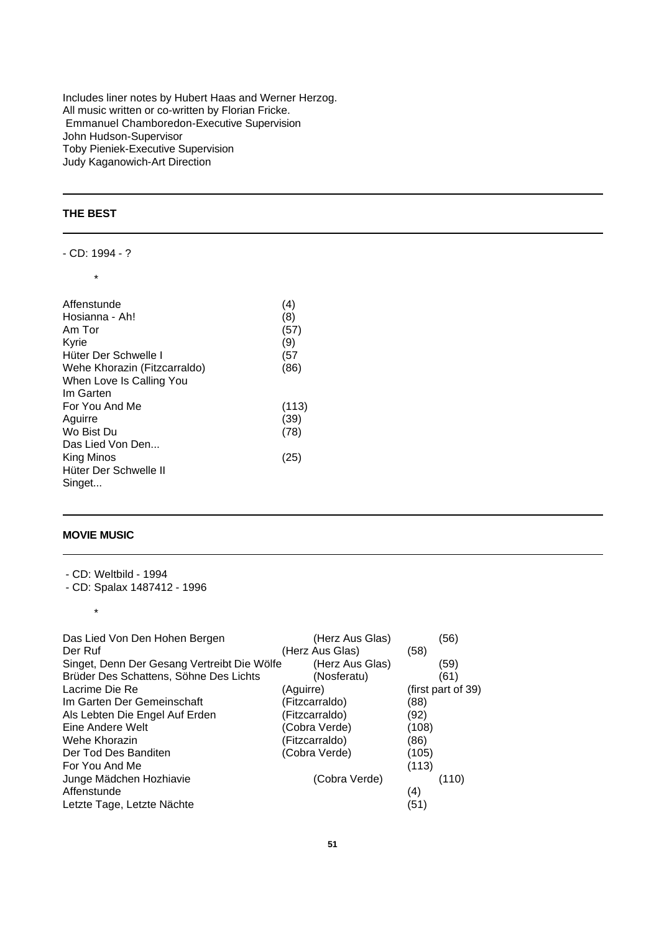Includes liner notes by Hubert Haas and Werner Herzog. All music written or co-written by Florian Fricke. Emmanuel Chamboredon-Executive Supervision John Hudson-Supervisor Toby Pieniek-Executive Supervision Judy Kaganowich-Art Direction

# **THE BEST**

- CD: 1994 - ? \*

| Affenstunde                  | (4)   |
|------------------------------|-------|
| Hosianna - Ah!               | (8)   |
| Am Tor                       | (57)  |
| Kyrie                        | (9)   |
| Hüter Der Schwelle I         | (57)  |
| Wehe Khorazin (Fitzcarraldo) | (86)  |
| When Love Is Calling You     |       |
| Im Garten                    |       |
| For You And Me               | (113) |
| Aquirre                      | (39)  |
| Wo Bist Du                   | (78)  |
| Das Lied Von Den             |       |
| King Minos                   | (25)  |
| Hüter Der Schwelle II        |       |
| Singet                       |       |

## **MOVIE MUSIC**

\*

- CD: Weltbild - 1994

<sup>-</sup> CD: Spalax 1487412 - 1996

| Das Lied Von Den Hohen Bergen               | (Herz Aus Glas) | (56)               |
|---------------------------------------------|-----------------|--------------------|
| Der Ruf                                     | (Herz Aus Glas) | (58)               |
| Singet, Denn Der Gesang Vertreibt Die Wölfe | (Herz Aus Glas) | (59)               |
| Brüder Des Schattens, Söhne Des Lichts      | (Nosferatu)     | (61)               |
| Lacrime Die Re                              | (Aquirre)       | (first part of 39) |
| Im Garten Der Gemeinschaft                  | (Fitzcarraldo)  | (88)               |
| Als Lebten Die Engel Auf Erden              | (Fitzcarraldo)  | (92)               |
| Eine Andere Welt                            | (Cobra Verde)   | (108)              |
| Wehe Khorazin                               | (Fitzcarraldo)  | (86)               |
| Der Tod Des Banditen                        | (Cobra Verde)   | (105)              |
| For You And Me                              |                 | (113)              |
| Junge Mädchen Hozhiavie                     | (Cobra Verde)   | (110)              |
| Affenstunde                                 |                 | (4)                |
| Letzte Tage, Letzte Nächte                  |                 | (51)               |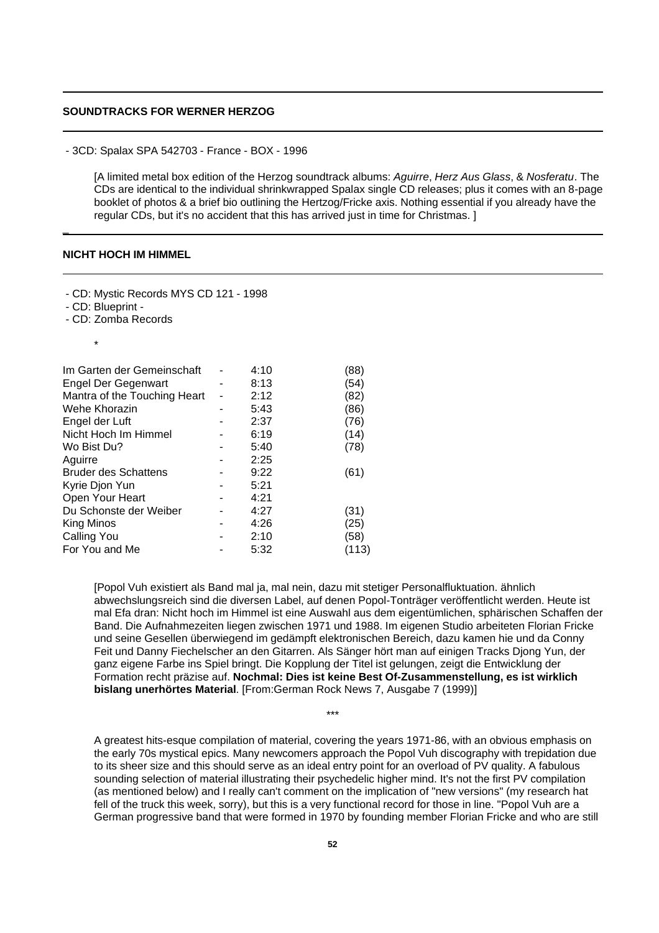# **SOUNDTRACKS FOR WERNER HERZOG**

- 3CD: Spalax SPA 542703 - France - BOX - 1996

[A limited metal box edition of the Herzog soundtrack albums: *Aguirre*, *Herz Aus Glass*, & *Nosferatu*. The CDs are identical to the individual shrinkwrapped Spalax single CD releases; plus it comes with an 8-page booklet of photos & a brief bio outlining the Hertzog/Fricke axis. Nothing essential if you already have the regular CDs, but it's no accident that this has arrived just in time for Christmas. ]

# **NICHT HOCH IM HIMMEL**

- CD: Mystic Records MYS CD 121 - 1998

- CD: Blueprint -

- CD: Zomba Records

\*

 $\overline{a}$ 

| Im Garten der Gemeinschaft   | 4:10 | (88)  |
|------------------------------|------|-------|
| <b>Engel Der Gegenwart</b>   | 8:13 | (54)  |
| Mantra of the Touching Heart | 2:12 | (82)  |
| Wehe Khorazin                | 5:43 | (86)  |
| Engel der Luft               | 2:37 | (76)  |
| Nicht Hoch Im Himmel         | 6:19 | (14)  |
| Wo Bist Du?                  | 5:40 | (78)  |
| Aguirre                      | 2:25 |       |
| <b>Bruder des Schattens</b>  | 9:22 | (61)  |
| Kyrie Djon Yun               | 5:21 |       |
| Open Your Heart              | 4:21 |       |
| Du Schonste der Weiber       | 4:27 | (31)  |
| King Minos                   | 4:26 | (25)  |
| Calling You                  | 2:10 | (58)  |
| For You and Me               | 5:32 | (113) |
|                              |      |       |

[Popol Vuh existiert als Band mal ja, mal nein, dazu mit stetiger Personalfluktuation. ähnlich abwechslungsreich sind die diversen Label, auf denen Popol-Tonträger veröffentlicht werden. Heute ist mal Efa dran: Nicht hoch im Himmel ist eine Auswahl aus dem eigentümlichen, sphärischen Schaffen der Band. Die Aufnahmezeiten liegen zwischen 1971 und 1988. Im eigenen Studio arbeiteten Florian Fricke und seine Gesellen überwiegend im gedämpft elektronischen Bereich, dazu kamen hie und da Conny Feit und Danny Fiechelscher an den Gitarren. Als Sänger hört man auf einigen Tracks Djong Yun, der ganz eigene Farbe ins Spiel bringt. Die Kopplung der Titel ist gelungen, zeigt die Entwicklung der Formation recht präzise auf. **Nochmal: Dies ist keine Best Of-Zusammenstellung, es ist wirklich bislang unerhörtes Material**. [From:German Rock News 7, Ausgabe 7 (1999)]

A greatest hits-esque compilation of material, covering the years 1971-86, with an obvious emphasis on the early 70s mystical epics. Many newcomers approach the Popol Vuh discography with trepidation due to its sheer size and this should serve as an ideal entry point for an overload of PV quality. A fabulous sounding selection of material illustrating their psychedelic higher mind. It's not the first PV compilation (as mentioned below) and I really can't comment on the implication of "new versions" (my research hat fell of the truck this week, sorry), but this is a very functional record for those in line. "Popol Vuh are a German progressive band that were formed in 1970 by founding member Florian Fricke and who are still

 $\mathbf{r}$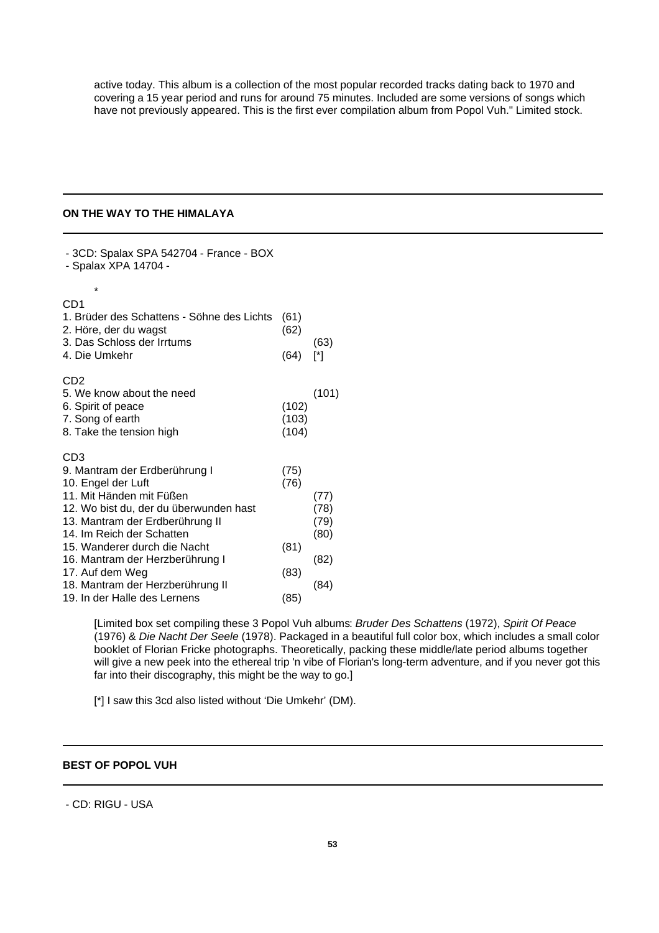active today. This album is a collection of the most popular recorded tracks dating back to 1970 and covering a 15 year period and runs for around 75 minutes. Included are some versions of songs which have not previously appeared. This is the first ever compilation album from Popol Vuh." Limited stock.

# **ON THE WAY TO THE HIMALAYA**

- 3CD: Spalax SPA 542704 - France - BOX - Spalax XPA 14704 - \* CD1 1. Brüder des Schattens - Söhne des Lichts (61) 2. Höre, der du wagst (62) 3. Das Schloss der Irrtums (63) 4. Die Umkehr (64) [\*] C<sub>D2</sub> 5. We know about the need (101) 6. Spirit of peace (102) 7. Song of earth (103) 8. Take the tension high (104) CD3 9. Mantram der Erdberührung I (75) 10. Engel der Luft (76) 11. Mit Händen mit Füßen (77) 12. Wo bist du, der du überwunden hast (78) 13. Mantram der Erdberührung II (79) 14. Im Reich der Schatten (80) 15. Wanderer durch die Nacht (81) 16. Mantram der Herzberührung I (82) 17. Auf dem Weg (83) 18. Mantram der Herzberührung II (84) 19. In der Halle des Lernens (85)

> [Limited box set compiling these 3 Popol Vuh albums: *Bruder Des Schattens* (1972), *Spirit Of Peace* (1976) & *Die Nacht Der Seele* (1978). Packaged in a beautiful full color box, which includes a small color booklet of Florian Fricke photographs. Theoretically, packing these middle/late period albums together will give a new peek into the ethereal trip 'n vibe of Florian's long-term adventure, and if you never got this far into their discography, this might be the way to go.]

[\*] I saw this 3cd also listed without 'Die Umkehr' (DM).

## **BEST OF POPOL VUH**

# - CD: RIGU - USA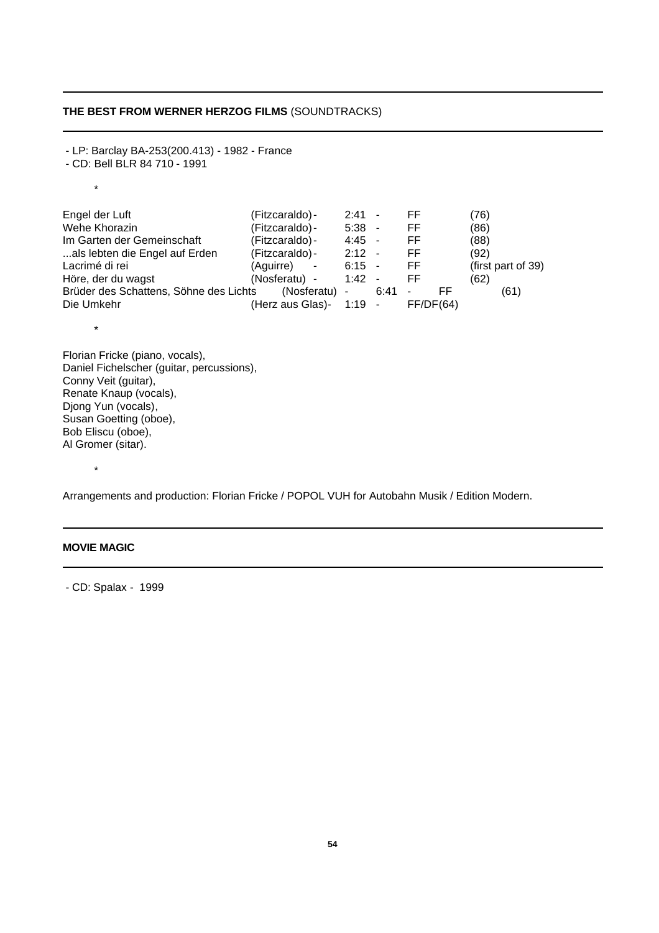# **THE BEST FROM WERNER HERZOG FILMS** (SOUNDTRACKS)

- LP: Barclay BA-253(200.413) - 1982 - France - CD: Bell BLR 84 710 - 1991 \* Engel der Luft (Fitzcaraldo)- 2:41 - FF (76) Wehe Khorazin (Fitzcaraldo) - 5:38 - FF (86)<br>Im Garten der Gemeinschaft (Fitzcaraldo) - 4:45 - FF (88) Im Garten der Gemeinschaft (Fitzcaraldo) - 4:45 - FF (88)<br>
...als lebten die Engel auf Erden (Fitzcaraldo) - 2:12 - FF (92) ...als lebten die Engel auf Erden (Fitzcaraldo) - 2:12 - FF (92)<br>Lacrimé di rei (92) (Aguirre) - 6:15 - FF (first Lacrimé di rei (Aguirre) - 6:15 - FF (first part of 39)<br>Höre, der du wagst (Nosferatu) - 1:42 - FF (62) Höre, der du wagst (Nosferatu) - 1:42 - FF (62)<br>Brüder des Schattens. Söhne des Lichts (Nosferatu) - 6:41 - FF Brüder des Schattens, Söhne des Lichts (Nosferatu) - 6:41 - FF (61) Die Umkehr (Herz aus Glas)- 1:19 - FF/DF(64) \* Florian Fricke (piano, vocals), Daniel Fichelscher (guitar, percussions), Conny Veit (guitar), Renate Knaup (vocals), Djong Yun (vocals), Susan Goetting (oboe), Bob Eliscu (oboe),

Arrangements and production: Florian Fricke / POPOL VUH for Autobahn Musik / Edition Modern.

# **MOVIE MAGIC**

Al Gromer (sitar).

\*

- CD: Spalax - 1999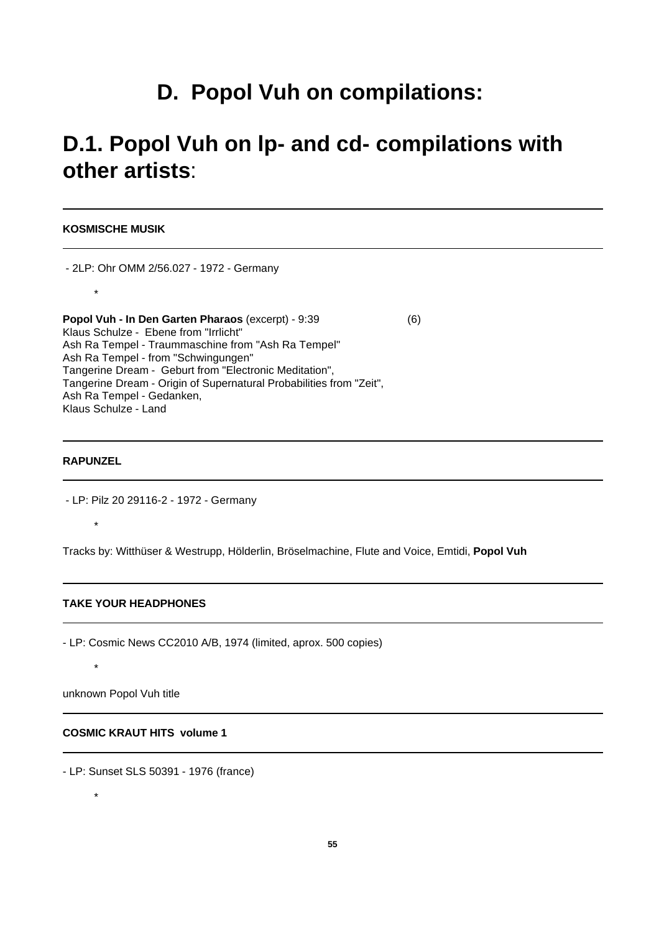# **D. Popol Vuh on compilations:**

# **D.1. Popol Vuh on lp- and cd- compilations with other artists**:

**KOSMISCHE MUSIK**

- 2LP: Ohr OMM 2/56.027 - 1972 - Germany \* **Popol Vuh - In Den Garten Pharaos** (excerpt) - 9:39 (6) Klaus Schulze - Ebene from "Irrlicht" Ash Ra Tempel - Traummaschine from "Ash Ra Tempel" Ash Ra Tempel - from "Schwingungen" Tangerine Dream - Geburt from "Electronic Meditation", Tangerine Dream - Origin of Supernatural Probabilities from "Zeit", Ash Ra Tempel - Gedanken, Klaus Schulze - Land

#### **RAPUNZEL**

\*

- LP: Pilz 20 29116-2 - 1972 - Germany

Tracks by: Witthüser & Westrupp, Hölderlin, Bröselmachine, Flute and Voice, Emtidi, **Popol Vuh**

#### **TAKE YOUR HEADPHONES**

- LP: Cosmic News CC2010 A/B, 1974 (limited, aprox. 500 copies)

unknown Popol Vuh title

# **COSMIC KRAUT HITS volume 1**

- LP: Sunset SLS 50391 - 1976 (france)

\*

\*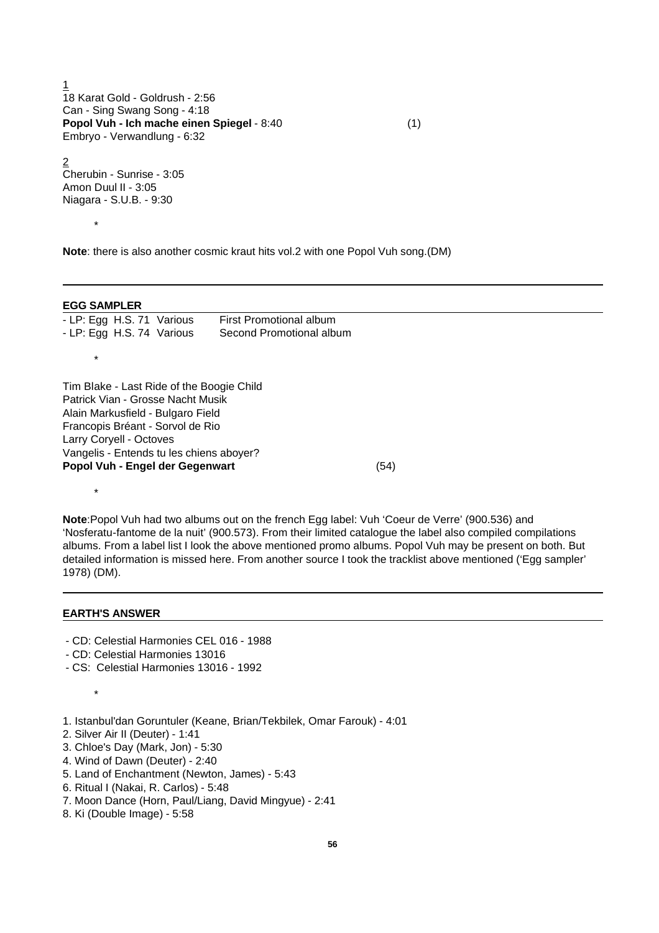1 18 Karat Gold - Goldrush - 2:56 Can - Sing Swang Song - 4:18 **Popol Vuh - Ich mache einen Spiegel** - 8:40 (1) Embryo - Verwandlung - 6:32

2 Cherubin - Sunrise - 3:05 Amon Duul II - 3:05 Niagara - S.U.B. - 9:30

\*

**Note**: there is also another cosmic kraut hits vol.2 with one Popol Vuh song.(DM)

#### **EGG SAMPLER**

\*

\*

| - LP: Egg H.S. 71 Various | First Promotional album  |
|---------------------------|--------------------------|
| - LP: Egg H.S. 74 Various | Second Promotional album |

Tim Blake - Last Ride of the Boogie Child Patrick Vian - Grosse Nacht Musik Alain Markusfield - Bulgaro Field Francopis Bréant - Sorvol de Rio Larry Coryell - Octoves Vangelis - Entends tu les chiens aboyer? **Popol Vuh - Engel der Gegenwart** (54)

**Note**:Popol Vuh had two albums out on the french Egg label: Vuh 'Coeur de Verre' (900.536) and 'Nosferatu-fantome de la nuit' (900.573). From their limited catalogue the label also compiled compilations albums. From a label list I look the above mentioned promo albums. Popol Vuh may be present on both. But detailed information is missed here. From another source I took the tracklist above mentioned ('Egg sampler' 1978) (DM).

#### **EARTH'S ANSWER**

\*

- CD: Celestial Harmonies CEL 016 1988
- CD: Celestial Harmonies 13016
- CS: Celestial Harmonies 13016 1992
- 1. Istanbul'dan Goruntuler (Keane, Brian/Tekbilek, Omar Farouk) 4:01
- 2. Silver Air II (Deuter) 1:41
- 3. Chloe's Day (Mark, Jon) 5:30
- 4. Wind of Dawn (Deuter) 2:40
- 5. Land of Enchantment (Newton, James) 5:43
- 6. Ritual I (Nakai, R. Carlos) 5:48
- 7. Moon Dance (Horn, Paul/Liang, David Mingyue) 2:41
- 8. Ki (Double Image) 5:58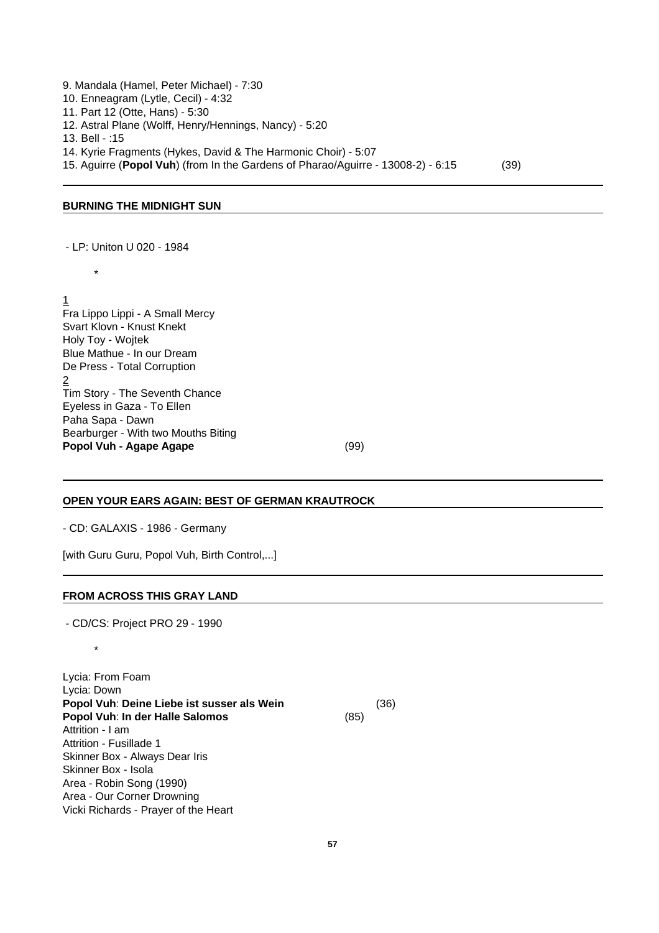9. Mandala (Hamel, Peter Michael) - 7:30 10. Enneagram (Lytle, Cecil) - 4:32 11. Part 12 (Otte, Hans) - 5:30 12. Astral Plane (Wolff, Henry/Hennings, Nancy) - 5:20 13. Bell - :15 14. Kyrie Fragments (Hykes, David & The Harmonic Choir) - 5:07 15. Aguirre (**Popol Vuh**) (from In the Gardens of Pharao/Aguirre - 13008-2) - 6:15 (39)

#### **BURNING THE MIDNIGHT SUN**

- LP: Uniton U 020 - 1984

\*

1 Fra Lippo Lippi - A Small Mercy Svart Klovn - Knust Knekt Holy Toy - Wojtek Blue Mathue - In our Dream De Press - Total Corruption 2 Tim Story - The Seventh Chance Eyeless in Gaza - To Ellen Paha Sapa - Dawn Bearburger - With two Mouths Biting **Popol Vuh - Agape Agape** (99)

# **OPEN YOUR EARS AGAIN: BEST OF GERMAN KRAUTROCK**

- CD: GALAXIS - 1986 - Germany

[with Guru Guru, Popol Vuh, Birth Control,...]

#### **FROM ACROSS THIS GRAY LAND**

- CD/CS: Project PRO 29 - 1990

\*

Lycia: From Foam Lycia: Down **Popol Vuh**: **Deine Liebe ist susser als Wein** (36) **Popol Vuh**: **In der Halle Salomos** (85) Attrition - I am Attrition - Fusillade 1 Skinner Box - Always Dear Iris Skinner Box - Isola Area - Robin Song (1990) Area - Our Corner Drowning Vicki Richards - Prayer of the Heart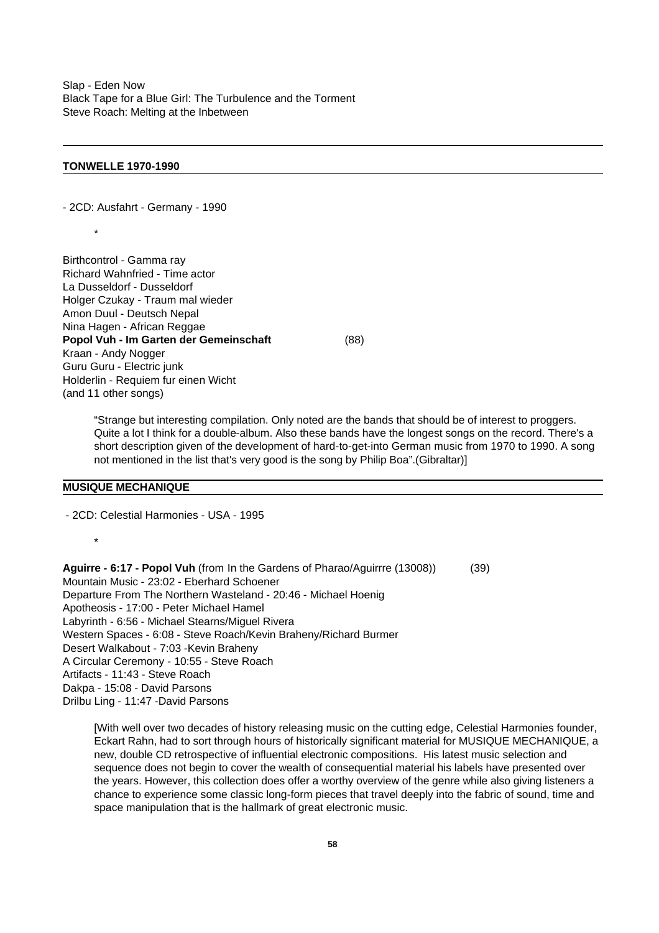Slap - Eden Now Black Tape for a Blue Girl: The Turbulence and the Torment Steve Roach: Melting at the Inbetween

#### **TONWELLE 1970-1990**

- 2CD: Ausfahrt - Germany - 1990

\*

Birthcontrol - Gamma ray Richard Wahnfried - Time actor La Dusseldorf - Dusseldorf Holger Czukay - Traum mal wieder Amon Duul - Deutsch Nepal Nina Hagen - African Reggae **Popol Vuh - Im Garten der Gemeinschaft** (88) Kraan - Andy Nogger Guru Guru - Electric junk Holderlin - Requiem fur einen Wicht (and 11 other songs)

"Strange but interesting compilation. Only noted are the bands that should be of interest to proggers. Quite a lot I think for a double-album. Also these bands have the longest songs on the record. There's a short description given of the development of hard-to-get-into German music from 1970 to 1990. A song not mentioned in the list that's very good is the song by Philip Boa".(Gibraltar)]

## **MUSIQUE MECHANIQUE**

- 2CD: Celestial Harmonies - USA - 1995

\*

**Aguirre - 6:17 - Popol Vuh** (from In the Gardens of Pharao/Aguirrre (13008)) (39) Mountain Music - 23:02 - Eberhard Schoener Departure From The Northern Wasteland - 20:46 - Michael Hoenig Apotheosis - 17:00 - Peter Michael Hamel Labyrinth - 6:56 - Michael Stearns/Miguel Rivera Western Spaces - 6:08 - Steve Roach/Kevin Braheny/Richard Burmer Desert Walkabout - 7:03 -Kevin Braheny A Circular Ceremony - 10:55 - Steve Roach Artifacts - 11:43 - Steve Roach Dakpa - 15:08 - David Parsons Drilbu Ling - 11:47 -David Parsons

[With well over two decades of history releasing music on the cutting edge, Celestial Harmonies founder, Eckart Rahn, had to sort through hours of historically significant material for MUSIQUE MECHANIQUE, a new, double CD retrospective of influential electronic compositions. His latest music selection and sequence does not begin to cover the wealth of consequential material his labels have presented over the years. However, this collection does offer a worthy overview of the genre while also giving listeners a chance to experience some classic long-form pieces that travel deeply into the fabric of sound, time and space manipulation that is the hallmark of great electronic music.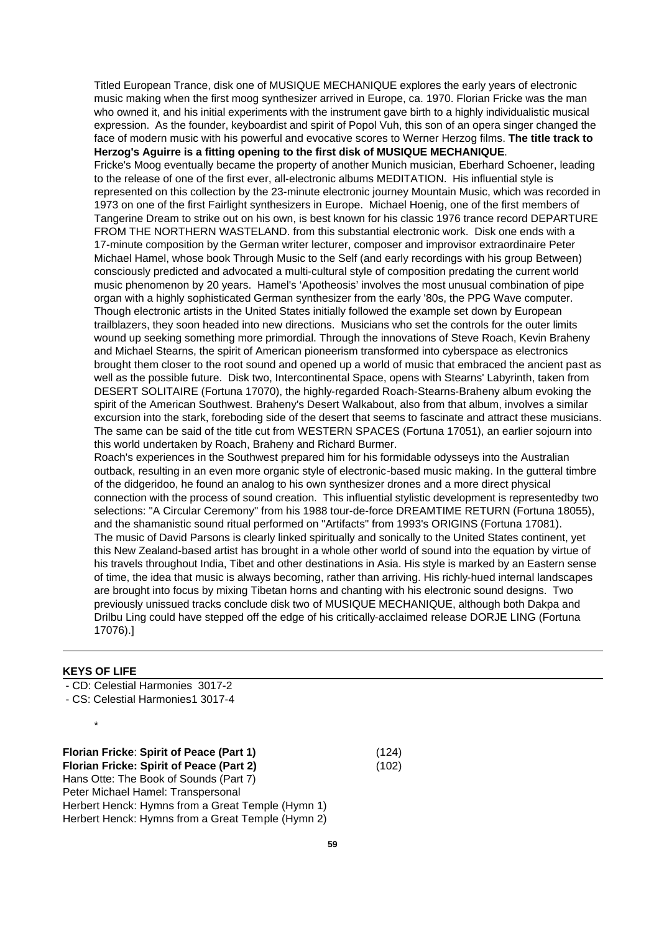Titled European Trance, disk one of MUSIQUE MECHANIQUE explores the early years of electronic music making when the first moog synthesizer arrived in Europe, ca. 1970. Florian Fricke was the man who owned it, and his initial experiments with the instrument gave birth to a highly individualistic musical expression. As the founder, keyboardist and spirit of Popol Vuh, this son of an opera singer changed the face of modern music with his powerful and evocative scores to Werner Herzog films. **The title track to Herzog's Aguirre is a fitting opening to the first disk of MUSIQUE MECHANIQUE**.

Fricke's Moog eventually became the property of another Munich musician, Eberhard Schoener, leading to the release of one of the first ever, all-electronic albums MEDITATION. His influential style is represented on this collection by the 23-minute electronic journey Mountain Music, which was recorded in 1973 on one of the first Fairlight synthesizers in Europe. Michael Hoenig, one of the first members of Tangerine Dream to strike out on his own, is best known for his classic 1976 trance record DEPARTURE FROM THE NORTHERN WASTELAND. from this substantial electronic work. Disk one ends with a 17-minute composition by the German writer lecturer, composer and improvisor extraordinaire Peter Michael Hamel, whose book Through Music to the Self (and early recordings with his group Between) consciously predicted and advocated a multi-cultural style of composition predating the current world music phenomenon by 20 years. Hamel's 'Apotheosis' involves the most unusual combination of pipe organ with a highly sophisticated German synthesizer from the early '80s, the PPG Wave computer. Though electronic artists in the United States initially followed the example set down by European trailblazers, they soon headed into new directions. Musicians who set the controls for the outer limits wound up seeking something more primordial. Through the innovations of Steve Roach, Kevin Braheny and Michael Stearns, the spirit of American pioneerism transformed into cyberspace as electronics brought them closer to the root sound and opened up a world of music that embraced the ancient past as well as the possible future. Disk two, Intercontinental Space, opens with Stearns' Labyrinth, taken from DESERT SOLITAIRE (Fortuna 17070), the highly-regarded Roach-Stearns-Braheny album evoking the spirit of the American Southwest. Braheny's Desert Walkabout, also from that album, involves a similar excursion into the stark, foreboding side of the desert that seems to fascinate and attract these musicians. The same can be said of the title cut from WESTERN SPACES (Fortuna 17051), an earlier sojourn into this world undertaken by Roach, Braheny and Richard Burmer.

Roach's experiences in the Southwest prepared him for his formidable odysseys into the Australian outback, resulting in an even more organic style of electronic-based music making. In the gutteral timbre of the didgeridoo, he found an analog to his own synthesizer drones and a more direct physical connection with the process of sound creation. This influential stylistic development is representedby two selections: "A Circular Ceremony" from his 1988 tour-de-force DREAMTIME RETURN (Fortuna 18055), and the shamanistic sound ritual performed on "Artifacts" from 1993's ORIGINS (Fortuna 17081). The music of David Parsons is clearly linked spiritually and sonically to the United States continent, yet this New Zealand-based artist has brought in a whole other world of sound into the equation by virtue of his travels throughout India, Tibet and other destinations in Asia. His style is marked by an Eastern sense of time, the idea that music is always becoming, rather than arriving. His richly-hued internal landscapes are brought into focus by mixing Tibetan horns and chanting with his electronic sound designs. Two previously unissued tracks conclude disk two of MUSIQUE MECHANIQUE, although both Dakpa and Drilbu Ling could have stepped off the edge of his critically-acclaimed release DORJE LING (Fortuna 17076).]

## **KEYS OF LIFE**

\*

- CD: Celestial Harmonies 3017-2

- CS: Celestial Harmonies1 3017-4

**Florian Fricke**: **Spirit of Peace (Part 1)** (124) **Florian Fricke: Spirit of Peace (Part 2)** (102) Hans Otte: The Book of Sounds (Part 7) Peter Michael Hamel: Transpersonal Herbert Henck: Hymns from a Great Temple (Hymn 1) Herbert Henck: Hymns from a Great Temple (Hymn 2)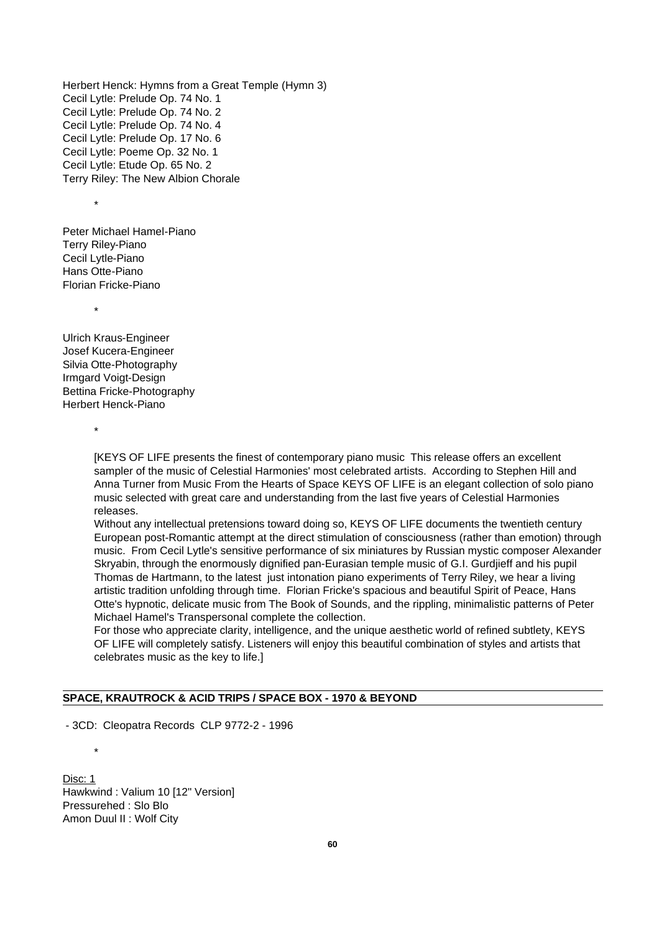Herbert Henck: Hymns from a Great Temple (Hymn 3) Cecil Lytle: Prelude Op. 74 No. 1 Cecil Lytle: Prelude Op. 74 No. 2 Cecil Lytle: Prelude Op. 74 No. 4 Cecil Lytle: Prelude Op. 17 No. 6 Cecil Lytle: Poeme Op. 32 No. 1 Cecil Lytle: Etude Op. 65 No. 2 Terry Riley: The New Albion Chorale

\*

Peter Michael Hamel-Piano Terry Riley-Piano Cecil Lytle-Piano Hans Otte-Piano Florian Fricke-Piano

Ulrich Kraus-Engineer Josef Kucera-Engineer Silvia Otte-Photography Irmgard Voigt-Design Bettina Fricke-Photography Herbert Henck-Piano

\*

\*

\*

[KEYS OF LIFE presents the finest of contemporary piano music This release offers an excellent sampler of the music of Celestial Harmonies' most celebrated artists. According to Stephen Hill and Anna Turner from Music From the Hearts of Space KEYS OF LIFE is an elegant collection of solo piano music selected with great care and understanding from the last five years of Celestial Harmonies releases.

Without any intellectual pretensions toward doing so, KEYS OF LIFE documents the twentieth century European post-Romantic attempt at the direct stimulation of consciousness (rather than emotion) through music. From Cecil Lytle's sensitive performance of six miniatures by Russian mystic composer Alexander Skryabin, through the enormously dignified pan-Eurasian temple music of G.I. Gurdjieff and his pupil Thomas de Hartmann, to the latest just intonation piano experiments of Terry Riley, we hear a living artistic tradition unfolding through time. Florian Fricke's spacious and beautiful Spirit of Peace, Hans Otte's hypnotic, delicate music from The Book of Sounds, and the rippling, minimalistic patterns of Peter Michael Hamel's Transpersonal complete the collection.

For those who appreciate clarity, intelligence, and the unique aesthetic world of refined subtlety, KEYS OF LIFE will completely satisfy. Listeners will enjoy this beautiful combination of styles and artists that celebrates music as the key to life.]

# **SPACE, KRAUTROCK & ACID TRIPS / SPACE BOX - 1970 & BEYOND**

- 3CD: Cleopatra Records CLP 9772-2 - 1996

Disc: 1 Hawkwind : Valium 10 [12" Version] Pressurehed : Slo Blo Amon Duul II : Wolf City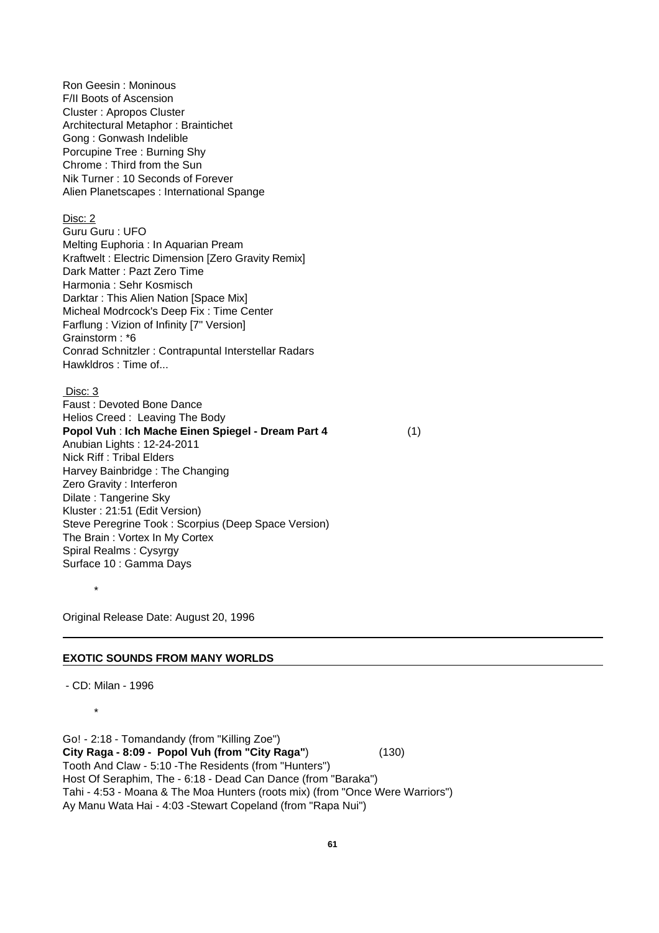Ron Geesin : Moninous F/II Boots of Ascension Cluster : Apropos Cluster Architectural Metaphor : Braintichet Gong : Gonwash Indelible Porcupine Tree : Burning Shy Chrome : Third from the Sun Nik Turner : 10 Seconds of Forever Alien Planetscapes : International Spange

# Disc: 2

Guru Guru : UFO Melting Euphoria : In Aquarian Pream Kraftwelt : Electric Dimension [Zero Gravity Remix] Dark Matter : Pazt Zero Time Harmonia : Sehr Kosmisch Darktar : This Alien Nation [Space Mix] Micheal Modrcock's Deep Fix : Time Center Farflung : Vizion of Infinity [7" Version] Grainstorm : \*6 Conrad Schnitzler : Contrapuntal Interstellar Radars Hawkldros : Time of...

#### Disc: 3

Faust : Devoted Bone Dance Helios Creed : Leaving The Body **Popol Vuh** : **Ich Mache Einen Spiegel - Dream Part 4** (1) Anubian Lights : 12-24-2011 Nick Riff : Tribal Elders Harvey Bainbridge : The Changing Zero Gravity : Interferon Dilate : Tangerine Sky Kluster : 21:51 (Edit Version) Steve Peregrine Took : Scorpius (Deep Space Version) The Brain : Vortex In My Cortex Spiral Realms : Cysyrgy Surface 10 : Gamma Days

Original Release Date: August 20, 1996

#### **EXOTIC SOUNDS FROM MANY WORLDS**

- CD: Milan - 1996

\*

\*

Go! - 2:18 - Tomandandy (from "Killing Zoe") **City Raga - 8:09 - Popol Vuh (from "City Raga"**) (130) Tooth And Claw - 5:10 -The Residents (from "Hunters") Host Of Seraphim, The - 6:18 - Dead Can Dance (from "Baraka") Tahi - 4:53 - Moana & The Moa Hunters (roots mix) (from "Once Were Warriors") Ay Manu Wata Hai - 4:03 -Stewart Copeland (from "Rapa Nui")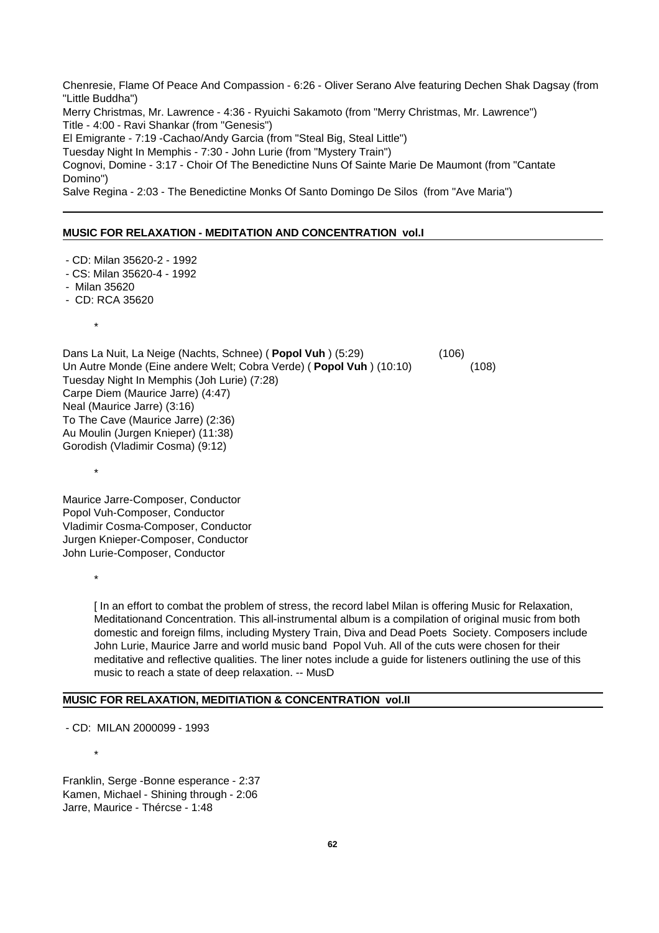Chenresie, Flame Of Peace And Compassion - 6:26 - Oliver Serano Alve featuring Dechen Shak Dagsay (from "Little Buddha") Merry Christmas, Mr. Lawrence - 4:36 - Ryuichi Sakamoto (from "Merry Christmas, Mr. Lawrence") Title - 4:00 - Ravi Shankar (from "Genesis") El Emigrante - 7:19 -Cachao/Andy Garcia (from "Steal Big, Steal Little") Tuesday Night In Memphis - 7:30 - John Lurie (from "Mystery Train") Cognovi, Domine - 3:17 - Choir Of The Benedictine Nuns Of Sainte Marie De Maumont (from "Cantate Domino") Salve Regina - 2:03 - The Benedictine Monks Of Santo Domingo De Silos (from "Ave Maria")

#### **MUSIC FOR RELAXATION - MEDITATION AND CONCENTRATION vol.I**

- CD: Milan 35620-2 1992
- CS: Milan 35620-4 1992
- Milan 35620
- CD: RCA 35620
	- \*

\*

\*

Dans La Nuit, La Neige (Nachts, Schnee) ( **Popol Vuh** ) (5:29) (106) Un Autre Monde (Eine andere Welt; Cobra Verde) ( **Popol Vuh** ) (10:10) (108) Tuesday Night In Memphis (Joh Lurie) (7:28) Carpe Diem (Maurice Jarre) (4:47) Neal (Maurice Jarre) (3:16) To The Cave (Maurice Jarre) (2:36) Au Moulin (Jurgen Knieper) (11:38) Gorodish (Vladimir Cosma) (9:12)

Maurice Jarre-Composer, Conductor Popol Vuh-Composer, Conductor Vladimir Cosma-Composer, Conductor Jurgen Knieper-Composer, Conductor John Lurie-Composer, Conductor

> [ In an effort to combat the problem of stress, the record label Milan is offering Music for Relaxation, Meditationand Concentration. This all-instrumental album is a compilation of original music from both domestic and foreign films, including Mystery Train, Diva and Dead Poets Society. Composers include John Lurie, Maurice Jarre and world music band Popol Vuh. All of the cuts were chosen for their meditative and reflective qualities. The liner notes include a guide for listeners outlining the use of this music to reach a state of deep relaxation. -- MusD

#### **MUSIC FOR RELAXATION, MEDITIATION & CONCENTRATION vol.II**

- CD: MILAN 2000099 - 1993

\*

Franklin, Serge -Bonne esperance - 2:37 Kamen, Michael - Shining through - 2:06 Jarre, Maurice - Thércse - 1:48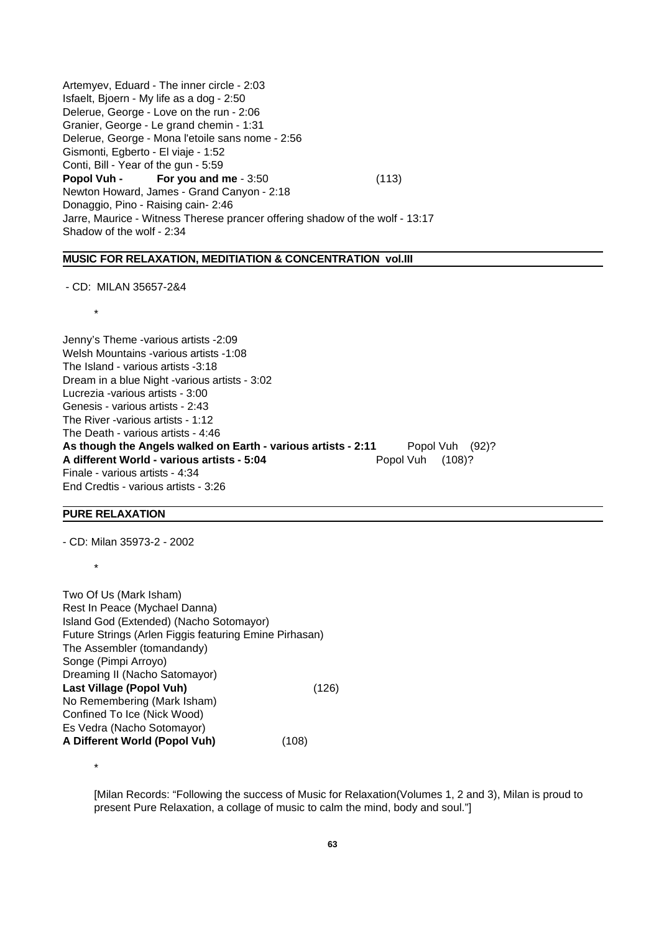Artemyev, Eduard - The inner circle - 2:03 Isfaelt, Bjoern - My life as a dog - 2:50 Delerue, George - Love on the run - 2:06 Granier, George - Le grand chemin - 1:31 Delerue, George - Mona l'etoile sans nome - 2:56 Gismonti, Egberto - El viaje - 1:52 Conti, Bill - Year of the gun - 5:59 **Popol Vuh - For you and me** - 3:50 (113) Newton Howard, James - Grand Canyon - 2:18 Donaggio, Pino - Raising cain- 2:46 Jarre, Maurice - Witness Therese prancer offering shadow of the wolf - 13:17 Shadow of the wolf - 2:34

# **MUSIC FOR RELAXATION, MEDITIATION & CONCENTRATION vol.III**

- CD: MILAN 35657-2&4

\*

Jenny's Theme -various artists -2:09 Welsh Mountains -various artists -1:08 The Island - various artists -3:18 Dream in a blue Night -various artists - 3:02 Lucrezia -various artists - 3:00 Genesis - various artists - 2:43 The River -various artists - 1:12 The Death - various artists - 4:46 As though the Angels walked on Earth - various artists - 2:11 Popol Vuh (92)? **A different World - various artists - 5:04** Popol Vuh (108)? Finale - various artists - 4:34 End Credtis - various artists - 3:26

#### **PURE RELAXATION**

\*

- CD: Milan 35973-2 - 2002

Two Of Us (Mark Isham) Rest In Peace (Mychael Danna) Island God (Extended) (Nacho Sotomayor) Future Strings (Arlen Figgis featuring Emine Pirhasan) The Assembler (tomandandy) Songe (Pimpi Arroyo) Dreaming II (Nacho Satomayor) **Last Village (Popol Vuh)** (126) No Remembering (Mark Isham) Confined To Ice (Nick Wood) Es Vedra (Nacho Sotomayor) **A Different World (Popol Vuh)** (108)

\*

[Milan Records: "Following the success of Music for Relaxation(Volumes 1, 2 and 3), Milan is proud to present Pure Relaxation, a collage of music to calm the mind, body and soul."]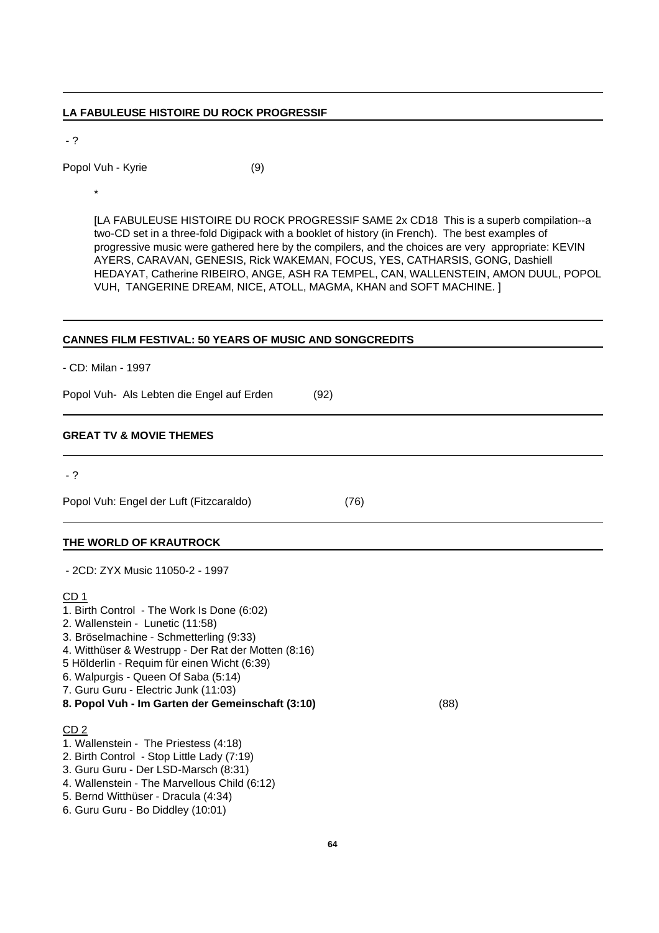# **LA FABULEUSE HISTOIRE DU ROCK PROGRESSIF**

- ?

Popol Vuh - Kyrie (9)

\*

[LA FABULEUSE HISTOIRE DU ROCK PROGRESSIF SAME 2x CD18 This is a superb compilation--a two-CD set in a three-fold Digipack with a booklet of history (in French). The best examples of progressive music were gathered here by the compilers, and the choices are very appropriate: KEVIN AYERS, CARAVAN, GENESIS, Rick WAKEMAN, FOCUS, YES, CATHARSIS, GONG, Dashiell HEDAYAT, Catherine RIBEIRO, ANGE, ASH RA TEMPEL, CAN, WALLENSTEIN, AMON DUUL, POPOL VUH, TANGERINE DREAM, NICE, ATOLL, MAGMA, KHAN and SOFT MACHINE. ]

# **CANNES FILM FESTIVAL: 50 YEARS OF MUSIC AND SONGCREDITS**

- CD: Milan - 1997

Popol Vuh- Als Lebten die Engel auf Erden (92)

# **GREAT TV & MOVIE THEMES**

- ?

Popol Vuh: Engel der Luft (Fitzcaraldo) (76)

# **THE WORLD OF KRAUTROCK**

- 2CD: ZYX Music 11050-2 - 1997

# CD 1

- 1. Birth Control The Work Is Done (6:02)
- 2. Wallenstein Lunetic (11:58)
- 3. Bröselmachine Schmetterling (9:33)
- 4. Witthüser & Westrupp Der Rat der Motten (8:16)
- 5 Hölderlin Requim für einen Wicht (6:39)
- 6. Walpurgis Queen Of Saba (5:14)
- 7. Guru Guru Electric Junk (11:03)
- **8. Popol Vuh Im Garten der Gemeinschaft (3:10)** (88)

# CD 2

- 1. Wallenstein The Priestess (4:18)
- 2. Birth Control Stop Little Lady (7:19)
- 3. Guru Guru Der LSD-Marsch (8:31)
- 4. Wallenstein The Marvellous Child (6:12)
- 5. Bernd Witthüser Dracula (4:34)
- 6. Guru Guru Bo Diddley (10:01)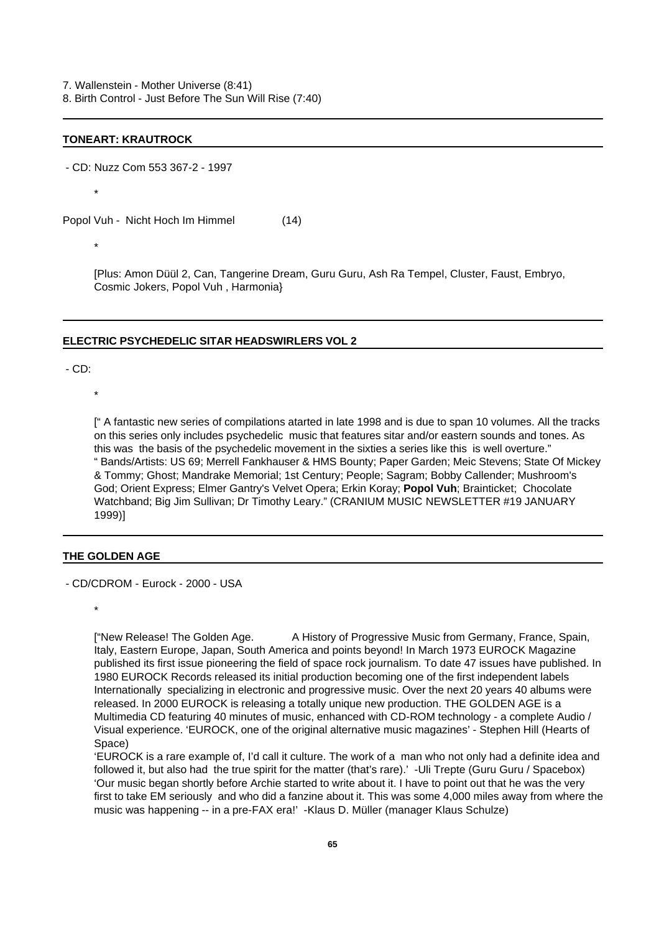7. Wallenstein - Mother Universe (8:41) 8. Birth Control - Just Before The Sun Will Rise (7:40)

#### **TONEART: KRAUTROCK**

- CD: Nuzz Com 553 367-2 - 1997

\*

Popol Vuh - Nicht Hoch Im Himmel (14)

\*

[Plus: Amon Düül 2, Can, Tangerine Dream, Guru Guru, Ash Ra Tempel, Cluster, Faust, Embryo, Cosmic Jokers, Popol Vuh , Harmonia}

#### **ELECTRIC PSYCHEDELIC SITAR HEADSWIRLERS VOL 2**

- CD:

\*

[" A fantastic new series of compilations atarted in late 1998 and is due to span 10 volumes. All the tracks on this series only includes psychedelic music that features sitar and/or eastern sounds and tones. As this was the basis of the psychedelic movement in the sixties a series like this is well overture." " Bands/Artists: US 69; Merrell Fankhauser & HMS Bounty; Paper Garden; Meic Stevens; State Of Mickey & Tommy; Ghost; Mandrake Memorial; 1st Century; People; Sagram; Bobby Callender; Mushroom's God; Orient Express; Elmer Gantry's Velvet Opera; Erkin Koray; **Popol Vuh**; Brainticket; Chocolate Watchband; Big Jim Sullivan; Dr Timothy Leary." (CRANIUM MUSIC NEWSLETTER #19 JANUARY 1999)]

#### **THE GOLDEN AGE**

- CD/CDROM - Eurock - 2000 - USA

\*

["New Release! The Golden Age. A History of Progressive Music from Germany, France, Spain, Italy, Eastern Europe, Japan, South America and points beyond! In March 1973 EUROCK Magazine published its first issue pioneering the field of space rock journalism. To date 47 issues have published. In 1980 EUROCK Records released its initial production becoming one of the first independent labels Internationally specializing in electronic and progressive music. Over the next 20 years 40 albums were released. In 2000 EUROCK is releasing a totally unique new production. THE GOLDEN AGE is a Multimedia CD featuring 40 minutes of music, enhanced with CD-ROM technology - a complete Audio / Visual experience. 'EUROCK, one of the original alternative music magazines' - Stephen Hill (Hearts of Space)

'EUROCK is a rare example of, I'd call it culture. The work of a man who not only had a definite idea and followed it, but also had the true spirit for the matter (that's rare).' -Uli Trepte (Guru Guru / Spacebox) 'Our music began shortly before Archie started to write about it. I have to point out that he was the very first to take EM seriously and who did a fanzine about it. This was some 4,000 miles away from where the music was happening -- in a pre-FAX era!' -Klaus D. Müller (manager Klaus Schulze)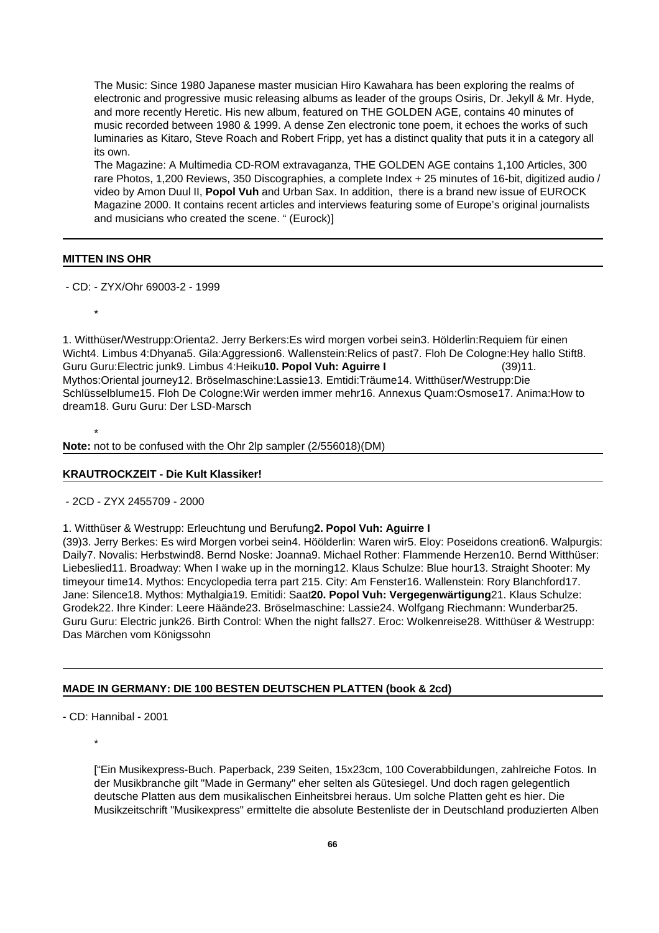The Music: Since 1980 Japanese master musician Hiro Kawahara has been exploring the realms of electronic and progressive music releasing albums as leader of the groups Osiris, Dr. Jekyll & Mr. Hyde, and more recently Heretic. His new album, featured on THE GOLDEN AGE, contains 40 minutes of music recorded between 1980 & 1999. A dense Zen electronic tone poem, it echoes the works of such luminaries as Kitaro, Steve Roach and Robert Fripp, yet has a distinct quality that puts it in a category all its own.

The Magazine: A Multimedia CD-ROM extravaganza, THE GOLDEN AGE contains 1,100 Articles, 300 rare Photos, 1,200 Reviews, 350 Discographies, a complete Index + 25 minutes of 16-bit, digitized audio / video by Amon Duul II, **Popol Vuh** and Urban Sax. In addition, there is a brand new issue of EUROCK Magazine 2000. It contains recent articles and interviews featuring some of Europe's original journalists and musicians who created the scene. " (Eurock)]

#### **MITTEN INS OHR**

- CD: - ZYX/Ohr 69003-2 - 1999

\*

\*

1. Witthüser/Westrupp:Orienta2. Jerry Berkers:Es wird morgen vorbei sein3. Hölderlin:Requiem für einen Wicht4. Limbus 4:Dhyana5. Gila:Aggression6. Wallenstein:Relics of past7. Floh De Cologne:Hey hallo Stift8. Guru Guru:Electric junk9. Limbus 4:Heiku**10. Popol Vuh: Aguirre I** (39)11. Mythos:Oriental journey12. Bröselmaschine:Lassie13. Emtidi:Träume14. Witthüser/Westrupp:Die Schlüsselblume15. Floh De Cologne:Wir werden immer mehr16. Annexus Quam:Osmose17. Anima:How to dream18. Guru Guru: Der LSD-Marsch

**Note:** not to be confused with the Ohr 2lp sampler (2/556018)(DM)

#### **KRAUTROCKZEIT - Die Kult Klassiker!**

- 2CD - ZYX 2455709 - 2000

1. Witthüser & Westrupp: Erleuchtung und Berufung**2. Popol Vuh: Aguirre I**

(39)3. Jerry Berkes: Es wird Morgen vorbei sein4. Höölderlin: Waren wir5. Eloy: Poseidons creation6. Walpurgis: Daily7. Novalis: Herbstwind8. Bernd Noske: Joanna9. Michael Rother: Flammende Herzen10. Bernd Witthüser: Liebeslied11. Broadway: When I wake up in the morning12. Klaus Schulze: Blue hour13. Straight Shooter: My timeyour time14. Mythos: Encyclopedia terra part 215. City: Am Fenster16. Wallenstein: Rory Blanchford17. Jane: Silence18. Mythos: Mythalgia19. Emitidi: Saat**20. Popol Vuh: Vergegenwärtigung**21. Klaus Schulze: Grodek22. Ihre Kinder: Leere Häände23. Bröselmaschine: Lassie24. Wolfgang Riechmann: Wunderbar25. Guru Guru: Electric junk26. Birth Control: When the night falls27. Eroc: Wolkenreise28. Witthüser & Westrupp: Das Märchen vom Königssohn

## **MADE IN GERMANY: DIE 100 BESTEN DEUTSCHEN PLATTEN (book & 2cd)**

- CD: Hannibal - 2001

\*

["Ein Musikexpress-Buch. Paperback, 239 Seiten, 15x23cm, 100 Coverabbildungen, zahlreiche Fotos. In der Musikbranche gilt "Made in Germany" eher selten als Gütesiegel. Und doch ragen gelegentlich deutsche Platten aus dem musikalischen Einheitsbrei heraus. Um solche Platten geht es hier. Die Musikzeitschrift "Musikexpress" ermittelte die absolute Bestenliste der in Deutschland produzierten Alben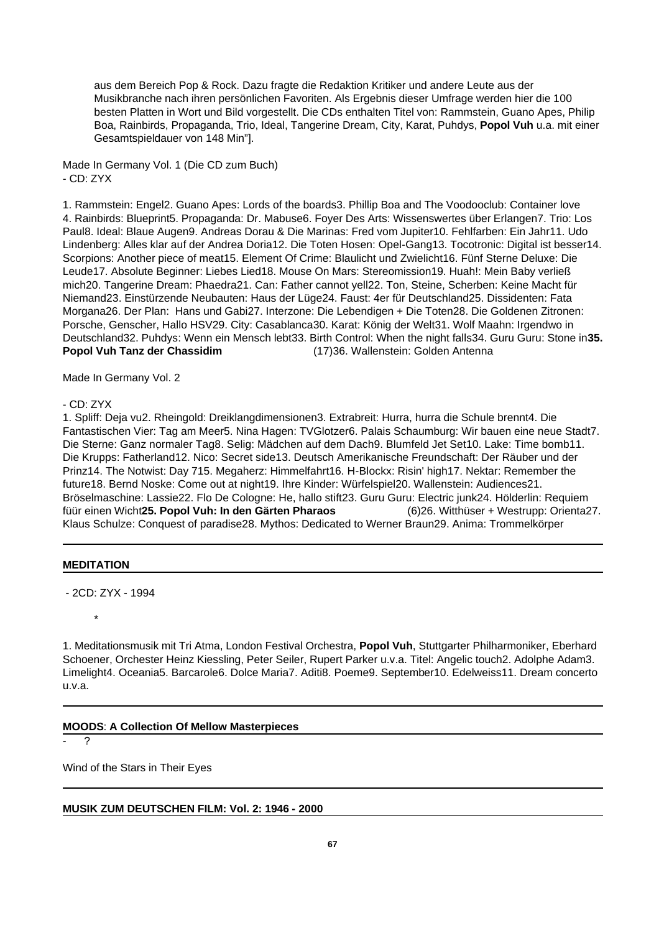aus dem Bereich Pop & Rock. Dazu fragte die Redaktion Kritiker und andere Leute aus der Musikbranche nach ihren persönlichen Favoriten. Als Ergebnis dieser Umfrage werden hier die 100 besten Platten in Wort und Bild vorgestellt. Die CDs enthalten Titel von: Rammstein, Guano Apes, Philip Boa, Rainbirds, Propaganda, Trio, Ideal, Tangerine Dream, City, Karat, Puhdys, **Popol Vuh** u.a. mit einer Gesamtspieldauer von 148 Min"].

Made In Germany Vol. 1 (Die CD zum Buch)  $-$  CD $\cdot$  ZYX

1. Rammstein: Engel2. Guano Apes: Lords of the boards3. Phillip Boa and The Voodooclub: Container love 4. Rainbirds: Blueprint5. Propaganda: Dr. Mabuse6. Foyer Des Arts: Wissenswertes über Erlangen7. Trio: Los Paul8. Ideal: Blaue Augen9. Andreas Dorau & Die Marinas: Fred vom Jupiter10. Fehlfarben: Ein Jahr11. Udo Lindenberg: Alles klar auf der Andrea Doria12. Die Toten Hosen: Opel-Gang13. Tocotronic: Digital ist besser14. Scorpions: Another piece of meat15. Element Of Crime: Blaulicht und Zwielicht16. Fünf Sterne Deluxe: Die Leude17. Absolute Beginner: Liebes Lied18. Mouse On Mars: Stereomission19. Huah!: Mein Baby verließ mich20. Tangerine Dream: Phaedra21. Can: Father cannot yell22. Ton, Steine, Scherben: Keine Macht für Niemand23. Einstürzende Neubauten: Haus der Lüge24. Faust: 4er für Deutschland25. Dissidenten: Fata Morgana26. Der Plan: Hans und Gabi27. Interzone: Die Lebendigen + Die Toten28. Die Goldenen Zitronen: Porsche, Genscher, Hallo HSV29. City: Casablanca30. Karat: König der Welt31. Wolf Maahn: Irgendwo in Deutschland32. Puhdys: Wenn ein Mensch lebt33. Birth Control: When the night falls34. Guru Guru: Stone in**35. Popol Vuh Tanz der Chassidim** (17)36. Wallenstein: Golden Antenna

Made In Germany Vol. 2

## - CD: ZYX

1. Spliff: Deja vu2. Rheingold: Dreiklangdimensionen3. Extrabreit: Hurra, hurra die Schule brennt4. Die Fantastischen Vier: Tag am Meer5. Nina Hagen: TVGlotzer6. Palais Schaumburg: Wir bauen eine neue Stadt7. Die Sterne: Ganz normaler Tag8. Selig: Mädchen auf dem Dach9. Blumfeld Jet Set10. Lake: Time bomb11. Die Krupps: Fatherland12. Nico: Secret side13. Deutsch Amerikanische Freundschaft: Der Räuber und der Prinz14. The Notwist: Day 715. Megaherz: Himmelfahrt16. H-Blockx: Risin' high17. Nektar: Remember the future18. Bernd Noske: Come out at night19. Ihre Kinder: Würfelspiel20. Wallenstein: Audiences21. Bröselmaschine: Lassie22. Flo De Cologne: He, hallo stift23. Guru Guru: Electric junk24. Hölderlin: Requiem füür einen Wicht**25. Popol Vuh: In den Gärten Pharaos** (6)26. Witthüser + Westrupp: Orienta27. Klaus Schulze: Conquest of paradise28. Mythos: Dedicated to Werner Braun29. Anima: Trommelkörper

## **MEDITATION**

\*

- 2CD: ZYX - 1994

1. Meditationsmusik mit Tri Atma, London Festival Orchestra, **Popol Vuh**, Stuttgarter Philharmoniker, Eberhard Schoener, Orchester Heinz Kiessling, Peter Seiler, Rupert Parker u.v.a. Titel: Angelic touch2. Adolphe Adam3. Limelight4. Oceania5. Barcarole6. Dolce Maria7. Aditi8. Poeme9. September10. Edelweiss11. Dream concerto u.v.a.

# **MOODS**: **A Collection Of Mellow Masterpieces**

- ?

Wind of the Stars in Their Eyes

# **MUSIK ZUM DEUTSCHEN FILM: Vol. 2: 1946 - 2000**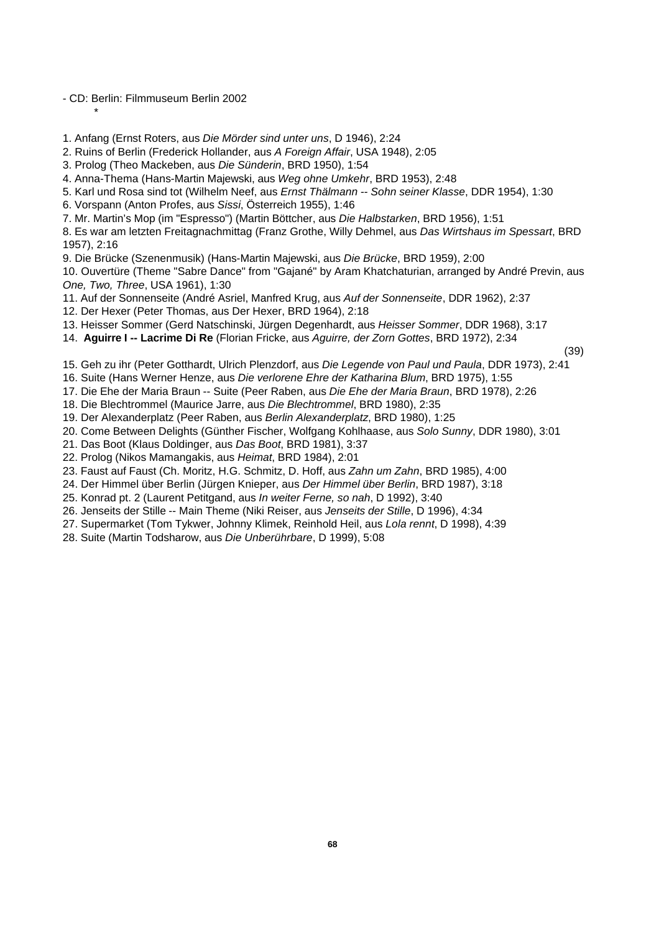- CD: Berlin: Filmmuseum Berlin 2002

\*

1. Anfang (Ernst Roters, aus *Die Mörder sind unter uns*, D 1946), 2:24

2. Ruins of Berlin (Frederick Hollander, aus *A Foreign Affair*, USA 1948), 2:05

3. Prolog (Theo Mackeben, aus *Die Sünderin*, BRD 1950), 1:54

4. Anna-Thema (Hans-Martin Majewski, aus *Weg ohne Umkehr*, BRD 1953), 2:48

5. Karl und Rosa sind tot (Wilhelm Neef, aus *Ernst Thälmann -- Sohn seiner Klasse*, DDR 1954), 1:30

6. Vorspann (Anton Profes, aus *Sissi*, Österreich 1955), 1:46

7. Mr. Martin's Mop (im "Espresso") (Martin Böttcher, aus *Die Halbstarken*, BRD 1956), 1:51

8. Es war am letzten Freitagnachmittag (Franz Grothe, Willy Dehmel, aus *Das Wirtshaus im Spessart*, BRD 1957), 2:16

9. Die Brücke (Szenenmusik) (Hans-Martin Majewski, aus *Die Brücke*, BRD 1959), 2:00

10. Ouvertüre (Theme "Sabre Dance" from "Gajané" by Aram Khatchaturian, arranged by André Previn, aus *One, Two, Three*, USA 1961), 1:30

11. Auf der Sonnenseite (André Asriel, Manfred Krug, aus *Auf der Sonnenseite*, DDR 1962), 2:37

12. Der Hexer (Peter Thomas, aus Der Hexer, BRD 1964), 2:18

13. Heisser Sommer (Gerd Natschinski, Jürgen Degenhardt, aus *Heisser Sommer*, DDR 1968), 3:17

14. **Aguirre I -- Lacrime Di Re** (Florian Fricke, aus *Aguirre, der Zorn Gottes*, BRD 1972), 2:34

(39)

15. Geh zu ihr (Peter Gotthardt, Ulrich Plenzdorf, aus *Die Legende von Paul und Paula*, DDR 1973), 2:41

16. Suite (Hans Werner Henze, aus *Die verlorene Ehre der Katharina Blum*, BRD 1975), 1:55

17. Die Ehe der Maria Braun -- Suite (Peer Raben, aus *Die Ehe der Maria Braun*, BRD 1978), 2:26

18. Die Blechtrommel (Maurice Jarre, aus *Die Blechtrommel*, BRD 1980), 2:35

19. Der Alexanderplatz (Peer Raben, aus *Berlin Alexanderplatz*, BRD 1980), 1:25

20. Come Between Delights (Günther Fischer, Wolfgang Kohlhaase, aus *Solo Sunny*, DDR 1980), 3:01

21. Das Boot (Klaus Doldinger, aus *Das Boot*, BRD 1981), 3:37

22. Prolog (Nikos Mamangakis, aus *Heimat*, BRD 1984), 2:01

23. Faust auf Faust (Ch. Moritz, H.G. Schmitz, D. Hoff, aus *Zahn um Zahn*, BRD 1985), 4:00

24. Der Himmel über Berlin (Jürgen Knieper, aus *Der Himmel über Berlin*, BRD 1987), 3:18

25. Konrad pt. 2 (Laurent Petitgand, aus *In weiter Ferne, so nah*, D 1992), 3:40

26. Jenseits der Stille -- Main Theme (Niki Reiser, aus *Jenseits der Stille*, D 1996), 4:34

27. Supermarket (Tom Tykwer, Johnny Klimek, Reinhold Heil, aus *Lola rennt*, D 1998), 4:39

28. Suite (Martin Todsharow, aus *Die Unberührbare*, D 1999), 5:08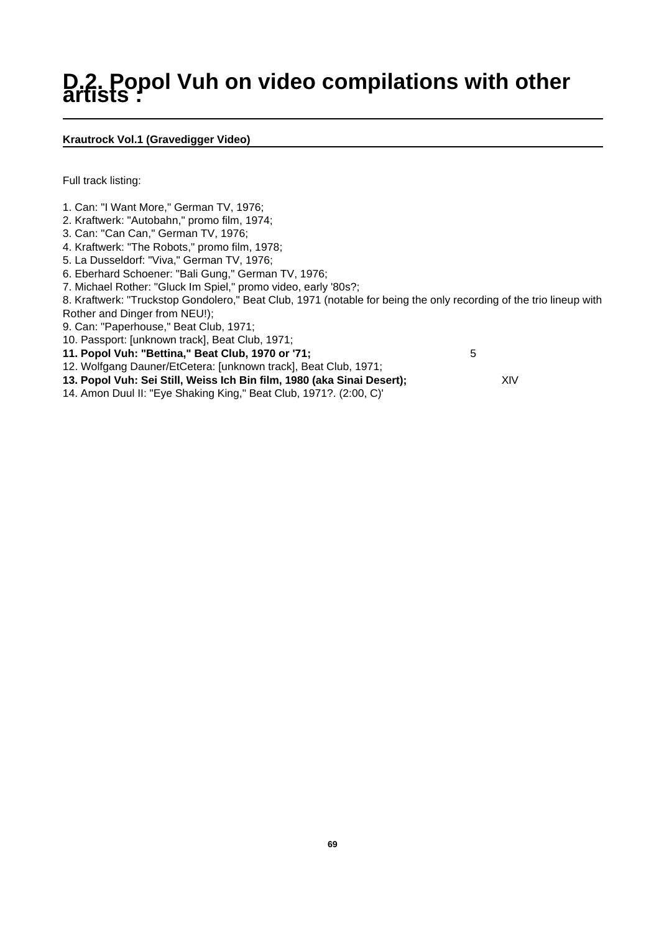# **D.2. Popol Vuh on video compilations with other artists :**

# **Krautrock Vol.1 (Gravedigger Video)**

Full track listing:

- 1. Can: "I Want More," German TV, 1976;
- 2. Kraftwerk: "Autobahn," promo film, 1974;
- 3. Can: "Can Can," German TV, 1976;
- 4. Kraftwerk: "The Robots," promo film, 1978;
- 5. La Dusseldorf: "Viva," German TV, 1976;
- 6. Eberhard Schoener: "Bali Gung," German TV, 1976;
- 7. Michael Rother: "Gluck Im Spiel," promo video, early '80s?;
- 8. Kraftwerk: "Truckstop Gondolero," Beat Club, 1971 (notable for being the only recording of the trio lineup with Rother and Dinger from NEU!);
- 9. Can: "Paperhouse," Beat Club, 1971;
- 10. Passport: [unknown track], Beat Club, 1971;
- **11. Popol Vuh: "Bettina," Beat Club, 1970 or '71;** 5
- 12. Wolfgang Dauner/EtCetera: [unknown track], Beat Club, 1971;
- **13. Popol Vuh: Sei Still, Weiss Ich Bin film, 1980 (aka Sinai Desert);**  $XIV$
- 14. Amon Duul II: "Eye Shaking King," Beat Club, 1971?. (2:00, C)'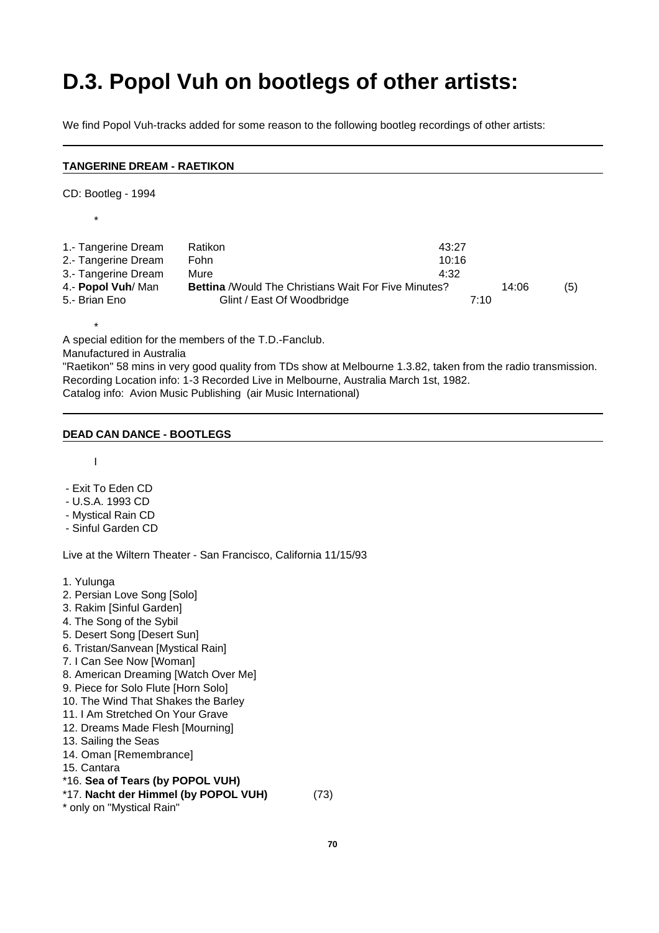# **D.3. Popol Vuh on bootlegs of other artists:**

We find Popol Vuh-tracks added for some reason to the following bootleg recordings of other artists:

#### **TANGERINE DREAM - RAETIKON**

CD: Bootleg - 1994

\*

\*

1.- Tangerine Dream Ratikon 43:27 2.- Tangerine Dream Fohn 10:16 3.- Tangerine Dream Mure 4:32 4.- **Popol Vuh**/ Man **Bettina** /Would The Christians Wait For Five Minutes? 14:06 (5) 5.- Brian Eno Glint / East Of Woodbridge 7:10

A special edition for the members of the T.D.-Fanclub.

Manufactured in Australia

"Raetikon" 58 mins in very good quality from TDs show at Melbourne 1.3.82, taken from the radio transmission. Recording Location info: 1-3 Recorded Live in Melbourne, Australia March 1st, 1982. Catalog info: Avion Music Publishing (air Music International)

#### **DEAD CAN DANCE - BOOTLEGS**

I

- Exit To Eden CD
- U.S.A. 1993 CD
- Mystical Rain CD
- Sinful Garden CD

Live at the Wiltern Theater - San Francisco, California 11/15/93

- 1. Yulunga
- 2. Persian Love Song [Solo]
- 3. Rakim [Sinful Garden]
- 4. The Song of the Sybil
- 5. Desert Song [Desert Sun]
- 6. Tristan/Sanvean [Mystical Rain]
- 7. I Can See Now [Woman]
- 8. American Dreaming [Watch Over Me]
- 9. Piece for Solo Flute [Horn Solo]
- 10. The Wind That Shakes the Barley
- 11. I Am Stretched On Your Grave
- 12. Dreams Made Flesh [Mourning]
- 13. Sailing the Seas
- 14. Oman [Remembrance]
- 15. Cantara
- \*16. **Sea of Tears (by POPOL VUH)**
- \*17. **Nacht der Himmel (by POPOL VUH)** (73)
- \* only on "Mystical Rain"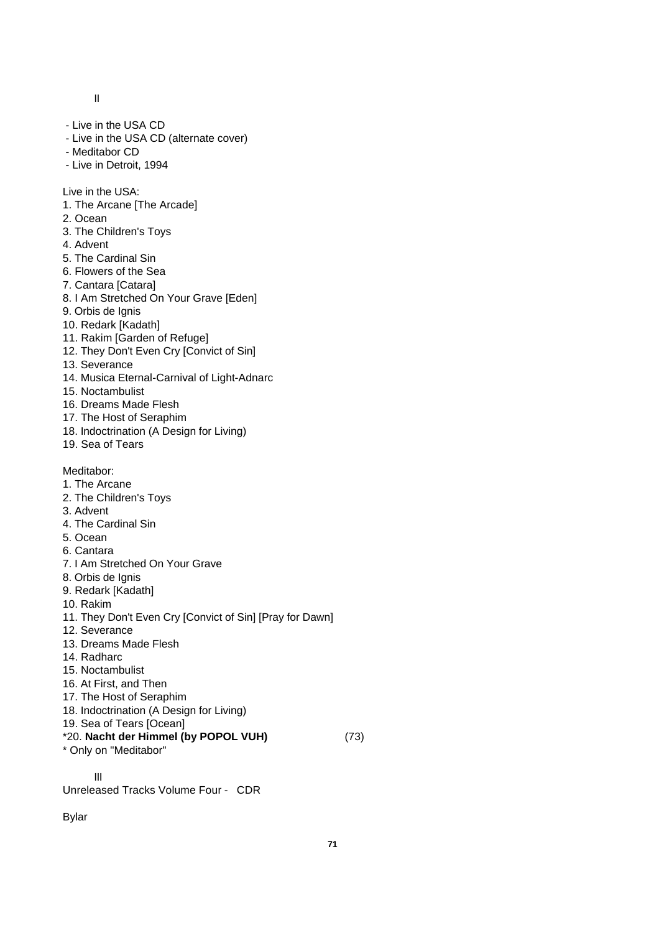II

- Live in the USA CD
- Live in the USA CD (alternate cover)
- Meditabor CD
- Live in Detroit, 1994

Live in the USA:

- 1. The Arcane [The Arcade]
- 2. Ocean
- 3. The Children's Toys
- 4. Advent
- 5. The Cardinal Sin
- 6. Flowers of the Sea
- 7. Cantara [Catara]
- 8. I Am Stretched On Your Grave [Eden]
- 9. Orbis de Ignis
- 10. Redark [Kadath]
- 11. Rakim [Garden of Refuge]
- 12. They Don't Even Cry [Convict of Sin]
- 13. Severance
- 14. Musica Eternal-Carnival of Light-Adnarc
- 15. Noctambulist
- 16. Dreams Made Flesh
- 17. The Host of Seraphim
- 18. Indoctrination (A Design for Living)
- 19. Sea of Tears

Meditabor:

- 1. The Arcane
- 2. The Children's Toys
- 3. Advent
- 4. The Cardinal Sin
- 5. Ocean
- 6. Cantara
- 7. I Am Stretched On Your Grave
- 8. Orbis de Ignis
- 9. Redark [Kadath]
- 10. Rakim
- 11. They Don't Even Cry [Convict of Sin] [Pray for Dawn]
- 12. Severance
- 13. Dreams Made Flesh
- 14. Radharc
- 15. Noctambulist
- 16. At First, and Then
- 17. The Host of Seraphim
- 18. Indoctrination (A Design for Living)
- 19. Sea of Tears [Ocean]
- \*20. **Nacht der Himmel (by POPOL VUH)** (73)
- \* Only on "Meditabor"

III Unreleased Tracks Volume Four - CDR

Bylar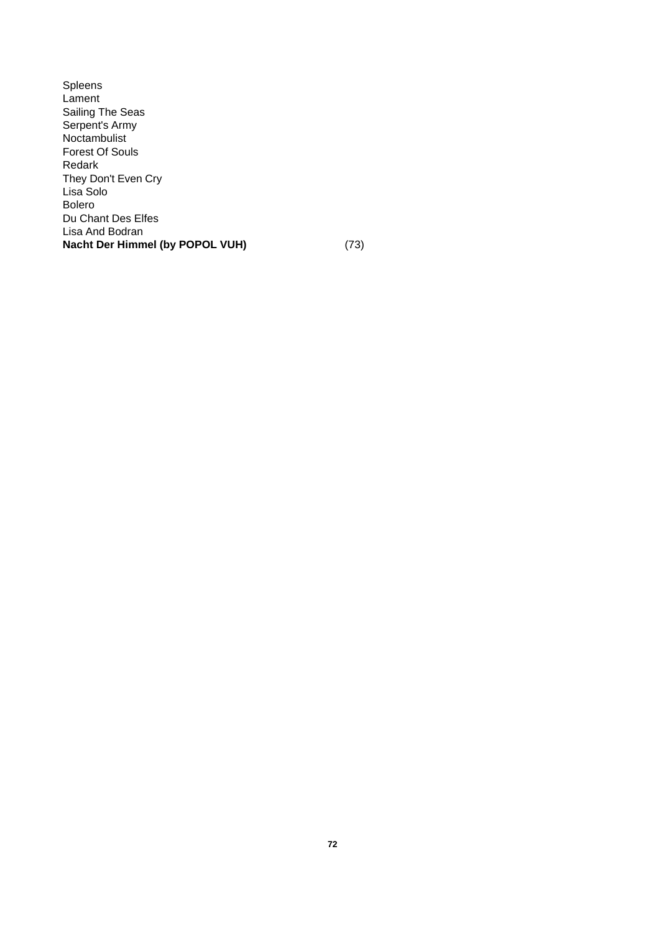Spleens Lament Sailing The Seas Serpent's Army Noctambulist Forest Of Souls Redark They Don't Even Cry Lisa Solo Bolero Du Chant Des Elfes Lisa And Bodran **Nacht Der Himmel (by POPOL VUH)** (73)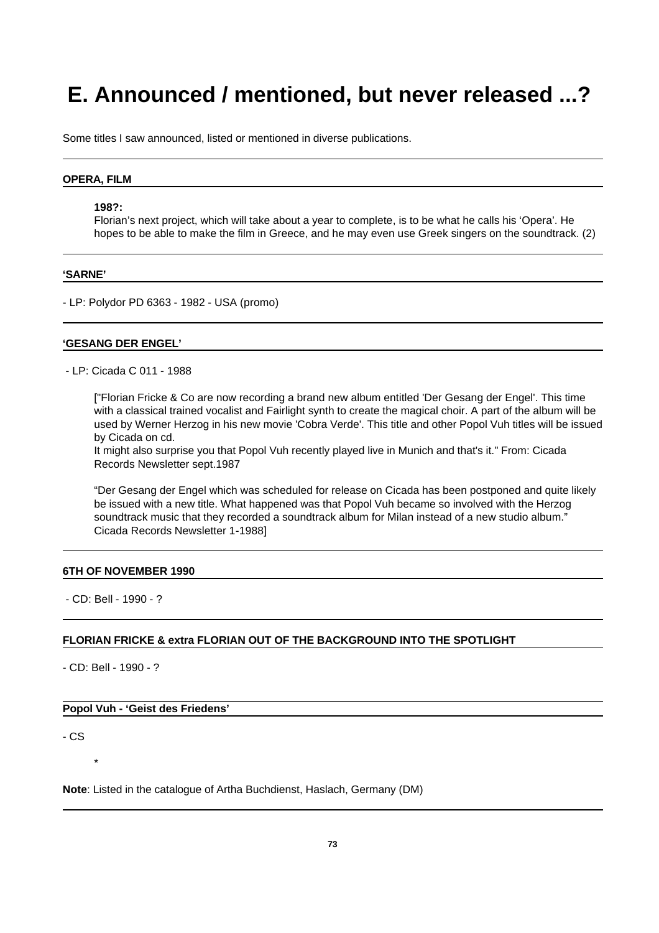# **E. Announced / mentioned, but never released ...?**

Some titles I saw announced, listed or mentioned in diverse publications.

#### **OPERA, FILM**

#### **198?:**

Florian's next project, which will take about a year to complete, is to be what he calls his 'Opera'. He hopes to be able to make the film in Greece, and he may even use Greek singers on the soundtrack. (2)

#### **'SARNE'**

- LP: Polydor PD 6363 - 1982 - USA (promo)

#### **'GESANG DER ENGEL'**

- LP: Cicada C 011 - 1988

["Florian Fricke & Co are now recording a brand new album entitled 'Der Gesang der Engel'. This time with a classical trained vocalist and Fairlight synth to create the magical choir. A part of the album will be used by Werner Herzog in his new movie 'Cobra Verde'. This title and other Popol Vuh titles will be issued by Cicada on cd.

It might also surprise you that Popol Vuh recently played live in Munich and that's it." From: Cicada Records Newsletter sept.1987

"Der Gesang der Engel which was scheduled for release on Cicada has been postponed and quite likely be issued with a new title. What happened was that Popol Vuh became so involved with the Herzog soundtrack music that they recorded a soundtrack album for Milan instead of a new studio album." Cicada Records Newsletter 1-1988]

#### **6TH OF NOVEMBER 1990**

- CD: Bell - 1990 - ?

### **FLORIAN FRICKE & extra FLORIAN OUT OF THE BACKGROUND INTO THE SPOTLIGHT**

- CD: Bell - 1990 - ?

## **Popol Vuh - 'Geist des Friedens'**

- CS

\*

**Note**: Listed in the catalogue of Artha Buchdienst, Haslach, Germany (DM)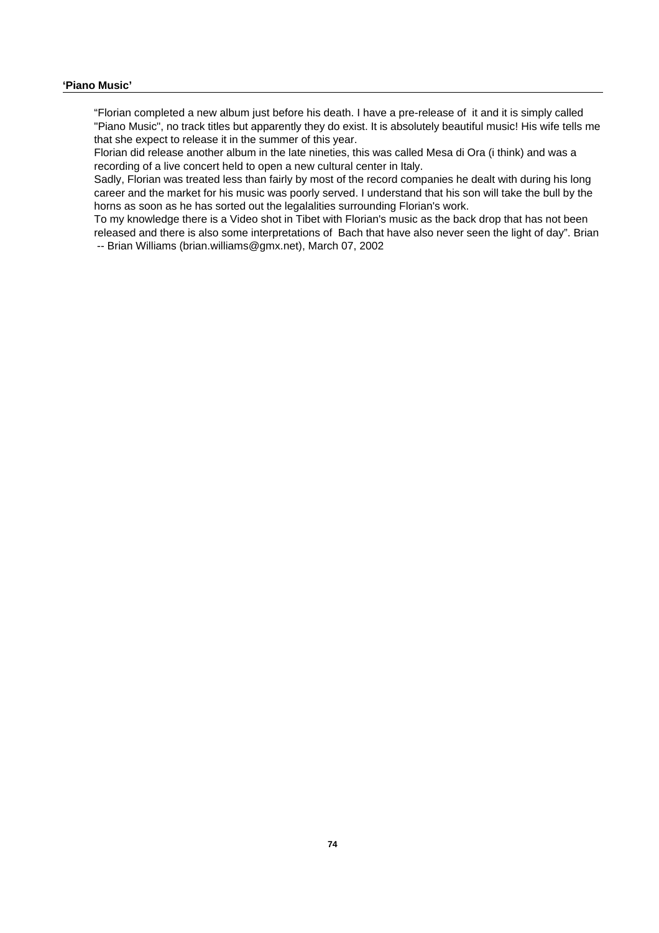## **'Piano Music'**

"Florian completed a new album just before his death. I have a pre-release of it and it is simply called "Piano Music", no track titles but apparently they do exist. It is absolutely beautiful music! His wife tells me that she expect to release it in the summer of this year.

Florian did release another album in the late nineties, this was called Mesa di Ora (i think) and was a recording of a live concert held to open a new cultural center in Italy.

Sadly, Florian was treated less than fairly by most of the record companies he dealt with during his long career and the market for his music was poorly served. I understand that his son will take the bull by the horns as soon as he has sorted out the legalalities surrounding Florian's work.

To my knowledge there is a Video shot in Tibet with Florian's music as the back drop that has not been released and there is also some interpretations of Bach that have also never seen the light of day". Brian -- Brian Williams (brian.williams@gmx.net), March 07, 2002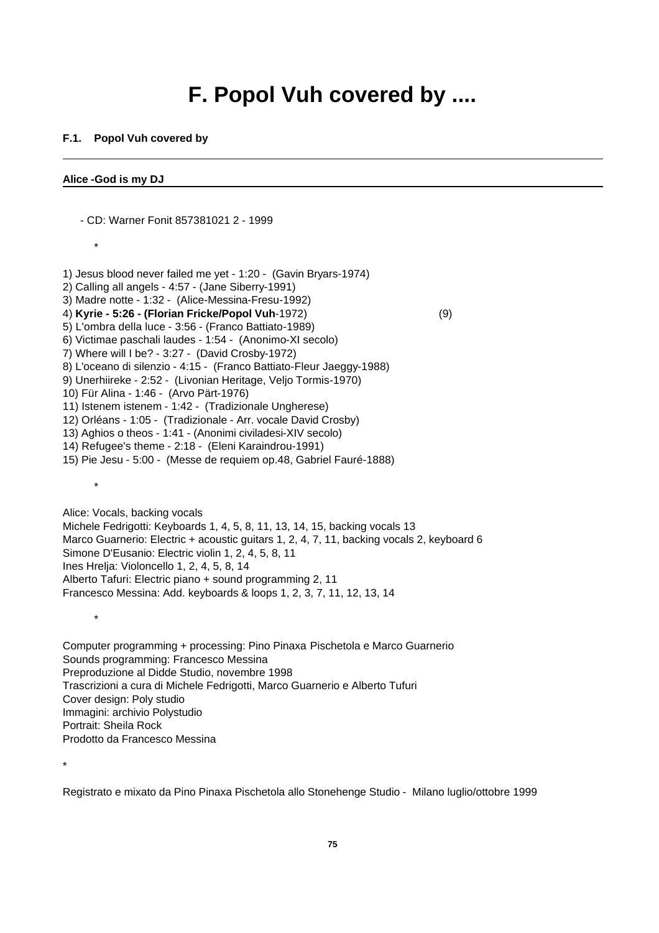## **F. Popol Vuh covered by ....**

## **F.1. Popol Vuh covered by**

- CD: Warner Fonit 857381021 2 - 1999

## **Alice -God is my DJ**

\* 1) Jesus blood never failed me yet - 1:20 - (Gavin Bryars-1974) 2) Calling all angels - 4:57 - (Jane Siberry-1991) 3) Madre notte - 1:32 - (Alice-Messina-Fresu-1992) 4) **Kyrie - 5:26 - (Florian Fricke/Popol Vuh**-1972) (9) 5) L'ombra della luce - 3:56 - (Franco Battiato-1989) 6) Victimae paschali laudes - 1:54 - (Anonimo-XI secolo) 7) Where will I be? - 3:27 - (David Crosby-1972) 8) L'oceano di silenzio - 4:15 - (Franco Battiato-Fleur Jaeggy-1988) 9) Unerhiireke - 2:52 - (Livonian Heritage, Veljo Tormis-1970) 10) Für Alina - 1:46 - (Arvo Pärt-1976) 11) Istenem istenem - 1:42 - (Tradizionale Ungherese) 12) Orléans - 1:05 - (Tradizionale - Arr. vocale David Crosby) 13) Aghios o theos - 1:41 - (Anonimi civiladesi-XIV secolo) 14) Refugee's theme - 2:18 - (Eleni Karaindrou-1991) 15) Pie Jesu - 5:00 - (Messe de requiem op.48, Gabriel Fauré-1888) \* Alice: Vocals, backing vocals Michele Fedrigotti: Keyboards 1, 4, 5, 8, 11, 13, 14, 15, backing vocals 13 Marco Guarnerio: Electric + acoustic guitars 1, 2, 4, 7, 11, backing vocals 2, keyboard 6 Simone D'Eusanio: Electric violin 1, 2, 4, 5, 8, 11 Ines Hrelja: Violoncello 1, 2, 4, 5, 8, 14

Alberto Tafuri: Electric piano + sound programming 2, 11

Francesco Messina: Add. keyboards & loops 1, 2, 3, 7, 11, 12, 13, 14

Computer programming + processing: Pino Pinaxa Pischetola e Marco Guarnerio Sounds programming: Francesco Messina Preproduzione al Didde Studio, novembre 1998 Trascrizioni a cura di Michele Fedrigotti, Marco Guarnerio e Alberto Tufuri Cover design: Poly studio Immagini: archivio Polystudio Portrait: Sheila Rock Prodotto da Francesco Messina

\*

\*

Registrato e mixato da Pino Pinaxa Pischetola allo Stonehenge Studio - Milano luglio/ottobre 1999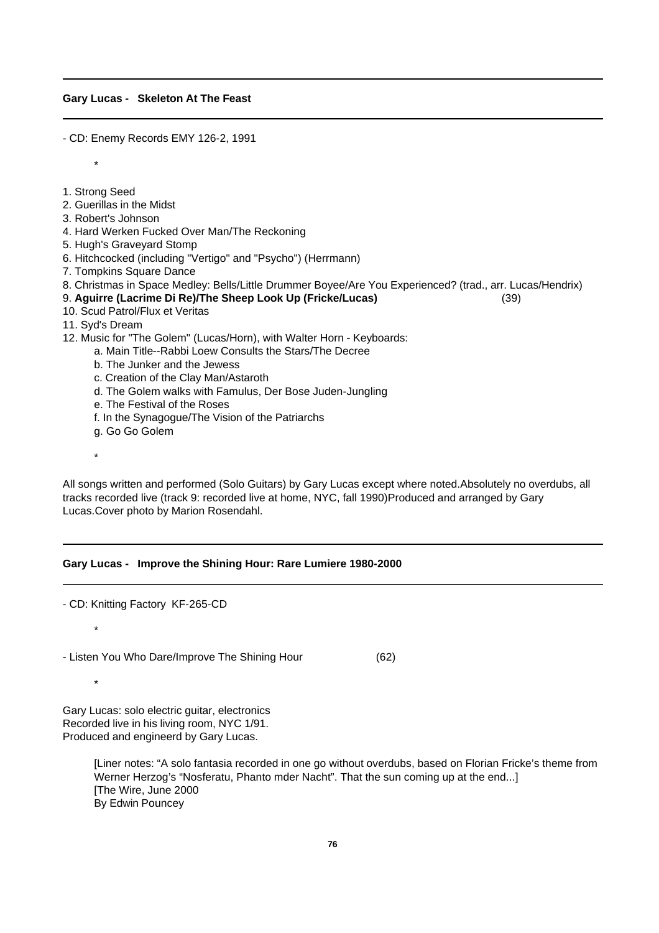#### **Gary Lucas - Skeleton At The Feast**

- CD: Enemy Records EMY 126-2, 1991

1. Strong Seed

\*

- 2. Guerillas in the Midst
- 3. Robert's Johnson
- 4. Hard Werken Fucked Over Man/The Reckoning
- 5. Hugh's Graveyard Stomp
- 6. Hitchcocked (including "Vertigo" and "Psycho") (Herrmann)
- 7. Tompkins Square Dance
- 8. Christmas in Space Medley: Bells/Little Drummer Boyee/Are You Experienced? (trad., arr. Lucas/Hendrix)
- 9. **Aguirre (Lacrime Di Re)/The Sheep Look Up (Fricke/Lucas)** (39)
- 10. Scud Patrol/Flux et Veritas
- 11. Syd's Dream
- 12. Music for "The Golem" (Lucas/Horn), with Walter Horn Keyboards:
	- a. Main Title--Rabbi Loew Consults the Stars/The Decree
	- b. The Junker and the Jewess
	- c. Creation of the Clay Man/Astaroth
	- d. The Golem walks with Famulus, Der Bose Juden-Jungling
	- e. The Festival of the Roses
	- f. In the Synagogue/The Vision of the Patriarchs
	- g. Go Go Golem
	- \*

All songs written and performed (Solo Guitars) by Gary Lucas except where noted.Absolutely no overdubs, all tracks recorded live (track 9: recorded live at home, NYC, fall 1990)Produced and arranged by Gary Lucas.Cover photo by Marion Rosendahl.

## **Gary Lucas - Improve the Shining Hour: Rare Lumiere 1980-2000**

- CD: Knitting Factory KF-265-CD

- Listen You Who Dare/Improve The Shining Hour (62)

\*

\*

Gary Lucas: solo electric guitar, electronics Recorded live in his living room, NYC 1/91. Produced and engineerd by Gary Lucas.

> [Liner notes: "A solo fantasia recorded in one go without overdubs, based on Florian Fricke's theme from Werner Herzog's "Nosferatu, Phanto mder Nacht". That the sun coming up at the end...] [The Wire, June 2000 By Edwin Pouncey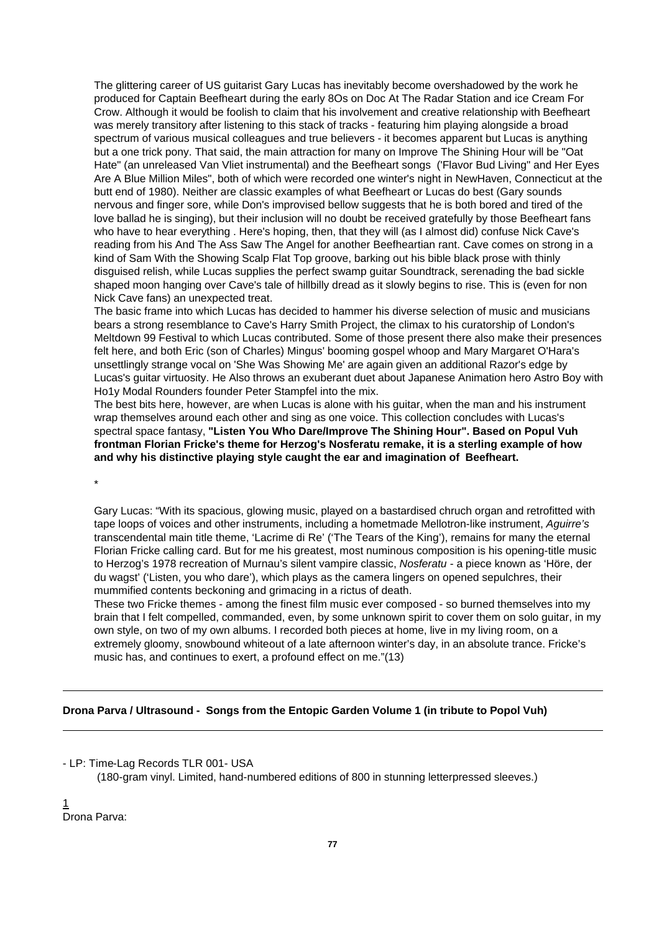The glittering career of US guitarist Gary Lucas has inevitably become overshadowed by the work he produced for Captain Beefheart during the early 8Os on Doc At The Radar Station and ice Cream For Crow. Although it would be foolish to claim that his involvement and creative relationship with Beefheart was merely transitory after listening to this stack of tracks - featuring him playing alongside a broad spectrum of various musical colleagues and true believers - it becomes apparent but Lucas is anything but a one trick pony. That said, the main attraction for many on Improve The Shining Hour will be "Oat Hate" (an unreleased Van Vliet instrumental) and the Beefheart songs ('Flavor Bud Living" and Her Eyes Are A Blue Million Miles", both of which were recorded one winter's night in NewHaven, Connecticut at the butt end of 1980). Neither are classic examples of what Beefheart or Lucas do best (Gary sounds nervous and finger sore, while Don's improvised bellow suggests that he is both bored and tired of the love ballad he is singing), but their inclusion will no doubt be received gratefully by those Beefheart fans who have to hear everything . Here's hoping, then, that they will (as I almost did) confuse Nick Cave's reading from his And The Ass Saw The Angel for another Beefheartian rant. Cave comes on strong in a kind of Sam With the Showing Scalp Flat Top groove, barking out his bible black prose with thinly disguised relish, while Lucas supplies the perfect swamp guitar Soundtrack, serenading the bad sickle shaped moon hanging over Cave's tale of hillbilly dread as it slowly begins to rise. This is (even for non Nick Cave fans) an unexpected treat.

The basic frame into which Lucas has decided to hammer his diverse selection of music and musicians bears a strong resemblance to Cave's Harry Smith Project, the climax to his curatorship of London's Meltdown 99 Festival to which Lucas contributed. Some of those present there also make their presences felt here, and both Eric (son of Charles) Mingus' booming gospel whoop and Mary Margaret O'Hara's unsettlingly strange vocal on 'She Was Showing Me' are again given an additional Razor's edge by Lucas's guitar virtuosity. He Also throws an exuberant duet about Japanese Animation hero Astro Boy with Ho1y Modal Rounders founder Peter Stampfel into the mix.

The best bits here, however, are when Lucas is alone with his guitar, when the man and his instrument wrap themselves around each other and sing as one voice. This collection concludes with Lucas's spectral space fantasy, **"Listen You Who Dare/Improve The Shining Hour". Based on Popul Vuh frontman Florian Fricke's theme for Herzog's Nosferatu remake, it is a sterling example of how and why his distinctive playing style caught the ear and imagination of Beefheart.** 

\*

Gary Lucas: "With its spacious, glowing music, played on a bastardised chruch organ and retrofitted with tape loops of voices and other instruments, including a hometmade Mellotron-like instrument, *Aguirre's* transcendental main title theme, 'Lacrime di Re' ('The Tears of the King'), remains for many the eternal Florian Fricke calling card. But for me his greatest, most numinous composition is his opening-title music to Herzog's 1978 recreation of Murnau's silent vampire classic, *Nosferatu* - a piece known as 'Höre, der du wagst' ('Listen, you who dare'), which plays as the camera lingers on opened sepulchres, their mummified contents beckoning and grimacing in a rictus of death.

These two Fricke themes - among the finest film music ever composed - so burned themselves into my brain that I felt compelled, commanded, even, by some unknown spirit to cover them on solo guitar, in my own style, on two of my own albums. I recorded both pieces at home, live in my living room, on a extremely gloomy, snowbound whiteout of a late afternoon winter's day, in an absolute trance. Fricke's music has, and continues to exert, a profound effect on me."(13)

## **Drona Parva / Ultrasound - Songs from the Entopic Garden Volume 1 (in tribute to Popol Vuh)**

- LP: Time-Lag Records TLR 001- USA

(180-gram vinyl. Limited, hand-numbered editions of 800 in stunning letterpressed sleeves.)

1 Drona Parva: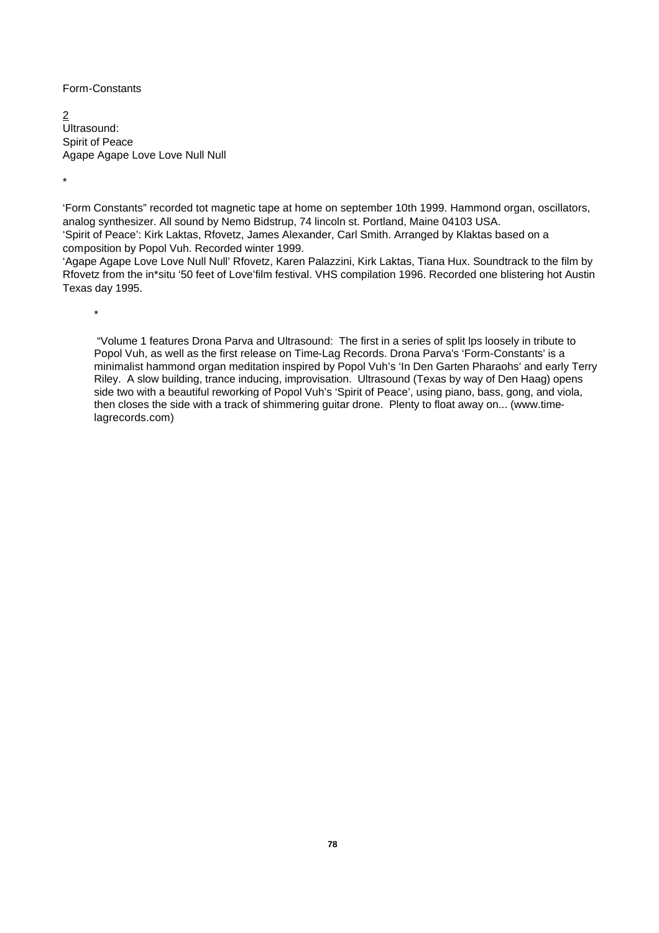Form-Constants

2 Ultrasound: Spirit of Peace Agape Agape Love Love Null Null

\*

'Form Constants" recorded tot magnetic tape at home on september 10th 1999. Hammond organ, oscillators, analog synthesizer. All sound by Nemo Bidstrup, 74 lincoln st. Portland, Maine 04103 USA. 'Spirit of Peace': Kirk Laktas, Rfovetz, James Alexander, Carl Smith. Arranged by Klaktas based on a composition by Popol Vuh. Recorded winter 1999.

'Agape Agape Love Love Null Null' Rfovetz, Karen Palazzini, Kirk Laktas, Tiana Hux. Soundtrack to the film by Rfovetz from the in\*situ '50 feet of Love'film festival. VHS compilation 1996. Recorded one blistering hot Austin Texas day 1995.

\*

 "Volume 1 features Drona Parva and Ultrasound: The first in a series of split lps loosely in tribute to Popol Vuh, as well as the first release on Time-Lag Records. Drona Parva's 'Form-Constants' is a minimalist hammond organ meditation inspired by Popol Vuh's 'In Den Garten Pharaohs' and early Terry Riley. A slow building, trance inducing, improvisation. Ultrasound (Texas by way of Den Haag) opens side two with a beautiful reworking of Popol Vuh's 'Spirit of Peace', using piano, bass, gong, and viola, then closes the side with a track of shimmering guitar drone. Plenty to float away on... (www.timelagrecords.com)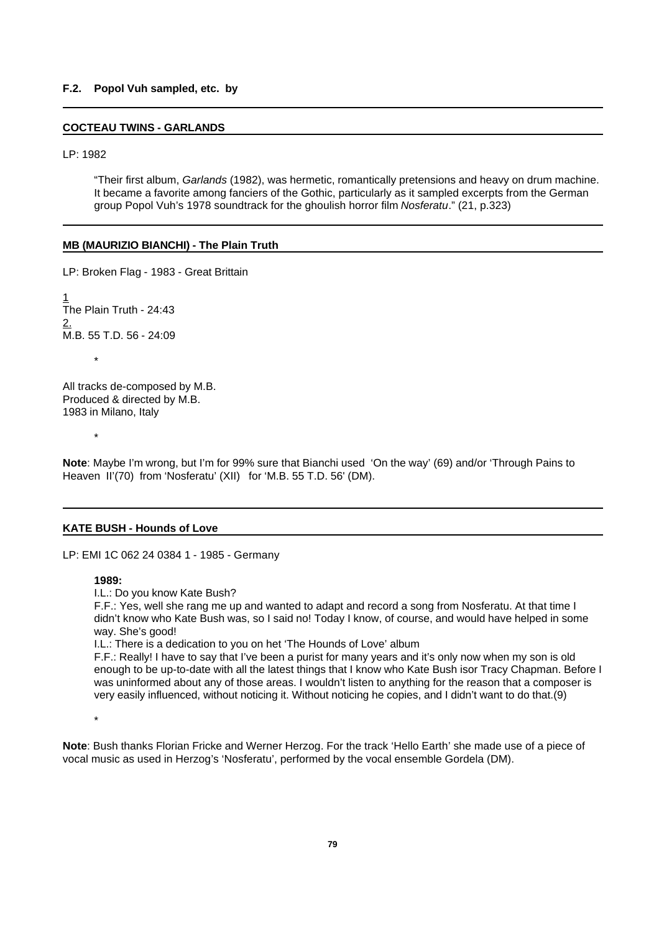## **F.2. Popol Vuh sampled, etc. by**

#### **COCTEAU TWINS - GARLANDS**

LP: 1982

"Their first album, *Garlands* (1982), was hermetic, romantically pretensions and heavy on drum machine. It became a favorite among fanciers of the Gothic, particularly as it sampled excerpts from the German group Popol Vuh's 1978 soundtrack for the ghoulish horror film *Nosferatu*." (21, p.323)

#### **MB (MAURIZIO BIANCHI) - The Plain Truth**

LP: Broken Flag - 1983 - Great Brittain 1 The Plain Truth - 24:43 2. M.B. 55 T.D. 56 - 24:09

All tracks de-composed by M.B. Produced & directed by M.B. 1983 in Milano, Italy

\*

\*

**Note**: Maybe I'm wrong, but I'm for 99% sure that Bianchi used 'On the way' (69) and/or 'Through Pains to Heaven II'(70) from 'Nosferatu' (XII) for 'M.B. 55 T.D. 56' (DM).

#### **KATE BUSH - Hounds of Love**

LP: EMI 1C 062 24 0384 1 - 1985 - Germany

## **1989:**

I.L.: Do you know Kate Bush?

F.F.: Yes, well she rang me up and wanted to adapt and record a song from Nosferatu. At that time I didn't know who Kate Bush was, so I said no! Today I know, of course, and would have helped in some way. She's good!

I.L.: There is a dedication to you on het 'The Hounds of Love' album

F.F.: Really! I have to say that I've been a purist for many years and it's only now when my son is old enough to be up-to-date with all the latest things that I know who Kate Bush isor Tracy Chapman. Before I was uninformed about any of those areas. I wouldn't listen to anything for the reason that a composer is very easily influenced, without noticing it. Without noticing he copies, and I didn't want to do that.(9)

\*

**Note**: Bush thanks Florian Fricke and Werner Herzog. For the track 'Hello Earth' she made use of a piece of vocal music as used in Herzog's 'Nosferatu', performed by the vocal ensemble Gordela (DM).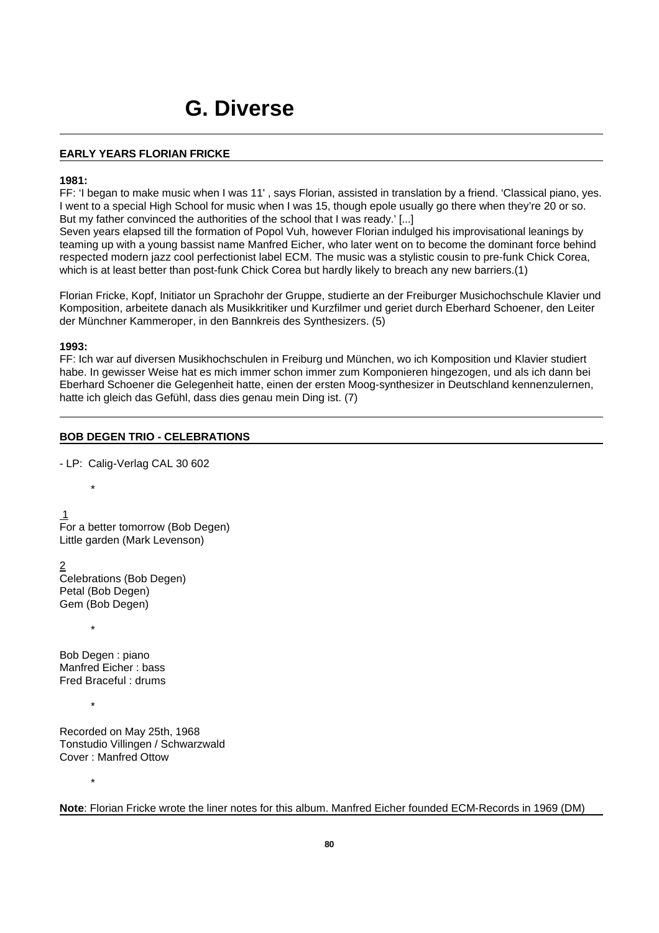## **EARLY YEARS FLORIAN FRICKE**

### **1981:**

FF: 'I began to make music when I was 11' , says Florian, assisted in translation by a friend. 'Classical piano, yes. I went to a special High School for music when I was 15, though epole usually go there when they're 20 or so. But my father convinced the authorities of the school that I was ready.' [...]

Seven years elapsed till the formation of Popol Vuh, however Florian indulged his improvisational leanings by teaming up with a young bassist name Manfred Eicher, who later went on to become the dominant force behind respected modern jazz cool perfectionist label ECM. The music was a stylistic cousin to pre-funk Chick Corea, which is at least better than post-funk Chick Corea but hardly likely to breach any new barriers.(1)

Florian Fricke, Kopf, Initiator un Sprachohr der Gruppe, studierte an der Freiburger Musichochschule Klavier und Komposition, arbeitete danach als Musikkritiker und Kurzfilmer und geriet durch Eberhard Schoener, den Leiter der Münchner Kammeroper, in den Bannkreis des Synthesizers. (5)

## **1993:**

FF: Ich war auf diversen Musikhochschulen in Freiburg und München, wo ich Komposition und Klavier studiert habe. In gewisser Weise hat es mich immer schon immer zum Komponieren hingezogen, und als ich dann bei Eberhard Schoener die Gelegenheit hatte, einen der ersten Moog-synthesizer in Deutschland kennenzulernen, hatte ich gleich das Gefühl, dass dies genau mein Ding ist. (7)

## **BOB DEGEN TRIO - CELEBRATIONS**

- LP: Calig-Verlag CAL 30 602

 1 For a better tomorrow (Bob Degen) Little garden (Mark Levenson)

2 Celebrations (Bob Degen) Petal (Bob Degen) Gem (Bob Degen)

Bob Degen : piano Manfred Eicher : bass Fred Braceful : drums

\*

\*

\*

\*

Recorded on May 25th, 1968 Tonstudio Villingen / Schwarzwald Cover : Manfred Ottow

**Note**: Florian Fricke wrote the liner notes for this album. Manfred Eicher founded ECM-Records in 1969 (DM)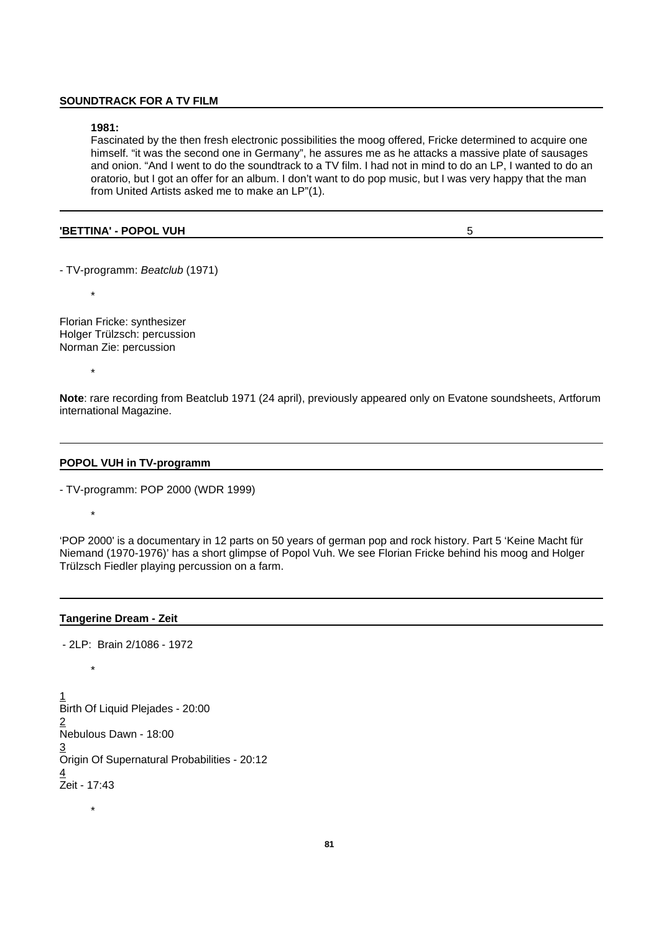#### **SOUNDTRACK FOR A TV FILM**

#### **1981:**

Fascinated by the then fresh electronic possibilities the moog offered, Fricke determined to acquire one himself. "it was the second one in Germany", he assures me as he attacks a massive plate of sausages and onion. "And I went to do the soundtrack to a TV film. I had not in mind to do an LP, I wanted to do an oratorio, but I got an offer for an album. I don't want to do pop music, but I was very happy that the man from United Artists asked me to make an LP"(1).

#### **'BETTINA' - POPOL VUH** 5

- TV-programm: *Beatclub* (1971)

Florian Fricke: synthesizer Holger Trülzsch: percussion Norman Zie: percussion

\*

\*

\*

\*

**Note**: rare recording from Beatclub 1971 (24 april), previously appeared only on Evatone soundsheets, Artforum international Magazine.

#### **POPOL VUH in TV-programm**

- TV-programm: POP 2000 (WDR 1999)

'POP 2000' is a documentary in 12 parts on 50 years of german pop and rock history. Part 5 'Keine Macht für Niemand (1970-1976)' has a short glimpse of Popol Vuh. We see Florian Fricke behind his moog and Holger Trülzsch Fiedler playing percussion on a farm.

#### **Tangerine Dream - Zeit**

- 2LP: Brain 2/1086 - 1972

\* 1 Birth Of Liquid Plejades - 20:00 2 Nebulous Dawn - 18:00 3 Origin Of Supernatural Probabilities - 20:12 4 Zeit - 17:43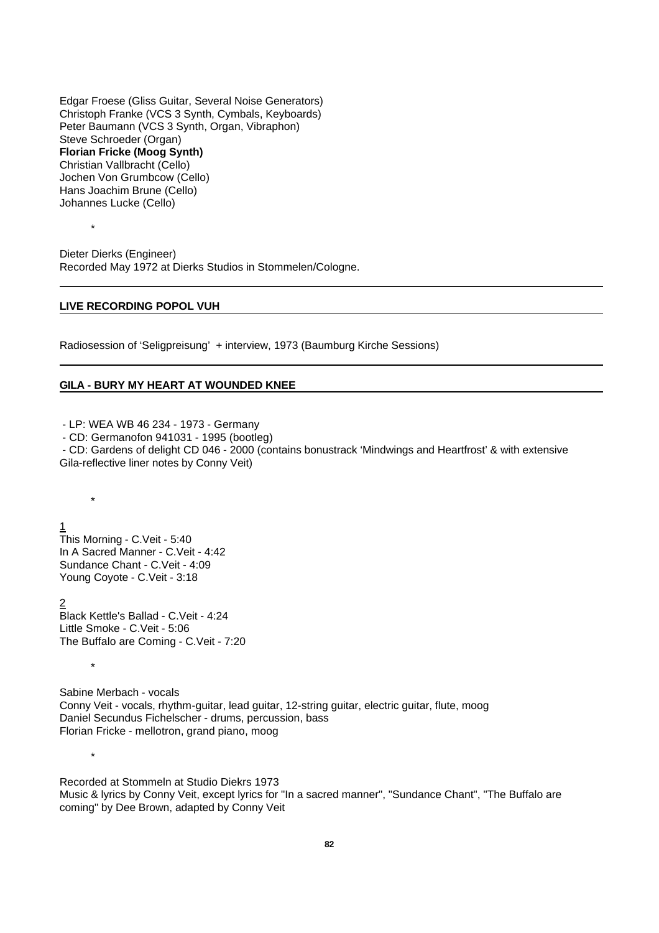Edgar Froese (Gliss Guitar, Several Noise Generators) Christoph Franke (VCS 3 Synth, Cymbals, Keyboards) Peter Baumann (VCS 3 Synth, Organ, Vibraphon) Steve Schroeder (Organ) **Florian Fricke (Moog Synth)** Christian Vallbracht (Cello) Jochen Von Grumbcow (Cello) Hans Joachim Brune (Cello) Johannes Lucke (Cello)

Dieter Dierks (Engineer) Recorded May 1972 at Dierks Studios in Stommelen/Cologne.

#### **LIVE RECORDING POPOL VUH**

\*

\*

\*

\*

Radiosession of 'Seligpreisung' + interview, 1973 (Baumburg Kirche Sessions)

## **GILA - BURY MY HEART AT WOUNDED KNEE**

- LP: WEA WB 46 234 - 1973 - Germany

- CD: Germanofon 941031 - 1995 (bootleg)

- CD: Gardens of delight CD 046 - 2000 (contains bonustrack 'Mindwings and Heartfrost' & with extensive Gila-reflective liner notes by Conny Veit)

1 This Morning - C.Veit - 5:40 In A Sacred Manner - C.Veit - 4:42 Sundance Chant - C.Veit - 4:09 Young Coyote - C.Veit - 3:18

2 Black Kettle's Ballad - C.Veit - 4:24 Little Smoke - C.Veit - 5:06 The Buffalo are Coming - C.Veit - 7:20

Sabine Merbach - vocals Conny Veit - vocals, rhythm-guitar, lead guitar, 12-string guitar, electric guitar, flute, moog Daniel Secundus Fichelscher - drums, percussion, bass Florian Fricke - mellotron, grand piano, moog

Recorded at Stommeln at Studio Diekrs 1973 Music & lyrics by Conny Veit, except lyrics for "In a sacred manner", "Sundance Chant", "The Buffalo are coming" by Dee Brown, adapted by Conny Veit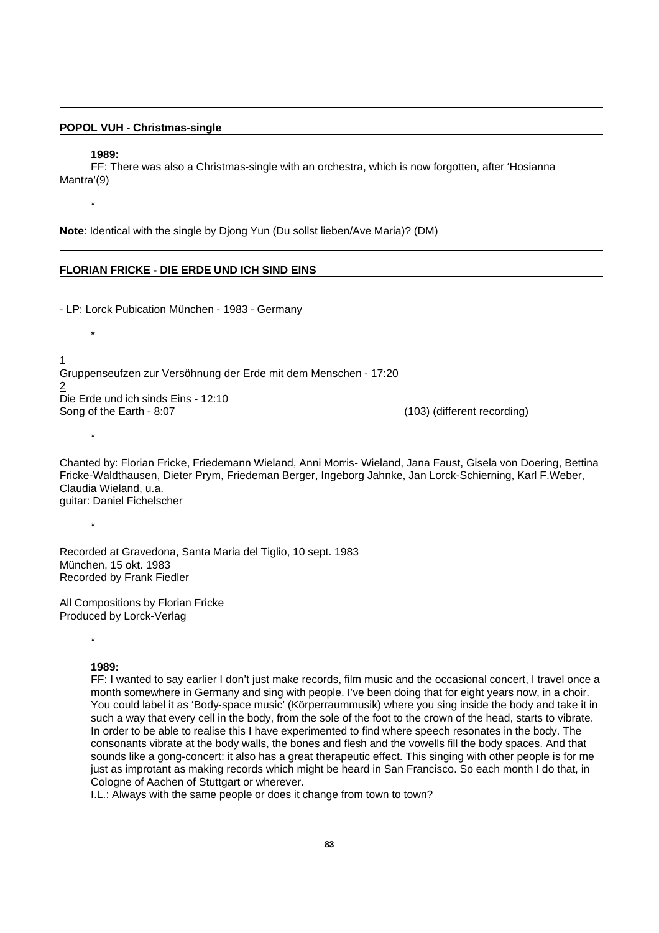#### **POPOL VUH - Christmas-single**

#### **1989:**

FF: There was also a Christmas-single with an orchestra, which is now forgotten, after 'Hosianna Mantra'(9)

\*

\*

\*

**Note**: Identical with the single by Djong Yun (Du sollst lieben/Ave Maria)? (DM)

#### **FLORIAN FRICKE - DIE ERDE UND ICH SIND EINS**

- LP: Lorck Pubication München - 1983 - Germany

1 Gruppenseufzen zur Versöhnung der Erde mit dem Menschen - 17:20 2 Die Erde und ich sinds Eins - 12:10 Song of the Earth - 8:07 (103) (different recording)

Chanted by: Florian Fricke, Friedemann Wieland, Anni Morris- Wieland, Jana Faust, Gisela von Doering, Bettina Fricke-Waldthausen, Dieter Prym, Friedeman Berger, Ingeborg Jahnke, Jan Lorck-Schierning, Karl F.Weber, Claudia Wieland, u.a. guitar: Daniel Fichelscher

\*

Recorded at Gravedona, Santa Maria del Tiglio, 10 sept. 1983 München, 15 okt. 1983 Recorded by Frank Fiedler

All Compositions by Florian Fricke Produced by Lorck-Verlag

\*

## **1989:**

FF: I wanted to say earlier I don't just make records, film music and the occasional concert, I travel once a month somewhere in Germany and sing with people. I've been doing that for eight years now, in a choir. You could label it as 'Body-space music' (Körperraummusik) where you sing inside the body and take it in such a way that every cell in the body, from the sole of the foot to the crown of the head, starts to vibrate. In order to be able to realise this I have experimented to find where speech resonates in the body. The consonants vibrate at the body walls, the bones and flesh and the vowells fill the body spaces. And that sounds like a gong-concert: it also has a great therapeutic effect. This singing with other people is for me just as improtant as making records which might be heard in San Francisco. So each month I do that, in Cologne of Aachen of Stuttgart or wherever.

I.L.: Always with the same people or does it change from town to town?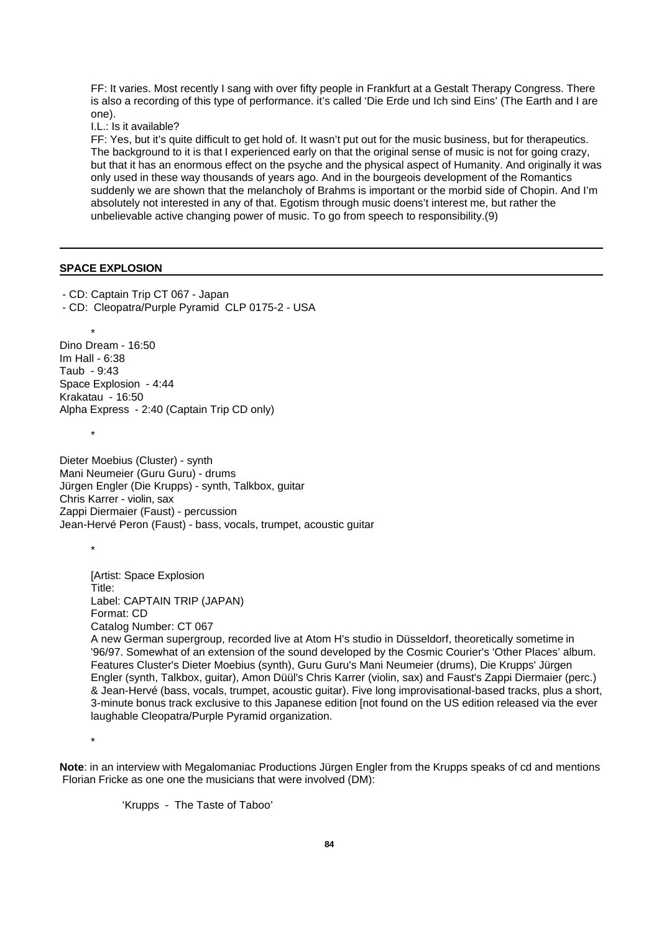FF: It varies. Most recently I sang with over fifty people in Frankfurt at a Gestalt Therapy Congress. There is also a recording of this type of performance. it's called 'Die Erde und Ich sind Eins' (The Earth and I are one).

I.L.: Is it available?

FF: Yes, but it's quite difficult to get hold of. It wasn't put out for the music business, but for therapeutics. The background to it is that I experienced early on that the original sense of music is not for going crazy, but that it has an enormous effect on the psyche and the physical aspect of Humanity. And originally it was only used in these way thousands of years ago. And in the bourgeois development of the Romantics suddenly we are shown that the melancholy of Brahms is important or the morbid side of Chopin. And I'm absolutely not interested in any of that. Egotism through music doens't interest me, but rather the unbelievable active changing power of music. To go from speech to responsibility.(9)

## **SPACE EXPLOSION**

- CD: Captain Trip CT 067 - Japan

- CD: Cleopatra/Purple Pyramid CLP 0175-2 - USA

\* Dino Dream - 16:50 Im Hall - 6:38 Taub - 9:43 Space Explosion - 4:44 Krakatau - 16:50 Alpha Express - 2:40 (Captain Trip CD only)

Dieter Moebius (Cluster) - synth Mani Neumeier (Guru Guru) - drums Jürgen Engler (Die Krupps) - synth, Talkbox, guitar Chris Karrer - violin, sax Zappi Diermaier (Faust) - percussion Jean-Hervé Peron (Faust) - bass, vocals, trumpet, acoustic guitar

\*

\*

[Artist: Space Explosion Title: Label: CAPTAIN TRIP (JAPAN) Format: CD Catalog Number: CT 067 A new German supergroup, recorded live at Atom H's studio in Düsseldorf, theoretically sometime in '96/97. Somewhat of an extension of the sound developed by the Cosmic Courier's 'Other Places' album. Features Cluster's Dieter Moebius (synth), Guru Guru's Mani Neumeier (drums), Die Krupps' Jürgen Engler (synth, Talkbox, guitar), Amon Düül's Chris Karrer (violin, sax) and Faust's Zappi Diermaier (perc.) & Jean-Hervé (bass, vocals, trumpet, acoustic guitar). Five long improvisational-based tracks, plus a short, 3-minute bonus track exclusive to this Japanese edition [not found on the US edition released via the ever laughable Cleopatra/Purple Pyramid organization.

\*

**Note**: in an interview with Megalomaniac Productions Jürgen Engler from the Krupps speaks of cd and mentions Florian Fricke as one one the musicians that were involved (DM):

'Krupps - The Taste of Taboo'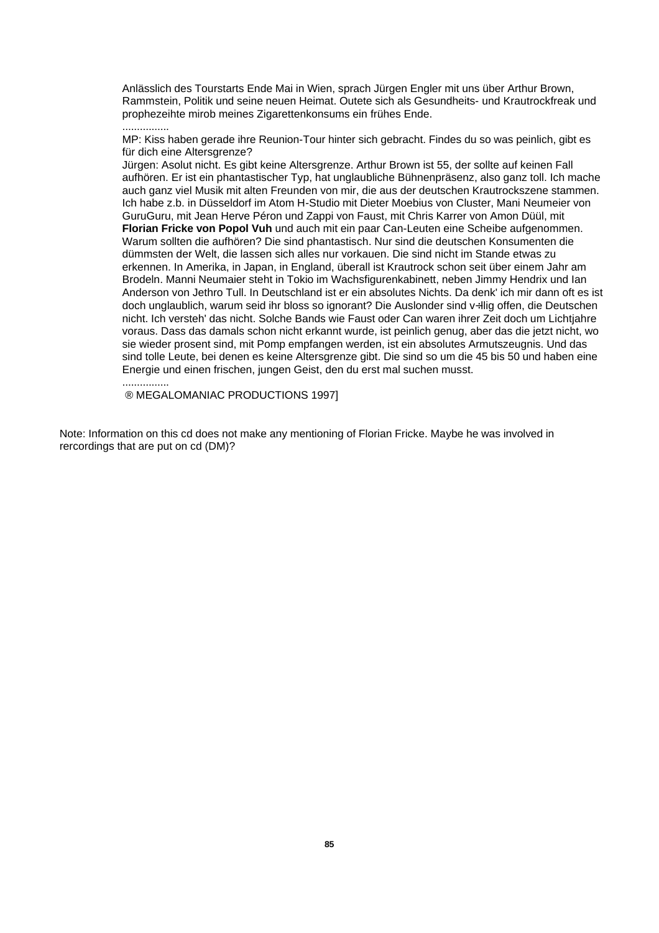Anlässlich des Tourstarts Ende Mai in Wien, sprach Jürgen Engler mit uns über Arthur Brown, Rammstein, Politik und seine neuen Heimat. Outete sich als Gesundheits- und Krautrockfreak und prophezeihte mirob meines Zigarettenkonsums ein frühes Ende.

................

MP: Kiss haben gerade ihre Reunion-Tour hinter sich gebracht. Findes du so was peinlich, gibt es für dich eine Altersgrenze?

Jürgen: Asolut nicht. Es gibt keine Altersgrenze. Arthur Brown ist 55, der sollte auf keinen Fall aufhören. Er ist ein phantastischer Typ, hat unglaubliche Bühnenpräsenz, also ganz toll. Ich mache auch ganz viel Musik mit alten Freunden von mir, die aus der deutschen Krautrockszene stammen. Ich habe z.b. in Düsseldorf im Atom H-Studio mit Dieter Moebius von Cluster, Mani Neumeier von GuruGuru, mit Jean Herve Péron und Zappi von Faust, mit Chris Karrer von Amon Düül, mit **Florian Fricke von Popol Vuh** und auch mit ein paar Can-Leuten eine Scheibe aufgenommen. Warum sollten die aufhören? Die sind phantastisch. Nur sind die deutschen Konsumenten die dümmsten der Welt, die lassen sich alles nur vorkauen. Die sind nicht im Stande etwas zu erkennen. In Amerika, in Japan, in England, überall ist Krautrock schon seit über einem Jahr am Brodeln. Manni Neumaier steht in Tokio im Wachsfigurenkabinett, neben Jimmy Hendrix und Ian Anderson von Jethro Tull. In Deutschland ist er ein absolutes Nichts. Da denk' ich mir dann oft es ist doch unglaublich, warum seid ihr bloss so ignorant? Die Auslonder sind v÷llig offen, die Deutschen nicht. Ich versteh' das nicht. Solche Bands wie Faust oder Can waren ihrer Zeit doch um Lichtjahre voraus. Dass das damals schon nicht erkannt wurde, ist peinlich genug, aber das die jetzt nicht, wo sie wieder prosent sind, mit Pomp empfangen werden, ist ein absolutes Armutszeugnis. Und das sind tolle Leute, bei denen es keine Altersgrenze gibt. Die sind so um die 45 bis 50 und haben eine Energie und einen frischen, jungen Geist, den du erst mal suchen musst.

................

® MEGALOMANIAC PRODUCTIONS 1997]

Note: Information on this cd does not make any mentioning of Florian Fricke. Maybe he was involved in rercordings that are put on cd (DM)?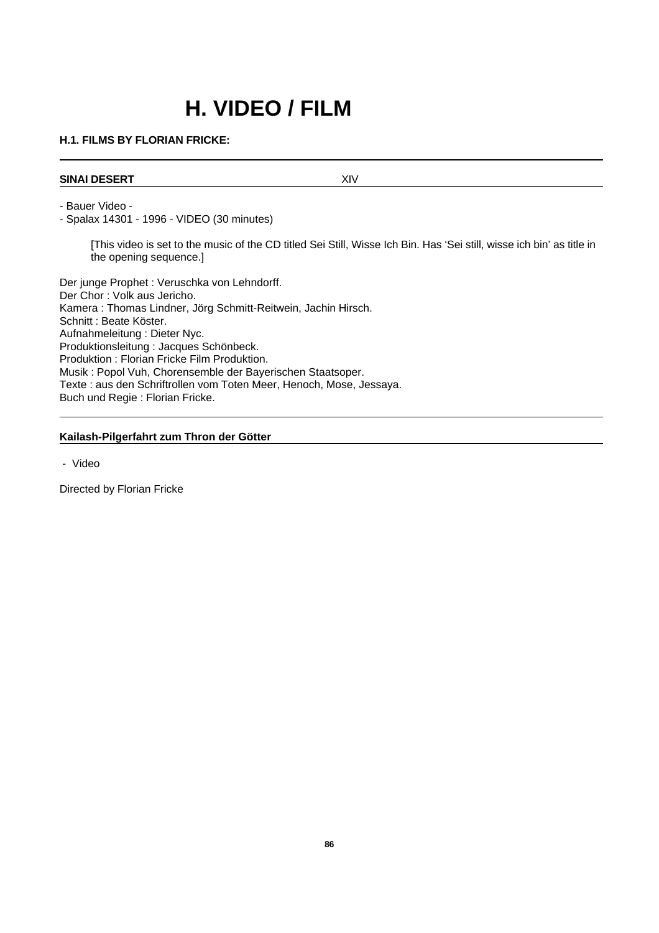# **H. VIDEO / FILM**

## **H.1. FILMS BY FLORIAN FRICKE:**

## **SINAI DESERT XIV**

- Bauer Video -

- Spalax 14301 - 1996 - VIDEO (30 minutes)

[This video is set to the music of the CD titled Sei Still, Wisse Ich Bin. Has 'Sei still, wisse ich bin' as title in the opening sequence.]

Der junge Prophet : Veruschka von Lehndorff. Der Chor : Volk aus Jericho. Kamera : Thomas Lindner, Jörg Schmitt-Reitwein, Jachin Hirsch. Schnitt : Beate Köster. Aufnahmeleitung : Dieter Nyc. Produktionsleitung : Jacques Schönbeck. Produktion : Florian Fricke Film Produktion. Musik : Popol Vuh, Chorensemble der Bayerischen Staatsoper. Texte : aus den Schriftrollen vom Toten Meer, Henoch, Mose, Jessaya. Buch und Regie : Florian Fricke.

## **Kailash-Pilgerfahrt zum Thron der Götter**

- Video

Directed by Florian Fricke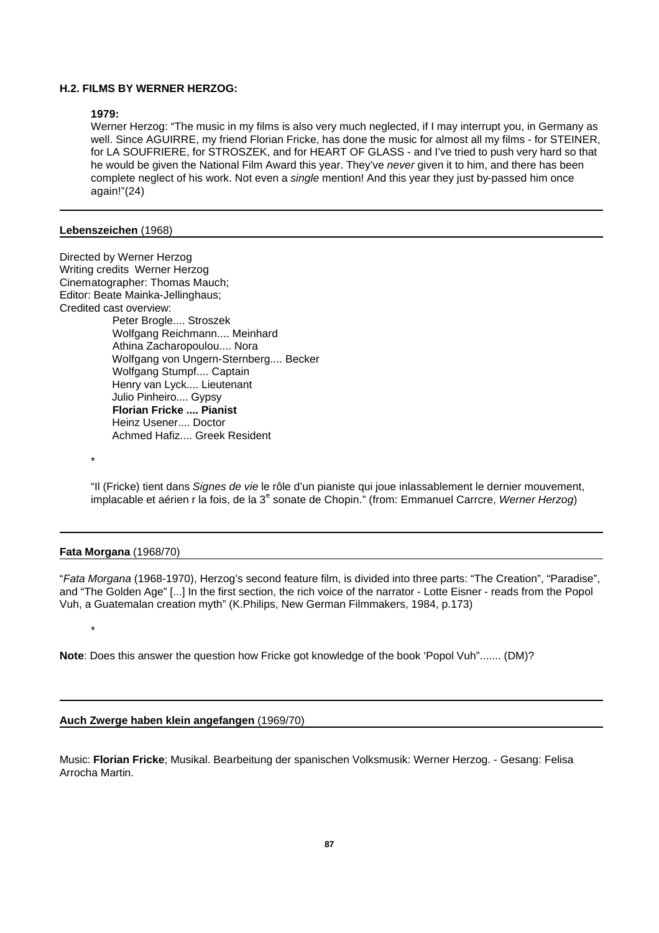## **H.2. FILMS BY WERNER HERZOG:**

#### **1979:**

Werner Herzog: "The music in my films is also very much neglected, if I may interrupt you, in Germany as well. Since AGUIRRE, my friend Florian Fricke, has done the music for almost all my films - for STEINER, for LA SOUFRIERE, for STROSZEK, and for HEART OF GLASS - and I've tried to push very hard so that he would be given the National Film Award this year. They've *never* given it to him, and there has been complete neglect of his work. Not even a *single* mention! And this year they just by-passed him once again!"(24)

#### **Lebenszeichen** (1968)

Directed by Werner Herzog Writing credits Werner Herzog Cinematographer: Thomas Mauch; Editor: Beate Mainka-Jellinghaus; Credited cast overview: Peter Brogle.... Stroszek Wolfgang Reichmann.... Meinhard Athina Zacharopoulou.... Nora Wolfgang von Ungern-Sternberg.... Becker Wolfgang Stumpf.... Captain Henry van Lyck.... Lieutenant Julio Pinheiro.... Gypsy  **Florian Fricke .... Pianist**  Heinz Usener.... Doctor Achmed Hafiz.... Greek Resident

\*

\*

"Il (Fricke) tient dans *Signes de vie* le rôle d'un pianiste qui joue inlassablement le dernier mouvement, implacable et aérien r la fois, de la 3<sup>e</sup> sonate de Chopin." (from: Emmanuel Carrcre, Werner Herzog)

#### **Fata Morgana** (1968/70)

"*Fata Morgana* (1968-1970), Herzog's second feature film, is divided into three parts: "The Creation", "Paradise", and "The Golden Age" [...] In the first section, the rich voice of the narrator - Lotte Eisner - reads from the Popol Vuh, a Guatemalan creation myth" (K.Philips, New German Filmmakers, 1984, p.173)

**Note**: Does this answer the question how Fricke got knowledge of the book 'Popol Vuh"....... (DM)?

#### **Auch Zwerge haben klein angefangen** (1969/70)

Music: **Florian Fricke**; Musikal. Bearbeitung der spanischen Volksmusik: Werner Herzog. - Gesang: Felisa Arrocha Martin.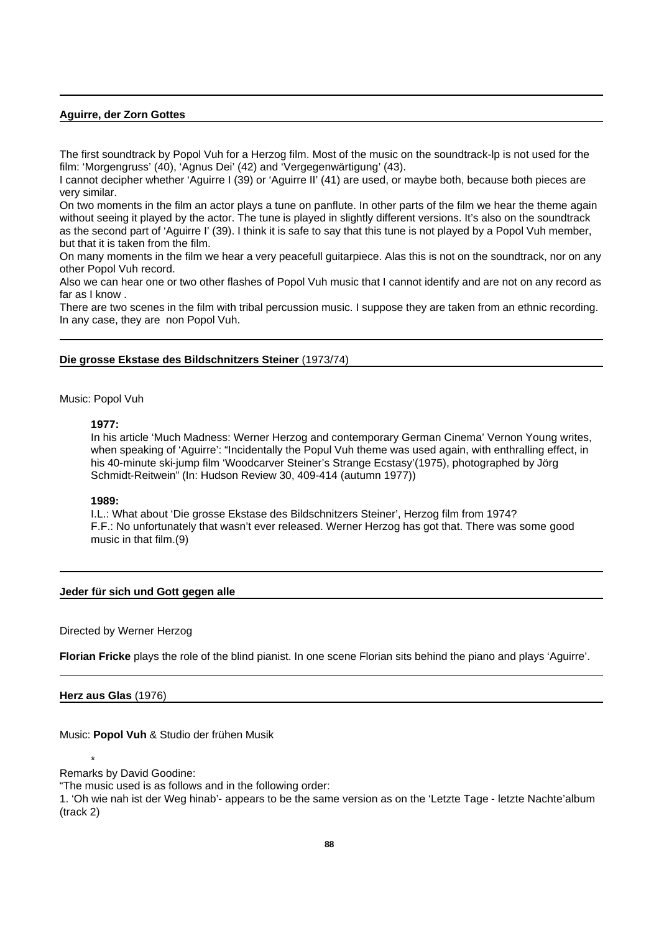## **Aguirre, der Zorn Gottes**

The first soundtrack by Popol Vuh for a Herzog film. Most of the music on the soundtrack-lp is not used for the film: 'Morgengruss' (40), 'Agnus Dei' (42) and 'Vergegenwärtigung' (43).

I cannot decipher whether 'Aguirre I (39) or 'Aguirre II' (41) are used, or maybe both, because both pieces are very similar.

On two moments in the film an actor plays a tune on panflute. In other parts of the film we hear the theme again without seeing it played by the actor. The tune is played in slightly different versions. It's also on the soundtrack as the second part of 'Aguirre I' (39). I think it is safe to say that this tune is not played by a Popol Vuh member, but that it is taken from the film.

On many moments in the film we hear a very peacefull guitarpiece. Alas this is not on the soundtrack, nor on any other Popol Vuh record.

Also we can hear one or two other flashes of Popol Vuh music that I cannot identify and are not on any record as far as I know .

There are two scenes in the film with tribal percussion music. I suppose they are taken from an ethnic recording. In any case, they are non Popol Vuh.

## **Die grosse Ekstase des Bildschnitzers Steiner** (1973/74)

Music: Popol Vuh

#### **1977:**

In his article 'Much Madness: Werner Herzog and contemporary German Cinema' Vernon Young writes, when speaking of 'Aguirre': "Incidentally the Popul Vuh theme was used again, with enthralling effect, in his 40-minute ski-jump film 'Woodcarver Steiner's Strange Ecstasy'(1975), photographed by Jörg Schmidt-Reitwein" (In: Hudson Review 30, 409-414 (autumn 1977))

#### **1989:**

I.L.: What about 'Die grosse Ekstase des Bildschnitzers Steiner', Herzog film from 1974? F.F.: No unfortunately that wasn't ever released. Werner Herzog has got that. There was some good music in that film.(9)

#### **Jeder für sich und Gott gegen alle**

Directed by Werner Herzog

**Florian Fricke** plays the role of the blind pianist. In one scene Florian sits behind the piano and plays 'Aguirre'.

#### **Herz aus Glas** (1976)

Music: **Popol Vuh** & Studio der frühen Musik

\* Remarks by David Goodine:

"The music used is as follows and in the following order:

1. 'Oh wie nah ist der Weg hinab'- appears to be the same version as on the 'Letzte Tage - letzte Nachte'album (track 2)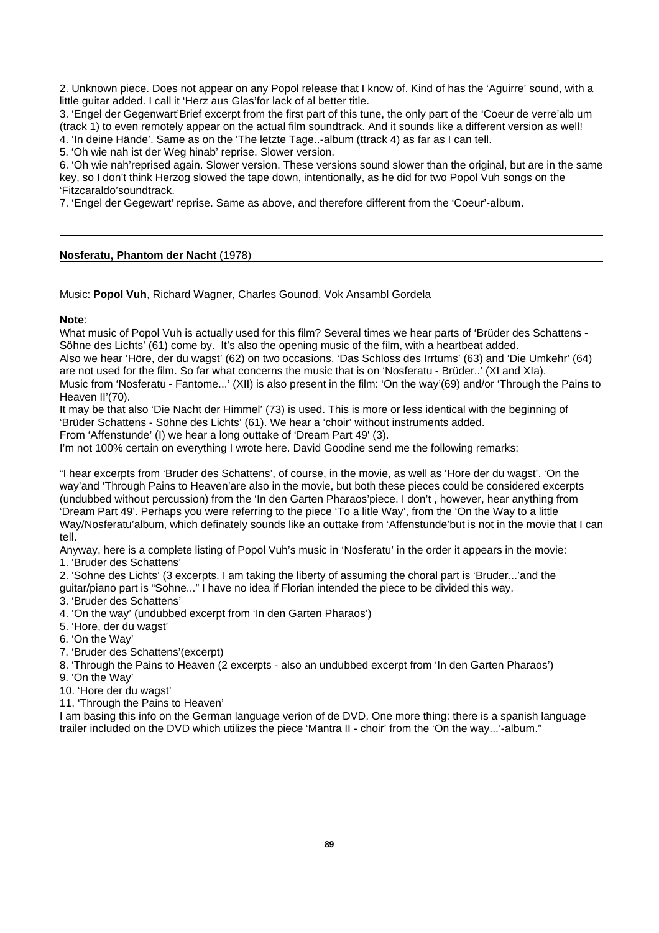2. Unknown piece. Does not appear on any Popol release that I know of. Kind of has the 'Aguirre' sound, with a little guitar added. I call it 'Herz aus Glas'for lack of al better title.

3. 'Engel der Gegenwart'Brief excerpt from the first part of this tune, the only part of the 'Coeur de verre'alb um (track 1) to even remotely appear on the actual film soundtrack. And it sounds like a different version as well! 4. 'In deine Hände'. Same as on the 'The letzte Tage..-album (ttrack 4) as far as I can tell.

5. 'Oh wie nah ist der Weg hinab' reprise. Slower version.

6. 'Oh wie nah'reprised again. Slower version. These versions sound slower than the original, but are in the same key, so I don't think Herzog slowed the tape down, intentionally, as he did for two Popol Vuh songs on the 'Fitzcaraldo'soundtrack.

7. 'Engel der Gegewart' reprise. Same as above, and therefore different from the 'Coeur'-album.

#### **Nosferatu, Phantom der Nacht** (1978)

Music: **Popol Vuh**, Richard Wagner, Charles Gounod, Vok Ansambl Gordela

#### **Note**:

What music of Popol Vuh is actually used for this film? Several times we hear parts of 'Brüder des Schattens - Söhne des Lichts' (61) come by. It's also the opening music of the film, with a heartbeat added.

Also we hear 'Höre, der du wagst' (62) on two occasions. 'Das Schloss des Irrtums' (63) and 'Die Umkehr' (64) are not used for the film. So far what concerns the music that is on 'Nosferatu - Brüder..' (XI and XIa).

Music from 'Nosferatu - Fantome...' (XII) is also present in the film: 'On the way'(69) and/or 'Through the Pains to Heaven II'(70).

It may be that also 'Die Nacht der Himmel' (73) is used. This is more or less identical with the beginning of 'Brüder Schattens - Söhne des Lichts' (61). We hear a 'choir' without instruments added.

From 'Affenstunde' (I) we hear a long outtake of 'Dream Part 49' (3).

I'm not 100% certain on everything I wrote here. David Goodine send me the following remarks:

"I hear excerpts from 'Bruder des Schattens', of course, in the movie, as well as 'Hore der du wagst'. 'On the way'and 'Through Pains to Heaven'are also in the movie, but both these pieces could be considered excerpts (undubbed without percussion) from the 'In den Garten Pharaos'piece. I don't , however, hear anything from 'Dream Part 49'. Perhaps you were referring to the piece 'To a litle Way', from the 'On the Way to a little Way/Nosferatu'album, which definately sounds like an outtake from 'Affenstunde'but is not in the movie that I can tell.

Anyway, here is a complete listing of Popol Vuh's music in 'Nosferatu' in the order it appears in the movie: 1. 'Bruder des Schattens'

2. 'Sohne des Lichts' (3 excerpts. I am taking the liberty of assuming the choral part is 'Bruder...'and the

guitar/piano part is "Sohne..." I have no idea if Florian intended the piece to be divided this way.

3. 'Bruder des Schattens'

4. 'On the way' (undubbed excerpt from 'In den Garten Pharaos')

5. 'Hore, der du wagst'

6. 'On the Way'

7. 'Bruder des Schattens'(excerpt)

8. 'Through the Pains to Heaven (2 excerpts - also an undubbed excerpt from 'In den Garten Pharaos')

9. 'On the Way'

10. 'Hore der du wagst'

11. 'Through the Pains to Heaven'

I am basing this info on the German language verion of de DVD. One more thing: there is a spanish language trailer included on the DVD which utilizes the piece 'Mantra II - choir' from the 'On the way...'-album."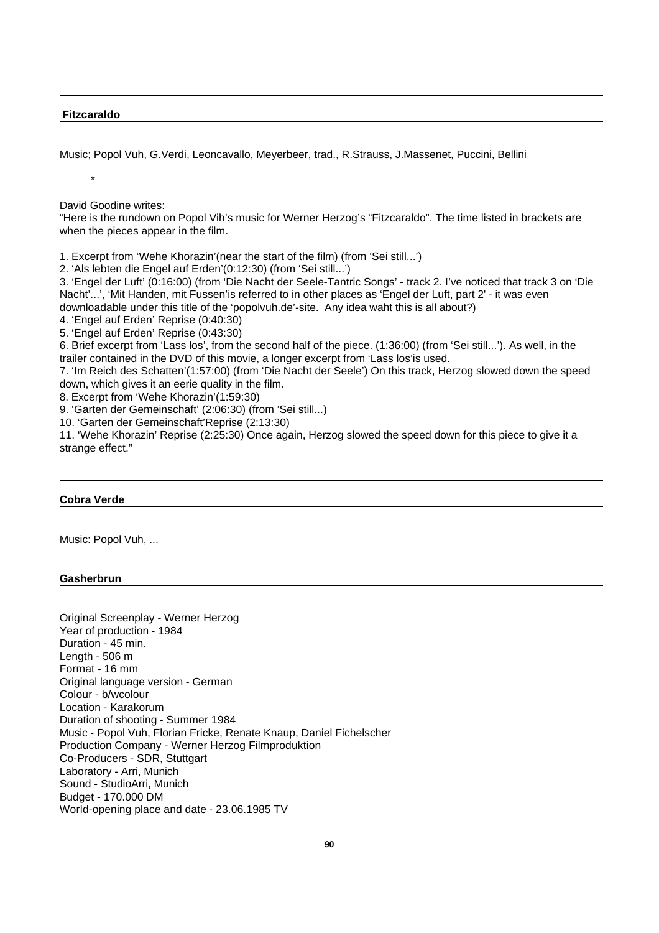#### **Fitzcaraldo**

\*

Music; Popol Vuh, G.Verdi, Leoncavallo, Meyerbeer, trad., R.Strauss, J.Massenet, Puccini, Bellini

David Goodine writes:

"Here is the rundown on Popol Vih's music for Werner Herzog's "Fitzcaraldo". The time listed in brackets are when the pieces appear in the film.

1. Excerpt from 'Wehe Khorazin'(near the start of the film) (from 'Sei still...')

2. 'Als lebten die Engel auf Erden'(0:12:30) (from 'Sei still...')

3. 'Engel der Luft' (0:16:00) (from 'Die Nacht der Seele-Tantric Songs' - track 2. I've noticed that track 3 on 'Die Nacht'...', 'Mit Handen, mit Fussen'is referred to in other places as 'Engel der Luft, part 2' - it was even downloadable under this title of the 'popolvuh.de'-site. Any idea waht this is all about?)

4. 'Engel auf Erden' Reprise (0:40:30)

5. 'Engel auf Erden' Reprise (0:43:30)

6. Brief excerpt from 'Lass los', from the second half of the piece. (1:36:00) (from 'Sei still...'). As well, in the trailer contained in the DVD of this movie, a longer excerpt from 'Lass los'is used.

7. 'Im Reich des Schatten'(1:57:00) (from 'Die Nacht der Seele') On this track, Herzog slowed down the speed down, which gives it an eerie quality in the film.

8. Excerpt from 'Wehe Khorazin'(1:59:30)

9. 'Garten der Gemeinschaft' (2:06:30) (from 'Sei still...)

10. 'Garten der Gemeinschaft'Reprise (2:13:30)

11. 'Wehe Khorazin' Reprise (2:25:30) Once again, Herzog slowed the speed down for this piece to give it a strange effect."

## **Cobra Verde**

Music: Popol Vuh, ...

#### **Gasherbrun**

Original Screenplay - Werner Herzog Year of production - 1984 Duration - 45 min. Length - 506 m Format - 16 mm Original language version - German Colour - b/wcolour Location - Karakorum Duration of shooting - Summer 1984 Music - Popol Vuh, Florian Fricke, Renate Knaup, Daniel Fichelscher Production Company - Werner Herzog Filmproduktion Co-Producers - SDR, Stuttgart Laboratory - Arri, Munich Sound - StudioArri, Munich Budget - 170.000 DM World-opening place and date - 23.06.1985 TV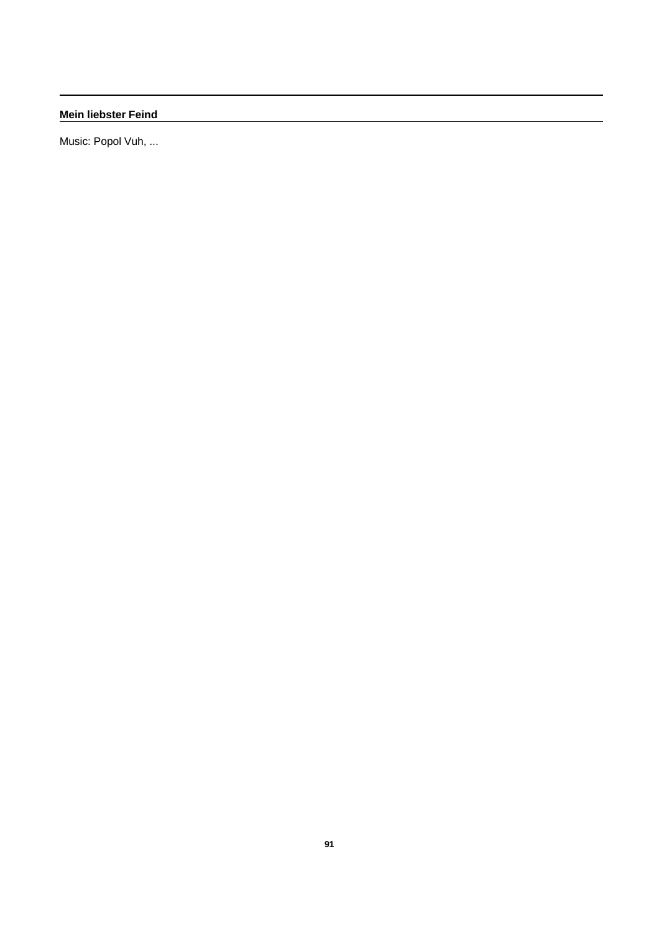**Mein liebster Feind**

Music: Popol Vuh, ...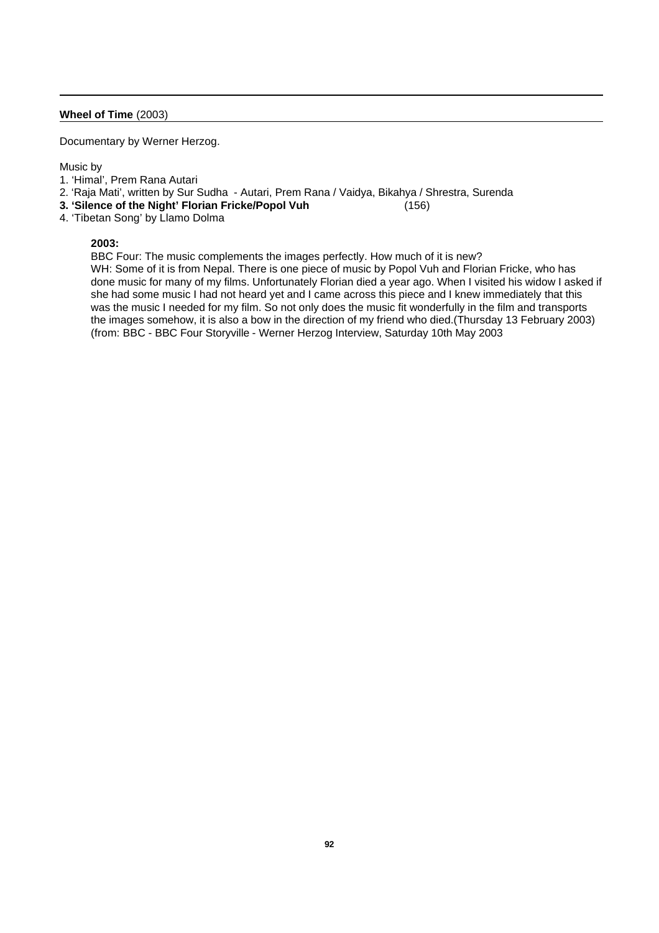## **Wheel of Time** (2003)

Documentary by Werner Herzog.

#### Music by

- 1. 'Himal', Prem Rana Autari
- 2. 'Raja Mati', written by Sur Sudha Autari, Prem Rana / Vaidya, Bikahya / Shrestra, Surenda
- **3. 'Silence of the Night' Florian Fricke/Popol Vuh** (156)
- 4. 'Tibetan Song' by Llamo Dolma

#### **2003:**

BBC Four: The music complements the images perfectly. How much of it is new?

WH: Some of it is from Nepal. There is one piece of music by Popol Vuh and Florian Fricke, who has done music for many of my films. Unfortunately Florian died a year ago. When I visited his widow I asked if she had some music I had not heard yet and I came across this piece and I knew immediately that this was the music I needed for my film. So not only does the music fit wonderfully in the film and transports the images somehow, it is also a bow in the direction of my friend who died.(Thursday 13 February 2003) (from: BBC - BBC Four Storyville - Werner Herzog Interview, Saturday 10th May 2003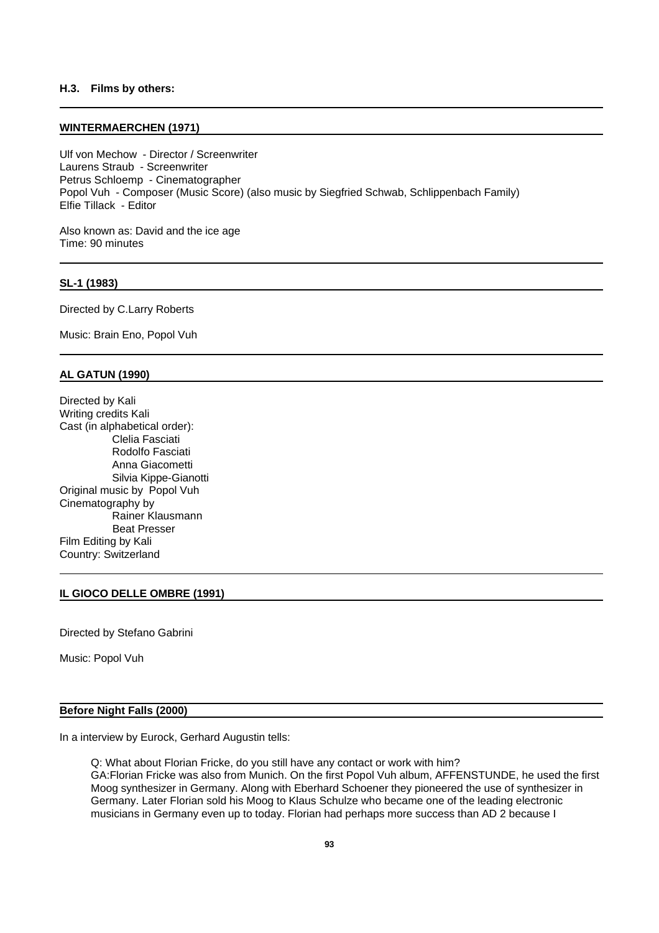## **H.3. Films by others:**

#### **WINTERMAERCHEN (1971)**

Ulf von Mechow - Director / Screenwriter Laurens Straub - Screenwriter Petrus Schloemp - Cinematographer Popol Vuh - Composer (Music Score) (also music by Siegfried Schwab, Schlippenbach Family) Elfie Tillack - Editor

Also known as: David and the ice age Time: 90 minutes

#### **SL-1 (1983)**

Directed by C.Larry Roberts

Music: Brain Eno, Popol Vuh

#### **AL GATUN (1990)**

Directed by Kali Writing credits Kali Cast (in alphabetical order): Clelia Fasciati Rodolfo Fasciati Anna Giacometti Silvia Kippe-Gianotti Original music by Popol Vuh Cinematography by Rainer Klausmann Beat Presser Film Editing by Kali Country: Switzerland

### **IL GIOCO DELLE OMBRE (1991)**

Directed by Stefano Gabrini

Music: Popol Vuh

#### **Before Night Falls (2000)**

In a interview by Eurock, Gerhard Augustin tells:

Q: What about Florian Fricke, do you still have any contact or work with him? GA:Florian Fricke was also from Munich. On the first Popol Vuh album, AFFENSTUNDE, he used the first Moog synthesizer in Germany. Along with Eberhard Schoener they pioneered the use of synthesizer in Germany. Later Florian sold his Moog to Klaus Schulze who became one of the leading electronic musicians in Germany even up to today. Florian had perhaps more success than AD 2 because I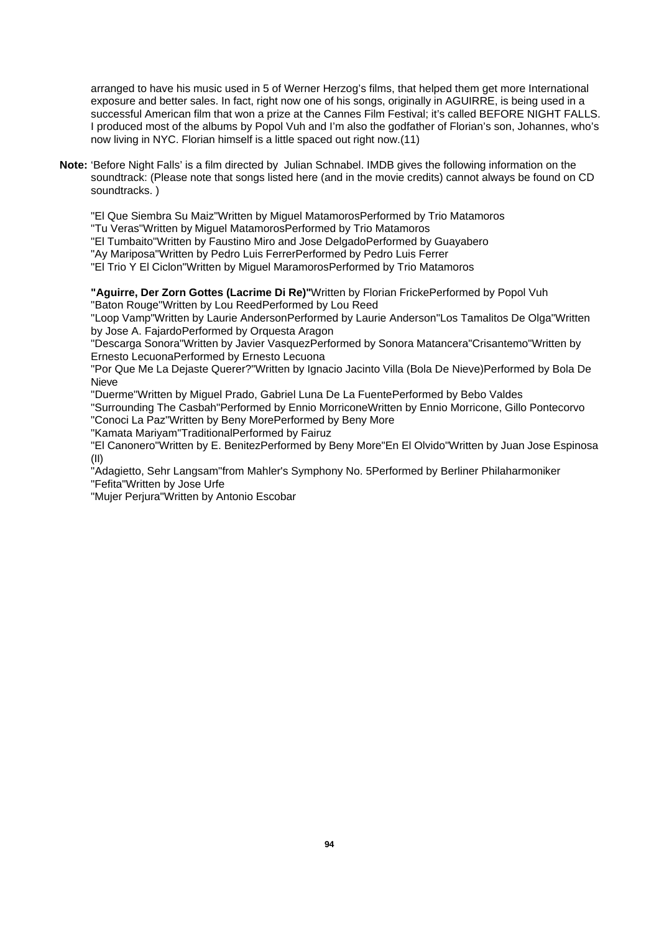arranged to have his music used in 5 of Werner Herzog's films, that helped them get more International exposure and better sales. In fact, right now one of his songs, originally in AGUIRRE, is being used in a successful American film that won a prize at the Cannes Film Festival; it's called BEFORE NIGHT FALLS. I produced most of the albums by Popol Vuh and I'm also the godfather of Florian's son, Johannes, who's now living in NYC. Florian himself is a little spaced out right now.(11)

**Note:** 'Before Night Falls' is a film directed by Julian Schnabel. IMDB gives the following information on the soundtrack: (Please note that songs listed here (and in the movie credits) cannot always be found on CD soundtracks.)

"El Que Siembra Su Maiz"Written by Miguel MatamorosPerformed by Trio Matamoros

"Tu Veras"Written by Miguel MatamorosPerformed by Trio Matamoros

"El Tumbaito"Written by Faustino Miro and Jose DelgadoPerformed by Guayabero

"Ay Mariposa"Written by Pedro Luis FerrerPerformed by Pedro Luis Ferrer

"El Trio Y El Ciclon"Written by Miguel MaramorosPerformed by Trio Matamoros

**"Aguirre, Der Zorn Gottes (Lacrime Di Re)"**Written by Florian FrickePerformed by Popol Vuh "Baton Rouge"Written by Lou ReedPerformed by Lou Reed

"Loop Vamp"Written by Laurie AndersonPerformed by Laurie Anderson"Los Tamalitos De Olga"Written by Jose A. FajardoPerformed by Orquesta Aragon

"Descarga Sonora"Written by Javier VasquezPerformed by Sonora Matancera"Crisantemo"Written by Ernesto LecuonaPerformed by Ernesto Lecuona

"Por Que Me La Dejaste Querer?"Written by Ignacio Jacinto Villa (Bola De Nieve)Performed by Bola De Nieve

"Duerme"Written by Miguel Prado, Gabriel Luna De La FuentePerformed by Bebo Valdes

"Surrounding The Casbah"Performed by Ennio MorriconeWritten by Ennio Morricone, Gillo Pontecorvo "Conoci La Paz"Written by Beny MorePerformed by Beny More

"Kamata Mariyam"TraditionalPerformed by Fairuz

"El Canonero"Written by E. BenitezPerformed by Beny More"En El Olvido"Written by Juan Jose Espinosa (II)

"Adagietto, Sehr Langsam"from Mahler's Symphony No. 5Performed by Berliner Philaharmoniker "Fefita"Written by Jose Urfe

"Mujer Perjura"Written by Antonio Escobar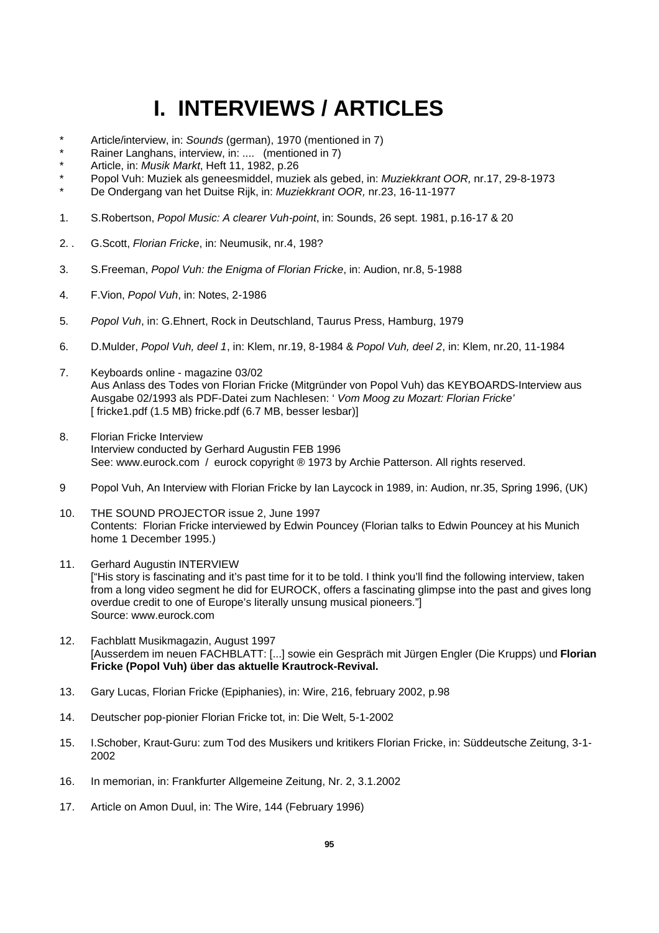# **I. INTERVIEWS / ARTICLES**

- Article/interview, in: *Sounds* (german), 1970 (mentioned in 7)
- Rainer Langhans, interview, in: .... (mentioned in 7)
- \* Article, in: *Musik Markt*, Heft 11, 1982, p.26
- \* Popol Vuh: Muziek als geneesmiddel, muziek als gebed, in: *Muziekkrant OOR,* nr.17, 29-8-1973
- \* De Ondergang van het Duitse Rijk, in: *Muziekkrant OOR,* nr.23, 16-11-1977
- 1. S.Robertson, *Popol Music: A clearer Vuh-point*, in: Sounds, 26 sept. 1981, p.16-17 & 20
- 2. . G.Scott, *Florian Fricke*, in: Neumusik, nr.4, 198?
- 3. S.Freeman, *Popol Vuh: the Enigma of Florian Fricke*, in: Audion, nr.8, 5-1988
- 4. F.Vion, *Popol Vuh*, in: Notes, 2-1986
- 5. *Popol Vuh*, in: G.Ehnert, Rock in Deutschland, Taurus Press, Hamburg, 1979
- 6. D.Mulder, *Popol Vuh, deel 1*, in: Klem, nr.19, 8-1984 & *Popol Vuh, deel 2*, in: Klem, nr.20, 11-1984
- 7. Keyboards online magazine 03/02 Aus Anlass des Todes von Florian Fricke (Mitgründer von Popol Vuh) das KEYBOARDS-Interview aus Ausgabe 02/1993 als PDF-Datei zum Nachlesen: ' *Vom Moog zu Mozart: Florian Fricke'* [ fricke1.pdf (1.5 MB) fricke.pdf (6.7 MB, besser lesbar)]
- 8. Florian Fricke Interview Interview conducted by Gerhard Augustin FEB 1996 See: www.eurock.com / eurock copyright ® 1973 by Archie Patterson. All rights reserved.
- 9 Popol Vuh, An Interview with Florian Fricke by Ian Laycock in 1989, in: Audion, nr.35, Spring 1996, (UK)
- 10. THE SOUND PROJECTOR issue 2, June 1997 Contents: Florian Fricke interviewed by Edwin Pouncey (Florian talks to Edwin Pouncey at his Munich home 1 December 1995.)
- 11. Gerhard Augustin INTERVIEW ["His story is fascinating and it's past time for it to be told. I think you'll find the following interview, taken from a long video segment he did for EUROCK, offers a fascinating glimpse into the past and gives long overdue credit to one of Europe's literally unsung musical pioneers."] Source: www.eurock.com
- 12. Fachblatt Musikmagazin, August 1997 [Ausserdem im neuen FACHBLATT: [...] sowie ein Gespräch mit Jürgen Engler (Die Krupps) und **Florian Fricke (Popol Vuh) über das aktuelle Krautrock-Revival.**
- 13. Gary Lucas, Florian Fricke (Epiphanies), in: Wire, 216, february 2002, p.98
- 14. Deutscher pop-pionier Florian Fricke tot, in: Die Welt, 5-1-2002
- 15. I.Schober, Kraut-Guru: zum Tod des Musikers und kritikers Florian Fricke, in: Süddeutsche Zeitung, 3-1- 2002
- 16. In memorian, in: Frankfurter Allgemeine Zeitung, Nr. 2, 3.1.2002
- 17. Article on Amon Duul, in: The Wire, 144 (February 1996)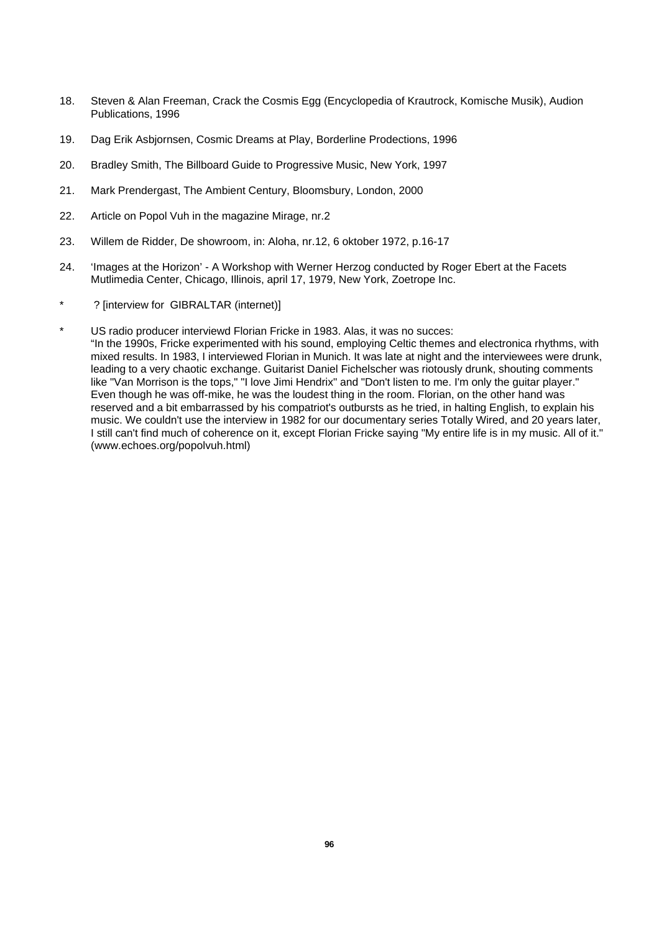- 18. Steven & Alan Freeman, Crack the Cosmis Egg (Encyclopedia of Krautrock, Komische Musik), Audion Publications, 1996
- 19. Dag Erik Asbjornsen, Cosmic Dreams at Play, Borderline Prodections, 1996
- 20. Bradley Smith, The Billboard Guide to Progressive Music, New York, 1997
- 21. Mark Prendergast, The Ambient Century, Bloomsbury, London, 2000
- 22. Article on Popol Vuh in the magazine Mirage, nr.2
- 23. Willem de Ridder, De showroom, in: Aloha, nr.12, 6 oktober 1972, p.16-17
- 24. 'Images at the Horizon' A Workshop with Werner Herzog conducted by Roger Ebert at the Facets Mutlimedia Center, Chicago, Illinois, april 17, 1979, New York, Zoetrope Inc.
- ? [interview for GIBRALTAR (internet)]
- US radio producer interviewd Florian Fricke in 1983. Alas, it was no succes: "In the 1990s, Fricke experimented with his sound, employing Celtic themes and electronica rhythms, with mixed results. In 1983, I interviewed Florian in Munich. It was late at night and the interviewees were drunk, leading to a very chaotic exchange. Guitarist Daniel Fichelscher was riotously drunk, shouting comments like "Van Morrison is the tops," "I love Jimi Hendrix" and "Don't listen to me. I'm only the guitar player." Even though he was off-mike, he was the loudest thing in the room. Florian, on the other hand was reserved and a bit embarrassed by his compatriot's outbursts as he tried, in halting English, to explain his music. We couldn't use the interview in 1982 for our documentary series Totally Wired, and 20 years later, I still can't find much of coherence on it, except Florian Fricke saying "My entire life is in my music. All of it." (www.echoes.org/popolvuh.html)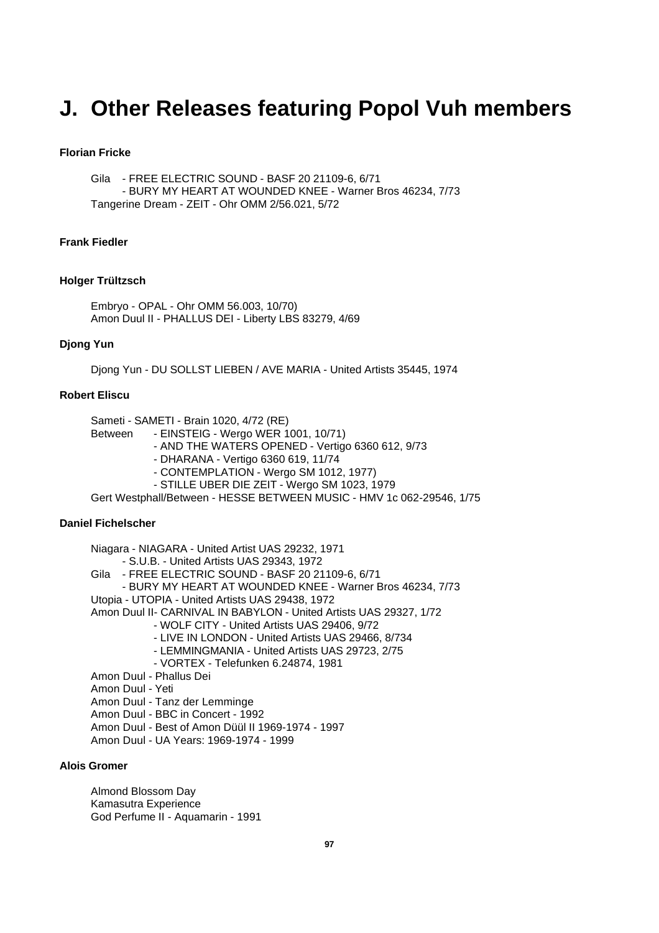## **J. Other Releases featuring Popol Vuh members**

## **Florian Fricke**

Gila - FREE ELECTRIC SOUND - BASF 20 21109-6, 6/71 - BURY MY HEART AT WOUNDED KNEE - Warner Bros 46234, 7/73 Tangerine Dream - ZEIT - Ohr OMM 2/56.021, 5/72

## **Frank Fiedler**

#### **Holger Trültzsch**

Embryo - OPAL - Ohr OMM 56.003, 10/70) Amon Duul II - PHALLUS DEI - Liberty LBS 83279, 4/69

## **Djong Yun**

Djong Yun - DU SOLLST LIEBEN / AVE MARIA - United Artists 35445, 1974

## **Robert Eliscu**

Sameti - SAMETI - Brain 1020, 4/72 (RE)

- Between EINSTEIG Wergo WER 1001, 10/71)
	- AND THE WATERS OPENED Vertigo 6360 612, 9/73
	- DHARANA Vertigo 6360 619, 11/74
	- CONTEMPLATION Wergo SM 1012, 1977)
	- STILLE UBER DIE ZEIT Wergo SM 1023, 1979

Gert Westphall/Between - HESSE BETWEEN MUSIC - HMV 1c 062-29546, 1/75

#### **Daniel Fichelscher**

Niagara - NIAGARA - United Artist UAS 29232, 1971 - S.U.B. - United Artists UAS 29343, 1972 Gila - FREE ELECTRIC SOUND - BASF 20 21109-6, 6/71 - BURY MY HEART AT WOUNDED KNEE - Warner Bros 46234, 7/73 Utopia - UTOPIA - United Artists UAS 29438, 1972 Amon Duul II- CARNIVAL IN BABYLON - United Artists UAS 29327, 1/72 - WOLF CITY - United Artists UAS 29406, 9/72 - LIVE IN LONDON - United Artists UAS 29466, 8/734 - LEMMINGMANIA - United Artists UAS 29723, 2/75 - VORTEX - Telefunken 6.24874, 1981 Amon Duul - Phallus Dei Amon Duul - Yeti Amon Duul - Tanz der Lemminge Amon Duul - BBC in Concert - 1992 Amon Duul - Best of Amon Düül II 1969-1974 - 1997

Amon Duul - UA Years: 1969-1974 - 1999

#### **Alois Gromer**

Almond Blossom Day Kamasutra Experience God Perfume II - Aquamarin - 1991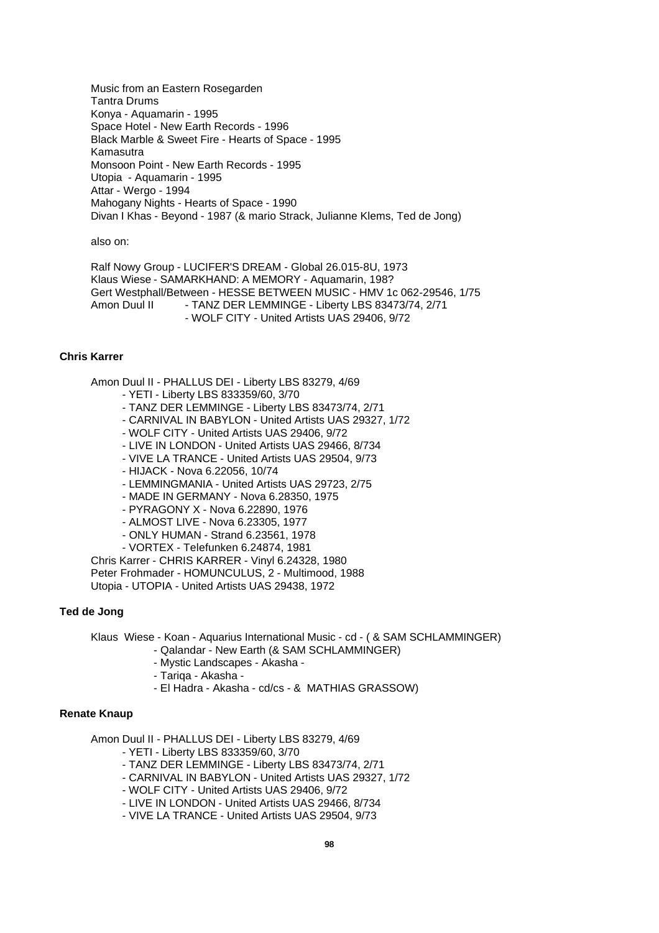Music from an Eastern Rosegarden Tantra Drums Konya - Aquamarin - 1995 Space Hotel - New Earth Records - 1996 Black Marble & Sweet Fire - Hearts of Space - 1995 Kamasutra Monsoon Point - New Earth Records - 1995 Utopia - Aquamarin - 1995 Attar - Wergo - 1994 Mahogany Nights - Hearts of Space - 1990 Divan I Khas - Beyond - 1987 (& mario Strack, Julianne Klems, Ted de Jong)

also on:

Ralf Nowy Group - LUCIFER'S DREAM - Global 26.015-8U, 1973 Klaus Wiese - SAMARKHAND: A MEMORY - Aquamarin, 198? Gert Westphall/Between - HESSE BETWEEN MUSIC - HMV 1c 062-29546, 1/75 Amon Duul II - TANZ DER LEMMINGE - Liberty LBS 83473/74, 2/71 - WOLF CITY - United Artists UAS 29406, 9/72

## **Chris Karrer**

Amon Duul II - PHALLUS DEI - Liberty LBS 83279, 4/69

- YETI Liberty LBS 833359/60, 3/70
- TANZ DER LEMMINGE Liberty LBS 83473/74, 2/71
- CARNIVAL IN BABYLON United Artists UAS 29327, 1/72
- WOLF CITY United Artists UAS 29406, 9/72
- LIVE IN LONDON United Artists UAS 29466, 8/734
- VIVE LA TRANCE United Artists UAS 29504, 9/73
- HIJACK Nova 6.22056, 10/74
- LEMMINGMANIA United Artists UAS 29723, 2/75
- MADE IN GERMANY Nova 6.28350, 1975
- PYRAGONY X Nova 6.22890, 1976
- ALMOST LIVE Nova 6.23305, 1977
- ONLY HUMAN Strand 6.23561, 1978
- VORTEX Telefunken 6.24874, 1981

Chris Karrer - CHRIS KARRER - Vinyl 6.24328, 1980 Peter Frohmader - HOMUNCULUS, 2 - Multimood, 1988 Utopia - UTOPIA - United Artists UAS 29438, 1972

## **Ted de Jong**

Klaus Wiese - Koan - Aquarius International Music - cd - ( & SAM SCHLAMMINGER)

- Qalandar New Earth (& SAM SCHLAMMINGER)
- Mystic Landscapes Akasha -
- Tariqa Akasha -
- El Hadra Akasha cd/cs & MATHIAS GRASSOW)

#### **Renate Knaup**

Amon Duul II - PHALLUS DEI - Liberty LBS 83279, 4/69

- YETI Liberty LBS 833359/60, 3/70
- TANZ DER LEMMINGE Liberty LBS 83473/74, 2/71
- CARNIVAL IN BABYLON United Artists UAS 29327, 1/72
- WOLF CITY United Artists UAS 29406, 9/72
- LIVE IN LONDON United Artists UAS 29466, 8/734
- VIVE LA TRANCE United Artists UAS 29504, 9/73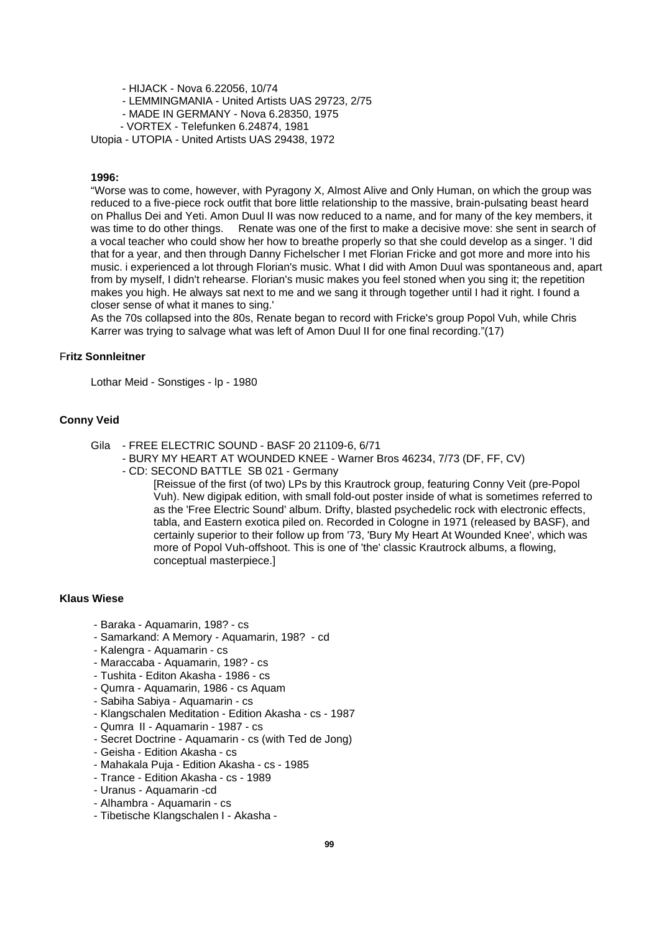- HIJACK Nova 6.22056, 10/74
- LEMMINGMANIA United Artists UAS 29723, 2/75
- MADE IN GERMANY Nova 6.28350, 1975
- VORTEX Telefunken 6.24874, 1981

Utopia - UTOPIA - United Artists UAS 29438, 1972

#### **1996:**

"Worse was to come, however, with Pyragony X, Almost Alive and Only Human, on which the group was reduced to a five-piece rock outfit that bore little relationship to the massive, brain-pulsating beast heard on Phallus Dei and Yeti. Amon Duul II was now reduced to a name, and for many of the key members, it was time to do other things. Renate was one of the first to make a decisive move: she sent in search of a vocal teacher who could show her how to breathe properly so that she could develop as a singer. 'I did that for a year, and then through Danny Fichelscher I met Florian Fricke and got more and more into his music. i experienced a lot through Florian's music. What I did with Amon Duul was spontaneous and, apart from by myself, I didn't rehearse. Florian's music makes you feel stoned when you sing it; the repetition makes you high. He always sat next to me and we sang it through together until I had it right. I found a closer sense of what it manes to sing.'

As the 70s collapsed into the 80s, Renate began to record with Fricke's group Popol Vuh, while Chris Karrer was trying to salvage what was left of Amon Duul II for one final recording."(17)

## F**ritz Sonnleitner**

Lothar Meid - Sonstiges - lp - 1980

## **Conny Veid**

- Gila FREE ELECTRIC SOUND BASF 20 21109-6, 6/71
	- BURY MY HEART AT WOUNDED KNEE Warner Bros 46234, 7/73 (DF, FF, CV)
		- CD: SECOND BATTLE SB 021 Germany

[Reissue of the first (of two) LPs by this Krautrock group, featuring Conny Veit (pre-Popol Vuh). New digipak edition, with small fold-out poster inside of what is sometimes referred to as the 'Free Electric Sound' album. Drifty, blasted psychedelic rock with electronic effects, tabla, and Eastern exotica piled on. Recorded in Cologne in 1971 (released by BASF), and certainly superior to their follow up from '73, 'Bury My Heart At Wounded Knee', which was more of Popol Vuh-offshoot. This is one of 'the' classic Krautrock albums, a flowing, conceptual masterpiece.]

#### **Klaus Wiese**

- Baraka Aquamarin, 198? cs
- Samarkand: A Memory Aquamarin, 198? cd
- Kalengra Aquamarin cs
- Maraccaba Aquamarin, 198? cs
- Tushita Editon Akasha 1986 cs
- Qumra Aquamarin, 1986 cs Aquam
- Sabiha Sabiya Aquamarin cs
- Klangschalen Meditation Edition Akasha cs 1987
- Qumra II Aquamarin 1987 cs
- Secret Doctrine Aquamarin cs (with Ted de Jong)
- Geisha Edition Akasha cs
- Mahakala Puja Edition Akasha cs 1985
- Trance Edition Akasha cs 1989
- Uranus Aquamarin -cd
- Alhambra Aquamarin cs
- Tibetische Klangschalen I Akasha -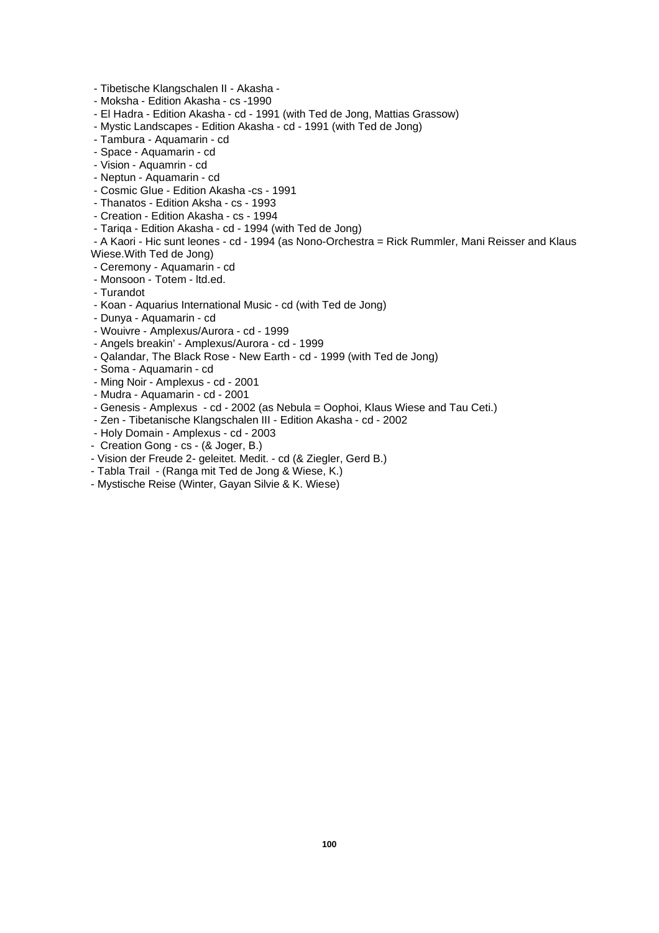- Tibetische Klangschalen II Akasha -
- Moksha Edition Akasha cs -1990
- El Hadra Edition Akasha cd 1991 (with Ted de Jong, Mattias Grassow)
- Mystic Landscapes Edition Akasha cd 1991 (with Ted de Jong)
- Tambura Aquamarin cd
- Space Aquamarin cd
- Vision Aquamrin cd
- Neptun Aquamarin cd
- Cosmic Glue Edition Akasha -cs 1991
- Thanatos Edition Aksha cs 1993
- Creation Edition Akasha cs 1994
- Tariqa Edition Akasha cd 1994 (with Ted de Jong)
- A Kaori Hic sunt leones cd 1994 (as Nono-Orchestra = Rick Rummler, Mani Reisser and Klaus Wiese.With Ted de Jong)
- Ceremony Aquamarin cd
- Monsoon Totem ltd.ed.
- Turandot
- Koan Aquarius International Music cd (with Ted de Jong)
- Dunya Aquamarin cd
- Wouivre Amplexus/Aurora cd 1999
- Angels breakin' Amplexus/Aurora cd 1999
- Qalandar, The Black Rose New Earth cd 1999 (with Ted de Jong)
- Soma Aquamarin cd
- Ming Noir Amplexus cd 2001
- Mudra Aquamarin cd 2001
- Genesis Amplexus cd 2002 (as Nebula = Oophoi, Klaus Wiese and Tau Ceti.)
- Zen Tibetanische Klangschalen III Edition Akasha cd 2002
- Holy Domain Amplexus cd 2003
- Creation Gong cs (& Joger, B.)
- Vision der Freude 2- geleitet. Medit. cd (& Ziegler, Gerd B.)
- Tabla Trail (Ranga mit Ted de Jong & Wiese, K.)
- Mystische Reise (Winter, Gayan Silvie & K. Wiese)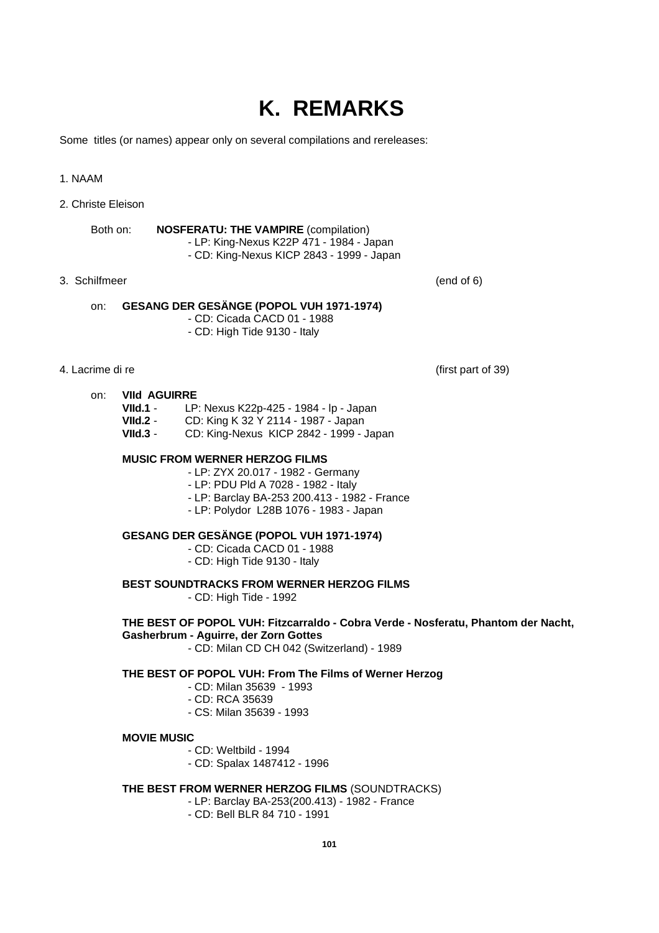## **K. REMARKS**

Some titles (or names) appear only on several compilations and rereleases:

## 1. NAAM

2. Christe Eleison

Both on: **NOSFERATU: THE VAMPIRE** (compilation) - LP: King-Nexus K22P 471 - 1984 - Japan - CD: King-Nexus KICP 2843 - 1999 - Japan

## 3. Schilfmeer (end of 6)

## on: **GESANG DER GESÄNGE (POPOL VUH 1971-1974)**

- CD: Cicada CACD 01 - 1988

- CD: High Tide 9130 - Italy

## 4. Lacrime di re (first part of 39)

## on: **VIId AGUIRRE**<br>VIId.1 - IP

- **VIId.1** LP: Nexus K22p-425 1984 lp Japan
- **VIId.2** CD: King K 32 Y 2114 1987 Japan
- **VIId.3** CD: King-Nexus KICP 2842 1999 Japan

## **MUSIC FROM WERNER HERZOG FILMS**

- LP: ZYX 20.017 1982 Germany
- LP: PDU Pld A 7028 1982 Italy
- LP: Barclay BA-253 200.413 1982 France
- LP: Polydor L28B 1076 1983 Japan

## **GESANG DER GESÄNGE (POPOL VUH 1971-1974)**

- CD: Cicada CACD 01 1988
- CD: High Tide 9130 Italy

**BEST SOUNDTRACKS FROM WERNER HERZOG FILMS**

- CD: High Tide - 1992

## **THE BEST OF POPOL VUH: Fitzcarraldo - Cobra Verde - Nosferatu, Phantom der Nacht,**

**Gasherbrum - Aguirre, der Zorn Gottes**

- CD: Milan CD CH 042 (Switzerland) - 1989

## **THE BEST OF POPOL VUH: From The Films of Werner Herzog**

- CD: Milan 35639 1993
- CD: RCA 35639
- CS: Milan 35639 1993

#### **MOVIE MUSIC**

- CD: Weltbild 1994
- CD: Spalax 1487412 1996

## **THE BEST FROM WERNER HERZOG FILMS** (SOUNDTRACKS)

- LP: Barclay BA-253(200.413) 1982 France
	- CD: Bell BLR 84 710 1991